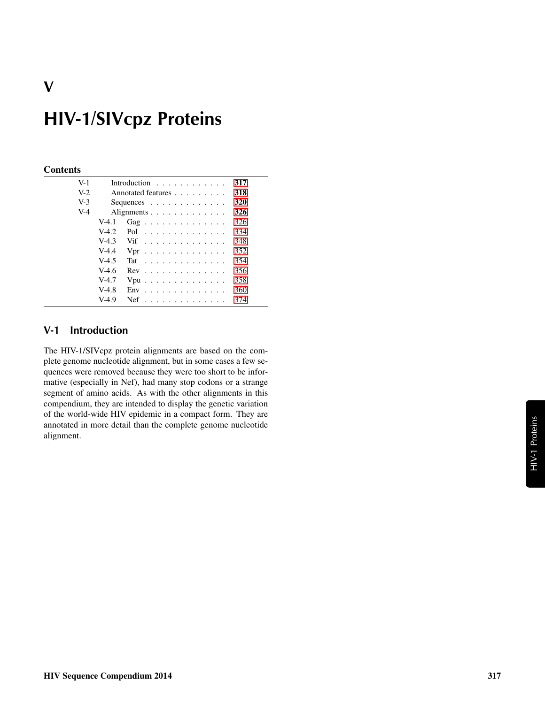# HIV-1/SIVcpz Proteins

#### **Contents**

| $V-1$ |         | Introduction $\ldots$ ,                       | 317 |
|-------|---------|-----------------------------------------------|-----|
| $V-2$ |         | Annotated features                            | 318 |
| $V-3$ |         | Sequences $\ldots$ $\ldots$ $\ldots$ $\ldots$ | 320 |
| $V-4$ |         | Alignments                                    | 326 |
|       | $V-4.1$ | Gag                                           | 326 |
|       | $V-4.2$ | Pol                                           | 334 |
|       | $V-4.3$ | Vif                                           | 348 |
|       | $V-4.4$ | $Vpr$                                         | 352 |
|       | $V-4.5$ | Tat                                           | 354 |
|       | $V-4.6$ | $Rev$                                         | 356 |
|       | $V-4.7$ | $Vpu$                                         | 358 |
|       | $V-4.8$ | $Env$                                         | 360 |
|       | $V-4.9$ | $Nef$                                         | 374 |
|       |         |                                               |     |

#### <span id="page-0-0"></span>V-1 Introduction

The HIV-1/SIVcpz protein alignments are based on the complete genome nucleotide alignment, but in some cases a few sequences were removed because they were too short to be informative (especially in Nef), had many stop codons or a strange segment of amino acids. As with the other alignments in this compendium, they are intended to display the genetic variation of the world-wide HIV epidemic in a compact form. They are annotated in more detail than the complete genome nucleotide alignment.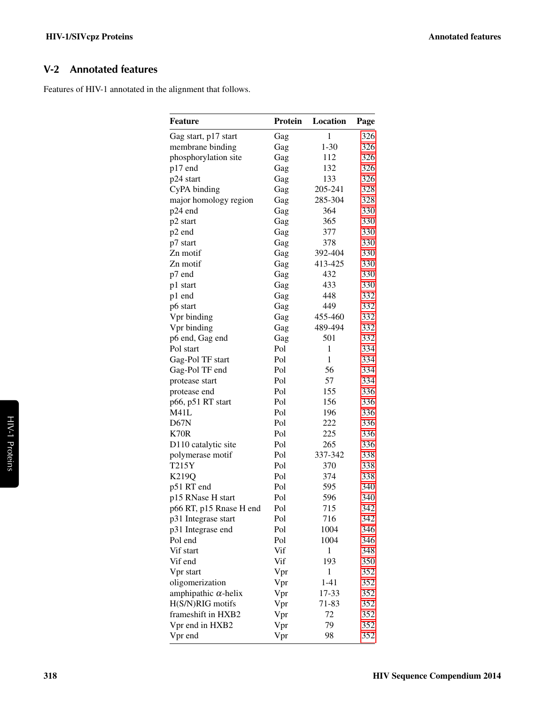### <span id="page-1-0"></span>V-2 Annotated features

Features of HIV-1 annotated in the alignment that follows.

| Feature                     | Protein | Location     | Page |
|-----------------------------|---------|--------------|------|
| Gag start, p17 start        | Gag     | $\mathbf{1}$ | 326  |
| membrane binding            | Gag     | $1 - 30$     | 326  |
| phosphorylation site        | Gag     | 112          | 326  |
| p17 end                     | Gag     | 132          | 326  |
| p24 start                   | Gag     | 133          | 326  |
| CyPA binding                | Gag     | 205-241      | 328  |
| major homology region       | Gag     | 285-304      | 328  |
| p24 end                     | Gag     | 364          | 330  |
| p2 start                    | Gag     | 365          | 330  |
| p2 end                      | Gag     | 377          | 330  |
| p7 start                    | Gag     | 378          | 330  |
| Zn motif                    | Gag     | 392-404      | 330  |
| Zn motif                    | Gag     | 413-425      | 330  |
| p7 end                      | Gag     | 432          | 330  |
| p1 start                    | Gag     | 433          | 330  |
| p1 end                      | Gag     | 448          | 332  |
| p6 start                    | Gag     | 449          | 332  |
| Vpr binding                 | Gag     | 455-460      | 332  |
| Vpr binding                 | Gag     | 489-494      | 332  |
| p6 end, Gag end             | Gag     | 501          | 332  |
| Pol start                   | Pol     | 1            | 334  |
| Gag-Pol TF start            | Pol     | 1            | 334  |
| Gag-Pol TF end              | Pol     | 56           | 334  |
| protease start              | Pol     | 57           | 334  |
| protease end                | Pol     | 155          | 336  |
| p66, p51 RT start           | Pol     | 156          | 336  |
| M41L                        | Pol     | 196          | 336  |
| D67N                        | Pol     | 222          | 336  |
| K70R                        | Pol     | 225          | 336  |
| D110 catalytic site         | Pol     | 265          | 336  |
| polymerase motif            | Pol     | 337-342      | 338  |
| T215Y                       | Pol     | 370          | 338  |
| K219Q                       | Pol     | 374          | 338  |
| p51 RT end                  | Pol     | 595          | 340  |
| p15 RNase H start           | Pol     | 596          | 340  |
| p66 RT, p15 Rnase H end     | Pol     | 715          | 342  |
| p31 Integrase start         | Pol     | 716          | 342  |
| p31 Integrase end           | Pol     | 1004         | 346  |
| Pol end                     | Pol     | 1004         | 346  |
| Vif start                   | Vif     | 1            | 348  |
| Vif end                     | Vif     | 193          | 350  |
| Vpr start                   | Vpr     | 1            | 352  |
| oligomerization             | Vpr     | $1 - 41$     | 352  |
| amphipathic $\alpha$ -helix | Vpr     | 17-33        | 352  |
| H(S/N)RIG motifs            | Vpr     | 71-83        | 352  |
| frameshift in HXB2          | Vpr     | 72           | 352  |
| Vpr end in HXB2             | Vpr     | 79           | 352  |
| Vpr end                     | Vpr     | 98           | 352  |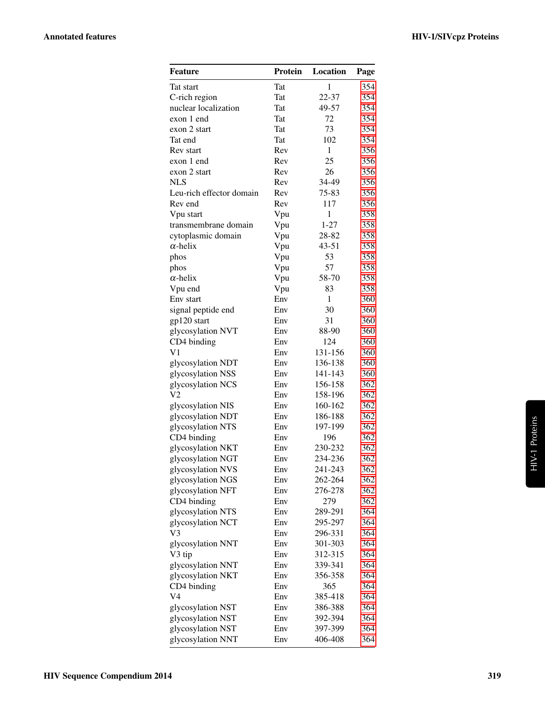| Feature                       | Protein    | Location     | Page       |
|-------------------------------|------------|--------------|------------|
| Tat start                     | Tat        | 1            | 354        |
| C-rich region                 | Tat        | 22-37        | 354        |
| nuclear localization          | Tat        | 49-57        | 354        |
| exon 1 end                    | Tat        | 72           | 354        |
| exon 2 start                  | Tat        | 73           | 354        |
| Tat end                       | <b>Tat</b> | 102          | 354        |
| Rev start                     | Rev        | $\mathbf{1}$ | 356        |
| exon 1 end                    | Rev        | 25           | 356        |
| exon 2 start                  | Rev        | 26           | 356        |
| <b>NLS</b>                    | Rev        | 34-49        | 356        |
| Leu-rich effector domain      | Rev        | 75-83        | 356        |
| Rev end                       | Rev        | 117          | 356        |
| Vpu start                     | Vpu        | $\mathbf{1}$ | 358        |
| transmembrane domain          | Vpu        | $1 - 27$     | 358        |
| cytoplasmic domain            | Vpu        | 28-82        | 358        |
| $\alpha$ -helix               | Vpu        | $43 - 51$    | 358        |
| phos                          | Vpu        | 53           | 358        |
| phos                          | Vpu        | 57           | 358        |
| $\alpha$ -helix               | Vpu        | 58-70        | 358        |
| Vpu end                       | Vpu        | 83           | 358        |
| Env start                     | Env        | $\mathbf{1}$ | 360        |
| signal peptide end            | Env        | 30           | 360        |
| gp120 start                   | Env        | 31           | 360        |
| glycosylation NVT             | Env        | 88-90<br>124 | 360        |
| CD4 binding<br>V <sub>1</sub> | Env<br>Env | 131-156      | 360<br>360 |
| glycosylation NDT             | Env        | 136-138      | 360        |
| glycosylation NSS             | Env        | 141-143      | 360        |
| glycosylation NCS             | Env        | 156-158      | 362        |
| V2                            | Env        | 158-196      | 362        |
| glycosylation NIS             | Env        | 160-162      | 362        |
| glycosylation NDT             | Env        | 186-188      | 362        |
| glycosylation NTS             | Env        | 197-199      | 362        |
| CD4 binding                   | Env        | 196          | 362        |
| glycosylation NKT             | Env        | 230-232      | 362        |
| glycosylation NGT             | Env        | 234-236      | 362        |
| glycosylation NVS             | Env        | 241-243      | 362        |
| glycosylation NGS             | Env        | 262-264      | 362        |
| glycosylation NFT             | Env        | 276-278      | 362        |
| CD4 binding                   | Env        | 279          | 362        |
| glycosylation NTS             | Env        | 289-291      | 364        |
| glycosylation NCT             | Env        | 295-297      | 364        |
| V3                            | Env        | 296-331      | 364        |
| glycosylation NNT             | Env        | 301-303      | 364        |
| V3 tip                        | Env        | 312-315      | 364        |
| glycosylation NNT             | Env        | 339-341      | 364        |
| glycosylation NKT             | Env        | 356-358      | 364        |
| CD4 binding                   | Env        | 365          | 364        |
| V4                            | Env        | 385-418      | 364        |
| glycosylation NST             | Env        | 386-388      | 364        |
| glycosylation NST             | Env        | 392-394      | 364        |
| glycosylation NST             | Env        | 397-399      | 364        |
| glycosylation NNT             | Env        | 406-408      | 364        |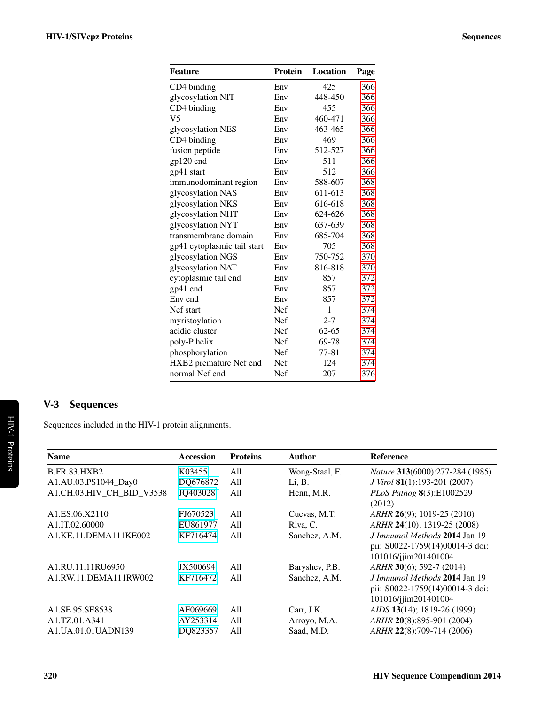| <b>Feature</b>              | <b>Protein</b> | Location  | Page |
|-----------------------------|----------------|-----------|------|
| CD4 binding                 | Env            | 425       | 366  |
| glycosylation NIT           | Env            | 448-450   | 366  |
| CD4 binding                 | Env            | 455       | 366  |
| V <sub>5</sub>              | Env            | 460-471   | 366  |
| glycosylation NES           | Env            | 463-465   | 366  |
| CD4 binding                 | Env            | 469       | 366  |
| fusion peptide              | Env            | 512-527   | 366  |
| gp120 end                   | Env            | 511       | 366  |
| gp41 start                  | Env            | 512       | 366  |
| immunodominant region       | Env            | 588-607   | 368  |
| glycosylation NAS           | Env            | 611-613   | 368  |
| glycosylation NKS           | Env            | 616-618   | 368  |
| glycosylation NHT           | Env            | 624-626   | 368  |
| glycosylation NYT           | Env            | 637-639   | 368  |
| transmembrane domain        | Env            | 685-704   | 368  |
| gp41 cytoplasmic tail start | Env            | 705       | 368  |
| glycosylation NGS           | Env            | 750-752   | 370  |
| glycosylation NAT           | Env            | 816-818   | 370  |
| cytoplasmic tail end        | Env            | 857       | 372  |
| gp41 end                    | Env            | 857       | 372  |
| Env end                     | Env            | 857       | 372  |
| Nef start                   | Nef            | 1         | 374  |
| myristoylation              | Nef            | $2 - 7$   | 374  |
| acidic cluster              | Nef            | $62 - 65$ | 374  |
| poly-P helix                | Nef            | 69-78     | 374  |
| phosphorylation             | Nef            | $77 - 81$ | 374  |
| HXB2 premature Nef end      | Nef            | 124       | 374  |
| normal Nef end              | Nef            | 207       | 376  |

## <span id="page-3-0"></span>V-3 Sequences

Sequences included in the HIV-1 protein alignments.

| <b>Name</b>                                 | <b>Accession</b> | <b>Proteins</b> | <b>Author</b>  | <b>Reference</b>                                                                         |
|---------------------------------------------|------------------|-----------------|----------------|------------------------------------------------------------------------------------------|
| <b>B.FR.83.HXB2</b>                         | K03455           | All             | Wong-Staal, F. | Nature 313(6000):277-284 (1985)                                                          |
| A1.AU.03.PS1044_Day0                        | DQ676872         | All             | Li, B.         | <i>J Virol</i> <b>81</b> (1):193-201 (2007)                                              |
| A1.CH.03.HIV_CH_BID_V3538                   | JQ403028         | All             | Henn, M.R.     | PLoS Pathog 8(3):E1002529<br>(2012)                                                      |
| A <sub>1</sub> .ES.06.X <sub>2110</sub>     | FJ670523         | A11             | Cuevas, M.T.   | ARHR 26(9); 1019-25 (2010)                                                               |
| A1.IT.02.60000                              | EU861977         | All             | Riva, C.       | ARHR 24(10); 1319-25 (2008)                                                              |
| A1.KE.11.DEMA111KE002                       | KF716474         | A11             | Sanchez, A.M.  | J Immunol Methods 2014 Jan 19<br>pii: S0022-1759(14)00014-3 doi:<br>101016/jjim201401004 |
| A <sub>1</sub> .RU. <sub>11.11</sub> RU6950 | JX500694         | A11             | Baryshev, P.B. | ARHR 30(6); 592-7 (2014)                                                                 |
| A1.RW.11.DEMA111RW002                       | KF716472         | A11             | Sanchez, A.M.  | J Immunol Methods 2014 Jan 19<br>pii: S0022-1759(14)00014-3 doi:<br>101016/jjim201401004 |
| A <sub>1.</sub> SE.95.SE8538                | AF069669         | A11             | Carr, J.K.     | AIDS 13(14); 1819-26 (1999)                                                              |
| A1.TZ.01.A341                               | AY253314         | All             | Arroyo, M.A.   | ARHR 20(8):895-901 (2004)                                                                |
| A1.UA.01.01UADN139                          | DQ823357         | All             | Saad, M.D.     | ARHR 22(8):709-714 (2006)                                                                |

HIV-1 Proteins

HIV-1 Proteins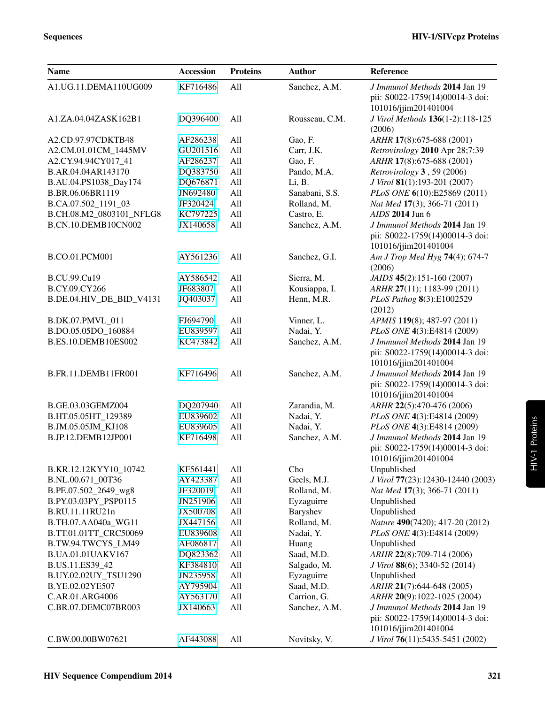| <b>Name</b>              | <b>Accession</b> | <b>Proteins</b> | <b>Author</b>  | Reference                                                |
|--------------------------|------------------|-----------------|----------------|----------------------------------------------------------|
| A1.UG.11.DEMA110UG009    | KF716486         | All             | Sanchez, A.M.  | J Immunol Methods 2014 Jan 19                            |
|                          |                  |                 |                | pii: S0022-1759(14)00014-3 doi:                          |
| A1.ZA.04.04ZASK162B1     | DQ396400         | All             | Rousseau, C.M. | 101016/jjim201401004<br>J Virol Methods 136(1-2):118-125 |
|                          |                  |                 |                | (2006)                                                   |
| A2.CD.97.97CDKTB48       | AF286238         | All             | Gao, F.        | ARHR 17(8):675-688 (2001)                                |
| A2.CM.01.01CM_1445MV     | GU201516         | All             | Carr, J.K.     | Retrovirology 2010 Apr 28;7:39                           |
| A2.CY.94.94CY017_41      | AF286237         | All             | Gao, F.        | ARHR 17(8):675-688 (2001)                                |
| B.AR.04.04AR143170       | DQ383750         | All             | Pando, M.A.    | Retrovirology 3, 59 (2006)                               |
| B.AU.04.PS1038_Day174    | DQ676871         | All             | Li, B.         | J Virol 81(1):193-201 (2007)                             |
| B.BR.06.06BR1119         | JN692480         | All             | Sanabani, S.S. | PLoS ONE 6(10):E25869 (2011)                             |
| B.CA.07.502_1191_03      | JF320424         | All             | Rolland, M.    | Nat Med 17(3); 366-71 (2011)                             |
| B.CH.08.M2_0803101_NFLG8 | KC797225         | All             | Castro, E.     | AIDS 2014 Jun 6                                          |
| B.CN.10.DEMB10CN002      | JX140658         | All             | Sanchez, A.M.  | J Immunol Methods 2014 Jan 19                            |
|                          |                  |                 |                | pii: S0022-1759(14)00014-3 doi:                          |
|                          |                  |                 |                | 101016/jjim201401004                                     |
| <b>B.CO.01.PCM001</b>    | AY561236         | All             | Sanchez, G.I.  | Am J Trop Med Hyg 74(4); 674-7<br>(2006)                 |
| <b>B.CU.99.Cu19</b>      | AY586542         | All             | Sierra, M.     | JAIDS 45(2):151-160 (2007)                               |
| B.CY.09.CY266            | JF683807         | All             | Kousiappa, I.  | ARHR 27(11); 1183-99 (2011)                              |
| B.DE.04.HIV_DE_BID_V4131 | JQ403037         | All             | Henn, M.R.     | PLoS Pathog 8(3):E1002529                                |
|                          |                  |                 |                | (2012)                                                   |
| B.DK.07.PMVL_011         | FJ694790         | All             | Vinner, L.     | APMIS 119(8); 487-97 (2011)                              |
| B.DO.05.05DO_160884      | EU839597         | All             | Nadai, Y.      | PLoS ONE 4(3):E4814 (2009)                               |
| B.ES.10.DEMB10ES002      | KC473842         | All             | Sanchez, A.M.  | J Immunol Methods 2014 Jan 19                            |
|                          |                  |                 |                | pii: S0022-1759(14)00014-3 doi:                          |
|                          |                  |                 |                | 101016/jjim201401004                                     |
| B.FR.11.DEMB11FR001      | KF716496         | All             | Sanchez, A.M.  | J Immunol Methods 2014 Jan 19                            |
|                          |                  |                 |                | pii: S0022-1759(14)00014-3 doi:                          |
|                          |                  |                 |                | 101016/jjim201401004                                     |
| B.GE.03.03GEMZ004        | DQ207940         | All             | Zarandia, M.   | ARHR 22(5):470-476 (2006)                                |
| B.HT.05.05HT_129389      | EU839602         | All             | Nadai, Y.      | PLoS ONE 4(3):E4814 (2009)                               |
| B.JM.05.05JM_KJ108       | EU839605         | All             | Nadai, Y.      | PLoS ONE 4(3):E4814 (2009)                               |
| B.JP.12.DEMB12JP001      | KF716498         | All             | Sanchez, A.M.  | J Immunol Methods 2014 Jan 19                            |
|                          |                  |                 |                | pii: S0022-1759(14)00014-3 doi:                          |
|                          |                  |                 |                | 101016/jjim201401004                                     |
| B.KR.12.12KYY10_10742    | KF561441         | All             | Cho            | Unpublished                                              |
| B.NL.00.671_00T36        | AY423387         | All             | Geels, M.J.    | J Virol 77(23):12430-12440 (2003)                        |
| B.PE.07.502_2649_wg8     | JF320019         | All             | Rolland, M.    | Nat Med 17(3); 366-71 (2011)                             |
| B.PY.03.03PY_PSP0115     | JN251906         | All             | Eyzaguirre     | Unpublished                                              |
| B.RU.11.11RU21n          | JX500708         | All             | Baryshev       | Unpublished                                              |
| B.TH.07.AA040a_WG11      | JX447156         | All             | Rolland, M.    | Nature 490(7420); 417-20 (2012)                          |
| B.TT.01.01TT_CRC50069    | EU839608         | All             | Nadai, Y.      | <i>PLoS ONE</i> 4(3):E4814 (2009)                        |
| B.TW.94.TWCYS_LM49       | AF086817         | All             | Huang          | Unpublished                                              |
| B.UA.01.01UAKV167        | DQ823362         | All             | Saad, M.D.     | ARHR 22(8):709-714 (2006)                                |
| B.US.11.ES39_42          | KF384810         | All             | Salgado, M.    | J Virol 88(6); 3340-52 (2014)                            |
| B.UY.02.02UY_TSU1290     | JN235958         | All             | Eyzaguirre     | Unpublished                                              |
| B.YE.02.02YE507          | AY795904         | All             | Saad, M.D.     | ARHR 21(7):644-648 (2005)                                |
| C.AR.01.ARG4006          | AY563170         | All             | Carrion, G.    | ARHR 20(9):1022-1025 (2004)                              |
| C.BR.07.DEMC07BR003      | JX140663         | All             | Sanchez, A.M.  | J Immunol Methods 2014 Jan 19                            |
|                          |                  |                 |                | pii: S0022-1759(14)00014-3 doi:                          |
|                          |                  |                 |                | 101016/jjim201401004                                     |
| C.BW.00.00BW07621        | AF443088         | All             | Novitsky, V.   | J Virol 76(11):5435-5451 (2002)                          |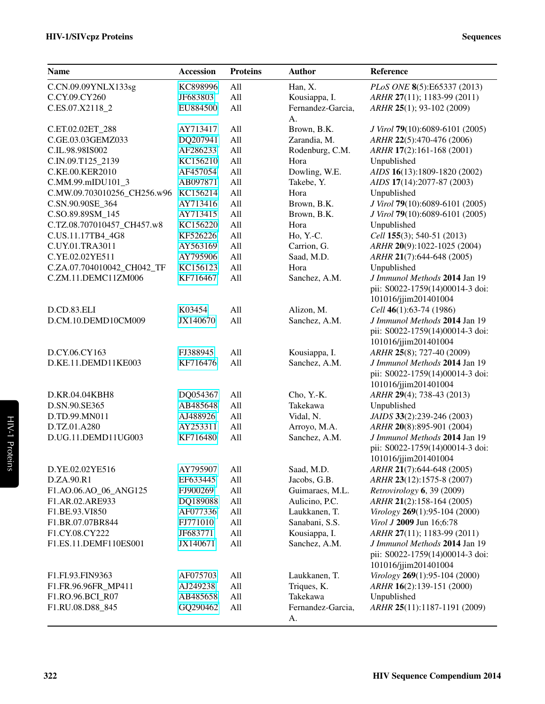| <b>Name</b>                    | Accession            | <b>Proteins</b> | <b>Author</b>                 | Reference                                               |
|--------------------------------|----------------------|-----------------|-------------------------------|---------------------------------------------------------|
| C.CN.09.09YNLX133sg            | KC898996             | All             | Han, X.                       | PLoS ONE 8(5):E65337 (2013)                             |
| C.CY.09.CY260                  | JF683803             | All             | Kousiappa, I.                 | ARHR 27(11); 1183-99 (2011)                             |
| C.ES.07.X2118_2                | EU884500             | All             | Fernandez-Garcia,             | ARHR 25(1); 93-102 (2009)                               |
|                                |                      |                 | A.                            |                                                         |
| C.ET.02.02ET_288               | AY713417             | All             | Brown, B.K.                   | J Virol 79(10):6089-6101 (2005)                         |
| C.GE.03.03GEMZ033              | DQ207941             | All             | Zarandia, M.                  | ARHR 22(5):470-476 (2006)                               |
| C.IL.98.98IS002                | AF286233             | All             | Rodenburg, C.M.               | ARHR 17(2):161-168 (2001)                               |
| C.IN.09.T125 2139              | KC156210             | All             | Hora                          | Unpublished                                             |
| C.KE.00.KER2010                | AF457054             | All             | Dowling, W.E.                 | AIDS 16(13):1809-1820 (2002)                            |
| C.MM.99.mIDU101_3              | AB097871             | All             | Takebe, Y.                    | AIDS 17(14):2077-87 (2003)                              |
| C.MW.09.703010256 CH256.w96    | KC156214             | All             | Hora                          | Unpublished                                             |
| C.SN.90.90SE_364               | AY713416             | All             | Brown, B.K.                   | J Virol 79(10):6089-6101 (2005)                         |
| C.SO.89.89SM_145               | AY713415             | All             | Brown, B.K.                   | J Virol 79(10):6089-6101 (2005)                         |
| C.TZ.08.707010457_CH457.w8     | KC156220             | All             | Hora                          | Unpublished                                             |
| C.US.11.17TB4_4G8              | KF526226             | All             | Ho, Y.-C.                     | Cell 155(3); 540-51 (2013)                              |
| C.UY.01.TRA3011                | AY563169             | All             | Carrion, G.                   | ARHR 20(9):1022-1025 (2004)                             |
| C.YE.02.02YE511                | AY795906             | All             | Saad, M.D.                    | ARHR 21(7):644-648 (2005)                               |
| C.ZA.07.704010042_CH042_TF     | KC156123             | All             | Hora                          | Unpublished                                             |
| C.ZM.11.DEMC11ZM006            | KF716467             | All             | Sanchez, A.M.                 | J Immunol Methods 2014 Jan 19                           |
|                                |                      |                 |                               | pii: S0022-1759(14)00014-3 doi:                         |
|                                |                      |                 |                               | 101016/jjim201401004                                    |
| D.CD.83.ELI                    | K03454               | All             | Alizon, M.                    | Cell 46(1):63-74 (1986)                                 |
| D.CM.10.DEMD10CM009            | JX140670             | All             | Sanchez, A.M.                 | J Immunol Methods 2014 Jan 19                           |
|                                |                      |                 |                               | pii: S0022-1759(14)00014-3 doi:                         |
|                                |                      |                 |                               | 101016/jjim201401004                                    |
| D.CY.06.CY163                  | FJ388945             | All             | Kousiappa, I.                 | ARHR 25(8); 727-40 (2009)                               |
| D.KE.11.DEMD11KE003            | KF716476             | All             | Sanchez, A.M.                 | J Immunol Methods 2014 Jan 19                           |
|                                |                      |                 |                               | pii: S0022-1759(14)00014-3 doi:                         |
|                                |                      |                 |                               | 101016/jjim201401004                                    |
| D.KR.04.04KBH8                 | DQ054367             | All             | Cho, Y.-K.                    | ARHR 29(4); 738-43 (2013)                               |
| D.SN.90.SE365<br>D.TD.99.MN011 | AB485648             | All             | Takekawa                      | Unpublished                                             |
| D.TZ.01.A280                   | AJ488926<br>AY253311 | All<br>All      | Vidal, N.                     | JAIDS 33(2):239-246 (2003)<br>ARHR 20(8):895-901 (2004) |
| D.UG.11.DEMD11UG003            | KF716480             | All             | Arroyo, M.A.<br>Sanchez, A.M. | J Immunol Methods 2014 Jan 19                           |
|                                |                      |                 |                               | pii: S0022-1759(14)00014-3 doi:                         |
|                                |                      |                 |                               | 101016/jjim201401004                                    |
| D.YE.02.02YE516                | AY795907             | All             | Saad, M.D.                    | ARHR 21(7):644-648 (2005)                               |
| D.ZA.90.R1                     | EF633445             | All             | Jacobs, G.B.                  | ARHR 23(12):1575-8 (2007)                               |
| F1.AO.06.AO_06_ANG125          | FJ900269             | All             | Guimaraes, M.L.               | Retrovirology 6, 39 (2009)                              |
| F1.AR.02.ARE933                | DQ189088             | All             | Aulicino, P.C.                | ARHR 21(2):158-164 (2005)                               |
| F1.BE.93.VI850                 | AF077336             | All             | Laukkanen, T.                 | Virology 269(1):95-104 (2000)                           |
| F1.BR.07.07BR844               | FJ771010             | All             | Sanabani, S.S.                | Virol J 2009 Jun 16;6:78                                |
| F1.CY.08.CY222                 | JF683771             | All             | Kousiappa, I.                 | ARHR 27(11); 1183-99 (2011)                             |
| F1.ES.11.DEMF110ES001          | JX140671             | All             | Sanchez, A.M.                 | J Immunol Methods 2014 Jan 19                           |
|                                |                      |                 |                               | pii: S0022-1759(14)00014-3 doi:                         |
|                                |                      |                 |                               | 101016/jjim201401004                                    |
| F1.FI.93.FIN9363               | AF075703             | All             | Laukkanen, T.                 | Virology 269(1):95-104 (2000)                           |
| F1.FR.96.96FR_MP411            | AJ249238             | All             | Triques, K.                   | ARHR 16(2):139-151 (2000)                               |
| F1.RO.96.BCI_R07               | AB485658             | All             | Takekawa                      | Unpublished                                             |
| F1.RU.08.D88_845               | GQ290462             | All             | Fernandez-Garcia,             | ARHR 25(11):1187-1191 (2009)                            |
|                                |                      |                 | A.                            |                                                         |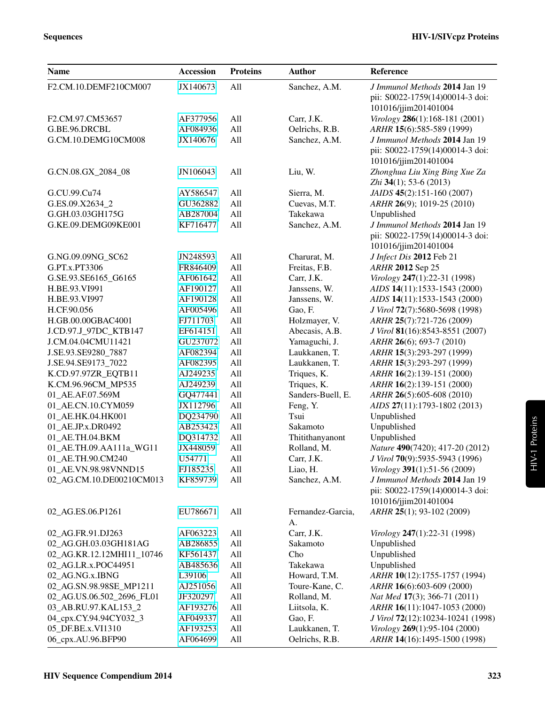| <b>Name</b>               | <b>Accession</b> | <b>Proteins</b> | <b>Author</b>     | Reference                                                  |
|---------------------------|------------------|-----------------|-------------------|------------------------------------------------------------|
| F2.CM.10.DEMF210CM007     | JX140673         | All             | Sanchez, A.M.     | J Immunol Methods 2014 Jan 19                              |
|                           |                  |                 |                   | pii: S0022-1759(14)00014-3 doi:<br>101016/jjim201401004    |
| F2.CM.97.CM53657          | AF377956         | All             | Carr, J.K.        | Virology 286(1):168-181 (2001)                             |
| G.BE.96.DRCBL             | AF084936         | All             | Oelrichs, R.B.    | ARHR 15(6):585-589 (1999)                                  |
| G.CM.10.DEMG10CM008       | JX140676         | All             | Sanchez, A.M.     | J Immunol Methods 2014 Jan 19                              |
|                           |                  |                 |                   | pii: S0022-1759(14)00014-3 doi:                            |
|                           |                  |                 |                   | 101016/jjim201401004                                       |
| G.CN.08.GX_2084_08        | JN106043         | All             | Liu, W.           | Zhonghua Liu Xing Bing Xue Za<br>Zhi $34(1)$ ; 53-6 (2013) |
| G.CU.99.Cu74              | AY586547         | All             | Sierra, M.        | JAIDS 45(2):151-160 (2007)                                 |
| G.ES.09.X2634_2           | GU362882         | All             | Cuevas, M.T.      | ARHR 26(9); 1019-25 (2010)                                 |
| G.GH.03.03GH175G          | AB287004         | All             | Takekawa          | Unpublished                                                |
| G.KE.09.DEMG09KE001       | KF716477         | All             | Sanchez, A.M.     | J Immunol Methods 2014 Jan 19                              |
|                           |                  |                 |                   | pii: S0022-1759(14)00014-3 doi:                            |
|                           |                  |                 |                   | 101016/jjim201401004                                       |
| G.NG.09.09NG_SC62         | JN248593         | All             | Charurat, M.      | J Infect Dis 2012 Feb 21                                   |
| G.PT.x.PT3306             | FR846409         | All             | Freitas, F.B.     | ARHR 2012 Sep 25                                           |
| G.SE.93.SE6165_G6165      | AF061642         | All             | Carr, J.K.        | Virology 247(1):22-31 (1998)                               |
| H.BE.93.VI991             | AF190127         | All             | Janssens, W.      | AIDS 14(11):1533-1543 (2000)                               |
| H.BE.93.VI997             | AF190128         | All             | Janssens, W.      | AIDS 14(11):1533-1543 (2000)                               |
| H.CF.90.056               | AF005496         | All             | Gao, F.           | J Virol 72(7):5680-5698 (1998)                             |
| H.GB.00.00GBAC4001        | FJ711703         | All             | Holzmayer, V.     | ARHR 25(7):721-726 (2009)                                  |
| J.CD.97.J_97DC_KTB147     | EF614151         | All             | Abecasis, A.B.    | J Virol 81(16):8543-8551 (2007)                            |
| J.CM.04.04CMU11421        | GU237072         | All             | Yamaguchi, J.     | ARHR 26(6); 693-7 (2010)                                   |
| J.SE.93.SE9280_7887       | AF082394         | All             | Laukkanen, T.     | ARHR 15(3):293-297 (1999)                                  |
| J.SE.94.SE9173_7022       | AF082395         | All             | Laukkanen, T.     | ARHR 15(3):293-297 (1999)                                  |
| K.CD.97.97ZR_EQTB11       | AJ249235         | All             | Triques, K.       | ARHR 16(2):139-151 (2000)                                  |
| K.CM.96.96CM_MP535        | AJ249239         | All             | Triques, K.       | ARHR 16(2):139-151 (2000)                                  |
| 01_AE.AF.07.569M          | GQ477441         | All             | Sanders-Buell, E. | ARHR 26(5):605-608 (2010)                                  |
| 01_AE.CN.10.CYM059        | JX112796         | All             | Feng, Y.          | AIDS 27(11):1793-1802 (2013)                               |
| 01_AE.HK.04.HK001         | DQ234790         | All             | Tsui              | Unpublished                                                |
| 01_AE.JP.x.DR0492         | AB253423         | All             | Sakamoto          | Unpublished                                                |
| 01_AE.TH.04.BKM           | DQ314732         | All             | Thitithanyanont   | Unpublished                                                |
| 01_AE.TH.09.AA111a_WG11   | JX448059         | All             | Rolland, M.       | Nature 490(7420); 417-20 (2012)                            |
| 01_AE.TH.90.CM240         | U54771           | All             | Carr, J.K.        | J Virol 70(9):5935-5943 (1996)                             |
| 01_AE.VN.98.98VNND15      | FJ185235         | All             | Liao, H.          | Virology 391(1):51-56 (2009)                               |
| 02_AG.CM.10.DE00210CM013  | KF859739         | All             | Sanchez, A.M.     | J Immunol Methods 2014 Jan 19                              |
|                           |                  |                 |                   | pii: S0022-1759(14)00014-3 doi:<br>101016/jjim201401004    |
| 02_AG.ES.06.P1261         | EU786671         | All             | Fernandez-Garcia, | ARHR 25(1); 93-102 (2009)                                  |
|                           |                  |                 | A.                |                                                            |
| 02_AG.FR.91.DJ263         | AF063223         | All             | Carr, J.K.        | Virology 247(1):22-31 (1998)                               |
| 02_AG.GH.03.03GH181AG     | AB286855         | All             | Sakamoto          | Unpublished                                                |
| 02_AG.KR.12.12MHI11_10746 | KF561437         | All             | Cho               | Unpublished                                                |
| 02_AG.LR.x.POC44951       | AB485636         | All             | Takekawa          | Unpublished                                                |
| 02_AG.NG.x.IBNG           | L39106           | All             | Howard, T.M.      | ARHR 10(12):1755-1757 (1994)                               |
| 02_AG.SN.98.98SE_MP1211   | AJ251056         | All             | Toure-Kane, C.    | ARHR 16(6):603-609 (2000)                                  |
| 02_AG.US.06.502_2696_FL01 | JF320297         | All             | Rolland, M.       | Nat Med 17(3); 366-71 (2011)                               |
| 03_AB.RU.97.KAL153_2      | AF193276         | All             | Liitsola, K.      | ARHR 16(11):1047-1053 (2000)                               |
| 04_cpx.CY.94.94CY032_3    | AF049337         | All             | Gao, F.           | J Virol 72(12):10234-10241 (1998)                          |
| 05_DF.BE.x.VI1310         | AF193253         | All             | Laukkanen, T.     | Virology 269(1):95-104 (2000)                              |
| 06_cpx.AU.96.BFP90        | AF064699         | All             | Oelrichs, R.B.    | ARHR 14(16):1495-1500 (1998)                               |

HIV-1 Proteins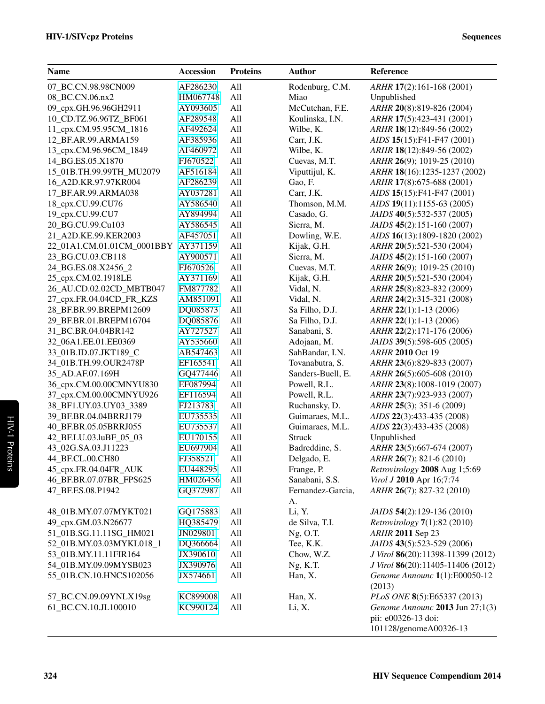| <b>Name</b>                | <b>Accession</b> | <b>Proteins</b> | <b>Author</b>     | Reference                                     |
|----------------------------|------------------|-----------------|-------------------|-----------------------------------------------|
| 07_BC.CN.98.98CN009        | AF286230         | All             | Rodenburg, C.M.   | ARHR 17(2):161-168 (2001)                     |
| 08_BC.CN.06.nx2            | HM067748         | All             | Miao              | Unpublished                                   |
| 09_cpx.GH.96.96GH2911      | AY093605         | All             | McCutchan, F.E.   | ARHR 20(8):819-826 (2004)                     |
| 10_CD.TZ.96.96TZ_BF061     | AF289548         | All             | Koulinska, I.N.   | ARHR 17(5):423-431 (2001)                     |
| 11_cpx.CM.95.95CM_1816     | AF492624         | All             | Wilbe, K.         | ARHR 18(12):849-56 (2002)                     |
| 12_BF.AR.99.ARMA159        | AF385936         | All             | Carr, J.K.        | AIDS 15(15):F41-F47 (2001)                    |
| 13_cpx.CM.96.96CM_1849     | AF460972         | All             | Wilbe, K.         | ARHR 18(12):849-56 (2002)                     |
| 14_BG.ES.05.X1870          | FJ670522         | All             | Cuevas, M.T.      | ARHR 26(9); 1019-25 (2010)                    |
| 15_01B.TH.99.99TH_MU2079   | AF516184         | All             | Viputtijul, K.    | ARHR 18(16):1235-1237 (2002)                  |
| 16_A2D.KR.97.97KR004       | AF286239         | All             | Gao, F.           | ARHR 17(8):675-688 (2001)                     |
| 17_BF.AR.99.ARMA038        | AY037281         | All             | Carr, J.K.        | AIDS 15(15):F41-F47 (2001)                    |
| 18_cpx.CU.99.CU76          | AY586540         | All             | Thomson, M.M.     | AIDS 19(11):1155-63 (2005)                    |
| 19_cpx.CU.99.CU7           | AY894994         | All             | Casado, G.        | JAIDS 40(5):532-537 (2005)                    |
| 20_BG.CU.99.Cu103          | AY586545         | All             | Sierra, M.        | JAIDS 45(2):151-160 (2007)                    |
| 21_A2D.KE.99.KER2003       | AF457051         | All             | Dowling, W.E.     | AIDS 16(13):1809-1820 (2002)                  |
| 22_01A1.CM.01.01CM_0001BBY | AY371159         | All             | Kijak, G.H.       | ARHR 20(5):521-530 (2004)                     |
| 23_BG.CU.03.CB118          | AY900571         | All             | Sierra, M.        | <i>JAIDS</i> 45(2):151-160 (2007)             |
| 24_BG.ES.08.X2456_2        | FJ670526         | All             | Cuevas, M.T.      | ARHR 26(9); 1019-25 (2010)                    |
| 25_cpx.CM.02.1918LE        | AY371169         | All             | Kijak, G.H.       | ARHR 20(5):521-530 (2004)                     |
| 26_AU.CD.02.02CD_MBTB047   | FM877782         | All             | Vidal, N.         | ARHR 25(8):823-832 (2009)                     |
| 27_cpx.FR.04.04CD_FR_KZS   | AM851091         | All             | Vidal, N.         | ARHR 24(2):315-321 (2008)                     |
| 28_BF.BR.99.BREPM12609     | DQ085873         | All             | Sa Filho, D.J.    | ARHR 22(1):1-13 (2006)                        |
| 29_BF.BR.01.BREPM16704     | DQ085876         | All             | Sa Filho, D.J.    | $ARHR$ 22(1):1-13 (2006)                      |
| 31_BC.BR.04.04BR142        | AY727527         | All             | Sanabani, S.      | ARHR 22(2):171-176 (2006)                     |
| 32_06A1.EE.01.EE0369       | AY535660         | All             | Adojaan, M.       | JAIDS 39(5):598-605 (2005)                    |
| 33_01B.ID.07.JKT189_C      | AB547463         | All             | SahBandar, I.N.   | ARHR 2010 Oct 19                              |
| 34_01B.TH.99.OUR2478P      | EF165541         | All             | Tovanabutra, S.   | ARHR 23(6):829-833 (2007)                     |
| 35_AD.AF.07.169H           | GQ477446         | All             | Sanders-Buell, E. | ARHR 26(5):605-608 (2010)                     |
| 36_cpx.CM.00.00CMNYU830    | EF087994         | All             | Powell, R.L.      | ARHR 23(8):1008-1019 (2007)                   |
| 37_cpx.CM.00.00CMNYU926    | EF116594         | All             | Powell, R.L.      | ARHR 23(7):923-933 (2007)                     |
| 38_BF1.UY.03.UY03_3389     | FJ213783         | All             | Ruchansky, D.     | $ARHR$ 25(3); 351-6 (2009)                    |
| 39_BF.BR.04.04BRRJ179      | EU735535         | All             | Guimaraes, M.L.   | AIDS 22(3):433-435 (2008)                     |
| 40_BF.BR.05.05BRRJ055      | EU735537         | All             | Guimaraes, M.L.   | AIDS 22(3):433-435 (2008)                     |
| 42_BF.LU.03.luBF_05_03     | EU170155         | All             | Struck            | Unpublished                                   |
| 43_02G.SA.03.J11223        | EU697904         | All             | Badreddine, S.    | ARHR 23(5):667-674 (2007)                     |
| 44_BF.CL.00.CH80           | FJ358521         | All             | Delgado, E.       | ARHR 26(7); 821-6 (2010)                      |
| 45_cpx.FR.04.04FR_AUK      | EU448295         | All             | Frange, P.        | Retrovirology 2008 Aug 1;5:69                 |
| 46_BF.BR.07.07BR_FPS625    | HM026456         | All             | Sanabani, S.S.    | Virol J 2010 Apr 16;7:74                      |
| 47_BF.ES.08.P1942          | GQ372987         | All             | Fernandez-Garcia, | ARHR 26(7); 827-32 (2010)                     |
| 48_01B.MY.07.07MYKT021     | GQ175883         | All             | А.<br>Li, Y.      | JAIDS 54(2):129-136 (2010)                    |
| 49_cpx.GM.03.N26677        | HQ385479         | All             | de Silva, T.I.    | <i>Retrovirology</i> $7(1):82(2010)$          |
| 51_01B.SG.11.11SG_HM021    | JN029801         | All             | $Ng$ , O.T.       | ARHR 2011 Sep 23                              |
| 52_01B.MY.03.03MYKL018_1   | DQ366664         | All             | Tee, K.K.         | JAIDS 43(5):523-529 (2006)                    |
| 53_01B.MY.11.11FIR164      | JX390610         | All             | Chow, W.Z.        | J Virol 86(20):11398-11399 (2012)             |
| 54_01B.MY.09.09MYSB023     | JX390976         | All             | Ng, K.T.          | J Virol 86(20):11405-11406 (2012)             |
| 55_01B.CN.10.HNCS102056    | JX574661         | All             | Han, X.           | Genome Announc 1(1):E00050-12                 |
|                            |                  |                 |                   | (2013)                                        |
| 57_BC.CN.09.09YNLX19sg     | KC899008         | All             | Han, X.           | PLoS ONE 8(5):E65337 (2013)                   |
| 61_BC.CN.10.JL100010       | KC990124         | All             | Li, X.            | Genome Announc 2013 Jun 27;1(3)               |
|                            |                  |                 |                   | pii: e00326-13 doi:<br>101128/genomeA00326-13 |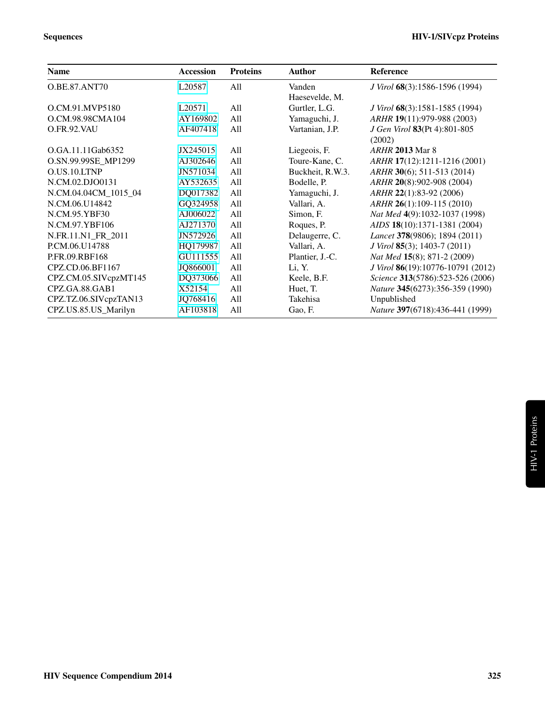| <b>Name</b>           | <b>Accession</b>   | <b>Proteins</b> | <b>Author</b>    | <b>Reference</b>                            |
|-----------------------|--------------------|-----------------|------------------|---------------------------------------------|
| O.BE.87.ANT70         | L20587             | All             | Vanden           | J Virol 68(3):1586-1596 (1994)              |
|                       |                    |                 | Haesevelde, M.   |                                             |
| O.CM.91.MVP5180       | L <sub>20571</sub> | All             | Gurtler, L.G.    | J Virol 68(3):1581-1585 (1994)              |
| O.CM.98.98CMA104      | AY169802           | All             | Yamaguchi, J.    | ARHR 19(11):979-988 (2003)                  |
| O.FR.92.VAU           | AF407418           | All             | Vartanian, J.P.  | J Gen Virol 83(Pt 4):801-805<br>(2002)      |
| O.GA.11.11Gab6352     | JX245015           | All             | Liegeois, F.     | <i>ARHR</i> 2013 Mar 8                      |
| O.SN.99.99SE_MP1299   | AJ302646           | All             | Toure-Kane, C.   | ARHR 17(12):1211-1216 (2001)                |
| O.US.10.LTNP          | JN571034           | All             | Buckheit, R.W.3. | ARHR 30(6); 511-513 (2014)                  |
| N.CM.02.DJO0131       | AY532635           | All             | Bodelle, P.      | ARHR 20(8):902-908 (2004)                   |
| N.CM.04.04CM 1015 04  | DQ017382           | All             | Yamaguchi, J.    | ARHR 22(1):83-92 (2006)                     |
| N.CM.06.U14842        | GQ324958           | All             | Vallari, A.      | ARHR 26(1):109-115 (2010)                   |
| N.CM.95.YBF30         | AJ006022           | All             | Simon, F.        | Nat Med 4(9):1032-1037 (1998)               |
| N.CM.97.YBF106        | AJ271370           | All             | Roques, P.       | AIDS 18(10):1371-1381 (2004)                |
| N.FR.11.N1 FR 2011    | JN572926           | All             | Delaugerre, C.   | Lancet 378(9806); 1894 (2011)               |
| P.CM.06.U14788        | HQ179987           | All             | Vallari, A.      | <i>J Virol</i> <b>85</b> (3); 1403-7 (2011) |
| P.FR.09.RBF168        | GU111555           | All             | Plantier, J.-C.  | Nat Med 15(8); 871-2 (2009)                 |
| CPZ.CD.06.BF1167      | JQ866001           | All             | Li, Y.           | J Virol 86(19):10776-10791 (2012)           |
| CPZ.CM.05.SIVcpzMT145 | DQ373066           | All             | Keele, B.F.      | Science 313(5786):523-526 (2006)            |
| CPZ.GA.88.GAB1        | X52154             | All             | Huet, T.         | Nature 345(6273):356-359 (1990)             |
| CPZ.TZ.06.SIVcpzTAN13 | JQ768416           | All             | Takehisa         | Unpublished                                 |
| CPZ.US.85.US_Marilyn  | AF103818           | All             | Gao, F.          | Nature 397(6718):436-441 (1999)             |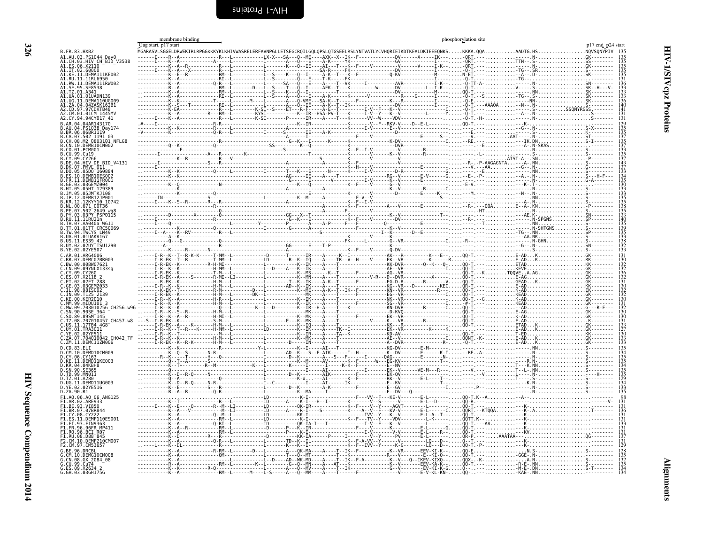<span id="page-9-2"></span><span id="page-9-1"></span><span id="page-9-0"></span>

|                                                                         | membrane binding     |                                                                    |                                 |                                                | phosphorylation site |                                                                                                                                 |                                |
|-------------------------------------------------------------------------|----------------------|--------------------------------------------------------------------|---------------------------------|------------------------------------------------|----------------------|---------------------------------------------------------------------------------------------------------------------------------|--------------------------------|
| B. FR. 83. HXB2                                                         | Gag start, p17 start |                                                                    |                                 |                                                |                      | MGARASVLSGGELDRWEKIRLRPGGKKKYKLKHIVWASRELERFAVNPGLLETSEGCRQILGQLQPSLQTGSEELRSLYNTVATLYCVHQRIEIKDTKEALDKIEEEQNKSKKKA.QQAAADTG.HS | p17 end p24 star<br>NOVSONYPIV |
| A1.AU.03.PS1044 Day0                                                    |                      |                                                                    |                                 |                                                |                      |                                                                                                                                 |                                |
| A1.CH.03.HIV CH BID V3538                                               |                      |                                                                    |                                 |                                                |                      |                                                                                                                                 |                                |
| ES.06.X2110<br>.IT.02.60000                                             |                      |                                                                    |                                 |                                                |                      |                                                                                                                                 |                                |
| A1.KE.11.DEMA111KE002                                                   |                      |                                                                    |                                 |                                                |                      |                                                                                                                                 |                                |
| RU.11.11RU6950<br>RW.11.DEMA111RW002                                    |                      |                                                                    |                                 |                                                |                      |                                                                                                                                 |                                |
| 95.SE8538                                                               |                      |                                                                    |                                 |                                                |                      |                                                                                                                                 |                                |
| A1.UA.01.01UADN139                                                      |                      |                                                                    |                                 |                                                |                      |                                                                                                                                 |                                |
| .11.DEMA110UG009                                                        |                      |                                                                    |                                 |                                                |                      |                                                                                                                                 |                                |
| .ZA.04.04ZASK162B1<br>.97CDKTB48                                        |                      |                                                                    |                                 |                                                |                      |                                                                                                                                 |                                |
| .CM.01.01CM 1445MV<br>.CY.94.94CY017 41                                 |                      |                                                                    |                                 |                                                |                      |                                                                                                                                 |                                |
| 04AR143170                                                              |                      |                                                                    |                                 |                                                |                      |                                                                                                                                 |                                |
| PS1038 Day174                                                           |                      |                                                                    |                                 |                                                |                      |                                                                                                                                 |                                |
| BR.06.06BR1119<br>.CA.07.502 1191 03                                    |                      |                                                                    |                                 |                                                |                      |                                                                                                                                 |                                |
| M2 0803101 NFLG8                                                        |                      |                                                                    |                                 |                                                |                      |                                                                                                                                 |                                |
| DEMB10CN002                                                             |                      |                                                                    |                                 |                                                |                      |                                                                                                                                 |                                |
|                                                                         |                      |                                                                    |                                 |                                                |                      |                                                                                                                                 |                                |
| HIV DE BID V4131                                                        |                      |                                                                    |                                 |                                                |                      |                                                                                                                                 |                                |
| 05D0 <sup>-160884</sup>                                                 |                      |                                                                    |                                 |                                                |                      |                                                                                                                                 |                                |
|                                                                         |                      |                                                                    |                                 |                                                |                      |                                                                                                                                 |                                |
|                                                                         |                      |                                                                    |                                 |                                                |                      |                                                                                                                                 |                                |
|                                                                         |                      |                                                                    |                                 |                                                |                      |                                                                                                                                 |                                |
|                                                                         |                      |                                                                    |                                 |                                                |                      |                                                                                                                                 |                                |
| 12KYY10 10742                                                           |                      |                                                                    |                                 |                                                |                      |                                                                                                                                 |                                |
| 502 <sup>-</sup> 2649 wq8                                               |                      |                                                                    |                                 |                                                |                      |                                                                                                                                 |                                |
| 3PY PSP0115                                                             |                      |                                                                    |                                 |                                                |                      |                                                                                                                                 |                                |
| .RU. 11. 11RU21n<br>$AA040a$ WG1                                        |                      |                                                                    |                                 |                                                |                      |                                                                                                                                 |                                |
| 01TT CRC50069                                                           |                      |                                                                    |                                 |                                                |                      |                                                                                                                                 |                                |
| TWCYS LM49<br>.01.01UAKV167                                             |                      |                                                                    |                                 |                                                |                      |                                                                                                                                 |                                |
| .ĒS39 42<br>.02UY TSU1290                                               |                      |                                                                    |                                 |                                                |                      |                                                                                                                                 |                                |
| .02YE507                                                                |                      |                                                                    |                                 |                                                |                      |                                                                                                                                 |                                |
| AR 01 ARG4006                                                           |                      |                                                                    |                                 |                                                |                      |                                                                                                                                 |                                |
| .BR.07.DEMC07BR003<br>.BW.00.00BW07621                                  |                      |                                                                    |                                 |                                                |                      |                                                                                                                                 |                                |
| .09YNLX133sa                                                            |                      |                                                                    |                                 |                                                |                      |                                                                                                                                 |                                |
|                                                                         |                      |                                                                    |                                 |                                                |                      |                                                                                                                                 |                                |
|                                                                         |                      |                                                                    |                                 |                                                |                      |                                                                                                                                 |                                |
|                                                                         |                      |                                                                    |                                 |                                                |                      |                                                                                                                                 |                                |
|                                                                         |                      |                                                                    |                                 |                                                |                      |                                                                                                                                 |                                |
|                                                                         |                      |                                                                    |                                 |                                                |                      |                                                                                                                                 |                                |
|                                                                         |                      |                                                                    |                                 |                                                |                      |                                                                                                                                 |                                |
|                                                                         |                      |                                                                    |                                 |                                                |                      |                                                                                                                                 |                                |
| 707010457_CH457.w8                                                      |                      |                                                                    |                                 |                                                |                      |                                                                                                                                 |                                |
| 17TB4 4G8                                                               |                      |                                                                    |                                 |                                                |                      |                                                                                                                                 |                                |
| 704010042 CH042 TF                                                      |                      |                                                                    |                                 |                                                |                      |                                                                                                                                 |                                |
| C.ZM.11.DEMC11ZM006                                                     |                      |                                                                    |                                 |                                                |                      |                                                                                                                                 |                                |
| 1. CD . 83 . FL T                                                       |                      |                                                                    |                                 |                                                |                      |                                                                                                                                 |                                |
| .CM.10.DEMD10CM009                                                      |                      |                                                                    |                                 |                                                |                      |                                                                                                                                 |                                |
| D.CY.06.CY163<br>D.KE.11.DEMD11KE003<br>D.KR.04.04KBH8<br>D.SN.90.SE365 |                      |                                                                    |                                 |                                                |                      |                                                                                                                                 |                                |
|                                                                         |                      |                                                                    |                                 |                                                |                      |                                                                                                                                 |                                |
| .TD.99.MN011<br>A280                                                    |                      |                                                                    |                                 |                                                |                      |                                                                                                                                 |                                |
| D.UG.11.DEMD11UG003                                                     |                      |                                                                    |                                 |                                                |                      |                                                                                                                                 |                                |
| D.YE.02.02YE516<br>D.ZA.90.R1                                           |                      |                                                                    |                                 |                                                |                      |                                                                                                                                 |                                |
| F1.A0.06.A0 06 ANG125                                                   |                      |                                                                    |                                 |                                                |                      |                                                                                                                                 |                                |
| F1.AR.02.ARE933                                                         |                      |                                                                    |                                 |                                                |                      |                                                                                                                                 |                                |
| BE.93.VI850<br>BR.07.07BR844                                            |                      |                                                                    |                                 |                                                |                      |                                                                                                                                 |                                |
|                                                                         |                      |                                                                    |                                 |                                                |                      |                                                                                                                                 |                                |
| 11.DEMF110ES001                                                         |                      |                                                                    |                                 |                                                |                      |                                                                                                                                 |                                |
| 1.FR.96.96FR MP411                                                      |                      |                                                                    |                                 |                                                |                      |                                                                                                                                 |                                |
| RO.96.BCI R07<br>F1.RU.08.D88 <sup>-</sup> 845                          |                      |                                                                    |                                 | . PV - E - L -                                 |                      |                                                                                                                                 |                                |
| CM.10.DEMF210CM007                                                      |                      |                                                                    |                                 |                                                |                      |                                                                                                                                 |                                |
| 2.CM.97.CM53657                                                         |                      | ----------R-RM--L-------D---L--------A---OK-MA----A----T--TK--F--- |                                 | K-G--------LO---D--<br>---K--VR------FEV-KI-K- |                      |                                                                                                                                 |                                |
| DEMG10CM008                                                             |                      |                                                                    |                                 |                                                |                      |                                                                                                                                 |                                |
| CN.08.GX 2084 08                                                        |                      |                                                                    |                                 |                                                |                      |                                                                                                                                 |                                |
| G.CU.99.Cu74<br>G.ES.09.X2634 2<br>G.GH.03.03GH175G                     |                      |                                                                    |                                 |                                                |                      |                                                                                                                                 |                                |
|                                                                         |                      | $RM - 1 - - - -$                                                   | -S-----A---O--MM----A----T----- |                                                | ·E-V-KL-KN·          |                                                                                                                                 |                                |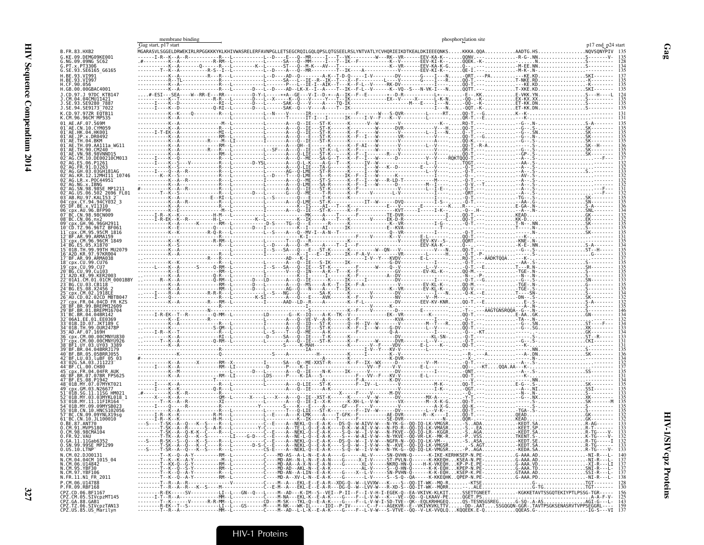|                                                                                      | Gag start, p17 start | membrane binding |  | phosphorylation site |                   |
|--------------------------------------------------------------------------------------|----------------------|------------------|--|----------------------|-------------------|
| B.FR.83.HXB2                                                                         |                      |                  |  |                      | p17 end_p24 start |
| G.KE.09.DEMG09KE001                                                                  |                      |                  |  |                      |                   |
| G.NG.09.09NG SC62<br>G.PT.x.PT3306<br>G.SE.93.SE6165 G6165                           |                      |                  |  |                      |                   |
| H.BE.93.VI991                                                                        |                      |                  |  |                      |                   |
| H.BE.93.VI997<br>H.CF.90.056                                                         |                      |                  |  |                      |                   |
| H.GB.00.00GBAC4001<br>J.CD.97.J 97DC KTB147                                          |                      |                  |  |                      |                   |
| .CM.04.04CMU11421<br>.SE.93.SE9280 7887                                              |                      |                  |  |                      |                   |
| J.SE.94.SE9173 <sup>-</sup> 7022                                                     |                      |                  |  |                      |                   |
| K.CM.96.96CMTMP535                                                                   |                      |                  |  |                      |                   |
|                                                                                      |                      |                  |  |                      |                   |
| 01 <sup>-</sup> AE.JP.x.DR0492                                                       |                      |                  |  |                      |                   |
|                                                                                      |                      |                  |  |                      |                   |
|                                                                                      |                      |                  |  |                      |                   |
|                                                                                      |                      |                  |  |                      |                   |
|                                                                                      |                      |                  |  |                      |                   |
| KR.12.12MHI11 10746                                                                  |                      |                  |  |                      |                   |
|                                                                                      |                      |                  |  |                      |                   |
| 06.502 2696 FL01                                                                     |                      |                  |  |                      |                   |
|                                                                                      |                      |                  |  |                      |                   |
| 05 DF.BE.X.VI1310<br>cpx.AU.96.BFP90                                                 |                      |                  |  |                      |                   |
|                                                                                      |                      |                  |  |                      |                   |
| .GH .96.96GH291<br>TZ.96.96TZ BF061                                                  |                      |                  |  |                      |                   |
| cpx.CM.95.95CM 1816                                                                  |                      |                  |  |                      |                   |
| 3 cpx.CM.96.96CM 1849                                                                |                      |                  |  |                      |                   |
| L6 <sup>-</sup> A2D.KR.97.97KR004                                                    |                      |                  |  |                      |                   |
| 17 <sup>-</sup> BF.AR.99.ARMA038<br>18 <sup>-</sup> cpx.CU.99.CU76                   |                      |                  |  |                      |                   |
| cpx.CU.99.CU7                                                                        |                      |                  |  |                      |                   |
| BG.CU.99.Cu103                                                                       |                      |                  |  |                      |                   |
|                                                                                      |                      |                  |  |                      |                   |
|                                                                                      |                      |                  |  |                      |                   |
| FR.04.04CD FR KZS                                                                    |                      |                  |  |                      |                   |
|                                                                                      |                      |                  |  |                      |                   |
|                                                                                      |                      |                  |  |                      |                   |
| 01B.ID.07.JKT189 C<br>99.0UR2478P                                                    |                      |                  |  |                      |                   |
|                                                                                      |                      |                  |  |                      |                   |
|                                                                                      |                      |                  |  |                      |                   |
| BR.05.05BRRJ055                                                                      |                      |                  |  |                      |                   |
| BF.LU.03.luBF_05_03                                                                  |                      |                  |  |                      |                   |
| FR.04.04FR AUK                                                                       |                      |                  |  |                      |                   |
| 07.07BR FPS625                                                                       |                      |                  |  |                      |                   |
|                                                                                      |                      |                  |  |                      |                   |
|                                                                                      |                      |                  |  |                      |                   |
|                                                                                      |                      |                  |  |                      |                   |
| CN.10.HNCS102056                                                                     |                      |                  |  |                      |                   |
| 1 <sup>-</sup> BC.CN.10.JL100010                                                     |                      |                  |  |                      |                   |
| 0.BE.87.ANT70<br>0.CM.91.MVP5180<br>0.CM.98.98CMA104                                 |                      |                  |  |                      |                   |
| 0.FR.92.VAU                                                                          |                      |                  |  |                      |                   |
| 0.6A.11.11Gab6352<br>0.SN.99.99SE_MP1299                                             |                      |                  |  |                      |                   |
| 0.05.10. LTNP                                                                        |                      |                  |  |                      |                   |
| N.CM.02.DJ00131<br>N.CM.04.04CM 1015_04<br>N.CM.06.U14842<br>N.CM.95.YBF30           |                      |                  |  |                      |                   |
|                                                                                      |                      |                  |  |                      |                   |
| N.CM.97.YBF106<br>N.FR.11.N1_FR_2011                                                 |                      |                  |  |                      |                   |
| P.CM.06.U14788                                                                       |                      |                  |  |                      |                   |
| P.FR.09.RBF168                                                                       |                      |                  |  |                      |                   |
| CPZ.CD.06.BF1167<br>CPZ.CM.05.SIVcpzMT145<br>CPZ.GA.88.GAB1<br>CPZ.TZ.06.SIVcpzTAN13 |                      |                  |  |                      |                   |
| CPZ.US.85.US Marilyn                                                                 |                      |                  |  |                      |                   |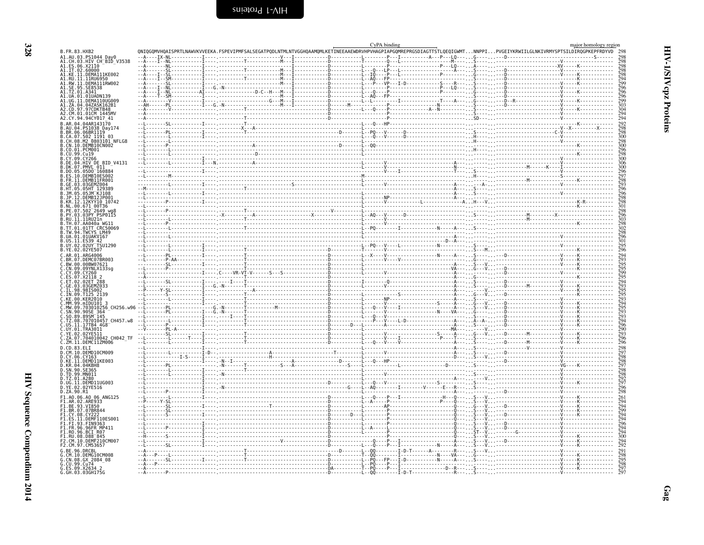<span id="page-11-0"></span>

|                                                                                                                                                    |                                                                                                                                                                      | CyPA binding |  | major homology region                                              |
|----------------------------------------------------------------------------------------------------------------------------------------------------|----------------------------------------------------------------------------------------------------------------------------------------------------------------------|--------------|--|--------------------------------------------------------------------|
| B.FR.83.HXB2                                                                                                                                       | QNIQGQMVHQAISPRTLNAWVKVVEEKA.FSPEVIPMFSALSEGATPQDLNTMLNTVGGHQAAMQMLKETINEEAAEWDRVHPVHAGPIAPGQMREPRGSDIAGTTSTLQEQIGWMTNNPPIPVGEIYKRWIILGLNKIVRMYSPTSILDIRQGPKEPFRDYVD |              |  |                                                                    |
| A1.AU.03.PS1044 Day0<br>A1.CH.03.HIV CH_BID_V3538<br>A1.CH.03.HIV CH_BID_V3538<br>A1.IT.02.60000<br>A1.KE.11.PEMAI1IKE002<br>A1.KE.11.PEMAI1IKE002 |                                                                                                                                                                      |              |  |                                                                    |
|                                                                                                                                                    |                                                                                                                                                                      |              |  |                                                                    |
|                                                                                                                                                    |                                                                                                                                                                      |              |  | 298<br>298<br>294<br>294                                           |
| A1.NL.11.DEMAI15002<br>A1.RU.11.11RU6950<br>A1.RW.11.DEMA111RW002                                                                                  |                                                                                                                                                                      |              |  |                                                                    |
| A1.SE.95.SE8538                                                                                                                                    |                                                                                                                                                                      |              |  | $\frac{296}{296}$                                                  |
| A1.UA.01.01UADN139<br>A1.UG.11.DEMA110UG009                                                                                                        |                                                                                                                                                                      |              |  | $\frac{296}{299}$                                                  |
| A1.ZA.04.04ZASK162B1                                                                                                                               |                                                                                                                                                                      |              |  | $\frac{303}{304}$                                                  |
| A2.CD.97.97CDKTB48<br>A2.CM.01.01CM 1445MV                                                                                                         |                                                                                                                                                                      |              |  | $\frac{294}{294}$                                                  |
| A2.CY.94.94CY017_41                                                                                                                                |                                                                                                                                                                      |              |  |                                                                    |
| B.AR.04.04AR143170<br>B.AU.04.PS1038 Day174                                                                                                        |                                                                                                                                                                      |              |  | 292<br>298<br>298                                                  |
| B.BR.06.06BRIII9<br>B.CA.07.502 1191 03<br>B.CA.07.502 1191 03<br>B.CH.08.M2_0803101_NFLG8                                                         |                                                                                                                                                                      |              |  | 300                                                                |
|                                                                                                                                                    |                                                                                                                                                                      |              |  | 298<br>300                                                         |
| B.CN.10.DEMB10CN002<br>B.CO.01.PCM001                                                                                                              |                                                                                                                                                                      |              |  |                                                                    |
| .CU.99.Cu19<br>B.CY.09.CY266                                                                                                                       |                                                                                                                                                                      |              |  | 300                                                                |
| BID_V4131<br>B.DE.04.HIV DE                                                                                                                        |                                                                                                                                                                      |              |  | 306<br>300                                                         |
| B.DK.07.PMVL 011<br>B.DO.05.05D0 160884                                                                                                            |                                                                                                                                                                      |              |  |                                                                    |
| B.ES.10.DEMBIOES002<br>.FR.11.DEMB11FR001                                                                                                          |                                                                                                                                                                      |              |  |                                                                    |
| GE.03.03GEMZ004                                                                                                                                    |                                                                                                                                                                      |              |  | $\frac{298}{293}$                                                  |
| .05.05HT 129389<br>.JM.05.05JM KJ108                                                                                                               |                                                                                                                                                                      |              |  |                                                                    |
| .JP.12.DEMB12JP00<br>B.KR.12.12KYY10 10742                                                                                                         |                                                                                                                                                                      |              |  | 296<br>298<br>298<br>301                                           |
| B.NL.00.671 00T36<br>B.PE.07.502 2649 wg8                                                                                                          |                                                                                                                                                                      |              |  |                                                                    |
| B.PY.03.03PY PSP0115                                                                                                                               |                                                                                                                                                                      |              |  | 296<br>296<br>303<br>298<br>298<br>296<br>295<br>295<br>296        |
| B.RU.11.11RU21n<br>B.TH.07.AA040a WG11                                                                                                             |                                                                                                                                                                      |              |  |                                                                    |
| B.TT.01.01TT CRC50069<br>B.TW.94.TWCYS LM49                                                                                                        |                                                                                                                                                                      |              |  |                                                                    |
| B.UA.01.01UAKV167                                                                                                                                  |                                                                                                                                                                      |              |  |                                                                    |
| B.US.11.<br>ES39 42<br>B.UY.02.02UY TSU1290                                                                                                        |                                                                                                                                                                      |              |  |                                                                    |
| B.YE.02.02YE507                                                                                                                                    |                                                                                                                                                                      |              |  |                                                                    |
| C.AR.01.ARG4006                                                                                                                                    |                                                                                                                                                                      |              |  | 294<br>293<br>295<br>295<br>299<br>295<br>294                      |
|                                                                                                                                                    |                                                                                                                                                                      |              |  |                                                                    |
|                                                                                                                                                    |                                                                                                                                                                      |              |  |                                                                    |
| C.BR.07.DEMG07BR003<br>C.BN.00.00BW07621<br>C.CN.09.00BW07621<br>C.CN.09.09YNLX133sg<br>C.ET.02.02ET.288<br>C.ET.02.02ET.288                       |                                                                                                                                                                      |              |  |                                                                    |
| C.GE.03.03GEMZ033<br>C.IL.98.98IS002                                                                                                               |                                                                                                                                                                      |              |  | 293<br>295<br>295<br>293<br>293<br>293<br>293                      |
| . IN 09 T125 2139                                                                                                                                  |                                                                                                                                                                      |              |  |                                                                    |
| C.KE.00.KER2010<br>C.MM.99.mIDU101 3                                                                                                               |                                                                                                                                                                      |              |  |                                                                    |
| C.MW.09.703010256 CH256.w96<br>C.SN.90.90SE 364                                                                                                    |                                                                                                                                                                      |              |  |                                                                    |
| C.SO.89.89SM 145                                                                                                                                   |                                                                                                                                                                      |              |  |                                                                    |
| C.TZ.08.707010457 CH457.w8<br>C.US.11.17TB4 4G8                                                                                                    |                                                                                                                                                                      |              |  | $\bar{294}$                                                        |
| C.UY.01.TRA3011<br>C.YE.02.02YE511                                                                                                                 |                                                                                                                                                                      |              |  | 296<br>296<br>293<br>293<br>296<br>296                             |
| Ć.ZA.07.704010042 CH042 TF                                                                                                                         |                                                                                                                                                                      |              |  |                                                                    |
| C.ZM.11.DEMCIIZM006<br>D. CD. 83. FLT                                                                                                              |                                                                                                                                                                      |              |  |                                                                    |
| D.CM.10.DEMD10CM009                                                                                                                                |                                                                                                                                                                      |              |  | 298                                                                |
| D.CY.06.CY163<br>D.KE.11.DEMD11KE003                                                                                                               |                                                                                                                                                                      |              |  |                                                                    |
| D.KR.04.04KBH8<br>D.SN.90.SE365                                                                                                                    |                                                                                                                                                                      |              |  | 29829729822972982292298                                            |
| D.TD.99.MN011                                                                                                                                      |                                                                                                                                                                      |              |  |                                                                    |
| D.TZ.01.A280<br>D.UG.11.DEMD11UG003                                                                                                                |                                                                                                                                                                      |              |  |                                                                    |
| D. YE. 02.02YE516<br>D.ZA.90.R1                                                                                                                    |                                                                                                                                                                      |              |  |                                                                    |
| F1.A0.06.A0_06_ANG125                                                                                                                              |                                                                                                                                                                      |              |  |                                                                    |
| F1.AR.02.ARE933<br>F1.BE.93.VI850                                                                                                                  |                                                                                                                                                                      |              |  | 261<br>294<br>294<br>294<br>294<br>294<br>294<br>294<br>294<br>292 |
| F1.BR.07.07BR844                                                                                                                                   |                                                                                                                                                                      |              |  |                                                                    |
| F1.CY.08.CY222<br>F1.ES.11.DEMF110ES001                                                                                                            |                                                                                                                                                                      |              |  |                                                                    |
| F1.FI.93.FIN9363<br>F1.FR.96.96FR MP411                                                                                                            |                                                                                                                                                                      |              |  |                                                                    |
| F1.RO.96.BCI R07                                                                                                                                   |                                                                                                                                                                      |              |  |                                                                    |
| F1.RU.08.D88 <sup>-</sup> 845<br>F2.CM.10.DEMF210CM007                                                                                             |                                                                                                                                                                      |              |  |                                                                    |
| F2.CM.97.CM53657                                                                                                                                   |                                                                                                                                                                      |              |  |                                                                    |
| G.BE.96.DRCBL                                                                                                                                      |                                                                                                                                                                      |              |  |                                                                    |
| G.CM.10.DEMG10CM008<br>G.CN.08.GX 2084_08<br>G.CU.99.Cu74                                                                                          |                                                                                                                                                                      |              |  |                                                                    |
| G.ES.09.X2634 2<br>G.GH.03.03GH175G                                                                                                                |                                                                                                                                                                      |              |  | 291<br>298<br>295<br>298<br>297                                    |
|                                                                                                                                                    |                                                                                                                                                                      |              |  |                                                                    |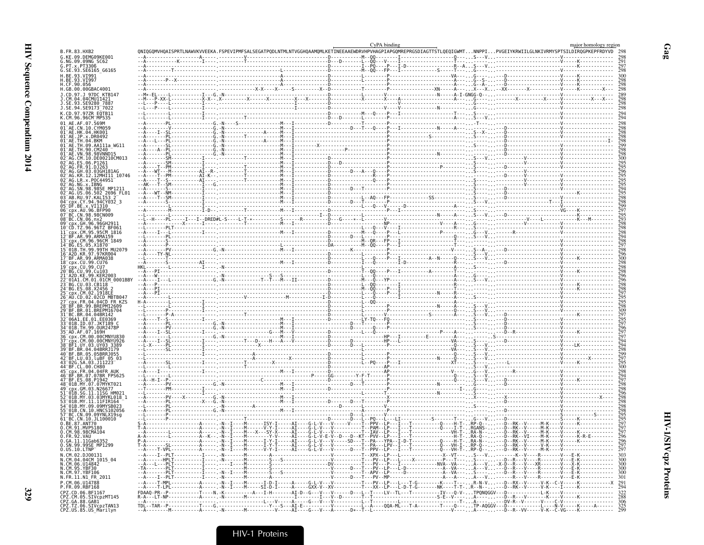| B.FR.83.HXB2                                                               |  | ONIQGOMVHQAISPRTLNAWVKVVEEKA.FSPEVIPMFSALSEGATPQDLNTMLNTVGGHQAAMQMLKETINEEAAEWDRVHPVHAGPIAPGQMREPRGSDIAGTTSTLQEQIGWMTNNPPIPVGEIYKRWIILGLNKIVRMYSPTSILDIRQGPKEPFRDYVD                                                           | CyPA binding |  |  | major homology region |
|----------------------------------------------------------------------------|--|--------------------------------------------------------------------------------------------------------------------------------------------------------------------------------------------------------------------------------|--------------|--|--|-----------------------|
| G.KE.09.DEMG09KE001                                                        |  |                                                                                                                                                                                                                                |              |  |  |                       |
| G.NG.09.09NG SC62<br>G.PT.x.PT3306                                         |  |                                                                                                                                                                                                                                |              |  |  |                       |
| G.SE.93.SE6165 G6165<br>H.BE.93.VI991                                      |  |                                                                                                                                                                                                                                |              |  |  |                       |
| H.CF.90.056                                                                |  |                                                                                                                                                                                                                                |              |  |  |                       |
| H.GB.00.00GBAC4001                                                         |  |                                                                                                                                                                                                                                |              |  |  |                       |
| CM.04.04CMU11421                                                           |  |                                                                                                                                                                                                                                |              |  |  |                       |
| SE.93.SE9280 7887.<br>J.SE.94.SE9173 7022                                  |  |                                                                                                                                                                                                                                |              |  |  |                       |
| K.CD.97.97ZR EQTB11<br>K.CM.96.96CM MP535                                  |  |                                                                                                                                                                                                                                |              |  |  |                       |
| 01 AE.AF.07.569M                                                           |  |                                                                                                                                                                                                                                |              |  |  |                       |
| 01 AE.CN.10.CYM059<br>01 AE.HK.04.HK001                                    |  |                                                                                                                                                                                                                                |              |  |  |                       |
| 01 <sup>-</sup> AE.JP.x.DR0492<br>$01^-$ AE.TH. $04$ .BKM                  |  |                                                                                                                                                                                                                                |              |  |  |                       |
| 01 <sup>-</sup> AE.TH.09.AA111a WG11<br>1 <sup>-</sup> AE.TH.90.CM240      |  |                                                                                                                                                                                                                                |              |  |  |                       |
| $91^-$ AE.VN. $98.98$ VNND $15\,$<br>02 <sup>-</sup> AG.CM.10.DE00210CM013 |  |                                                                                                                                                                                                                                |              |  |  |                       |
| 92 <sup>-</sup> AG.FR.91.DJ263                                             |  |                                                                                                                                                                                                                                |              |  |  |                       |
| 2 <sup>-</sup> AG.GH.03.03GH181AG                                          |  |                                                                                                                                                                                                                                |              |  |  |                       |
| 02 AG.KR.12.12MHI11 10746<br>02 <sup>-</sup> AG.LR.x.POC44951              |  |                                                                                                                                                                                                                                |              |  |  |                       |
| 92 <sup>−</sup> AG.NG.x.IBNG<br>92 <sup>-</sup> AG.SN.98.98SE MP1211       |  |                                                                                                                                                                                                                                |              |  |  |                       |
| 02 AG.US.06.502 2696 FL01<br>3 <sup>-</sup> AB.RU.97.KAL153 2              |  |                                                                                                                                                                                                                                |              |  |  |                       |
| 04 cpx.CY.94.94CY032 3<br>05 DF.BE.x.VI1310                                |  |                                                                                                                                                                                                                                |              |  |  |                       |
| 06 cpx.AU.96.BFP90<br>07 BC.CN.98.98CN009                                  |  |                                                                                                                                                                                                                                |              |  |  |                       |
| 98 <sup>-</sup> BC.CN.06.nx2<br>99 <sup>—</sup> срх.GH.96.96GH2            |  |                                                                                                                                                                                                                                |              |  |  |                       |
| 10 <sup>-</sup> CD T7 96 96T7 BE06                                         |  |                                                                                                                                                                                                                                |              |  |  |                       |
| 12 <sup>-</sup> BF.AR.99.ARMA159<br>cnx.CM.96.96CM 1849                    |  |                                                                                                                                                                                                                                |              |  |  |                       |
|                                                                            |  |                                                                                                                                                                                                                                |              |  |  |                       |
| 15 <sup>-</sup> 01B.TH.99.99TH MU207                                       |  |                                                                                                                                                                                                                                |              |  |  |                       |
| 17 <sup>-</sup> BF.AR.99.ARMA038<br>18 <sup>–</sup> cpx.CU.99.CU76         |  |                                                                                                                                                                                                                                |              |  |  |                       |
| 19 cnx.CU.99.CU7<br>20 <sup>-</sup> BG.CU.99.Cu103                         |  |                                                                                                                                                                                                                                |              |  |  |                       |
| CM.01.01CM 0001BBY                                                         |  |                                                                                                                                                                                                                                |              |  |  |                       |
| '4 <sup>-</sup> BG.ES.08.X2456                                             |  |                                                                                                                                                                                                                                |              |  |  |                       |
| 5 cpx.CM.02.1918LH<br>AU.CD.02.02CD MBTB04                                 |  |                                                                                                                                                                                                                                |              |  |  |                       |
| 8 BF.BR.99.BREPM12609!                                                     |  |                                                                                                                                                                                                                                |              |  |  |                       |
| 29 BF.BR.01.BREPM16704                                                     |  |                                                                                                                                                                                                                                |              |  |  |                       |
| 31 BC BR 04.04BR14<br>06A1.EE.01.EE0369                                    |  |                                                                                                                                                                                                                                |              |  |  |                       |
| -01B.ID.07.JKT189 C<br>4 <sup>-</sup> 01B TH 99 0UR24781                   |  |                                                                                                                                                                                                                                |              |  |  |                       |
| 5 <sup>-</sup> AD.AF.07.169H                                               |  |                                                                                                                                                                                                                                |              |  |  |                       |
| cnx.CM.00.00CMNYU926<br>BF1.UY.03.UY03.3389                                |  |                                                                                                                                                                                                                                |              |  |  |                       |
| .BR.04.04BRRJ179<br>10 BF BR 05 05BRR1055                                  |  |                                                                                                                                                                                                                                |              |  |  |                       |
| P BF.LU.03.luBF 05 03<br>3 02G SA 03 11223                                 |  |                                                                                                                                                                                                                                |              |  |  |                       |
| cnx.FR.04.04FR AUK"                                                        |  |                                                                                                                                                                                                                                |              |  |  |                       |
| 16 <sup>-</sup> BF.BR.07.07BR FPS625<br>17 BF.ES.08.P1942                  |  |                                                                                                                                                                                                                                |              |  |  |                       |
| 18 <sup>-</sup> 01B.MY.07.07MYKT021<br>9 <sup>-</sup> cpx.GM.03.N26677     |  |                                                                                                                                                                                                                                |              |  |  |                       |
|                                                                            |  |                                                                                                                                                                                                                                |              |  |  |                       |
| 01B.MY.11.11FIR16                                                          |  |                                                                                                                                                                                                                                |              |  |  |                       |
| $^-$ 01B.CN.10.HNCS102056                                                  |  |                                                                                                                                                                                                                                |              |  |  |                       |
| BC.CN.09.09YNLX19sc"<br>1 <sup>-</sup> BC.CN.10.JL100010                   |  |                                                                                                                                                                                                                                |              |  |  |                       |
| .BE.87.ANT70<br>Ō.CM.91.MVP5180<br>O.CM.98.98CMA104                        |  |                                                                                                                                                                                                                                |              |  |  |                       |
| 0.FR.92.VAU                                                                |  |                                                                                                                                                                                                                                |              |  |  |                       |
| 0.GA.11.11Gab6352<br>0.SN.99.99SE MP1299                                   |  |                                                                                                                                                                                                                                |              |  |  |                       |
| $0.05.10.$ LTNP<br>N.CM.02.DJ00131                                         |  |                                                                                                                                                                                                                                |              |  |  |                       |
| N.CM.04.04CM 1015_04<br>N.CM.06.U14842                                     |  |                                                                                                                                                                                                                                |              |  |  |                       |
|                                                                            |  |                                                                                                                                                                                                                                |              |  |  |                       |
| N.CM.95.YBF30<br>N.CM.97.YBF106<br>N.FR.11.N1_FR_2011                      |  |                                                                                                                                                                                                                                |              |  |  |                       |
| P.CM.06.U14788<br>P.FR.09.RBF168                                           |  |                                                                                                                                                                                                                                |              |  |  |                       |
|                                                                            |  |                                                                                                                                                                                                                                |              |  |  |                       |
| CPZ.CD.06.BF1167<br>CPZ.CM.05.SIVcpzMT145<br>CPZ.GA.88.GAB1                |  | Provided and the contract of the contract of the contract of the contract of the contract of the contract of the contract of the contract of the contract of the contract of the contract of the contract of the contract of t |              |  |  |                       |
| CPZ.TZ.06.SIVCpzTAN13<br>CPZ.US.85.US_Marilyn                              |  |                                                                                                                                                                                                                                |              |  |  |                       |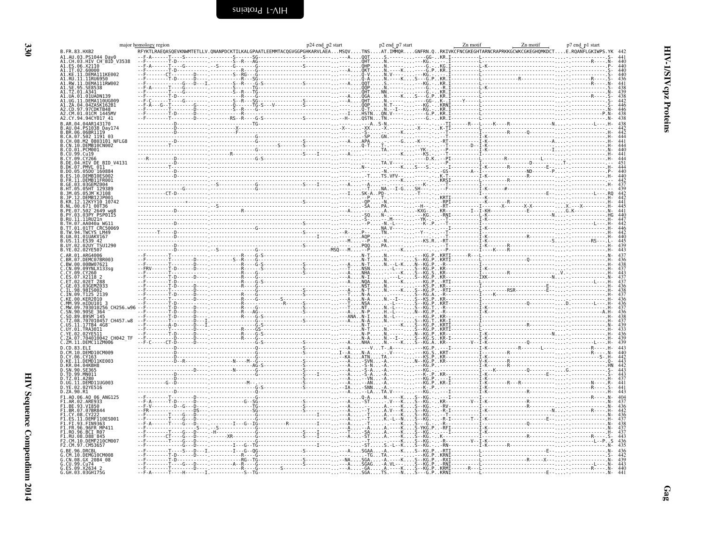<span id="page-13-0"></span>

|            |                                                                                                                                                                                          | major homology region |  |  |  | mology region and p2 start p2 start p2 start p2 start p2 start numit and p2 start metal p2 start metal metal p2 start and p2 start and p2 start metal metal metal metal p2 start p3 start p3 start p7 end p1 start p7 start m |  |
|------------|------------------------------------------------------------------------------------------------------------------------------------------------------------------------------------------|-----------------------|--|--|--|-------------------------------------------------------------------------------------------------------------------------------------------------------------------------------------------------------------------------------|--|
|            | B.FR.83.HXB2                                                                                                                                                                             |                       |  |  |  |                                                                                                                                                                                                                               |  |
|            | A1.AU.03.PS1044 Day0<br>A1.CH.03.HTV CHTBID_V3538<br>A1.CH.03.HTV CHTBID_V3538<br>A1.IT.02.60000<br>A1.KU.11.DEMA11IKE002<br>A1.RU.11.1IRU6950<br>A1.RU.11.1IRU6950<br>A1.RU.11.1IRU6950 |                       |  |  |  |                                                                                                                                                                                                                               |  |
|            |                                                                                                                                                                                          |                       |  |  |  |                                                                                                                                                                                                                               |  |
|            |                                                                                                                                                                                          |                       |  |  |  |                                                                                                                                                                                                                               |  |
|            |                                                                                                                                                                                          |                       |  |  |  |                                                                                                                                                                                                                               |  |
|            |                                                                                                                                                                                          |                       |  |  |  |                                                                                                                                                                                                                               |  |
|            |                                                                                                                                                                                          |                       |  |  |  |                                                                                                                                                                                                                               |  |
|            | UA.01.01UADN139<br>UG.11.DEMA110UG009                                                                                                                                                    |                       |  |  |  |                                                                                                                                                                                                                               |  |
|            |                                                                                                                                                                                          |                       |  |  |  |                                                                                                                                                                                                                               |  |
|            | .00.11.DEMAI1000009<br>.ZA.04.04ZASK162B1<br>.CD.97.97CDKTB48<br>.CM.01.01CM_1445MV                                                                                                      |                       |  |  |  |                                                                                                                                                                                                                               |  |
|            | 42.CY.94.94CY017 41                                                                                                                                                                      |                       |  |  |  |                                                                                                                                                                                                                               |  |
|            |                                                                                                                                                                                          |                       |  |  |  |                                                                                                                                                                                                                               |  |
|            | 04.PS1038 Dav174                                                                                                                                                                         |                       |  |  |  |                                                                                                                                                                                                                               |  |
|            | 07.502 1191 03.                                                                                                                                                                          |                       |  |  |  |                                                                                                                                                                                                                               |  |
|            | .08.M2 0803101 NFLG8                                                                                                                                                                     |                       |  |  |  |                                                                                                                                                                                                                               |  |
|            | .10.DEMB10CN002<br>.01.PCM001                                                                                                                                                            |                       |  |  |  |                                                                                                                                                                                                                               |  |
|            |                                                                                                                                                                                          |                       |  |  |  |                                                                                                                                                                                                                               |  |
|            | 94.HIV DE BID V4131                                                                                                                                                                      |                       |  |  |  |                                                                                                                                                                                                                               |  |
|            | PMVL 011                                                                                                                                                                                 |                       |  |  |  |                                                                                                                                                                                                                               |  |
|            | $05D0^-16088$                                                                                                                                                                            |                       |  |  |  |                                                                                                                                                                                                                               |  |
|            | DEMR11ER001                                                                                                                                                                              |                       |  |  |  |                                                                                                                                                                                                                               |  |
|            |                                                                                                                                                                                          |                       |  |  |  |                                                                                                                                                                                                                               |  |
|            |                                                                                                                                                                                          |                       |  |  |  |                                                                                                                                                                                                                               |  |
|            |                                                                                                                                                                                          |                       |  |  |  |                                                                                                                                                                                                                               |  |
|            | 00.671 00T36                                                                                                                                                                             |                       |  |  |  |                                                                                                                                                                                                                               |  |
|            | $502 - 2649$ was                                                                                                                                                                         |                       |  |  |  |                                                                                                                                                                                                                               |  |
|            | A3PY PSP011                                                                                                                                                                              |                       |  |  |  |                                                                                                                                                                                                                               |  |
|            | .AA040a WG1                                                                                                                                                                              |                       |  |  |  |                                                                                                                                                                                                                               |  |
|            | .01TT CRC50069                                                                                                                                                                           |                       |  |  |  |                                                                                                                                                                                                                               |  |
|            | TWCYS LM49<br>01UAKV167                                                                                                                                                                  |                       |  |  |  |                                                                                                                                                                                                                               |  |
|            |                                                                                                                                                                                          |                       |  |  |  |                                                                                                                                                                                                                               |  |
|            | 02UY TSU1290                                                                                                                                                                             |                       |  |  |  |                                                                                                                                                                                                                               |  |
|            |                                                                                                                                                                                          |                       |  |  |  |                                                                                                                                                                                                                               |  |
|            | DEMC07BR003                                                                                                                                                                              |                       |  |  |  |                                                                                                                                                                                                                               |  |
|            | BW.00.00BW07621<br>09YNLX133sq                                                                                                                                                           |                       |  |  |  |                                                                                                                                                                                                                               |  |
|            |                                                                                                                                                                                          |                       |  |  |  |                                                                                                                                                                                                                               |  |
|            |                                                                                                                                                                                          |                       |  |  |  |                                                                                                                                                                                                                               |  |
|            |                                                                                                                                                                                          |                       |  |  |  |                                                                                                                                                                                                                               |  |
|            |                                                                                                                                                                                          |                       |  |  |  |                                                                                                                                                                                                                               |  |
|            |                                                                                                                                                                                          |                       |  |  |  |                                                                                                                                                                                                                               |  |
|            |                                                                                                                                                                                          |                       |  |  |  |                                                                                                                                                                                                                               |  |
|            |                                                                                                                                                                                          |                       |  |  |  |                                                                                                                                                                                                                               |  |
|            |                                                                                                                                                                                          |                       |  |  |  |                                                                                                                                                                                                                               |  |
|            | TZ.08.707010457 CH457.w8<br>IS 11 17TR4 4G8                                                                                                                                              |                       |  |  |  |                                                                                                                                                                                                                               |  |
|            | 1.TRA3011                                                                                                                                                                                |                       |  |  |  |                                                                                                                                                                                                                               |  |
|            | 704010042 CH042 TF                                                                                                                                                                       |                       |  |  |  |                                                                                                                                                                                                                               |  |
|            | 7M 11 DEMC117M006                                                                                                                                                                        |                       |  |  |  |                                                                                                                                                                                                                               |  |
|            | 83.ELI                                                                                                                                                                                   |                       |  |  |  |                                                                                                                                                                                                                               |  |
|            | 0.DEMD10CM009<br>CY.06.CY163.                                                                                                                                                            |                       |  |  |  |                                                                                                                                                                                                                               |  |
|            | D.KE.II.DEMDI1KE003                                                                                                                                                                      |                       |  |  |  |                                                                                                                                                                                                                               |  |
|            | 0.KR.04.04KBH8<br>SN.90.SE365                                                                                                                                                            |                       |  |  |  |                                                                                                                                                                                                                               |  |
|            | .TD.99.MN011                                                                                                                                                                             |                       |  |  |  |                                                                                                                                                                                                                               |  |
|            |                                                                                                                                                                                          |                       |  |  |  |                                                                                                                                                                                                                               |  |
|            | D.UG.11.DEMD11UG003<br>D.YE.02.02YE516                                                                                                                                                   |                       |  |  |  |                                                                                                                                                                                                                               |  |
| D.ZA.90.R1 |                                                                                                                                                                                          |                       |  |  |  |                                                                                                                                                                                                                               |  |
|            | F1.A0.06.A0 06 ANG125                                                                                                                                                                    |                       |  |  |  |                                                                                                                                                                                                                               |  |
|            | .AR.02.ARE933<br>BE.93.VI850.                                                                                                                                                            |                       |  |  |  |                                                                                                                                                                                                                               |  |
|            | BR.07.07BR844                                                                                                                                                                            |                       |  |  |  |                                                                                                                                                                                                                               |  |
|            |                                                                                                                                                                                          |                       |  |  |  |                                                                                                                                                                                                                               |  |
|            | .93.FIN9363<br>.96.96FR MP411                                                                                                                                                            |                       |  |  |  |                                                                                                                                                                                                                               |  |
|            |                                                                                                                                                                                          |                       |  |  |  |                                                                                                                                                                                                                               |  |
|            |                                                                                                                                                                                          |                       |  |  |  |                                                                                                                                                                                                                               |  |
|            |                                                                                                                                                                                          |                       |  |  |  |                                                                                                                                                                                                                               |  |
|            |                                                                                                                                                                                          |                       |  |  |  |                                                                                                                                                                                                                               |  |
|            |                                                                                                                                                                                          |                       |  |  |  |                                                                                                                                                                                                                               |  |
|            | CN.08.GX 2084 08                                                                                                                                                                         |                       |  |  |  | .<br>.RXT-----------[-------------------R-----X---                                                                                                                                                                            |  |
|            | G.CU.99.Cu74 --<br>G.ES.09.X2634 2<br>G.GH.03.03GH175G                                                                                                                                   |                       |  |  |  | -KG.PKRMI------R---L------------------------                                                                                                                                                                                  |  |
|            |                                                                                                                                                                                          |                       |  |  |  |                                                                                                                                                                                                                               |  |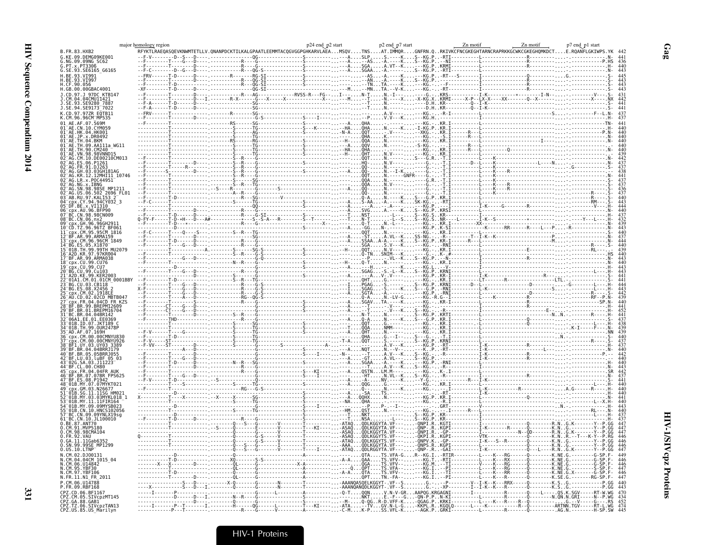|                                                                                                                                                  | major homology region |  |                                                                                                                                                                                                                                                                                                                                                      |  |  |
|--------------------------------------------------------------------------------------------------------------------------------------------------|-----------------------|--|------------------------------------------------------------------------------------------------------------------------------------------------------------------------------------------------------------------------------------------------------------------------------------------------------------------------------------------------------|--|--|
| <b>B.FR.83.HXB2</b>                                                                                                                              |                       |  |                                                                                                                                                                                                                                                                                                                                                      |  |  |
| G.KE.09.DEMG09KE001<br>G.NG.09.09NG_SC62                                                                                                         |                       |  |                                                                                                                                                                                                                                                                                                                                                      |  |  |
|                                                                                                                                                  |                       |  |                                                                                                                                                                                                                                                                                                                                                      |  |  |
| G. PT. x. PT3306<br>G. SE. 93. SE6165_G6165                                                                                                      |                       |  |                                                                                                                                                                                                                                                                                                                                                      |  |  |
|                                                                                                                                                  |                       |  |                                                                                                                                                                                                                                                                                                                                                      |  |  |
| H.BE.93.VI99<br>H.CF.90.056                                                                                                                      |                       |  |                                                                                                                                                                                                                                                                                                                                                      |  |  |
| H.GB.00.00GBAC4001                                                                                                                               |                       |  |                                                                                                                                                                                                                                                                                                                                                      |  |  |
| 1. CD. 97. 1. 97DC. KTR14                                                                                                                        |                       |  |                                                                                                                                                                                                                                                                                                                                                      |  |  |
| CM.04.04CMU11421                                                                                                                                 |                       |  |                                                                                                                                                                                                                                                                                                                                                      |  |  |
|                                                                                                                                                  |                       |  |                                                                                                                                                                                                                                                                                                                                                      |  |  |
|                                                                                                                                                  |                       |  |                                                                                                                                                                                                                                                                                                                                                      |  |  |
| CD.97.97ZR EOTB11                                                                                                                                |                       |  |                                                                                                                                                                                                                                                                                                                                                      |  |  |
| K.CM.96.96CM_MP535                                                                                                                               |                       |  |                                                                                                                                                                                                                                                                                                                                                      |  |  |
|                                                                                                                                                  |                       |  |                                                                                                                                                                                                                                                                                                                                                      |  |  |
| 01 AE CN 10 CYM059                                                                                                                               |                       |  |                                                                                                                                                                                                                                                                                                                                                      |  |  |
| HK.04.HK001<br>01 <sup>-</sup> AE.JP.x.DR0492                                                                                                    |                       |  |                                                                                                                                                                                                                                                                                                                                                      |  |  |
|                                                                                                                                                  |                       |  |                                                                                                                                                                                                                                                                                                                                                      |  |  |
| 01 <sup>-</sup> AE.TH.09.AA111a WG11                                                                                                             |                       |  |                                                                                                                                                                                                                                                                                                                                                      |  |  |
| 01 <sup>-</sup> AE.TH.90.CM240<br>VN.98.98VNND15                                                                                                 |                       |  |                                                                                                                                                                                                                                                                                                                                                      |  |  |
|                                                                                                                                                  |                       |  |                                                                                                                                                                                                                                                                                                                                                      |  |  |
|                                                                                                                                                  |                       |  |                                                                                                                                                                                                                                                                                                                                                      |  |  |
|                                                                                                                                                  |                       |  |                                                                                                                                                                                                                                                                                                                                                      |  |  |
|                                                                                                                                                  |                       |  |                                                                                                                                                                                                                                                                                                                                                      |  |  |
| LR.x.P0C44951                                                                                                                                    |                       |  |                                                                                                                                                                                                                                                                                                                                                      |  |  |
|                                                                                                                                                  |                       |  |                                                                                                                                                                                                                                                                                                                                                      |  |  |
|                                                                                                                                                  |                       |  |                                                                                                                                                                                                                                                                                                                                                      |  |  |
|                                                                                                                                                  |                       |  |                                                                                                                                                                                                                                                                                                                                                      |  |  |
| -AB.RU.97.KAL153 2<br>cpx.CY.94.94CY032 3                                                                                                        |                       |  |                                                                                                                                                                                                                                                                                                                                                      |  |  |
|                                                                                                                                                  |                       |  |                                                                                                                                                                                                                                                                                                                                                      |  |  |
|                                                                                                                                                  |                       |  |                                                                                                                                                                                                                                                                                                                                                      |  |  |
| BC.CN.98.98CN009                                                                                                                                 |                       |  |                                                                                                                                                                                                                                                                                                                                                      |  |  |
|                                                                                                                                                  |                       |  |                                                                                                                                                                                                                                                                                                                                                      |  |  |
|                                                                                                                                                  |                       |  |                                                                                                                                                                                                                                                                                                                                                      |  |  |
|                                                                                                                                                  |                       |  |                                                                                                                                                                                                                                                                                                                                                      |  |  |
| BF.AR.99.ARMA159                                                                                                                                 |                       |  |                                                                                                                                                                                                                                                                                                                                                      |  |  |
|                                                                                                                                                  |                       |  |                                                                                                                                                                                                                                                                                                                                                      |  |  |
|                                                                                                                                                  |                       |  |                                                                                                                                                                                                                                                                                                                                                      |  |  |
|                                                                                                                                                  |                       |  |                                                                                                                                                                                                                                                                                                                                                      |  |  |
|                                                                                                                                                  |                       |  |                                                                                                                                                                                                                                                                                                                                                      |  |  |
|                                                                                                                                                  |                       |  |                                                                                                                                                                                                                                                                                                                                                      |  |  |
|                                                                                                                                                  |                       |  |                                                                                                                                                                                                                                                                                                                                                      |  |  |
|                                                                                                                                                  |                       |  |                                                                                                                                                                                                                                                                                                                                                      |  |  |
|                                                                                                                                                  |                       |  |                                                                                                                                                                                                                                                                                                                                                      |  |  |
|                                                                                                                                                  |                       |  |                                                                                                                                                                                                                                                                                                                                                      |  |  |
|                                                                                                                                                  |                       |  |                                                                                                                                                                                                                                                                                                                                                      |  |  |
|                                                                                                                                                  |                       |  |                                                                                                                                                                                                                                                                                                                                                      |  |  |
|                                                                                                                                                  |                       |  |                                                                                                                                                                                                                                                                                                                                                      |  |  |
|                                                                                                                                                  |                       |  |                                                                                                                                                                                                                                                                                                                                                      |  |  |
| 9 BF.BR.01.BREPM16704!                                                                                                                           |                       |  |                                                                                                                                                                                                                                                                                                                                                      |  |  |
| 81⊤BC.BR.04.04BR142                                                                                                                              |                       |  |                                                                                                                                                                                                                                                                                                                                                      |  |  |
|                                                                                                                                                  |                       |  |                                                                                                                                                                                                                                                                                                                                                      |  |  |
|                                                                                                                                                  |                       |  |                                                                                                                                                                                                                                                                                                                                                      |  |  |
|                                                                                                                                                  |                       |  |                                                                                                                                                                                                                                                                                                                                                      |  |  |
|                                                                                                                                                  |                       |  |                                                                                                                                                                                                                                                                                                                                                      |  |  |
|                                                                                                                                                  |                       |  |                                                                                                                                                                                                                                                                                                                                                      |  |  |
|                                                                                                                                                  |                       |  |                                                                                                                                                                                                                                                                                                                                                      |  |  |
|                                                                                                                                                  |                       |  |                                                                                                                                                                                                                                                                                                                                                      |  |  |
|                                                                                                                                                  |                       |  |                                                                                                                                                                                                                                                                                                                                                      |  |  |
|                                                                                                                                                  |                       |  |                                                                                                                                                                                                                                                                                                                                                      |  |  |
|                                                                                                                                                  |                       |  |                                                                                                                                                                                                                                                                                                                                                      |  |  |
|                                                                                                                                                  |                       |  |                                                                                                                                                                                                                                                                                                                                                      |  |  |
|                                                                                                                                                  |                       |  |                                                                                                                                                                                                                                                                                                                                                      |  |  |
|                                                                                                                                                  |                       |  |                                                                                                                                                                                                                                                                                                                                                      |  |  |
|                                                                                                                                                  |                       |  |                                                                                                                                                                                                                                                                                                                                                      |  |  |
|                                                                                                                                                  |                       |  |                                                                                                                                                                                                                                                                                                                                                      |  |  |
|                                                                                                                                                  |                       |  |                                                                                                                                                                                                                                                                                                                                                      |  |  |
|                                                                                                                                                  |                       |  |                                                                                                                                                                                                                                                                                                                                                      |  |  |
| C.CN.09.09YNLX19sa                                                                                                                               |                       |  |                                                                                                                                                                                                                                                                                                                                                      |  |  |
| 61 BC.CN.10.JL100010                                                                                                                             |                       |  |                                                                                                                                                                                                                                                                                                                                                      |  |  |
| .CM.91.MVP5180                                                                                                                                   |                       |  |                                                                                                                                                                                                                                                                                                                                                      |  |  |
| .CM.98.98CMA104                                                                                                                                  |                       |  |                                                                                                                                                                                                                                                                                                                                                      |  |  |
| 0.FR.92.VAU<br>0.GA.11.11Gab6352                                                                                                                 |                       |  |                                                                                                                                                                                                                                                                                                                                                      |  |  |
|                                                                                                                                                  |                       |  |                                                                                                                                                                                                                                                                                                                                                      |  |  |
| 0.SN.99.99SE MP1299                                                                                                                              |                       |  |                                                                                                                                                                                                                                                                                                                                                      |  |  |
| $0.05.10.$ LTNP                                                                                                                                  |                       |  |                                                                                                                                                                                                                                                                                                                                                      |  |  |
| N.CM.02.DJ00131                                                                                                                                  |                       |  |                                                                                                                                                                                                                                                                                                                                                      |  |  |
| N.CM.04.04CM_1015_04<br>N.CM.06.U14842                                                                                                           |                       |  |                                                                                                                                                                                                                                                                                                                                                      |  |  |
|                                                                                                                                                  |                       |  |                                                                                                                                                                                                                                                                                                                                                      |  |  |
| N.CM.95.YBF30<br>N.CM.97.YBF106                                                                                                                  |                       |  |                                                                                                                                                                                                                                                                                                                                                      |  |  |
| N.FR.11.N1 FR 2011                                                                                                                               |                       |  |                                                                                                                                                                                                                                                                                                                                                      |  |  |
|                                                                                                                                                  |                       |  |                                                                                                                                                                                                                                                                                                                                                      |  |  |
|                                                                                                                                                  |                       |  |                                                                                                                                                                                                                                                                                                                                                      |  |  |
|                                                                                                                                                  |                       |  |                                                                                                                                                                                                                                                                                                                                                      |  |  |
|                                                                                                                                                  |                       |  |                                                                                                                                                                                                                                                                                                                                                      |  |  |
|                                                                                                                                                  |                       |  |                                                                                                                                                                                                                                                                                                                                                      |  |  |
| P.CM.06.U14788<br>P.FR.09.RBF168<br>CPZ.CD.06.BF1167<br>ČPŽ.ČM.05.SIVČPZMT145<br>CPZ.GA.88.GAB1<br>CPZ.TZ.06.SIVCpzTAN13<br>CPZ.US.85.US_Marilyn |                       |  | $\frac{1}{2}$<br>$\frac{1}{2}$<br>$\frac{1}{2}$<br>$\frac{1}{2}$<br>$\frac{1}{2}$<br>$\frac{1}{2}$<br>$\frac{1}{2}$<br>$\frac{1}{2}$<br>$\frac{1}{2}$<br>$\frac{1}{2}$<br>$\frac{1}{2}$<br>$\frac{1}{2}$<br>$\frac{1}{2}$<br>$\frac{1}{2}$<br>$\frac{1}{2}$<br>$\frac{1}{2}$<br>$\frac{1}{2}$<br>$\frac{1}{2}$<br>$\frac{1}{2}$<br>$\frac{1}{2}$<br> |  |  |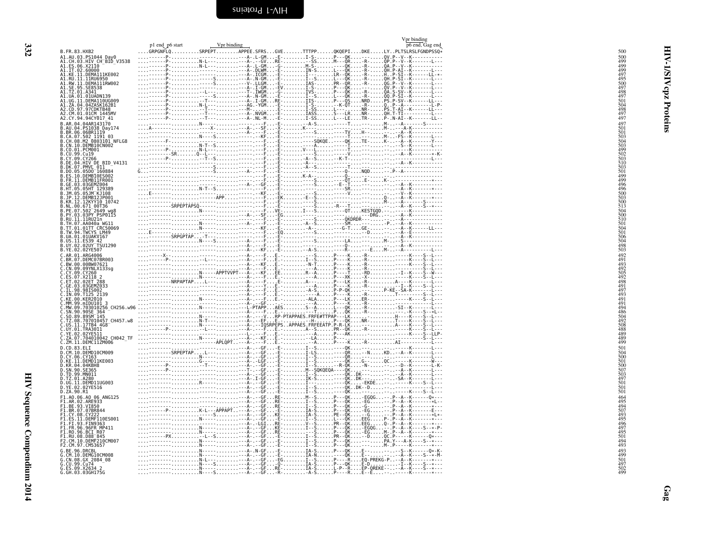|                                                                                                                                                                                                                                                    |                                                                                                                                                                                                                                                                                                                                                                                                                              |                                  | Vpr binding |
|----------------------------------------------------------------------------------------------------------------------------------------------------------------------------------------------------------------------------------------------------|------------------------------------------------------------------------------------------------------------------------------------------------------------------------------------------------------------------------------------------------------------------------------------------------------------------------------------------------------------------------------------------------------------------------------|----------------------------------|-------------|
| B.FR.83.HXB2                                                                                                                                                                                                                                       |                                                                                                                                                                                                                                                                                                                                                                                                                              |                                  |             |
| 31. AU. 0.3. PS1044 Day0<br>A1. AU. 0.3. HIV CH-BID_V3538<br>A1. ES. 06. X2110<br>A1. IT. 02. 60000<br>A1. KL. 11. DEMA111KE002<br>A1. RU. 11. 11. RUG950<br>A1. RU. 11. 11. RUG950<br>A1. RU. 11. 11. RUG950                                      |                                                                                                                                                                                                                                                                                                                                                                                                                              |                                  |             |
|                                                                                                                                                                                                                                                    |                                                                                                                                                                                                                                                                                                                                                                                                                              |                                  |             |
|                                                                                                                                                                                                                                                    |                                                                                                                                                                                                                                                                                                                                                                                                                              |                                  |             |
|                                                                                                                                                                                                                                                    |                                                                                                                                                                                                                                                                                                                                                                                                                              |                                  |             |
|                                                                                                                                                                                                                                                    |                                                                                                                                                                                                                                                                                                                                                                                                                              |                                  |             |
| A1.SE.95.SE8538<br>A1.SE.95.SE8538<br>A1.TZ.01.A341                                                                                                                                                                                                |                                                                                                                                                                                                                                                                                                                                                                                                                              |                                  |             |
|                                                                                                                                                                                                                                                    |                                                                                                                                                                                                                                                                                                                                                                                                                              |                                  |             |
| A1.UA.01.01UADN139<br>A1.UA.01.01UADN139<br>A1.UG.11.DEMA110UG009                                                                                                                                                                                  |                                                                                                                                                                                                                                                                                                                                                                                                                              |                                  |             |
| A1.ZA.04.04ZASK162B1<br>A2.CD.97.97CDKTB48<br>A2.CM.01.01CM_1445MV                                                                                                                                                                                 |                                                                                                                                                                                                                                                                                                                                                                                                                              |                                  |             |
|                                                                                                                                                                                                                                                    |                                                                                                                                                                                                                                                                                                                                                                                                                              |                                  |             |
| A2.CY.94.94CY017 41                                                                                                                                                                                                                                |                                                                                                                                                                                                                                                                                                                                                                                                                              |                                  |             |
| 04.04AR143170                                                                                                                                                                                                                                      |                                                                                                                                                                                                                                                                                                                                                                                                                              |                                  |             |
| B.AR.04.04AR1431/0<br>B.AR.04.P51038 Day174<br>B.CA.07.502 1119<br>B.CA.07.502 1191 03<br>B.CH.08.M2 0803101 NFLG8<br>B.CR.10.10.PCM001<br>B.CO.01.PCM001                                                                                          |                                                                                                                                                                                                                                                                                                                                                                                                                              |                                  |             |
|                                                                                                                                                                                                                                                    |                                                                                                                                                                                                                                                                                                                                                                                                                              |                                  |             |
|                                                                                                                                                                                                                                                    |                                                                                                                                                                                                                                                                                                                                                                                                                              |                                  |             |
|                                                                                                                                                                                                                                                    |                                                                                                                                                                                                                                                                                                                                                                                                                              |                                  |             |
|                                                                                                                                                                                                                                                    |                                                                                                                                                                                                                                                                                                                                                                                                                              |                                  |             |
|                                                                                                                                                                                                                                                    |                                                                                                                                                                                                                                                                                                                                                                                                                              |                                  |             |
| B.CU.91. PCT-110<br>B.CV.99. CV19<br>B.CY.99. CY266<br>B.DE.04. HIV DE BID_V4131<br>B.DK.07. PMVL_011<br>B.DO.05.05D0_160884<br>B.ES.19. REMB19E5002                                                                                               |                                                                                                                                                                                                                                                                                                                                                                                                                              |                                  |             |
|                                                                                                                                                                                                                                                    |                                                                                                                                                                                                                                                                                                                                                                                                                              |                                  |             |
| 11.DEMB11FR001<br>GE.03.03GEMZ004                                                                                                                                                                                                                  |                                                                                                                                                                                                                                                                                                                                                                                                                              |                                  |             |
| .HT.05.05HT 129389<br>.JM.05.05JM_KJ108                                                                                                                                                                                                            |                                                                                                                                                                                                                                                                                                                                                                                                                              |                                  |             |
|                                                                                                                                                                                                                                                    |                                                                                                                                                                                                                                                                                                                                                                                                                              |                                  |             |
|                                                                                                                                                                                                                                                    |                                                                                                                                                                                                                                                                                                                                                                                                                              |                                  |             |
|                                                                                                                                                                                                                                                    |                                                                                                                                                                                                                                                                                                                                                                                                                              |                                  |             |
|                                                                                                                                                                                                                                                    |                                                                                                                                                                                                                                                                                                                                                                                                                              |                                  |             |
|                                                                                                                                                                                                                                                    |                                                                                                                                                                                                                                                                                                                                                                                                                              |                                  |             |
|                                                                                                                                                                                                                                                    |                                                                                                                                                                                                                                                                                                                                                                                                                              |                                  |             |
|                                                                                                                                                                                                                                                    |                                                                                                                                                                                                                                                                                                                                                                                                                              |                                  |             |
|                                                                                                                                                                                                                                                    |                                                                                                                                                                                                                                                                                                                                                                                                                              |                                  |             |
|                                                                                                                                                                                                                                                    |                                                                                                                                                                                                                                                                                                                                                                                                                              |                                  |             |
| B. JM. 05. 05JM KJ108<br>B.JP. 12. DEMB12JP001<br>B.NR. 12. 12KYY10 1074<br>B.NL. 00. 671 00136<br>B.NL. 00. 671 00136<br>B.P. 07. 33. 03PY PSP0115<br>B.NU.11. 11RUAGUNG<br>B.TH. 07. AAQ408<br>B.TH. 07. AAQ408<br>B.U.N. 04. 11RUAGUNG<br>B.U.V |                                                                                                                                                                                                                                                                                                                                                                                                                              |                                  |             |
| C.AR.01.ARG4006                                                                                                                                                                                                                                    |                                                                                                                                                                                                                                                                                                                                                                                                                              |                                  |             |
| :.RR.07.DEMC07BR003<br>:.BR.07.DEMC07BR003<br>:.BW.00.00BW07621                                                                                                                                                                                    |                                                                                                                                                                                                                                                                                                                                                                                                                              |                                  |             |
| .CN.09.09YNLX133sg<br>09.CY260                                                                                                                                                                                                                     |                                                                                                                                                                                                                                                                                                                                                                                                                              |                                  |             |
| ĒS.07.X2II8 2<br>ET.02.02ET 288                                                                                                                                                                                                                    |                                                                                                                                                                                                                                                                                                                                                                                                                              |                                  |             |
|                                                                                                                                                                                                                                                    |                                                                                                                                                                                                                                                                                                                                                                                                                              |                                  |             |
|                                                                                                                                                                                                                                                    |                                                                                                                                                                                                                                                                                                                                                                                                                              |                                  |             |
|                                                                                                                                                                                                                                                    |                                                                                                                                                                                                                                                                                                                                                                                                                              |                                  |             |
| 99.mIDU101                                                                                                                                                                                                                                         |                                                                                                                                                                                                                                                                                                                                                                                                                              |                                  |             |
| 09.703010256 CH256.w96                                                                                                                                                                                                                             |                                                                                                                                                                                                                                                                                                                                                                                                                              |                                  |             |
| SN.90.90SE 364<br>SO.89.89SM 145                                                                                                                                                                                                                   |                                                                                                                                                                                                                                                                                                                                                                                                                              |                                  |             |
| 08.707010457_CH457.w8                                                                                                                                                                                                                              |                                                                                                                                                                                                                                                                                                                                                                                                                              |                                  |             |
| 11.17TB4 4G8<br>01.TRA3011                                                                                                                                                                                                                         |                                                                                                                                                                                                                                                                                                                                                                                                                              |                                  |             |
| 02.02YE511                                                                                                                                                                                                                                         |                                                                                                                                                                                                                                                                                                                                                                                                                              |                                  |             |
| 07.704010042 CH042 TF<br>11.DEMC11ZM006                                                                                                                                                                                                            |                                                                                                                                                                                                                                                                                                                                                                                                                              |                                  |             |
| D.CD.83.ELI                                                                                                                                                                                                                                        |                                                                                                                                                                                                                                                                                                                                                                                                                              |                                  |             |
| D.CM.10.DEMD10CM009<br>D.CY.06.CY163<br>D.KE.11.DEMD11KE003                                                                                                                                                                                        |                                                                                                                                                                                                                                                                                                                                                                                                                              |                                  |             |
|                                                                                                                                                                                                                                                    |                                                                                                                                                                                                                                                                                                                                                                                                                              |                                  |             |
| <b>D.KR. 04.04KBH8</b><br>D.KR. 04.04KBH8<br>D.SN. 90. SE365<br>D.TD. 99. MN011<br>D.TZ. 01. A280<br>D.UG. 11. DEMD11UG003<br>D.VE. 02. 02. YE516<br>D.ZA. 90. R1                                                                                  |                                                                                                                                                                                                                                                                                                                                                                                                                              |                                  |             |
|                                                                                                                                                                                                                                                    |                                                                                                                                                                                                                                                                                                                                                                                                                              |                                  |             |
|                                                                                                                                                                                                                                                    |                                                                                                                                                                                                                                                                                                                                                                                                                              |                                  |             |
|                                                                                                                                                                                                                                                    |                                                                                                                                                                                                                                                                                                                                                                                                                              |                                  |             |
|                                                                                                                                                                                                                                                    |                                                                                                                                                                                                                                                                                                                                                                                                                              |                                  |             |
| F1.A0.06.A0 06 ANG125                                                                                                                                                                                                                              |                                                                                                                                                                                                                                                                                                                                                                                                                              |                                  |             |
| F1.AR.02.ARE933<br>F1.BE.93.VI850<br>F1.BR.07.07BR844                                                                                                                                                                                              |                                                                                                                                                                                                                                                                                                                                                                                                                              |                                  |             |
|                                                                                                                                                                                                                                                    |                                                                                                                                                                                                                                                                                                                                                                                                                              |                                  |             |
| -1.CY.08.CY222<br>-1.CY.08.CY222<br>-1.ES.11.DEMF110ES001                                                                                                                                                                                          |                                                                                                                                                                                                                                                                                                                                                                                                                              |                                  |             |
| 1.FI.93.FIN9363                                                                                                                                                                                                                                    |                                                                                                                                                                                                                                                                                                                                                                                                                              |                                  |             |
| F1.FR.96.96FR MP411                                                                                                                                                                                                                                |                                                                                                                                                                                                                                                                                                                                                                                                                              |                                  |             |
| FI.RO.96.BCI RO7<br>F1.RU.08.D88 845                                                                                                                                                                                                               | $P_{1,1} = \begin{cases} \frac{1}{2}, \frac{1}{2}, \frac{1}{2}, \frac{1}{2}, \frac{1}{2}, \frac{1}{2}, \frac{1}{2}, \frac{1}{2}, \frac{1}{2}, \frac{1}{2}, \frac{1}{2}, \frac{1}{2}, \frac{1}{2}, \frac{1}{2}, \frac{1}{2}, \frac{1}{2}, \frac{1}{2}, \frac{1}{2}, \frac{1}{2}, \frac{1}{2}, \frac{1}{2}, \frac{1}{2}, \frac{1}{2}, \frac{1}{2}, \frac{1}{2}, \frac{1}{2}, \frac{1}{2}, \frac{1}{2}, \frac{1}{2}, \frac{1}{$ |                                  |             |
| 10.DEMF210CM007                                                                                                                                                                                                                                    |                                                                                                                                                                                                                                                                                                                                                                                                                              |                                  |             |
| 97.CM53657                                                                                                                                                                                                                                         |                                                                                                                                                                                                                                                                                                                                                                                                                              |                                  |             |
| 96.DRCBL<br>10.DEMG10CM008                                                                                                                                                                                                                         |                                                                                                                                                                                                                                                                                                                                                                                                                              |                                  |             |
| CN.08.GX 2084 08                                                                                                                                                                                                                                   |                                                                                                                                                                                                                                                                                                                                                                                                                              |                                  |             |
| G.CU.99.Cu74<br>G.ES.09.X2634 2<br>G.GH.03.03GH175G                                                                                                                                                                                                |                                                                                                                                                                                                                                                                                                                                                                                                                              |                                  |             |
|                                                                                                                                                                                                                                                    |                                                                                                                                                                                                                                                                                                                                                                                                                              | . . -R- -A-Š P- - - -R E- -Ë - - |             |

<span id="page-15-0"></span>HIV-1/SIV cpz Proteins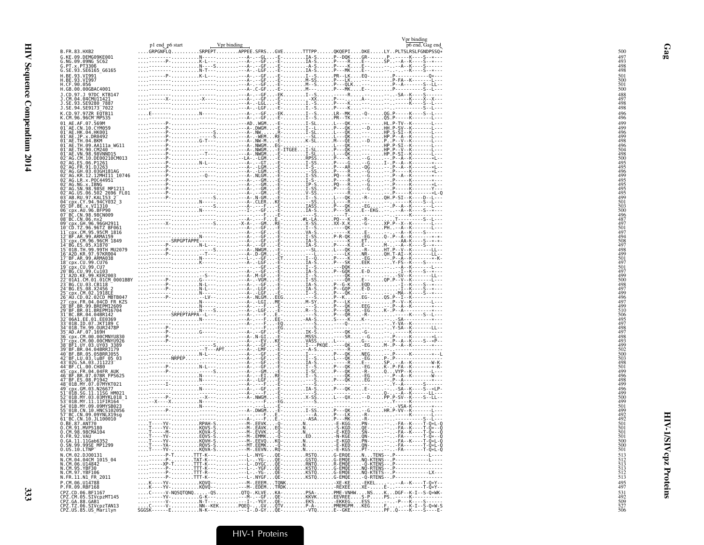|                                                                                                                                                                                                                                                        | p1 end p6 start<br>Vpr binding                                                                                                                                                                                                                                                                                                                                                                                                                                                                       |  | Vpr binding<br>p6 end, Gag end |
|--------------------------------------------------------------------------------------------------------------------------------------------------------------------------------------------------------------------------------------------------------|------------------------------------------------------------------------------------------------------------------------------------------------------------------------------------------------------------------------------------------------------------------------------------------------------------------------------------------------------------------------------------------------------------------------------------------------------------------------------------------------------|--|--------------------------------|
| B. FR. 83. HXB2                                                                                                                                                                                                                                        | GRPGNFLQSRPEPTAPPEE.SFRSGVETTTPPQKQEPIDKELYPLTSLRSLFGNDPSSQ*                                                                                                                                                                                                                                                                                                                                                                                                                                         |  |                                |
| G.KE.09.DEMG09KE001<br>G.NG.09.09NG SC62                                                                                                                                                                                                               |                                                                                                                                                                                                                                                                                                                                                                                                                                                                                                      |  |                                |
| G.PT.x.PT3306<br>G.SE.93.SE6165_G6165                                                                                                                                                                                                                  |                                                                                                                                                                                                                                                                                                                                                                                                                                                                                                      |  |                                |
|                                                                                                                                                                                                                                                        |                                                                                                                                                                                                                                                                                                                                                                                                                                                                                                      |  |                                |
| H.BE.93.VI991<br>H.BE.93.VI997<br>H.CF.90.056<br>H.GB.00.00GBAC4001                                                                                                                                                                                    |                                                                                                                                                                                                                                                                                                                                                                                                                                                                                                      |  |                                |
| J.CD.97.J 97DC_KTB147                                                                                                                                                                                                                                  |                                                                                                                                                                                                                                                                                                                                                                                                                                                                                                      |  |                                |
| J.CM.04.04CMU11421                                                                                                                                                                                                                                     |                                                                                                                                                                                                                                                                                                                                                                                                                                                                                                      |  |                                |
| J. SE. 93. SE9280 7887<br>J. SE. 94. SE9173 7022                                                                                                                                                                                                       |                                                                                                                                                                                                                                                                                                                                                                                                                                                                                                      |  |                                |
| K.CD.97.97ZR EQTB11<br>K.CM.96.96CM_MP535                                                                                                                                                                                                              |                                                                                                                                                                                                                                                                                                                                                                                                                                                                                                      |  |                                |
|                                                                                                                                                                                                                                                        |                                                                                                                                                                                                                                                                                                                                                                                                                                                                                                      |  |                                |
| 01 AE.AF.07.569M<br>01 AE.AF.07.569M<br>01 AE.CN.10.CYM059<br>01 AE.HK.04.BKM<br>01 AE.TH.04.BKM<br>01 AE.TH.09.CM211a_WG11<br>01 AE.TH.09.AA11a_WG11                                                                                                  |                                                                                                                                                                                                                                                                                                                                                                                                                                                                                                      |  |                                |
|                                                                                                                                                                                                                                                        |                                                                                                                                                                                                                                                                                                                                                                                                                                                                                                      |  |                                |
|                                                                                                                                                                                                                                                        |                                                                                                                                                                                                                                                                                                                                                                                                                                                                                                      |  |                                |
| 01 AE . TH . 90 . CM240<br>01 AE . VN . 98 . 98VNND15<br>02 _AG . CM . 10 . DE00210CM013                                                                                                                                                               |                                                                                                                                                                                                                                                                                                                                                                                                                                                                                                      |  |                                |
| 02 AG. ES. 06. P1261                                                                                                                                                                                                                                   |                                                                                                                                                                                                                                                                                                                                                                                                                                                                                                      |  |                                |
|                                                                                                                                                                                                                                                        |                                                                                                                                                                                                                                                                                                                                                                                                                                                                                                      |  |                                |
| 02-AG.GH.03.03GH181AG<br>02-AG.KR.12.12MHI11_10746<br>02-AG.KR.12.12MHI11_10746<br>02-AG.NG.x.IBNG<br>02-AG.NG.x.IBNG                                                                                                                                  |                                                                                                                                                                                                                                                                                                                                                                                                                                                                                                      |  |                                |
|                                                                                                                                                                                                                                                        |                                                                                                                                                                                                                                                                                                                                                                                                                                                                                                      |  |                                |
| 92-AG.SN.98.985E MP1211<br>02-AG.SN.98.985E MP1211<br>03-AB.RU.97.KAL153.2-696<br>04-Cpx.CY.94.94CY032_3<br>06-DF.BE.x.VI1310<br>06-Cpx.AU.96.BFP90<br>07-BC.CN.98.982CM009<br>07-BC.CN.98.982CM009                                                    |                                                                                                                                                                                                                                                                                                                                                                                                                                                                                                      |  |                                |
|                                                                                                                                                                                                                                                        |                                                                                                                                                                                                                                                                                                                                                                                                                                                                                                      |  |                                |
|                                                                                                                                                                                                                                                        |                                                                                                                                                                                                                                                                                                                                                                                                                                                                                                      |  |                                |
| 08 BC. CN. 06. nx2                                                                                                                                                                                                                                     |                                                                                                                                                                                                                                                                                                                                                                                                                                                                                                      |  |                                |
|                                                                                                                                                                                                                                                        |                                                                                                                                                                                                                                                                                                                                                                                                                                                                                                      |  |                                |
| 09 CDX.GH.96.96GH2911<br>10 CD.TZ.96.96TZ BF061<br>11 Cpx.CM.95.95CM 1816<br>12 BF.AR.99.ARMA159                                                                                                                                                       |                                                                                                                                                                                                                                                                                                                                                                                                                                                                                                      |  |                                |
|                                                                                                                                                                                                                                                        |                                                                                                                                                                                                                                                                                                                                                                                                                                                                                                      |  |                                |
| 13-Cpx, CM, 96, 96CM<br>14-BG, ES, 05, X1870<br>15-01B, TH, 99, 99TH MU2079<br>16-A2D, KR, 97, 97KR004                                                                                                                                                 |                                                                                                                                                                                                                                                                                                                                                                                                                                                                                                      |  |                                |
|                                                                                                                                                                                                                                                        |                                                                                                                                                                                                                                                                                                                                                                                                                                                                                                      |  |                                |
| 17 BF.AR.99.ARMA038<br>18 cpx.cu.99.cu76<br>19 cpx.cu.99.cu7                                                                                                                                                                                           |                                                                                                                                                                                                                                                                                                                                                                                                                                                                                                      |  |                                |
|                                                                                                                                                                                                                                                        |                                                                                                                                                                                                                                                                                                                                                                                                                                                                                                      |  |                                |
| 29-B6.CU.99.Cu103<br>21-A2D.KE.99.KER2003<br>22-01A1.CM.01.01.01003<br>23-B6.CU.03.CB118<br>24-B6.ES.08.X2456-2                                                                                                                                        |                                                                                                                                                                                                                                                                                                                                                                                                                                                                                                      |  |                                |
|                                                                                                                                                                                                                                                        |                                                                                                                                                                                                                                                                                                                                                                                                                                                                                                      |  |                                |
| 25 Cpx.CM.02.1918LE<br>26 AU.CD.02.02CD_MBTB047                                                                                                                                                                                                        |                                                                                                                                                                                                                                                                                                                                                                                                                                                                                                      |  |                                |
| cpx.FR.04.04CD FR KZS                                                                                                                                                                                                                                  |                                                                                                                                                                                                                                                                                                                                                                                                                                                                                                      |  |                                |
|                                                                                                                                                                                                                                                        |                                                                                                                                                                                                                                                                                                                                                                                                                                                                                                      |  |                                |
| 27 CDM . FR. 09. BREPMIZ609<br>28 BB: BR. 09. BREPMIZ609<br>31 BC. BR. 04. 04BEPMI4704<br>31 BC. BR. 04. 04BR142<br>33 GDB. I.E. 01. 057. DUR2478P<br>35 GDB. I.E. 07. 16081<br>35 GDB. TH. 07. 1608.<br>357 CDM . (17. 08. 000MWV0326<br>395 GDB. 107 |                                                                                                                                                                                                                                                                                                                                                                                                                                                                                                      |  |                                |
|                                                                                                                                                                                                                                                        |                                                                                                                                                                                                                                                                                                                                                                                                                                                                                                      |  |                                |
|                                                                                                                                                                                                                                                        |                                                                                                                                                                                                                                                                                                                                                                                                                                                                                                      |  |                                |
|                                                                                                                                                                                                                                                        |                                                                                                                                                                                                                                                                                                                                                                                                                                                                                                      |  |                                |
|                                                                                                                                                                                                                                                        |                                                                                                                                                                                                                                                                                                                                                                                                                                                                                                      |  |                                |
|                                                                                                                                                                                                                                                        |                                                                                                                                                                                                                                                                                                                                                                                                                                                                                                      |  |                                |
| 43-026.SA.03.J11223-<br>44-BF.CL.00.CH80                                                                                                                                                                                                               |                                                                                                                                                                                                                                                                                                                                                                                                                                                                                                      |  |                                |
| 45-CDX.FR.04.04FR.AUK<br>46-BF.BR.07.07BR FPS625<br>47-BF.ES.08.P1942                                                                                                                                                                                  |                                                                                                                                                                                                                                                                                                                                                                                                                                                                                                      |  |                                |
|                                                                                                                                                                                                                                                        |                                                                                                                                                                                                                                                                                                                                                                                                                                                                                                      |  |                                |
| 47-BT.LS.VO. 07.07MYKT021<br>49-CDX.GM.03.N26677<br>51-01B.SG.11.11SG_HM021                                                                                                                                                                            |                                                                                                                                                                                                                                                                                                                                                                                                                                                                                                      |  |                                |
| 52-01B.MY.03.03MYKL018-1<br>53-01B.MY.11.11FIR164                                                                                                                                                                                                      |                                                                                                                                                                                                                                                                                                                                                                                                                                                                                                      |  |                                |
| 54-01B.MY.09.09MYSB023<br>55-01B.CN.10.HNCS102056                                                                                                                                                                                                      |                                                                                                                                                                                                                                                                                                                                                                                                                                                                                                      |  |                                |
|                                                                                                                                                                                                                                                        |                                                                                                                                                                                                                                                                                                                                                                                                                                                                                                      |  |                                |
| 57 BC.CN.09.09YNLX19sg<br>0.BE.87.ANT70                                                                                                                                                                                                                |                                                                                                                                                                                                                                                                                                                                                                                                                                                                                                      |  |                                |
| 0.CM.91.MVP5180                                                                                                                                                                                                                                        |                                                                                                                                                                                                                                                                                                                                                                                                                                                                                                      |  |                                |
| 0.CM.98.98CMA104<br>0.FR.92.VAU                                                                                                                                                                                                                        |                                                                                                                                                                                                                                                                                                                                                                                                                                                                                                      |  |                                |
| 0.GA.11.11Gab6352<br>0.SN.99.99SE_MP1299                                                                                                                                                                                                               |                                                                                                                                                                                                                                                                                                                                                                                                                                                                                                      |  |                                |
| 0.0S.10.LTNP                                                                                                                                                                                                                                           |                                                                                                                                                                                                                                                                                                                                                                                                                                                                                                      |  |                                |
| N.CM.02.DJ00131<br>N.CM.04.04CM 1015 04                                                                                                                                                                                                                |                                                                                                                                                                                                                                                                                                                                                                                                                                                                                                      |  |                                |
| N.CM.06.U14842<br>N.CM.95.YBF30<br>N.CM.97.YBF106                                                                                                                                                                                                      |                                                                                                                                                                                                                                                                                                                                                                                                                                                                                                      |  |                                |
| N.FR.11.N1 FR 2011                                                                                                                                                                                                                                     |                                                                                                                                                                                                                                                                                                                                                                                                                                                                                                      |  |                                |
| P.CM.06.U14788<br>P.FR.09.RBF168                                                                                                                                                                                                                       |                                                                                                                                                                                                                                                                                                                                                                                                                                                                                                      |  |                                |
| CPZ.CD.06.BF1167                                                                                                                                                                                                                                       |                                                                                                                                                                                                                                                                                                                                                                                                                                                                                                      |  |                                |
| CPZ.CM.05.SIVcpzMT145<br>CPZ.GA.88.GAB1<br>CPZ.TZ.06.SIVcpzTAN13                                                                                                                                                                                       | $\begin{minipage}{0.99\textwidth} \begin{minipage}{0.99\textwidth} \begin{minipage}{0.99\textwidth} \begin{minipage}{0.99\textwidth} \begin{minipage}{0.99\textwidth} \begin{minipage}{0.99\textwidth} \begin{minipage}{0.99\textwidth} \begin{minipage}{0.99\textwidth} \begin{minipage}{0.99\textwidth} \begin{minipage}{0.99\textwidth} \begin{minipage}{0.99\textwidth} \begin{minipage}{0.99\textwidth} \begin{minipage}{0.99\textwidth} \begin{minipage}{0.99\textwidth} \begin{minipage}{0.9$ |  |                                |
|                                                                                                                                                                                                                                                        |                                                                                                                                                                                                                                                                                                                                                                                                                                                                                                      |  |                                |
| CPZ.US.85.US Marilyn                                                                                                                                                                                                                                   |                                                                                                                                                                                                                                                                                                                                                                                                                                                                                                      |  |                                |

**HIV-1/SIVcpz Proteins** 

 $Gag$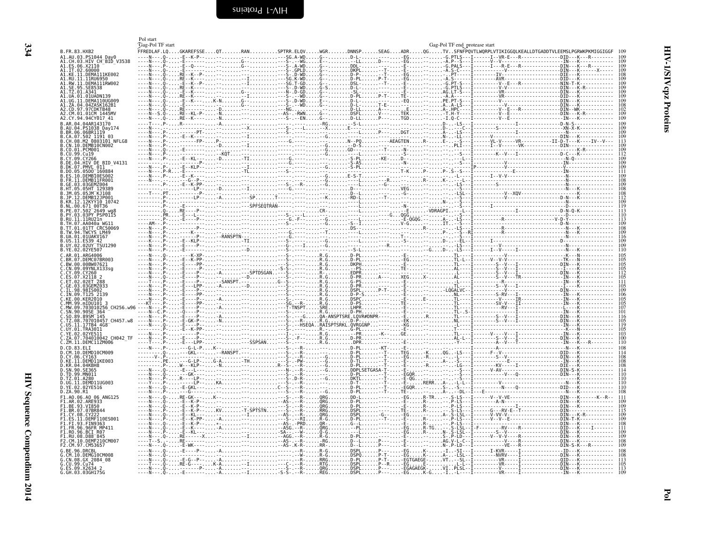<span id="page-17-1"></span><span id="page-17-0"></span>

|                                                                     | Pol start<br>Gag-Pol TF start |   |                                                           |                     |                                       |          | Gag-Pol TF end protease start                 |                                                                          |                                                                                                                                                                                             |                          |
|---------------------------------------------------------------------|-------------------------------|---|-----------------------------------------------------------|---------------------|---------------------------------------|----------|-----------------------------------------------|--------------------------------------------------------------------------|---------------------------------------------------------------------------------------------------------------------------------------------------------------------------------------------|--------------------------|
| B.FR.83.HXB2                                                        |                               |   |                                                           |                     |                                       |          |                                               |                                                                          | FFREDLAF.LQGKAREFSSEQTRANSPTRR.ELQVWGRDNNSPSEAGADRQGTVSFNFPQVTLWQRPLVTIKIGGQLKEALLDTGADDTVLEEMSLPGRWKPKMIGGIGGF<br>------EG----G.PTLS---I------I--VR-E---R--------------DID---K---R-------- |                          |
| A1.AU.03.PS1044 Day0<br>A1.CH.03.HIV CH BIĎ V3538                   |                               |   | . Q- - E- - K- P- - - - - - - - - - SG . A - WD G- - D- L |                     |                                       |          |                                               | -A.P--S---I------V--V-------------<br>-G.PALS---I-------I---R-E---R----- | ---------- <b>IN</b> --                                                                                                                                                                     |                          |
| ES.06.X2110<br>A1.IT.02.60000<br>A1.KE.11.DEMA1<br>.11.DEMA111KE002 |                               |   |                                                           |                     |                                       |          |                                               |                                                                          |                                                                                                                                                                                             |                          |
| A1.RU<br>.11.11RU6950<br>.11.DEMA111RW002                           |                               |   |                                                           |                     |                                       |          |                                               |                                                                          |                                                                                                                                                                                             |                          |
| <b>SE8538</b>                                                       |                               |   | .                                                         | .D-GDG--SE------E-- |                                       |          |                                               |                                                                          |                                                                                                                                                                                             |                          |
| UG.11.DEMA110UG009                                                  |                               |   |                                                           |                     |                                       |          |                                               |                                                                          |                                                                                                                                                                                             |                          |
| ZA.04.04ZASK162B1<br>CD 97 97CDKTR48                                |                               |   |                                                           |                     |                                       |          |                                               |                                                                          |                                                                                                                                                                                             |                          |
| 42.CM.01.01CM 1445MV<br>CY.94.94CY017 41                            |                               |   |                                                           |                     |                                       |          |                                               |                                                                          |                                                                                                                                                                                             |                          |
|                                                                     |                               |   |                                                           |                     |                                       |          |                                               |                                                                          |                                                                                                                                                                                             |                          |
| BR.06.06BR1119<br>CA 07 502 1191 03                                 |                               |   |                                                           |                     |                                       |          |                                               |                                                                          |                                                                                                                                                                                             | 109                      |
| CH.08.M2_0803101 NFLG8<br>CN.10.DEMB10CN002                         |                               |   |                                                           |                     |                                       |          |                                               |                                                                          |                                                                                                                                                                                             | 113<br>109<br>109<br>112 |
| .CO.01.PCM001<br>.CU.99.Cu19                                        |                               |   |                                                           |                     |                                       |          |                                               |                                                                          |                                                                                                                                                                                             |                          |
| .09.CY266<br>.DE.04.HIV DE BID V4131                                |                               |   |                                                           |                     |                                       |          |                                               |                                                                          |                                                                                                                                                                                             | $\frac{105}{109}$        |
| .DK.07.PMVL 011<br>05.05D0 160884                                   |                               |   |                                                           |                     |                                       |          |                                               |                                                                          |                                                                                                                                                                                             |                          |
| 10 DEMRIAES003                                                      |                               | . |                                                           |                     |                                       |          |                                               |                                                                          |                                                                                                                                                                                             |                          |
|                                                                     |                               |   |                                                           |                     |                                       |          |                                               |                                                                          |                                                                                                                                                                                             |                          |
|                                                                     |                               |   |                                                           |                     |                                       |          |                                               |                                                                          |                                                                                                                                                                                             |                          |
| 12.12KYY10 10742                                                    |                               |   |                                                           |                     |                                       |          |                                               |                                                                          |                                                                                                                                                                                             |                          |
| 03 03PY PSP0115                                                     |                               |   |                                                           |                     |                                       |          |                                               |                                                                          |                                                                                                                                                                                             |                          |
| TH 07 AA040a WG11<br>01TT CRC50069                                  |                               |   |                                                           |                     |                                       |          |                                               |                                                                          |                                                                                                                                                                                             | 109                      |
| TW 94 TWCYS IM49<br>UA.01.01UAKV167                                 |                               |   |                                                           |                     |                                       |          |                                               |                                                                          |                                                                                                                                                                                             | 109                      |
| .US.11.ES39 42<br>02UY TSU1296                                      |                               |   |                                                           |                     |                                       |          |                                               |                                                                          |                                                                                                                                                                                             |                          |
| B.YE.02.02YE507<br>AR.01.ARG4006                                    |                               |   |                                                           |                     |                                       |          |                                               |                                                                          |                                                                                                                                                                                             | ĨĨÔ                      |
| BR.07.DEMC07BR003<br>BW.00.00BW07621                                |                               |   |                                                           |                     |                                       |          |                                               |                                                                          |                                                                                                                                                                                             |                          |
| CN.09.09YNLX133sq                                                   |                               |   |                                                           |                     |                                       |          |                                               |                                                                          |                                                                                                                                                                                             |                          |
|                                                                     |                               |   |                                                           |                     |                                       |          |                                               |                                                                          |                                                                                                                                                                                             |                          |
|                                                                     |                               |   |                                                           |                     |                                       |          |                                               |                                                                          |                                                                                                                                                                                             |                          |
| TN 09 T125 2139<br>.KFR2010                                         |                               |   |                                                           |                     |                                       |          |                                               |                                                                          |                                                                                                                                                                                             |                          |
| MM.99.mIDU101<br>CH256.w96                                          |                               |   |                                                           |                     |                                       |          |                                               |                                                                          |                                                                                                                                                                                             | 105<br>107               |
|                                                                     |                               |   |                                                           |                     |                                       |          |                                               |                                                                          |                                                                                                                                                                                             | iŏi                      |
| .707010457 CH457.w8<br>11 17TB4 4G8                                 |                               |   |                                                           |                     |                                       |          |                                               |                                                                          |                                                                                                                                                                                             | 105<br>119               |
| 01 TRA3011                                                          |                               |   |                                                           |                     |                                       |          |                                               |                                                                          |                                                                                                                                                                                             |                          |
| 07.704010042 CH042 TF<br>∠M.11.DEMC11ZM006                          |                               |   |                                                           |                     |                                       |          |                                               |                                                                          |                                                                                                                                                                                             | 100                      |
| 10.DEMD10CM009                                                      |                               |   |                                                           |                     |                                       |          |                                               |                                                                          |                                                                                                                                                                                             |                          |
| CY.06.CY163<br>11.DEMD11KE003<br>04.04KBH8                          |                               |   |                                                           |                     |                                       |          |                                               |                                                                          |                                                                                                                                                                                             |                          |
| .TD.99.MN011                                                        |                               |   |                                                           | R- - - - D-PL - -T- |                                       |          |                                               |                                                                          |                                                                                                                                                                                             | 110                      |
| A280<br>D.UG.11.DEMD11UG003                                         |                               |   |                                                           |                     |                                       |          |                                               |                                                                          |                                                                                                                                                                                             | 110                      |
| .02YE516<br>D.ZA.90.R1                                              |                               |   |                                                           |                     |                                       |          | .-EGQR---S--S----I----<br>.TE---A---DL--I---E |                                                                          |                                                                                                                                                                                             | 108                      |
| F1.A0.06.A0 06 ANG125                                               |                               |   |                                                           |                     |                                       |          |                                               |                                                                          | RE-GK---K----------S---R-0RGDD-L------EGR-TR--S-LS---I------V--V-VE-----------------DIN---K------K--R--                                                                                     | 111                      |
| AR.02.ARE933<br>BE.93.VI850<br>F1 BR 07 07BR844                     |                               |   |                                                           |                     | .D-PL. - - - -                        | E-<br>E- |                                               |                                                                          |                                                                                                                                                                                             |                          |
| CY 08 CY22<br>.11.DEMF110ES001                                      |                               |   |                                                           |                     |                                       |          |                                               |                                                                          | DIN-                                                                                                                                                                                        |                          |
| .93.FIN9363<br>.96.96FR MP411                                       |                               |   |                                                           |                     |                                       |          |                                               |                                                                          |                                                                                                                                                                                             |                          |
| .96.BCI R07<br>$.08.088^-845$                                       |                               |   |                                                           |                     | 1.1.1.1.7.7.7.7.1.1.7                 |          |                                               |                                                                          |                                                                                                                                                                                             | 109                      |
| 10.DEMF210CM001<br>F2.CM.97.CM53657                                 |                               |   |                                                           |                     |                                       |          |                                               |                                                                          |                                                                                                                                                                                             | 109                      |
| 10.DEMG10CM008                                                      |                               |   |                                                           |                     |                                       |          |                                               |                                                                          | . DTN k                                                                                                                                                                                     |                          |
| CN.08.GX 2084 08<br>.CU.99.Cu74                                     |                               |   |                                                           |                     | .DSPQP-T--EGK-<br>.D-PLP-T--EGTGAEGE- |          |                                               |                                                                          |                                                                                                                                                                                             | 113                      |
| G.ES.09.X2634<br>G.GH.03.03GH175G                                   |                               |   |                                                           | .DSPL               |                                       |          |                                               | . PLSL --T----------V------T---------------DTN---K---                    |                                                                                                                                                                                             | 113                      |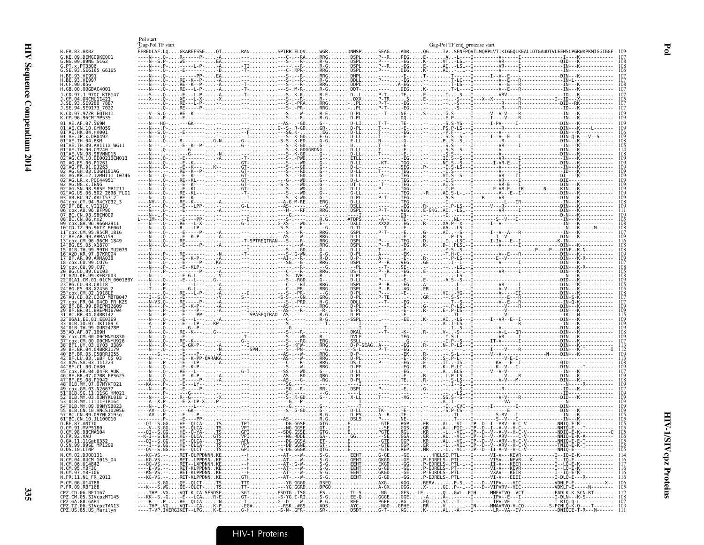|                                                                                                                        | Pol start<br>Gag-Pol TF start |  |  | Gag-Pol TF end_protease start |                                                                                                                                                                                                                                                                                                                                                                                                                                             |
|------------------------------------------------------------------------------------------------------------------------|-------------------------------|--|--|-------------------------------|---------------------------------------------------------------------------------------------------------------------------------------------------------------------------------------------------------------------------------------------------------------------------------------------------------------------------------------------------------------------------------------------------------------------------------------------|
| B.FR.83.HXB2                                                                                                           |                               |  |  |                               | FFREDLAF.LQGKAREFSSEQTRANSPTRR.ELQVWGRDNNSPSEAGADRQGTVSFNFPQVTLWQRPLVTIKIGGQLKEALLDTGADDTVLEEMSLPGRWKPKMIGGIGGF                                                                                                                                                                                                                                                                                                                             |
| G.KE.09.DEMG09KE001<br>G.NG.09.09NG SC62<br>G.PT.x.PT3306                                                              |                               |  |  |                               | $P_1^{\circ}\cdots P_n^{\circ}\cdots P_n^{\circ}\cdots\cdots P_n^{\circ}\cdots\cdots P_n^{\circ}\cdots\cdots P_n^{\circ}\cdots\cdots P_n^{\circ}\cdots\cdots P_{n-1}^{\circ}\cdots P_{n-1}^{\circ}\cdots P_{n-1}^{\circ}\cdots P_{n-1}^{\circ}\cdots P_{n-1}^{\circ}\cdots P_{n-1}^{\circ}\cdots P_{n-1}^{\circ}\cdots P_{n-1}^{\circ}\cdots P_{n-1}^{\circ}\cdots P_{n-1}^{\circ}\cdots P_{n-1}^{\circ}\cdots P_{n-1}^{\circ}\cdots P_{n-$ |
| G.SE.93.SE6165_G6165                                                                                                   | . 0 -                         |  |  |                               |                                                                                                                                                                                                                                                                                                                                                                                                                                             |
| H.BE.93.VI991<br>H.BE.93.VI99<br>H.CF.90.056                                                                           |                               |  |  |                               |                                                                                                                                                                                                                                                                                                                                                                                                                                             |
| H.GB.00.00GBAC4001<br>1.CD.97.1.97DC KTR141                                                                            |                               |  |  |                               |                                                                                                                                                                                                                                                                                                                                                                                                                                             |
| .CM.04.04CMU11421<br>.SE.93.SE9280 7887                                                                                |                               |  |  |                               |                                                                                                                                                                                                                                                                                                                                                                                                                                             |
| J.SE.94.SE9173 <sup>-</sup> 7022                                                                                       |                               |  |  |                               |                                                                                                                                                                                                                                                                                                                                                                                                                                             |
| K.CD.97.97ZR EQTB11<br>K.CM.96.96CM MP535                                                                              |                               |  |  |                               |                                                                                                                                                                                                                                                                                                                                                                                                                                             |
| 01 AE.AF.07.569M<br>01 AE.CN.10.CYM059<br>01 <sup>-</sup> AE.HK.04.HK001                                               |                               |  |  |                               |                                                                                                                                                                                                                                                                                                                                                                                                                                             |
| 01 <sup>-</sup> AE.JP.x.DR0492<br>01 <sup>-</sup> AF TH 04 RKM                                                         |                               |  |  |                               |                                                                                                                                                                                                                                                                                                                                                                                                                                             |
| 01 <sup>-</sup> AE.TH.90.CM240                                                                                         |                               |  |  |                               |                                                                                                                                                                                                                                                                                                                                                                                                                                             |
| $\mathsf{\scriptstyle \top}$ AG.CM.10.DE00210CM013                                                                     |                               |  |  |                               |                                                                                                                                                                                                                                                                                                                                                                                                                                             |
| 2 AG ES 06 P1261                                                                                                       |                               |  |  |                               |                                                                                                                                                                                                                                                                                                                                                                                                                                             |
| AG.KR.12.12MHI11 10746<br>AG.LR.x.POC44951                                                                             |                               |  |  |                               |                                                                                                                                                                                                                                                                                                                                                                                                                                             |
|                                                                                                                        |                               |  |  |                               |                                                                                                                                                                                                                                                                                                                                                                                                                                             |
| AG.US.06.502_2696_FL01<br>03 <sup>-</sup> AB.RU.97.KAL153 2                                                            |                               |  |  |                               |                                                                                                                                                                                                                                                                                                                                                                                                                                             |
| cpx.CY.94.94CY032 3<br>)5 <sup>-</sup> DF.BE.x.VI1310                                                                  |                               |  |  |                               |                                                                                                                                                                                                                                                                                                                                                                                                                                             |
| cnx.AU.96.BFP90<br>CN.98.98CN009                                                                                       |                               |  |  |                               |                                                                                                                                                                                                                                                                                                                                                                                                                                             |
| 08 BC.CN.06.nx2<br>TZ.96.96TZ BF061                                                                                    |                               |  |  |                               |                                                                                                                                                                                                                                                                                                                                                                                                                                             |
| ∶nx.CM.95.95CM 1816<br>BF.AR.99.ARMA159                                                                                |                               |  |  |                               |                                                                                                                                                                                                                                                                                                                                                                                                                                             |
| cnx.CM.96.96CM 1849"<br>14 RG FS 05 X1870                                                                              |                               |  |  |                               |                                                                                                                                                                                                                                                                                                                                                                                                                                             |
| L5 <sup>-</sup> 01B.TH.99.99TH MU2079<br>16 <sup>-</sup> 420 KR 97 97KR004                                             |                               |  |  |                               |                                                                                                                                                                                                                                                                                                                                                                                                                                             |
| 7 BF.AR.99.ARMA038<br>18 cnx CII 99 CII76                                                                              |                               |  |  |                               |                                                                                                                                                                                                                                                                                                                                                                                                                                             |
| 19 cpx.CU.99.CU7<br>"RG .CII .99 .Cu103                                                                                |                               |  |  |                               |                                                                                                                                                                                                                                                                                                                                                                                                                                             |
| 21 <sup>-</sup> A2D.KE.99.KER2003<br>$^-$ 01A1.CM.01.01CM 0001BBY                                                      |                               |  |  |                               |                                                                                                                                                                                                                                                                                                                                                                                                                                             |
| 4 BG.ES.08.X2456<br>25 cpx.CM.02.1918EE                                                                                |                               |  |  |                               |                                                                                                                                                                                                                                                                                                                                                                                                                                             |
| 26 AU CD 02 02CD MBTB04.<br>FR.04.04CD FR KZS                                                                          |                               |  |  |                               |                                                                                                                                                                                                                                                                                                                                                                                                                                             |
| 29 BF.BR.01.BREPM16704                                                                                                 |                               |  |  |                               |                                                                                                                                                                                                                                                                                                                                                                                                                                             |
| 31 BC.BR.04.04BR142                                                                                                    |                               |  |  |                               |                                                                                                                                                                                                                                                                                                                                                                                                                                             |
| 33 01B ID 07 JKT189<br>01B.TH.99.OUR2478F<br>-AD.AF.07.169H                                                            |                               |  |  |                               |                                                                                                                                                                                                                                                                                                                                                                                                                                             |
| cpx.CM.00.00CMNYU83<br>:nx.CM.00.00CMNYU926                                                                            |                               |  |  |                               |                                                                                                                                                                                                                                                                                                                                                                                                                                             |
| 38 BF1.UY.03.UY03 3389<br>39 BF BR 04 04BRRJ179                                                                        |                               |  |  |                               |                                                                                                                                                                                                                                                                                                                                                                                                                                             |
| BF.BR.05.05BRR1055<br>BF.LU.03.luBF 05 03"                                                                             |                               |  |  |                               |                                                                                                                                                                                                                                                                                                                                                                                                                                             |
| CL.00.CH80                                                                                                             |                               |  |  |                               |                                                                                                                                                                                                                                                                                                                                                                                                                                             |
| x.FR.04.04FR AU<br>RF FS 08 P1947                                                                                      |                               |  |  |                               |                                                                                                                                                                                                                                                                                                                                                                                                                                             |
| 48 01B.MY.07.07MYKT02<br>cnx.GM.03.N2667                                                                               |                               |  |  |                               |                                                                                                                                                                                                                                                                                                                                                                                                                                             |
| 01B.SG.11.11SG HM02"<br>01R MY 03 03MYKL018                                                                            |                               |  |  |                               |                                                                                                                                                                                                                                                                                                                                                                                                                                             |
| 01B.MY.11.11FIR164<br>14 A 18 MY AG AGMYSRA27                                                                          |                               |  |  |                               |                                                                                                                                                                                                                                                                                                                                                                                                                                             |
| 01B CN 10 HNCS102056<br>BC.CN.09.09YNLX19sg                                                                            |                               |  |  |                               |                                                                                                                                                                                                                                                                                                                                                                                                                                             |
| 61 <sup>-</sup> BC.CN.10.JL100010<br>.BE.87.ANT70<br>0.CM.91.MVP5180                                                   |                               |  |  |                               |                                                                                                                                                                                                                                                                                                                                                                                                                                             |
|                                                                                                                        |                               |  |  |                               |                                                                                                                                                                                                                                                                                                                                                                                                                                             |
| 0.CM.98.98CMA104<br>0.FR.92.VAU<br>0.GA.11.11Gab6352<br>0.SN.99.99SE_MP1299<br>0.US.10.LTNP                            |                               |  |  |                               |                                                                                                                                                                                                                                                                                                                                                                                                                                             |
| N.CM.02.DJ00131                                                                                                        |                               |  |  |                               |                                                                                                                                                                                                                                                                                                                                                                                                                                             |
|                                                                                                                        |                               |  |  |                               |                                                                                                                                                                                                                                                                                                                                                                                                                                             |
| N.CM.04.04CM 1015_04<br>N.CM.06.U14842<br>N.CM.95.YBF30<br>N.CM.97.YBF106                                              |                               |  |  |                               |                                                                                                                                                                                                                                                                                                                                                                                                                                             |
| N.FR.11.N1_FR_2011<br>P.CM.06.U14788                                                                                   |                               |  |  |                               |                                                                                                                                                                                                                                                                                                                                                                                                                                             |
| P.FR.09.RBF168                                                                                                         |                               |  |  |                               |                                                                                                                                                                                                                                                                                                                                                                                                                                             |
|                                                                                                                        |                               |  |  |                               |                                                                                                                                                                                                                                                                                                                                                                                                                                             |
| . P. P. O. 06. BE1167<br>CPZ.CD.06. BE1167<br>CPZ.CM.05. SIVCpzMT145<br>CPZ.7Z.06. SIVCpzTAN13<br>CPZ.US.88.US_Marilyn |                               |  |  |                               |                                                                                                                                                                                                                                                                                                                                                                                                                                             |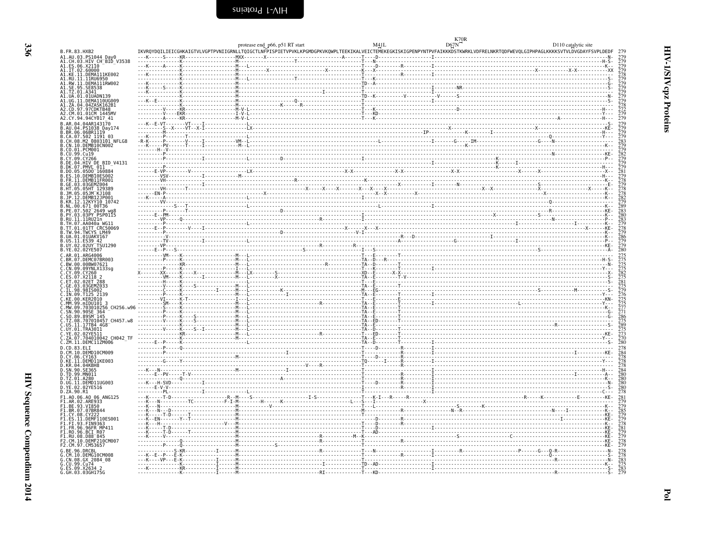<span id="page-19-0"></span>

|                                                                          | protease end p66, p51 RT start                                                                                                                                                 | D67N | D110 catalytic site |
|--------------------------------------------------------------------------|--------------------------------------------------------------------------------------------------------------------------------------------------------------------------------|------|---------------------|
| B. FR. 83. HXB2                                                          | IKVRQYDQILIEICGHKAIGTVLVGPTPVNIIGRNLLTQIGCTLNFPISPIETVPVKLKPGMDGPKVKQWPLTEEKIKALVEICTEMEKEGKISKIGPENPYNTPVFAIKKKDSTKWRKLVDFRELNKRTQDFWEVQLGIPHPAGLKKKKSVTVLDVGDAYFSVPLDEDF 279 |      |                     |
| A1.AU.03.<br>.PS1044_Day0<br>.HIV CH BID V3538<br>.CH.03.                |                                                                                                                                                                                |      |                     |
| A1.ES.06.X21I0<br>A1.IT.02.60000<br>A1.KE.11.DEMA111KE002                |                                                                                                                                                                                |      |                     |
| A1.RU.11.11RU6950<br>A1.RW.11.DEMA111RW002                               |                                                                                                                                                                                |      |                     |
| .SE.95.SE8538                                                            |                                                                                                                                                                                |      |                     |
| A1.TZ.01.A341<br>A1.UA.01.01UADN139                                      |                                                                                                                                                                                |      |                     |
| A1.UG.11.DEMA110UG009<br>A1 7A 04 047ASK162R1                            |                                                                                                                                                                                |      |                     |
| A2.CD.97.97CDKTB48<br>A2 CM 01 01CM 1445MV                               |                                                                                                                                                                                |      |                     |
| A2.CY.94.94CY017 41                                                      |                                                                                                                                                                                |      |                     |
| B.AR.04.04AR143170<br>.04.PS1038 Day174                                  |                                                                                                                                                                                |      |                     |
| .BR.06.06BR1119<br>CA.07.502 1191 03                                     |                                                                                                                                                                                |      |                     |
| CH.08.M2 0803101 NFLG8<br>CN.10.DEMB10CN002                              |                                                                                                                                                                                |      |                     |
| CO.01.PCM001<br>B.CU.99.Cu19                                             |                                                                                                                                                                                |      |                     |
| B.CY.09.CY266<br>B.DE.04.HIV DE BID V4131                                |                                                                                                                                                                                |      |                     |
| B.DK.07.PMVL 011                                                         |                                                                                                                                                                                |      |                     |
| DO.05.05D0 160884                                                        |                                                                                                                                                                                |      |                     |
| FR.11.DEMB11FR001<br>SE.03.03GEMZ004                                     |                                                                                                                                                                                |      |                     |
| HT 05 05HT 129389                                                        |                                                                                                                                                                                |      |                     |
| R 1P 12 DEMRT21P00<br>B.KR.12.12KYY10 10742                              |                                                                                                                                                                                |      |                     |
| B.NL.00.671_00T36<br>B.PE.07.502_2649_wg                                 |                                                                                                                                                                                |      |                     |
| в. рү. 03.03Рү РЗРОЇІВ<br>B.RV.11.11RU21n                                |                                                                                                                                                                                |      |                     |
| B.TH.07.AA040a WG11                                                      |                                                                                                                                                                                |      |                     |
| 8.TT.01.01TT CRC50069<br>B.TW.94.TWCYS LM49                              |                                                                                                                                                                                |      |                     |
| B.UA.01.01UAKV167<br>B.US.11.ES39 42                                     |                                                                                                                                                                                |      |                     |
| B.UY.02.02UY TSU1290<br>B.YE.02.02YE507                                  |                                                                                                                                                                                |      |                     |
| .AR.01.ARG4006                                                           |                                                                                                                                                                                |      |                     |
| C.BR.07.DEMC07BR003<br>C.BW.00.00BW07621                                 |                                                                                                                                                                                |      |                     |
| C.CN.09.09YNLX133sg<br>C.CY.09.CY260                                     |                                                                                                                                                                                |      |                     |
| C.ES.07.X2118 2                                                          |                                                                                                                                                                                |      |                     |
| C.ET.02.02ET 288<br>C.GE.03.03GEMZ033<br>C.IL.98.98IS002                 |                                                                                                                                                                                |      |                     |
| C.IN.09.T125_2139<br>C.KE.00.KER2010                                     |                                                                                                                                                                                |      |                     |
| C.MM.99.mIDU101<br>CH256 W96                                             |                                                                                                                                                                                |      |                     |
| SN.90.90SE 364                                                           |                                                                                                                                                                                |      |                     |
| T7 08 707010457 CH457 w8                                                 |                                                                                                                                                                                |      |                     |
| C.US.11.17TB4 4G8<br>C.UY.01.TRA30I1                                     |                                                                                                                                                                                |      |                     |
| Č.YE.02.02YE5II<br>C.ZA.07.704010042 CH042 TF                            |                                                                                                                                                                                |      |                     |
| C.ZM.11.DEMC11ZM006                                                      |                                                                                                                                                                                |      |                     |
| D.CD.83.ELI<br>D.CM.10.DEMD10CM009                                       |                                                                                                                                                                                |      |                     |
| D. CY.06. CY163<br>D.KE.11.DEMD11KE003                                   |                                                                                                                                                                                |      |                     |
| D.KR.04.04KBH8<br>D.SN.90.SE365                                          |                                                                                                                                                                                |      |                     |
| D.TD.99.MN011<br>D.TZ.01.A280                                            |                                                                                                                                                                                |      |                     |
| D.UG.11.DEMD11UG003                                                      |                                                                                                                                                                                |      |                     |
| D.ZA.90.R1                                                               |                                                                                                                                                                                |      |                     |
| F1.A0.06.A0 06 ANG125<br>F1.AR.02.ARE933                                 |                                                                                                                                                                                |      |                     |
| F1.BE.93.VI850<br>F1.BR.07.07BR844                                       |                                                                                                                                                                                |      |                     |
| F1.CY.08.CY222<br>.ES.11.DEMF110ES001                                    |                                                                                                                                                                                |      |                     |
| F1.FI.93.FIN9363                                                         |                                                                                                                                                                                |      |                     |
| F1.FR.96.96FR_MP411<br>FI.RO.96.BCI.R07<br>F1.RU.08.D88 <sup>-</sup> 845 |                                                                                                                                                                                |      |                     |
| .CM.10.DEMF210CM007                                                      |                                                                                                                                                                                |      |                     |
| F2.CM.97.CM53657                                                         |                                                                                                                                                                                |      |                     |
| G.RE.96.DRCRI<br>G.CM.10.DEMG10CM008                                     |                                                                                                                                                                                |      |                     |
| G.CN.08.GX_2084_08                                                       |                                                                                                                                                                                |      |                     |
| G.CU.99.Cu74<br>G.ES.09.X2634 2<br>G.GH.03.03GH175G                      |                                                                                                                                                                                |      |                     |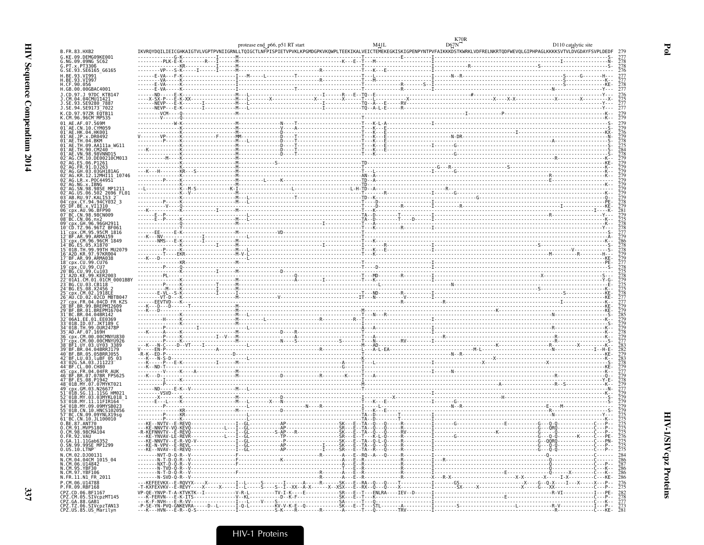HIV

Sequence Compendium

| B. FR. 83. HXB2<br>G.KE.09.DEMG09KE001<br>G.NG.09.09NG SC62                                     |  |  |  |
|-------------------------------------------------------------------------------------------------|--|--|--|
| 6.PT. x. PT3306<br>G.SE.93.SE6165 G6165                                                         |  |  |  |
| H.BE.93.VI991<br>H.BE.93.VI997                                                                  |  |  |  |
| H.CF.90.056<br>H.GB.00.00GBAC4001                                                               |  |  |  |
|                                                                                                 |  |  |  |
| J.SE.93.SE9280 7887<br>J.SE.94.SE9173 <sup>-</sup> 7022                                         |  |  |  |
| K.CD.97.97ZR EQTB11<br>K.CM.96.96CM MP535                                                       |  |  |  |
| 01 AE.AF.07.569M                                                                                |  |  |  |
|                                                                                                 |  |  |  |
| $01 - AF$ . TH $.04$ . BKM<br>01 AE. TH.09. AA111a WG11<br>L <sup>-</sup> AE.TH.90.CM240        |  |  |  |
| 01 AE. VN. 98. 98 VNND15<br>2 <sup>-</sup> AG.CM.10.DE00210CM013                                |  |  |  |
| 2 <sup>-</sup> AG.FR.91.DJ263                                                                   |  |  |  |
| 2 <sup>-</sup> AG.GH.03.03GH181AG                                                               |  |  |  |
| 02 <sup>-</sup> AG.LR.x.P0C44951<br>AG.NG.x.IBNG                                                |  |  |  |
| 02 AG.SN.98.98SE MP1211<br>02 AG.US.06.502 2696 FL01<br>03 AB.RU.97.KAL153 2                    |  |  |  |
| 04 CDX.CY.94.94CY032 3<br>$05^-$ DF.BE.x.VI1310                                                 |  |  |  |
| 06 CDX. AU. 96. BFP90<br>07 BC.CN.98.98CN009                                                    |  |  |  |
| 08 BC.CN.06.nx2<br>$09^-$ cpx.GH.96.96GH                                                        |  |  |  |
| TZ.96.96TZ BF061                                                                                |  |  |  |
| CM.96.96CM 1849                                                                                 |  |  |  |
|                                                                                                 |  |  |  |
| 18 cpx.CU.99.CU76                                                                               |  |  |  |
| CU.99.Cu103                                                                                     |  |  |  |
| CM.01.01CM 0001BBY                                                                              |  |  |  |
|                                                                                                 |  |  |  |
|                                                                                                 |  |  |  |
|                                                                                                 |  |  |  |
| 33 01B.ID.07.JKT189 0                                                                           |  |  |  |
| 35 <sup>-</sup> AD.AF.07.169H                                                                   |  |  |  |
|                                                                                                 |  |  |  |
| 38 BF1.UY.03.UY03 3389<br>39 BF BR 04.04BRRJ179                                                 |  |  |  |
| ⊤BF.LU.03.luBF 05 03                                                                            |  |  |  |
| 5 cpx.FR.04.04FR AUK                                                                            |  |  |  |
| 16 <sup>-</sup> BF.BR.07.07BR FPS625<br>47 BF.ES.08.P1942<br>48 <sup>-</sup> 01B.MY.07.07MYKT02 |  |  |  |
|                                                                                                 |  |  |  |
|                                                                                                 |  |  |  |
|                                                                                                 |  |  |  |
| 57 BC.CN.09.09YNLX19sg<br>61 BC.CN.10.JL100010<br>.BE.87.ANT70                                  |  |  |  |
| 0.CM.91.MVP5180<br>0.CM.98.98CMA104<br>0.FR.92.VAU                                              |  |  |  |
|                                                                                                 |  |  |  |
| 0.6A.11.11Gab6352<br>0.SN.99.99SE_MP1299<br>0.05.10.LTNP                                        |  |  |  |
| N.CM.02.DJ00131<br>N.CM.04.04CM_1015_04<br>N.CM.06.U14842                                       |  |  |  |
|                                                                                                 |  |  |  |
| N.CM.95.YBF30<br>N.CM.97.YBF106<br>N.FR.11.N1_FR_2011                                           |  |  |  |
| P.CM.06.U14788<br>P.FR.09.RBF168                                                                |  |  |  |
| CPZ.CD.06.BF1167                                                                                |  |  |  |
| CPZ.CM.05.SIVCP2MT145<br>CPZ.GA.88.GAB1<br>CPZ.TZ.06.SIVCP2TAN13<br>CPZ.US.85.US_Marilyn        |  |  |  |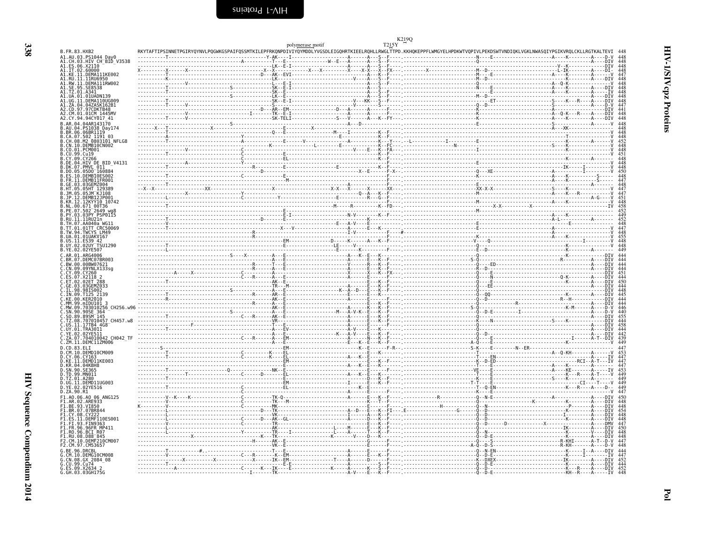<span id="page-21-0"></span>

|                                                                                       |                                                                                                                                                                                                                                                                                                                                                                                                                                                  | T215Y<br>polymerase motif |  |
|---------------------------------------------------------------------------------------|--------------------------------------------------------------------------------------------------------------------------------------------------------------------------------------------------------------------------------------------------------------------------------------------------------------------------------------------------------------------------------------------------------------------------------------------------|---------------------------|--|
| B.FR.83.HXB2<br>A1.AU.03.PS1044 Day0                                                  | RKYTAFTIPSINNETPGIRYQYNVLPQGWKGSPAIFQSSMTKILEPFRKQNPDIVIYQYMDDLYVGSDLEIGQHRTKIEELRQHLLRWGLTTPD.KKHQKEPPFLWMGYELHPDKWTVQPIVLPEKDSWTVNDIQKLVGKLNWASQIYPGIKVRQLCKLLRGTKALTEVI                                                                                                                                                                                                                                                                       |                           |  |
| A1.CH.03.HIV CH BID V3538                                                             |                                                                                                                                                                                                                                                                                                                                                                                                                                                  |                           |  |
| A1.ES.06.X2110                                                                        |                                                                                                                                                                                                                                                                                                                                                                                                                                                  |                           |  |
| A1.ET.02.66000<br>A1.KE.11.DEMA111KE002<br>A1.RU.11.11RU6950<br>A1.RW.11.DEMA111RW002 |                                                                                                                                                                                                                                                                                                                                                                                                                                                  |                           |  |
|                                                                                       |                                                                                                                                                                                                                                                                                                                                                                                                                                                  |                           |  |
| A1.SE.95.SE8538<br>A1.TZ.01.A341                                                      |                                                                                                                                                                                                                                                                                                                                                                                                                                                  |                           |  |
| A1.12.01.011<br>A1.UA.01.01UADN139<br>A1.UG.11.DEMA110UG009                           |                                                                                                                                                                                                                                                                                                                                                                                                                                                  |                           |  |
| A1.ZA.04.04ZASK162B1                                                                  |                                                                                                                                                                                                                                                                                                                                                                                                                                                  |                           |  |
| A2.CD.97.97CDKTB48                                                                    |                                                                                                                                                                                                                                                                                                                                                                                                                                                  |                           |  |
| A2.CM.01.01CM 1445MV<br>A2.CY.94.94CY017 41                                           |                                                                                                                                                                                                                                                                                                                                                                                                                                                  |                           |  |
| B.AR.04.04AR143170                                                                    |                                                                                                                                                                                                                                                                                                                                                                                                                                                  |                           |  |
| .AU.04.PS1038 Day174<br>.BR.06.06BR1119                                               |                                                                                                                                                                                                                                                                                                                                                                                                                                                  |                           |  |
| .CA.07.502_1191 03                                                                    |                                                                                                                                                                                                                                                                                                                                                                                                                                                  |                           |  |
| .CH.08.M2 0803101 NFLG8<br>B.CN.10.DEMB10CN002                                        |                                                                                                                                                                                                                                                                                                                                                                                                                                                  |                           |  |
| B.CO.01.PCM001                                                                        |                                                                                                                                                                                                                                                                                                                                                                                                                                                  |                           |  |
| B.CU.99.Cu19<br>B.CY.09.CY266                                                         |                                                                                                                                                                                                                                                                                                                                                                                                                                                  |                           |  |
| .DE.04.HIV DE BID V4131                                                               |                                                                                                                                                                                                                                                                                                                                                                                                                                                  |                           |  |
| B.DK.07.PMVL_011--<br>B.DO.05.05DO_160884                                             |                                                                                                                                                                                                                                                                                                                                                                                                                                                  |                           |  |
| ES.10.DEMB10ES002<br>.FR.11.DEMB11FR001                                               |                                                                                                                                                                                                                                                                                                                                                                                                                                                  |                           |  |
| GE.03.03GEMZ004                                                                       |                                                                                                                                                                                                                                                                                                                                                                                                                                                  |                           |  |
| HT.05.05HT 129389<br>JM.05.05JM KJ108                                                 |                                                                                                                                                                                                                                                                                                                                                                                                                                                  |                           |  |
| .DEMB12JP001                                                                          |                                                                                                                                                                                                                                                                                                                                                                                                                                                  |                           |  |
| .KR.12.12KYY10 10742<br>B.NL.00.671 00T36                                             |                                                                                                                                                                                                                                                                                                                                                                                                                                                  |                           |  |
| B.PE.07.502 <sup>-2649</sup> wa8                                                      |                                                                                                                                                                                                                                                                                                                                                                                                                                                  |                           |  |
| B.PY.03.03PY PSP0115<br>B.RU.11.11RU21n                                               |                                                                                                                                                                                                                                                                                                                                                                                                                                                  |                           |  |
| B.TH.07.AA040a WG11                                                                   |                                                                                                                                                                                                                                                                                                                                                                                                                                                  |                           |  |
| B.TT.01.01TT CRC50069<br>B.TW.94.TWCYS LM49                                           |                                                                                                                                                                                                                                                                                                                                                                                                                                                  |                           |  |
| B.UA.01.01UAKV167                                                                     |                                                                                                                                                                                                                                                                                                                                                                                                                                                  |                           |  |
| B.US.11.ES39 42<br>B.UY.02.02UY TSU1290                                               |                                                                                                                                                                                                                                                                                                                                                                                                                                                  |                           |  |
| B.YE.02.02YE507                                                                       |                                                                                                                                                                                                                                                                                                                                                                                                                                                  |                           |  |
| C.AR.01.ARG4006<br>C.BR.07.DEMC07BR003<br>C.BW.00.00BW07621<br>C.CN.09.09YNLX133sg    | $\begin{minipage}[t]{.00\textwidth} \begin{tabular}{ c c c c } \hline & \multicolumn{1}{ c }{0.0\textwidth} \begin{tabular}{ c c c } \hline & \multicolumn{1}{ c }{0.0\textwidth} \begin{tabular}{ c c c } \hline \multicolumn{1}{ c }{0.0\textwidth} \begin{tabular}{ c c c } \hline \multicolumn{1}{ c }{0.0\textwidth} \begin{tabular}{ c c c } \hline \multicolumn{1}{ c }{0.0\textwidth} \begin{tabular}{ c c c } \hline \multicolumn{1}{ $ |                           |  |
|                                                                                       |                                                                                                                                                                                                                                                                                                                                                                                                                                                  |                           |  |
| .CY.09.CY260                                                                          |                                                                                                                                                                                                                                                                                                                                                                                                                                                  |                           |  |
| X2118 2                                                                               |                                                                                                                                                                                                                                                                                                                                                                                                                                                  |                           |  |
| 02ET 288<br>C.GE.03.03GEMZ033                                                         |                                                                                                                                                                                                                                                                                                                                                                                                                                                  |                           |  |
| C.IL.98.98IS002<br>C.IN.09.T125 2139                                                  |                                                                                                                                                                                                                                                                                                                                                                                                                                                  |                           |  |
| C.KE.00.KER2010                                                                       |                                                                                                                                                                                                                                                                                                                                                                                                                                                  |                           |  |
| 010256 CH256.w96                                                                      |                                                                                                                                                                                                                                                                                                                                                                                                                                                  |                           |  |
|                                                                                       |                                                                                                                                                                                                                                                                                                                                                                                                                                                  |                           |  |
| .TZ.08.707010457 CH457.w8                                                             |                                                                                                                                                                                                                                                                                                                                                                                                                                                  |                           |  |
| C.US.11.17TB4 4G8                                                                     |                                                                                                                                                                                                                                                                                                                                                                                                                                                  |                           |  |
| .UY.01.TRA3011<br>YE.02.02YE511                                                       |                                                                                                                                                                                                                                                                                                                                                                                                                                                  |                           |  |
| .704010042 CH042 TF                                                                   |                                                                                                                                                                                                                                                                                                                                                                                                                                                  |                           |  |
| C.ZM.11.DEMC11ZM006<br>D.CD.83.ELI                                                    |                                                                                                                                                                                                                                                                                                                                                                                                                                                  |                           |  |
| D. CM. 10. DEMD10CM009                                                                |                                                                                                                                                                                                                                                                                                                                                                                                                                                  |                           |  |
| D.CY.06.CY163<br>D.KE.11.DEMD11KE003<br>D.KR.04.04KBH8<br>D.SN.90.SE365               |                                                                                                                                                                                                                                                                                                                                                                                                                                                  |                           |  |
|                                                                                       |                                                                                                                                                                                                                                                                                                                                                                                                                                                  |                           |  |
| D.TD.99.MN011                                                                         |                                                                                                                                                                                                                                                                                                                                                                                                                                                  |                           |  |
| D.TZ.01.A280                                                                          |                                                                                                                                                                                                                                                                                                                                                                                                                                                  |                           |  |
| D.UG.11.DEMD11UG003<br>02YE516                                                        |                                                                                                                                                                                                                                                                                                                                                                                                                                                  |                           |  |
| D.ZA.90.R1                                                                            |                                                                                                                                                                                                                                                                                                                                                                                                                                                  |                           |  |
| F1.A0.06.A0 06 ANG125                                                                 |                                                                                                                                                                                                                                                                                                                                                                                                                                                  |                           |  |
| FI.AR.02.AŘE933<br>F1.BE.93.VI850                                                     |                                                                                                                                                                                                                                                                                                                                                                                                                                                  |                           |  |
| .BR.07.07BR844<br>F1.CY.08.CY222                                                      |                                                                                                                                                                                                                                                                                                                                                                                                                                                  |                           |  |
| .DEMF110ES001                                                                         |                                                                                                                                                                                                                                                                                                                                                                                                                                                  |                           |  |
| F1.FI.93.FIN9363<br>F1.FI.93.FIN9363<br>F1.FR.96.96FR MP411<br>F1.RU.08.D88_845       |                                                                                                                                                                                                                                                                                                                                                                                                                                                  |                           |  |
|                                                                                       |                                                                                                                                                                                                                                                                                                                                                                                                                                                  |                           |  |
| F2.CM.10.DEMF210CM007                                                                 |                                                                                                                                                                                                                                                                                                                                                                                                                                                  |                           |  |
| F2.CM.97.CM53657                                                                      |                                                                                                                                                                                                                                                                                                                                                                                                                                                  |                           |  |
| G.RE.96.DRCRL                                                                         |                                                                                                                                                                                                                                                                                                                                                                                                                                                  |                           |  |
| G.CM.10.DEMG10CM008<br>G.CN.08.GX 2084_08<br>G.CU.99.Cu74                             |                                                                                                                                                                                                                                                                                                                                                                                                                                                  |                           |  |
|                                                                                       |                                                                                                                                                                                                                                                                                                                                                                                                                                                  |                           |  |
| G.ES.09.X2634 2<br>G.GH.03.03GH175G                                                   |                                                                                                                                                                                                                                                                                                                                                                                                                                                  |                           |  |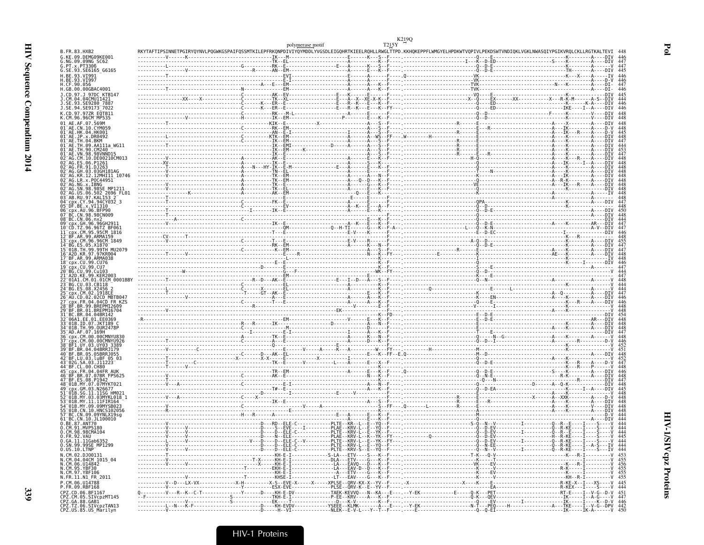| B. FR. 83. HXB2<br>G.KE.09.DEMG09KE001                                                                         |  | RKYTAFTIPSINNETPGIRYQYNVLPQGWKGSPAIFQSSMTKILEPFRKQNPDIVIYQYMDDLYVGSDLEIGQHRTKIEELRQHLLRWGLTTPD.KKHQKEPPFLWMGYELHPDKWTVQPIVLPEKDSWTVNDIQKLVGKLNWASQIYPGIKVRQLCKLLRGTKALTEVI 448 |  |
|----------------------------------------------------------------------------------------------------------------|--|--------------------------------------------------------------------------------------------------------------------------------------------------------------------------------|--|
| G.NG.09.09NG SC62<br>G. PT. x. PT3306                                                                          |  |                                                                                                                                                                                |  |
| G.SE.93.SE6165 G6165<br>H.BE.93.VI991                                                                          |  |                                                                                                                                                                                |  |
| H.BE.93.VI997<br>H.CF.90.056                                                                                   |  |                                                                                                                                                                                |  |
| H.GB.00.00GBAC4001                                                                                             |  |                                                                                                                                                                                |  |
| J.CD.97.J 97DC KTB147<br>J.CM.04.04CMU11421                                                                    |  |                                                                                                                                                                                |  |
| J.SE.94.SE9173 <sup>-</sup> 7022                                                                               |  |                                                                                                                                                                                |  |
| K.CD.97.97ZR EQTB11<br>K.CM.96.96CM MP535                                                                      |  |                                                                                                                                                                                |  |
| 01 AE.AF.07.569M                                                                                               |  |                                                                                                                                                                                |  |
| 01 AE.CN.10.CYM059<br>01 AE.HK.04.HK001                                                                        |  |                                                                                                                                                                                |  |
| 01-AE.JP.x.DR0492<br>01-AE.IH.04.BKM<br>01 AE. TH.09. AA111a WG11                                              |  |                                                                                                                                                                                |  |
| 01 <sup>-</sup> AE.TH.90.CM240<br>01 AE. VN. 98. 98VNND15                                                      |  |                                                                                                                                                                                |  |
| 02 AG.CM.10.DE00210CM013<br>02 AG.ES.06.P1261                                                                  |  |                                                                                                                                                                                |  |
| 02 AG. FR. 91. DJ263                                                                                           |  |                                                                                                                                                                                |  |
| 02 AG.GH.03.03GH181AG<br>02 AG.KR.12.12MHIII 10746                                                             |  |                                                                                                                                                                                |  |
| 02 AG.LR.x.P0C44951<br>02 AG.NG.X.IBNG<br>02 AG.SN.98.98SE_MP1211                                              |  |                                                                                                                                                                                |  |
| 02 AG. US. 06. 502 2696 FL01                                                                                   |  |                                                                                                                                                                                |  |
| 03 AB.RU.97.KAL153 2<br>04 cpx.CY.94.94CY032 3                                                                 |  |                                                                                                                                                                                |  |
| 05 DF.BE.x.VI1310                                                                                              |  |                                                                                                                                                                                |  |
| BC.CN.98.98CN009<br>08 BC.CN.06.nx2                                                                            |  |                                                                                                                                                                                |  |
| 09 Cpx.GH.96.96GH2911<br>10 CD.TZ.96.96TZ_BF061                                                                |  |                                                                                                                                                                                |  |
| cpx.CM.95.95CM 1816<br>12 BF AR 99 ARMA159                                                                     |  |                                                                                                                                                                                |  |
| 13 cpx.CM.96.96CM 1849<br>14 BG.ES.05.X1870                                                                    |  |                                                                                                                                                                                |  |
| 15 01B. TH. 99. 99TH MU2079                                                                                    |  |                                                                                                                                                                                |  |
| 16-A2D.KR.97.97KR004<br>17-BF.AR.99.ARMA038<br>18-cpx.CU.99.CU76                                               |  |                                                                                                                                                                                |  |
| 19 cpx. CU. 99. CU7<br>20 BG. CU. 99. CU103                                                                    |  |                                                                                                                                                                                |  |
| 21 A2D.KE.99.KER2003<br>01A1.CM.01.01CM 0001BBY                                                                |  |                                                                                                                                                                                |  |
| 23 BG.CU.03.CB118<br>24 BG.ES.08.X2456 2<br>25 cpx.CM.02.1918LE                                                |  |                                                                                                                                                                                |  |
| 26 AU.CD.02.02CD MBTB047                                                                                       |  |                                                                                                                                                                                |  |
| -cpx.FR.04.04CD FR.KZS<br>-BF.BR.99.BREPM12609                                                                 |  |                                                                                                                                                                                |  |
| 29 BF.BR.01.BREPM16704                                                                                         |  |                                                                                                                                                                                |  |
| 31 BC.BR.04.04BR142<br>32 06A1.EE.01.EE0369<br>33 01B.ID.07.JKT189 C                                           |  |                                                                                                                                                                                |  |
| 34 01B. TH. 99. 0UR2478P<br>35 AD. AF. 07. 169H                                                                |  |                                                                                                                                                                                |  |
| 36 CDX.CM.00.00CMNYU830<br>cpx.CM.00.00CMNYU926                                                                |  |                                                                                                                                                                                |  |
| 38 BF1.UY.03.UY03_3389<br>39 BF.BR.04.04BRRJ179                                                                |  |                                                                                                                                                                                |  |
| 40 BF.BR.05.05BRRJ055<br>42 BF.LU.03.luBF 05 03                                                                |  |                                                                                                                                                                                |  |
| 43 02G.SA.03.J11223<br>44 BF.CL.00.CH80                                                                        |  |                                                                                                                                                                                |  |
| 45-CDX.FR.04.04FR AUK<br>46-BF.BR.07.07BR FPS625<br>47-BF.ES.08.P1942                                          |  |                                                                                                                                                                                |  |
| 48 01B.MY.07.07MYKT021                                                                                         |  |                                                                                                                                                                                |  |
| 49 Cpx.GM.03.N26677                                                                                            |  |                                                                                                                                                                                |  |
| 52 <sup>-</sup> 01B.MY.03.03MYKL018    1<br>53 <sup>-</sup> 01B.MY.11.11FIR164                                 |  |                                                                                                                                                                                |  |
| 54 <sup>-</sup> 01B.MY.09.09MYSB023<br>55 01B.CN.10. HNCS102056                                                |  |                                                                                                                                                                                |  |
| 57 BC.CN.09.09YNLX19sg<br>61 BC.CN.10.JL100010                                                                 |  |                                                                                                                                                                                |  |
| 0.BE.87.ANT70<br>0.CM.91.MVP5180<br>0.CM.98.98CMA104                                                           |  |                                                                                                                                                                                |  |
| 0. FR. 92. VAU                                                                                                 |  |                                                                                                                                                                                |  |
| 0.6A.11.11Gab6352<br>0.SN.99.99SE_MP1299                                                                       |  |                                                                                                                                                                                |  |
| $0.05.10.LTNP^-$<br>N.CM.02.DJ00131                                                                            |  |                                                                                                                                                                                |  |
| N.CM.04.04CM<br>N.CM.06.0114842<br>N.CM.06.014842<br>N.CM.95.YBF30<br>N.FR.11.N1_FR_2011<br>N.FR.11.N1_FR_2011 |  |                                                                                                                                                                                |  |
|                                                                                                                |  |                                                                                                                                                                                |  |
|                                                                                                                |  |                                                                                                                                                                                |  |
| P.CM.06.U14788<br>P.FR.09.RBF168                                                                               |  |                                                                                                                                                                                |  |
| CPZ.CD.06.BF1167<br>CPZ.CD.00.BF1107<br>CPZ.CM.05.SIVCpzMT145<br>CPZ.GA.88.GAB1<br>CPZ.TZ.06.SIVCpzTAN13       |  |                                                                                                                                                                                |  |
|                                                                                                                |  |                                                                                                                                                                                |  |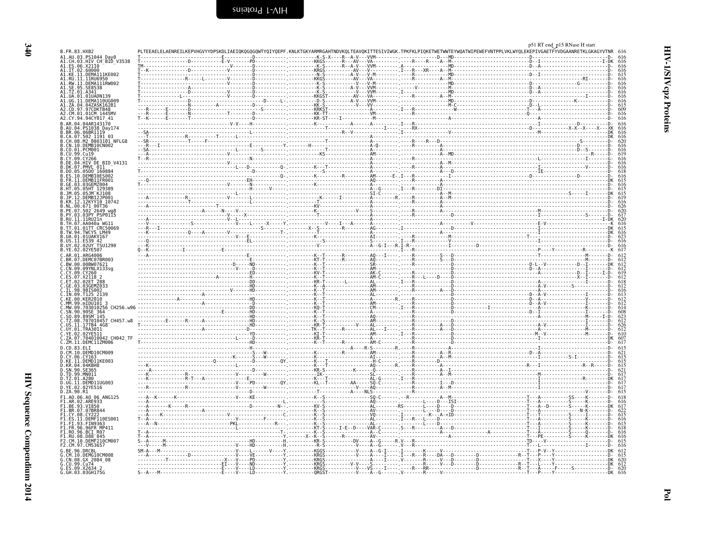| B. FR. 83. HXB2                                   |  |  |  |
|---------------------------------------------------|--|--|--|
| A1.AU.03.PS1044_Day0<br>A1.CH.03.HIV_CH_BID_V3538 |  |  |  |
| A1.ES.06.X2110<br>A1.IT.02.60000                  |  |  |  |
| A1.KE.11.DEMA111KE002                             |  |  |  |
| A1.RU.11.11RU6950<br>.RW.11.DEMĀĪĪĪRW002          |  |  |  |
|                                                   |  |  |  |
| UA.01.01UADN13                                    |  |  |  |
| UG.11.DEMA110UG009                                |  |  |  |
| ZA.04.04ZASK162B1<br>CD.97.97CDKTB48              |  |  |  |
| A2.CM.01.01CM 1445MV                              |  |  |  |
| A2.CY.94.94CY017 41                               |  |  |  |
| R.AR.04.04AR143170<br>B.AU.04.PS1038 Dav174       |  |  |  |
| B.BR.06.06BR1119                                  |  |  |  |
| B.CA.07.502 1191 03<br>B.CH.08.M2 0803101 NFLG8   |  |  |  |
| B.CN.10.DEMB10CN002                               |  |  |  |
| .01.PCM001<br>B.CU.99.Cu19                        |  |  |  |
| R. CY. 09<br>. CY266                              |  |  |  |
| HIV DE BID V4131.<br>07.PMVL 011                  |  |  |  |
| $.05.05$ DO $^-$ 160884                           |  |  |  |
| 11 DEMR11ER001                                    |  |  |  |
|                                                   |  |  |  |
|                                                   |  |  |  |
| .1P.12.DEMRT21P001                                |  |  |  |
| .KR.12.12KYY10 10742<br>NL.00.671 00T36           |  |  |  |
| PE.07.502 <sup>-2649</sup> was                    |  |  |  |
| B.PY.03.03PY PSP0115<br>.RU.11.11RU21n            |  |  |  |
| TH 07 AA040a WG1                                  |  |  |  |
| B.TT.01.01TT CRC50069<br>94 TWCYS 1 M49           |  |  |  |
| UA.01.01UAKV167                                   |  |  |  |
| B.US.11.ES39_42<br>.02UY TSU1290<br>B.UY.02       |  |  |  |
| B.YE.02.02YE507                                   |  |  |  |
| C.AR.01.ARG4006                                   |  |  |  |
| .BR.07.DEMC07BR003<br>.BW.00.00BW07621            |  |  |  |
| C.CN.09.09YNLX133so                               |  |  |  |
| C.CY.09.CY260<br>C.ES.07.X2118 2                  |  |  |  |
|                                                   |  |  |  |
|                                                   |  |  |  |
|                                                   |  |  |  |
|                                                   |  |  |  |
|                                                   |  |  |  |
|                                                   |  |  |  |
| C.TZ.08.707010457 CH457.w8                        |  |  |  |
| .17TB4 4G8<br>UY.01.TRA3011                       |  |  |  |
| .02YE511<br>. 02<br>.704010042 CH042 TF           |  |  |  |
| C.ZM.11.DEMC11ZM006                               |  |  |  |
| D. CD. 83. FI T                                   |  |  |  |
| D.CM.10.DEMD10CM009<br>D.CY.06.CY163              |  |  |  |
| D.KE.11.DEMD11KE003                               |  |  |  |
| D.KR.04.04KBH8                                    |  |  |  |
| .TD.99.MN011                                      |  |  |  |
| TZ.01.A280<br>D.UG.11.DEMD11UG003                 |  |  |  |
| D.YE.02.02YE516                                   |  |  |  |
| D.ZA.90.R1<br>F1.A0.06.A0 06 ANG125               |  |  |  |
| F1.AR.02.ARE933                                   |  |  |  |
| F1.BE.93.VI850<br>F1.BR.07.07BR844                |  |  |  |
| F1 CY 08 CY222                                    |  |  |  |
| F1.ES.11.DEMF110ES001<br>F1.FI.93.FIN9363         |  |  |  |
| F1.FR.96.96FR MP411                               |  |  |  |
| F1.RO.96.BCI R07                                  |  |  |  |
| F1.RU.08.D88 845<br>F2.CM.10.DEMF210CM007         |  |  |  |
| F2.CM.97.CM53657                                  |  |  |  |
| 96 DRCBI<br>10.DEMG10CM008                        |  |  |  |
| CN.08.GX 2084 08                                  |  |  |  |
| G.CU.99.Cu74<br>G.ES.09.X2634 2                   |  |  |  |
| G.GH.03.03GH175G                                  |  |  |  |

HIV-1/SIV cpz Proteins

<span id="page-23-0"></span>p51 RT end\_p15 RNase H start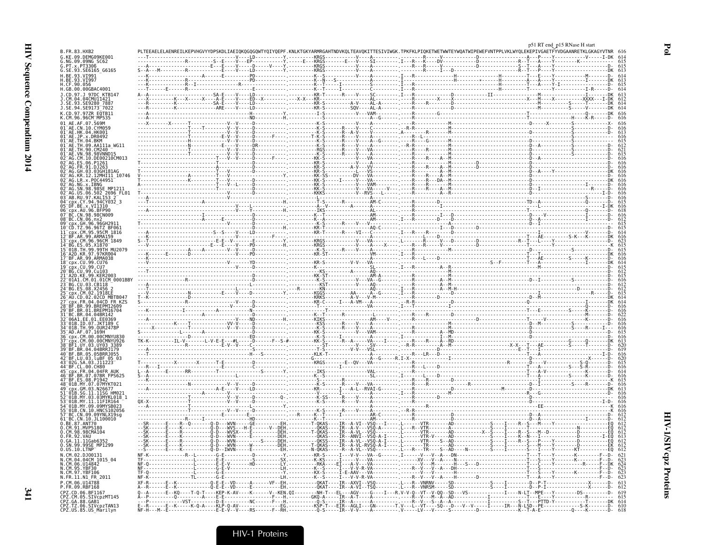|                                                                                                 |                                                                                                                                                                                |  |  | p51 RT end_p15 RNase H start |  |
|-------------------------------------------------------------------------------------------------|--------------------------------------------------------------------------------------------------------------------------------------------------------------------------------|--|--|------------------------------|--|
| B.FR.83.HXB2                                                                                    | PLTEEAELELAENREILKEPVHGVYYDPSKDLIAEIQKQGQGQWTYQIYQEPF.KNLKTGKYARMRGAHTNDVKQLTEAVQKITTESIVIWGK.TPKFKLPIQKETWETWWTEYWQATWIPEWEFVNTPPLVKLWYQLEKEPIVGAETFYVDGAANRETKLGKAGYVTNR 616 |  |  |                              |  |
| G.KE.09.DEMG09KE001<br>G.NG.09.09NG SC62                                                        |                                                                                                                                                                                |  |  |                              |  |
| G. PT. x. PT3306<br>G.SE.93.SE6165 G6165                                                        |                                                                                                                                                                                |  |  |                              |  |
|                                                                                                 |                                                                                                                                                                                |  |  |                              |  |
| H.CF.90.056                                                                                     |                                                                                                                                                                                |  |  |                              |  |
| H.GB.00.00GBAC4001                                                                              |                                                                                                                                                                                |  |  |                              |  |
| J.CD.97.J 97DC KTB147                                                                           |                                                                                                                                                                                |  |  |                              |  |
| J.SE.93.SE9280 7887<br>J.SE.94.SE9173 <sup>-</sup> 7022                                         |                                                                                                                                                                                |  |  |                              |  |
| K.CD.97.97ZR EOTB11                                                                             |                                                                                                                                                                                |  |  |                              |  |
| K.CM.96.96CM MP535                                                                              |                                                                                                                                                                                |  |  |                              |  |
|                                                                                                 |                                                                                                                                                                                |  |  |                              |  |
|                                                                                                 |                                                                                                                                                                                |  |  |                              |  |
|                                                                                                 |                                                                                                                                                                                |  |  |                              |  |
|                                                                                                 |                                                                                                                                                                                |  |  |                              |  |
|                                                                                                 |                                                                                                                                                                                |  |  |                              |  |
|                                                                                                 |                                                                                                                                                                                |  |  |                              |  |
|                                                                                                 |                                                                                                                                                                                |  |  |                              |  |
|                                                                                                 |                                                                                                                                                                                |  |  |                              |  |
|                                                                                                 |                                                                                                                                                                                |  |  |                              |  |
| US.06.502 2696 FL01                                                                             |                                                                                                                                                                                |  |  |                              |  |
|                                                                                                 |                                                                                                                                                                                |  |  |                              |  |
| 05 DF.BE.X.VI1310                                                                               |                                                                                                                                                                                |  |  |                              |  |
|                                                                                                 |                                                                                                                                                                                |  |  |                              |  |
|                                                                                                 |                                                                                                                                                                                |  |  |                              |  |
| cpx.CM.95.95CM 1816                                                                             |                                                                                                                                                                                |  |  |                              |  |
|                                                                                                 |                                                                                                                                                                                |  |  |                              |  |
| 13 <sup>-</sup> срх.СМ.96.96СМ 1849                                                             |                                                                                                                                                                                |  |  |                              |  |
| 16 A2D.KR.97.97KR004                                                                            |                                                                                                                                                                                |  |  |                              |  |
| 17 BF.AR.99.ARMA038                                                                             |                                                                                                                                                                                |  |  |                              |  |
| 18 <sup>-</sup> cpx.CU.99.CU76<br>19 <sup>-</sup> cnx.CU.99.CU7                                 |                                                                                                                                                                                |  |  |                              |  |
| 20 BG.CU.99.Cu103                                                                               |                                                                                                                                                                                |  |  |                              |  |
|                                                                                                 |                                                                                                                                                                                |  |  |                              |  |
|                                                                                                 |                                                                                                                                                                                |  |  |                              |  |
|                                                                                                 |                                                                                                                                                                                |  |  |                              |  |
| cpx.FR.04.04CD FR KZ9                                                                           |                                                                                                                                                                                |  |  |                              |  |
|                                                                                                 |                                                                                                                                                                                |  |  |                              |  |
|                                                                                                 |                                                                                                                                                                                |  |  |                              |  |
|                                                                                                 |                                                                                                                                                                                |  |  |                              |  |
|                                                                                                 |                                                                                                                                                                                |  |  |                              |  |
|                                                                                                 |                                                                                                                                                                                |  |  |                              |  |
|                                                                                                 |                                                                                                                                                                                |  |  |                              |  |
|                                                                                                 |                                                                                                                                                                                |  |  |                              |  |
|                                                                                                 |                                                                                                                                                                                |  |  |                              |  |
| CDX.FR.04.04FR AIIK                                                                             |                                                                                                                                                                                |  |  |                              |  |
|                                                                                                 |                                                                                                                                                                                |  |  |                              |  |
|                                                                                                 |                                                                                                                                                                                |  |  |                              |  |
|                                                                                                 |                                                                                                                                                                                |  |  |                              |  |
|                                                                                                 |                                                                                                                                                                                |  |  |                              |  |
| CN 10 HNC510205                                                                                 |                                                                                                                                                                                |  |  |                              |  |
|                                                                                                 |                                                                                                                                                                                |  |  |                              |  |
| BC.CN.10.JL100010<br>.BE.87.ANT70                                                               |                                                                                                                                                                                |  |  |                              |  |
| 0.CM.91.MVP5180<br>0.CM.98.98CMA104                                                             |                                                                                                                                                                                |  |  |                              |  |
| 0.FR.92.VAU                                                                                     |                                                                                                                                                                                |  |  |                              |  |
| <u>U.GA.II.IIGab63</u><br>0.SN.99.99SE_MP1299                                                   |                                                                                                                                                                                |  |  |                              |  |
| 0.05.10. LTNP                                                                                   |                                                                                                                                                                                |  |  |                              |  |
| N.CM.02.DJ00131                                                                                 |                                                                                                                                                                                |  |  |                              |  |
| N.CM.04.04CM 1015_04<br>N.CM.06.U14842<br>N.CM.95.YBF30<br>N.CM.97.YBF106<br>N.FR.11.N1_FR_2011 |                                                                                                                                                                                |  |  |                              |  |
|                                                                                                 |                                                                                                                                                                                |  |  |                              |  |
| P.CM.06.U14788                                                                                  |                                                                                                                                                                                |  |  |                              |  |
| P.FR.09.RBF168                                                                                  |                                                                                                                                                                                |  |  |                              |  |
| CPZ.CD.06.BF1167                                                                                |                                                                                                                                                                                |  |  |                              |  |
| CPZ.CM.05.SIVCp2MT145<br>CPZ.GA.88.GAB1<br>CPZ.TZ.06.SIVCpzTAN13                                |                                                                                                                                                                                |  |  |                              |  |
| CPZ.US.85.US Marilyn                                                                            |                                                                                                                                                                                |  |  |                              |  |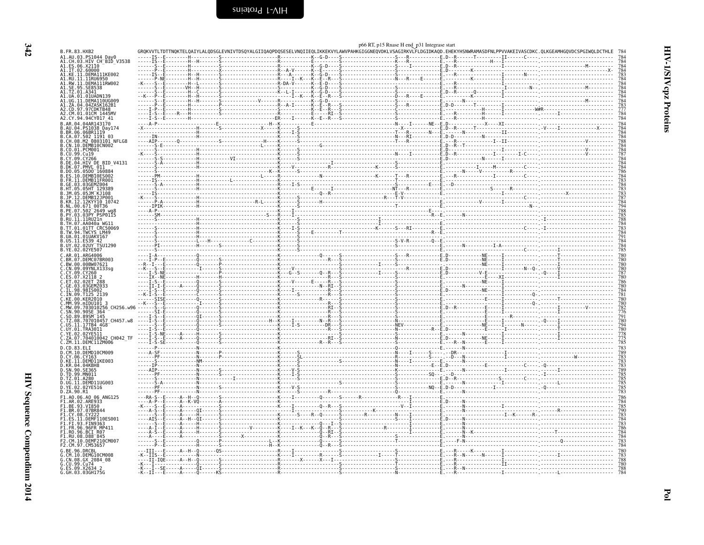<span id="page-25-0"></span>

| GROKVVTLTDTTNOKTELQAIYLALQDSGLEVNIVTDSQYALGIIQAQPDQSESELVNQIIEQLIKKEKVYLAWVPAHKGIGGNEQVDKLVSAGIRKVLFLDGIDKAQD.EHEKYHSNWRAMASDFNLPPVVAKEIVASCDKC.QLKGEAMHGQVDCSPGIWQLDCTHLE<br>B.FR.83.HXB2<br>A1.AU.03.PS1044<br>A1.CH.03.HIV CH <sup>-</sup> BIĎ V3538<br>A1.ES.06.X21I0<br>A1.IT.02.60000<br>A1.KE.11.DEMA111KE002<br>A1.RU.11.11RU6950<br>A1.RW.11.DEMA111RW002<br>A1.SE.95.SE8538<br>A1.TZ.01.A341<br>A1.UA.01.01UADN139<br>A1.UG.11.DEMA110UG009<br>A1.ZA.04.04ZASK162B1<br>A2.CD.97.97CDKTB48<br>A2.CM.01.01CM_1445MV<br>A2.CY.94.94CY017_41<br>B.AR.04.04AR143170<br>.AU.04.PS1038 Day174<br>.RR.06.06BR1119<br>.RR.06.06BR1119<br>.CA.07.502 1191 03<br>.CH.08.M2 0803101 NFLG8<br>.CN.10.DEMB10CN002<br>.CO.01.PCM001<br>. CU.99. Cu19<br>CY.09.CY266<br>DE.04.HIV DE BID V4131<br>DK.07.PMVL 011<br>$.05D0^-160884$<br>.DO . 05<br>.DEMBIOES002<br>.FR.11.DEMB11FR001<br>GE.03.03GEMZ004.<br>.HT.05.05HT 129389<br>.1M 05 051M K1108<br>.JP.12.DEMB12JP001<br>KR.12.12KYY10 10742<br>.NL.00.671_00T36<br>.PE.07.502 <sup>-</sup> 2649 wg8<br>PY.03.03PY PSP0115<br>RU.11.11RU21n<br>TH.07.AA040a WG1<br>TT.01.01TT CRC50069<br>TW.94.TWCYS LM49<br>UA.01.01UAKV167<br>UY.02.02UY TSU1290<br>B.YE.02.02YE507<br>.AR.01.ARG4006<br>BR.07.DEMC07BR003<br>BW.00.00BW07621<br>: CN.09.09YNLX133sg<br>.CY.09.CY260<br>.ES.07.X2118 2<br>.ET.02.02ET.288<br>.ET.02.02ET 288<br>.GE.03.03GEMZ033<br>.IL.98.98IS002<br>.IN.09.T125-2139<br>.KE.00.KER2010<br>--K-T- |                                                                           |
|----------------------------------------------------------------------------------------------------------------------------------------------------------------------------------------------------------------------------------------------------------------------------------------------------------------------------------------------------------------------------------------------------------------------------------------------------------------------------------------------------------------------------------------------------------------------------------------------------------------------------------------------------------------------------------------------------------------------------------------------------------------------------------------------------------------------------------------------------------------------------------------------------------------------------------------------------------------------------------------------------------------------------------------------------------------------------------------------------------------------------------------------------------------------------------------------------------------------------------------------------------------------------------------------------------------------------------------------------------------------------------------------------------------------------------------------------------------------|---------------------------------------------------------------------------|
|                                                                                                                                                                                                                                                                                                                                                                                                                                                                                                                                                                                                                                                                                                                                                                                                                                                                                                                                                                                                                                                                                                                                                                                                                                                                                                                                                                                                                                                                      |                                                                           |
|                                                                                                                                                                                                                                                                                                                                                                                                                                                                                                                                                                                                                                                                                                                                                                                                                                                                                                                                                                                                                                                                                                                                                                                                                                                                                                                                                                                                                                                                      |                                                                           |
|                                                                                                                                                                                                                                                                                                                                                                                                                                                                                                                                                                                                                                                                                                                                                                                                                                                                                                                                                                                                                                                                                                                                                                                                                                                                                                                                                                                                                                                                      |                                                                           |
|                                                                                                                                                                                                                                                                                                                                                                                                                                                                                                                                                                                                                                                                                                                                                                                                                                                                                                                                                                                                                                                                                                                                                                                                                                                                                                                                                                                                                                                                      |                                                                           |
|                                                                                                                                                                                                                                                                                                                                                                                                                                                                                                                                                                                                                                                                                                                                                                                                                                                                                                                                                                                                                                                                                                                                                                                                                                                                                                                                                                                                                                                                      |                                                                           |
|                                                                                                                                                                                                                                                                                                                                                                                                                                                                                                                                                                                                                                                                                                                                                                                                                                                                                                                                                                                                                                                                                                                                                                                                                                                                                                                                                                                                                                                                      | 784433444448784448787784784                                               |
|                                                                                                                                                                                                                                                                                                                                                                                                                                                                                                                                                                                                                                                                                                                                                                                                                                                                                                                                                                                                                                                                                                                                                                                                                                                                                                                                                                                                                                                                      |                                                                           |
|                                                                                                                                                                                                                                                                                                                                                                                                                                                                                                                                                                                                                                                                                                                                                                                                                                                                                                                                                                                                                                                                                                                                                                                                                                                                                                                                                                                                                                                                      |                                                                           |
|                                                                                                                                                                                                                                                                                                                                                                                                                                                                                                                                                                                                                                                                                                                                                                                                                                                                                                                                                                                                                                                                                                                                                                                                                                                                                                                                                                                                                                                                      |                                                                           |
|                                                                                                                                                                                                                                                                                                                                                                                                                                                                                                                                                                                                                                                                                                                                                                                                                                                                                                                                                                                                                                                                                                                                                                                                                                                                                                                                                                                                                                                                      |                                                                           |
|                                                                                                                                                                                                                                                                                                                                                                                                                                                                                                                                                                                                                                                                                                                                                                                                                                                                                                                                                                                                                                                                                                                                                                                                                                                                                                                                                                                                                                                                      |                                                                           |
|                                                                                                                                                                                                                                                                                                                                                                                                                                                                                                                                                                                                                                                                                                                                                                                                                                                                                                                                                                                                                                                                                                                                                                                                                                                                                                                                                                                                                                                                      |                                                                           |
|                                                                                                                                                                                                                                                                                                                                                                                                                                                                                                                                                                                                                                                                                                                                                                                                                                                                                                                                                                                                                                                                                                                                                                                                                                                                                                                                                                                                                                                                      |                                                                           |
|                                                                                                                                                                                                                                                                                                                                                                                                                                                                                                                                                                                                                                                                                                                                                                                                                                                                                                                                                                                                                                                                                                                                                                                                                                                                                                                                                                                                                                                                      |                                                                           |
|                                                                                                                                                                                                                                                                                                                                                                                                                                                                                                                                                                                                                                                                                                                                                                                                                                                                                                                                                                                                                                                                                                                                                                                                                                                                                                                                                                                                                                                                      |                                                                           |
|                                                                                                                                                                                                                                                                                                                                                                                                                                                                                                                                                                                                                                                                                                                                                                                                                                                                                                                                                                                                                                                                                                                                                                                                                                                                                                                                                                                                                                                                      |                                                                           |
|                                                                                                                                                                                                                                                                                                                                                                                                                                                                                                                                                                                                                                                                                                                                                                                                                                                                                                                                                                                                                                                                                                                                                                                                                                                                                                                                                                                                                                                                      |                                                                           |
|                                                                                                                                                                                                                                                                                                                                                                                                                                                                                                                                                                                                                                                                                                                                                                                                                                                                                                                                                                                                                                                                                                                                                                                                                                                                                                                                                                                                                                                                      | 7864<br>7843<br>7834<br>7837<br>787<br>784<br>794                         |
|                                                                                                                                                                                                                                                                                                                                                                                                                                                                                                                                                                                                                                                                                                                                                                                                                                                                                                                                                                                                                                                                                                                                                                                                                                                                                                                                                                                                                                                                      |                                                                           |
|                                                                                                                                                                                                                                                                                                                                                                                                                                                                                                                                                                                                                                                                                                                                                                                                                                                                                                                                                                                                                                                                                                                                                                                                                                                                                                                                                                                                                                                                      |                                                                           |
|                                                                                                                                                                                                                                                                                                                                                                                                                                                                                                                                                                                                                                                                                                                                                                                                                                                                                                                                                                                                                                                                                                                                                                                                                                                                                                                                                                                                                                                                      |                                                                           |
|                                                                                                                                                                                                                                                                                                                                                                                                                                                                                                                                                                                                                                                                                                                                                                                                                                                                                                                                                                                                                                                                                                                                                                                                                                                                                                                                                                                                                                                                      |                                                                           |
|                                                                                                                                                                                                                                                                                                                                                                                                                                                                                                                                                                                                                                                                                                                                                                                                                                                                                                                                                                                                                                                                                                                                                                                                                                                                                                                                                                                                                                                                      | 784<br>785                                                                |
|                                                                                                                                                                                                                                                                                                                                                                                                                                                                                                                                                                                                                                                                                                                                                                                                                                                                                                                                                                                                                                                                                                                                                                                                                                                                                                                                                                                                                                                                      | 780                                                                       |
|                                                                                                                                                                                                                                                                                                                                                                                                                                                                                                                                                                                                                                                                                                                                                                                                                                                                                                                                                                                                                                                                                                                                                                                                                                                                                                                                                                                                                                                                      |                                                                           |
|                                                                                                                                                                                                                                                                                                                                                                                                                                                                                                                                                                                                                                                                                                                                                                                                                                                                                                                                                                                                                                                                                                                                                                                                                                                                                                                                                                                                                                                                      | $\frac{780}{787}$                                                         |
|                                                                                                                                                                                                                                                                                                                                                                                                                                                                                                                                                                                                                                                                                                                                                                                                                                                                                                                                                                                                                                                                                                                                                                                                                                                                                                                                                                                                                                                                      |                                                                           |
|                                                                                                                                                                                                                                                                                                                                                                                                                                                                                                                                                                                                                                                                                                                                                                                                                                                                                                                                                                                                                                                                                                                                                                                                                                                                                                                                                                                                                                                                      |                                                                           |
| MM.99.mIDU101_3                                                                                                                                                                                                                                                                                                                                                                                                                                                                                                                                                                                                                                                                                                                                                                                                                                                                                                                                                                                                                                                                                                                                                                                                                                                                                                                                                                                                                                                      |                                                                           |
| MW.09.703010256<br>CH256 W96                                                                                                                                                                                                                                                                                                                                                                                                                                                                                                                                                                                                                                                                                                                                                                                                                                                                                                                                                                                                                                                                                                                                                                                                                                                                                                                                                                                                                                         |                                                                           |
| .SN.90.90SE_364<br>.SO.89.89SM <sup>_</sup> 145<br>C.TZ.08.707010457 CH457.w8                                                                                                                                                                                                                                                                                                                                                                                                                                                                                                                                                                                                                                                                                                                                                                                                                                                                                                                                                                                                                                                                                                                                                                                                                                                                                                                                                                                        | 780                                                                       |
| .US.11.17TB4 4G8<br>.UY.01.TRA3011                                                                                                                                                                                                                                                                                                                                                                                                                                                                                                                                                                                                                                                                                                                                                                                                                                                                                                                                                                                                                                                                                                                                                                                                                                                                                                                                                                                                                                   | 794<br>794<br>780<br>775<br>775<br>785                                    |
| Č.YE.02.02YE5II<br>C.ZA.07.704010042 CH042 TF                                                                                                                                                                                                                                                                                                                                                                                                                                                                                                                                                                                                                                                                                                                                                                                                                                                                                                                                                                                                                                                                                                                                                                                                                                                                                                                                                                                                                        |                                                                           |
| C.ZM.11.DEMCIIZM006<br>D.CD.83.ELI                                                                                                                                                                                                                                                                                                                                                                                                                                                                                                                                                                                                                                                                                                                                                                                                                                                                                                                                                                                                                                                                                                                                                                                                                                                                                                                                                                                                                                   |                                                                           |
| .CM.10.DEMD10CM009<br>D.CY.06.CY163                                                                                                                                                                                                                                                                                                                                                                                                                                                                                                                                                                                                                                                                                                                                                                                                                                                                                                                                                                                                                                                                                                                                                                                                                                                                                                                                                                                                                                  |                                                                           |
| .KE.11.DEMD11KE003<br>.KR.04.04KBH8                                                                                                                                                                                                                                                                                                                                                                                                                                                                                                                                                                                                                                                                                                                                                                                                                                                                                                                                                                                                                                                                                                                                                                                                                                                                                                                                                                                                                                  |                                                                           |
| SN.90.SE365<br>D.TD.99.MN011                                                                                                                                                                                                                                                                                                                                                                                                                                                                                                                                                                                                                                                                                                                                                                                                                                                                                                                                                                                                                                                                                                                                                                                                                                                                                                                                                                                                                                         | 783<br>789<br>783<br>783<br>783<br>785<br>785<br>785<br>785<br>785<br>783 |
| D.TZ.01.A280<br>D.UG.11.DEMD11UG003                                                                                                                                                                                                                                                                                                                                                                                                                                                                                                                                                                                                                                                                                                                                                                                                                                                                                                                                                                                                                                                                                                                                                                                                                                                                                                                                                                                                                                  |                                                                           |
| D.YE.02.02YE516<br>D.ZA.90.R1                                                                                                                                                                                                                                                                                                                                                                                                                                                                                                                                                                                                                                                                                                                                                                                                                                                                                                                                                                                                                                                                                                                                                                                                                                                                                                                                                                                                                                        |                                                                           |
| F1.A0.06.A0 06 ANG125<br>F1.AR.02.ARE933                                                                                                                                                                                                                                                                                                                                                                                                                                                                                                                                                                                                                                                                                                                                                                                                                                                                                                                                                                                                                                                                                                                                                                                                                                                                                                                                                                                                                             | 786                                                                       |
| F1.BE.93.VI850<br>F1.BR.07.07BR844                                                                                                                                                                                                                                                                                                                                                                                                                                                                                                                                                                                                                                                                                                                                                                                                                                                                                                                                                                                                                                                                                                                                                                                                                                                                                                                                                                                                                                   | 785<br>790                                                                |
| F1.CY.08.CY22<br>ES.11.DEMF110ES001                                                                                                                                                                                                                                                                                                                                                                                                                                                                                                                                                                                                                                                                                                                                                                                                                                                                                                                                                                                                                                                                                                                                                                                                                                                                                                                                                                                                                                  | 783<br>784                                                                |
| F1.FI.93.FIN9363<br>F1.FR.96.96FR MP411                                                                                                                                                                                                                                                                                                                                                                                                                                                                                                                                                                                                                                                                                                                                                                                                                                                                                                                                                                                                                                                                                                                                                                                                                                                                                                                                                                                                                              | $\frac{783}{786}$                                                         |
| F1.RO.96.BCI R07                                                                                                                                                                                                                                                                                                                                                                                                                                                                                                                                                                                                                                                                                                                                                                                                                                                                                                                                                                                                                                                                                                                                                                                                                                                                                                                                                                                                                                                     | $\frac{784}{784}$                                                         |
| F1.RU.08.D88-845<br>F2.CM.10.DEMF210CM007<br>F2.CM.97.CM53657                                                                                                                                                                                                                                                                                                                                                                                                                                                                                                                                                                                                                                                                                                                                                                                                                                                                                                                                                                                                                                                                                                                                                                                                                                                                                                                                                                                                        | $\frac{783}{784}$                                                         |
| .BE.96.DRCBL                                                                                                                                                                                                                                                                                                                                                                                                                                                                                                                                                                                                                                                                                                                                                                                                                                                                                                                                                                                                                                                                                                                                                                                                                                                                                                                                                                                                                                                         | 780                                                                       |
| G.CM.10.DEMG10CM008<br>G.CN.00.GX_2084_08<br>G.CU.99.Cu74                                                                                                                                                                                                                                                                                                                                                                                                                                                                                                                                                                                                                                                                                                                                                                                                                                                                                                                                                                                                                                                                                                                                                                                                                                                                                                                                                                                                            | 783<br>788                                                                |
| G.ES.09.X2634 2<br>G.GH.03.03GH175G<br>-K- - II - - - E - - - - - A - - - - - 0 - - - - - - - KS - - - - - - -                                                                                                                                                                                                                                                                                                                                                                                                                                                                                                                                                                                                                                                                                                                                                                                                                                                                                                                                                                                                                                                                                                                                                                                                                                                                                                                                                       | $\frac{780}{788}$<br>788                                                  |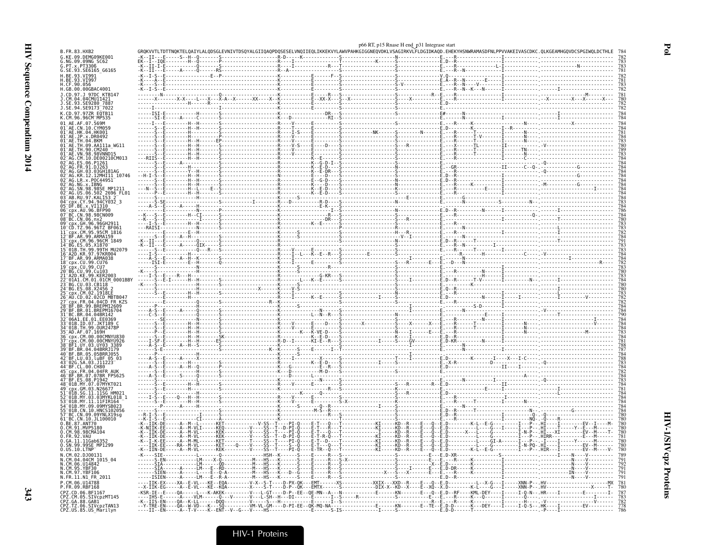|                                                                                            |  |  | p66 RT, p15 Rnase H end_p31 Integrase start |  |                                                                                                                                                                                                                                                                                                                                                                                                                                                                                                                                                                          |
|--------------------------------------------------------------------------------------------|--|--|---------------------------------------------|--|--------------------------------------------------------------------------------------------------------------------------------------------------------------------------------------------------------------------------------------------------------------------------------------------------------------------------------------------------------------------------------------------------------------------------------------------------------------------------------------------------------------------------------------------------------------------------|
| 3.FR.83.HXB2<br>KE.09.DEMG09KE001                                                          |  |  |                                             |  | GROKVVTLTDTTNOKTELOAIYLALQDSGLEVNIVTDSQYALGIIQAQPDQSESELVNQIIEQLIKKEKVYLAWVPAHKGIGGNEQVDKLVSAGIRKVLFLDGIDKAQD.EHEKYHSNWRAMASDFNLPPVVAKEIVASCDKC.QLKGEAMHGQVDCS                                                                                                                                                                                                                                                                                                                                                                                                           |
| NG.09.09NG SC62<br>PT.x.PT3306                                                             |  |  |                                             |  |                                                                                                                                                                                                                                                                                                                                                                                                                                                                                                                                                                          |
| SE.93.SE6165 G6165<br>BE.93.VI991                                                          |  |  |                                             |  |                                                                                                                                                                                                                                                                                                                                                                                                                                                                                                                                                                          |
| .BE.93.VĪ997<br>.CF.90.056                                                                 |  |  |                                             |  | $\begin{minipage}[t]{.000\textwidth} \includegraphics{ \begin{minipage}[t]{0.000\textwidth} \includegraphics{ \begin{minipage}[t]{0.000\textwidth} \includegraphics{ \begin{minipage}[t]{0.000\textwidth} \includegraphics{ \begin{minipage}[t]{0.000\textwidth} \includegraphics{ \begin{minipage}[t]{0.000\textwidth} \includegraphics{ \begin{minipage}[t]{0.000\textwidth} \includegraphics{ \begin{minipage}[t]{0.000\textwidth} \includegraphics{ \begin{minipage}[t]{0.000\textwidth} \includegraphics{ \begin{minipage}[t]{0.000\textwidth} \includegraphics{ \$ |
| .GB.00.00GBAC4001<br>CD.97.J 97DC KTB147                                                   |  |  |                                             |  |                                                                                                                                                                                                                                                                                                                                                                                                                                                                                                                                                                          |
| CM.04.04CMU11421<br>SE.93.SE9280 7887                                                      |  |  |                                             |  |                                                                                                                                                                                                                                                                                                                                                                                                                                                                                                                                                                          |
| SE.94.SE9173 7022                                                                          |  |  |                                             |  |                                                                                                                                                                                                                                                                                                                                                                                                                                                                                                                                                                          |
| CD.97.97ZR EQTB11<br>CM.96.96CM MP535                                                      |  |  |                                             |  |                                                                                                                                                                                                                                                                                                                                                                                                                                                                                                                                                                          |
| AE.AF.07.569M<br>"AE.CN.10.CYM059                                                          |  |  |                                             |  |                                                                                                                                                                                                                                                                                                                                                                                                                                                                                                                                                                          |
| 1 AE.HK.04.HK001<br>$\mathsf{A}\mathsf{E}.\mathsf{JP}.\mathsf{x}.\mathsf{D}\mathsf{R0492}$ |  |  |                                             |  |                                                                                                                                                                                                                                                                                                                                                                                                                                                                                                                                                                          |
| AE.TH.04.BKM<br>"AE.TH.09.AA111a WG1                                                       |  |  |                                             |  |                                                                                                                                                                                                                                                                                                                                                                                                                                                                                                                                                                          |
| 1 <sup>-</sup> AF TH 90 CM240<br>$1^-$ AE.VN.98.98VNND $15$                                |  |  |                                             |  |                                                                                                                                                                                                                                                                                                                                                                                                                                                                                                                                                                          |
| AG.CM.10.DE00210CM013<br>"AG.ES.06.P1261                                                   |  |  |                                             |  |                                                                                                                                                                                                                                                                                                                                                                                                                                                                                                                                                                          |
| $^-$ AG.FR.91.DJ263<br>AG.GH.03.03GH181AG                                                  |  |  |                                             |  |                                                                                                                                                                                                                                                                                                                                                                                                                                                                                                                                                                          |
| AG.KR.12.12MHI11 10746<br>"AG.LR.x.POC44951"                                               |  |  |                                             |  |                                                                                                                                                                                                                                                                                                                                                                                                                                                                                                                                                                          |
| AG.NG.X.IBNG<br>AG.SN.98.98SE MP1211                                                       |  |  |                                             |  |                                                                                                                                                                                                                                                                                                                                                                                                                                                                                                                                                                          |
| AG.US.06.502 2696 FL01<br>3 <sup>-</sup> AB.RU.97.KAL153                                   |  |  |                                             |  |                                                                                                                                                                                                                                                                                                                                                                                                                                                                                                                                                                          |
| cpx.CY.94.94CY032 3<br>DF.BE.x.VI1310                                                      |  |  |                                             |  |                                                                                                                                                                                                                                                                                                                                                                                                                                                                                                                                                                          |
| cpx.AU.96.BFP90"<br>BC.CN.98.98CN009                                                       |  |  |                                             |  |                                                                                                                                                                                                                                                                                                                                                                                                                                                                                                                                                                          |
| 8 BC.CN.06.nx2<br>$-cpx.GH.96.96GH2911$                                                    |  |  |                                             |  |                                                                                                                                                                                                                                                                                                                                                                                                                                                                                                                                                                          |
| "CD.TZ.96.96TZ BF061<br>cpx.CM.95.95CM 1816                                                |  |  |                                             |  |                                                                                                                                                                                                                                                                                                                                                                                                                                                                                                                                                                          |
| BF.AR.99.ARMA159<br>срх.CM.96.96CM 1849 <sup>-</sup>                                       |  |  |                                             |  |                                                                                                                                                                                                                                                                                                                                                                                                                                                                                                                                                                          |
| BG.ES.05.X1870<br>01B.TH.99.99TH MU2079                                                    |  |  |                                             |  |                                                                                                                                                                                                                                                                                                                                                                                                                                                                                                                                                                          |
| -A2D.KR.97.97KR004<br>-BF.AR.99.ARMA038                                                    |  |  |                                             |  |                                                                                                                                                                                                                                                                                                                                                                                                                                                                                                                                                                          |
| cpx.CU.99.CU76"<br>cpx.CU.99.CU7<br>BG.CU.99.Cu103                                         |  |  |                                             |  |                                                                                                                                                                                                                                                                                                                                                                                                                                                                                                                                                                          |
| A2D.KE.99.KER2003                                                                          |  |  |                                             |  |                                                                                                                                                                                                                                                                                                                                                                                                                                                                                                                                                                          |
| 01A1.CM.01.01CM 0001BBY<br>BG.CU.03.CB118                                                  |  |  |                                             |  |                                                                                                                                                                                                                                                                                                                                                                                                                                                                                                                                                                          |
| BG.ES.08.X2456<br>cpx.CM.02.1918EE                                                         |  |  |                                             |  |                                                                                                                                                                                                                                                                                                                                                                                                                                                                                                                                                                          |
| AU CD 02 02CD MBTB04.<br>CDX.FR.04.04CD FR KZS                                             |  |  |                                             |  |                                                                                                                                                                                                                                                                                                                                                                                                                                                                                                                                                                          |
| BF.BR.99.BREPM12609<br>BF.BR.01.BREPM16704                                                 |  |  |                                             |  |                                                                                                                                                                                                                                                                                                                                                                                                                                                                                                                                                                          |
| BC.BR.04.04BR142<br>06A1.EE.01.EE0369                                                      |  |  |                                             |  |                                                                                                                                                                                                                                                                                                                                                                                                                                                                                                                                                                          |
| 01B.ID.07.JKT189 C<br>01B.TH.99.OUR2478P"                                                  |  |  |                                             |  |                                                                                                                                                                                                                                                                                                                                                                                                                                                                                                                                                                          |
| $\mathsf{\scriptstyle{-A D.AF.07.169H}}$<br>cpx.CM.00.00CMNYU830                           |  |  |                                             |  |                                                                                                                                                                                                                                                                                                                                                                                                                                                                                                                                                                          |
| cpx.CM.00.00CMNYU926<br>BF1.UY.03.UY03 3389"                                               |  |  |                                             |  |                                                                                                                                                                                                                                                                                                                                                                                                                                                                                                                                                                          |
| BF.BR.04.04BRRJ179<br>0 BF.BR.05.05BRRJ055                                                 |  |  |                                             |  |                                                                                                                                                                                                                                                                                                                                                                                                                                                                                                                                                                          |
| ⊤BF.LU.03.luBF 05 03<br>702G.SA.03.J11223                                                  |  |  |                                             |  |                                                                                                                                                                                                                                                                                                                                                                                                                                                                                                                                                                          |
| BF.CL.00.CH80<br>cpx.FR.04.04FR AUK                                                        |  |  |                                             |  |                                                                                                                                                                                                                                                                                                                                                                                                                                                                                                                                                                          |
| BF.BR.07.07BR FPS625<br>BF.ES.08.P1942                                                     |  |  |                                             |  |                                                                                                                                                                                                                                                                                                                                                                                                                                                                                                                                                                          |
| 01B.MY.07.07MYKT021-<br>cpx.GM.03.N26677                                                   |  |  |                                             |  |                                                                                                                                                                                                                                                                                                                                                                                                                                                                                                                                                                          |
| 01B.SG.11.11SG HM02<br>01B.MY.03.03MYKL018                                                 |  |  |                                             |  |                                                                                                                                                                                                                                                                                                                                                                                                                                                                                                                                                                          |
| 01B.MY.11.11FIR164<br>01B.MY.09.09MYSB023                                                  |  |  |                                             |  |                                                                                                                                                                                                                                                                                                                                                                                                                                                                                                                                                                          |
| $01B$ .CN.10.HNCS102056<br>BC.CN.09.09YNLX19sg                                             |  |  |                                             |  |                                                                                                                                                                                                                                                                                                                                                                                                                                                                                                                                                                          |
| BC.CN.10.JL100010<br>BE.87.ANT70                                                           |  |  |                                             |  |                                                                                                                                                                                                                                                                                                                                                                                                                                                                                                                                                                          |
| .CM.91.MVP5180<br>.CM.98.98CMA104                                                          |  |  |                                             |  |                                                                                                                                                                                                                                                                                                                                                                                                                                                                                                                                                                          |
| <b>FR.92.VAU</b><br>,.GA.II.IIGab635                                                       |  |  |                                             |  |                                                                                                                                                                                                                                                                                                                                                                                                                                                                                                                                                                          |
| .SN.99.99SE MP1299<br>).US.10.LTNP <sup>-</sup>                                            |  |  |                                             |  |                                                                                                                                                                                                                                                                                                                                                                                                                                                                                                                                                                          |
| I.CM.02.DJ00131<br>$CM.04.04$ CM 1015_04                                                   |  |  |                                             |  |                                                                                                                                                                                                                                                                                                                                                                                                                                                                                                                                                                          |
| I.CM.06.U14842                                                                             |  |  |                                             |  |                                                                                                                                                                                                                                                                                                                                                                                                                                                                                                                                                                          |
| cm.95.YBF30<br>I.CM.95.YBF30<br>I.CM.97.YBF106<br>I.FR.11.N1_FR_2011                       |  |  |                                             |  |                                                                                                                                                                                                                                                                                                                                                                                                                                                                                                                                                                          |
| CM.06.U14788                                                                               |  |  |                                             |  |                                                                                                                                                                                                                                                                                                                                                                                                                                                                                                                                                                          |
| FR.09.RBF168<br>PZ.CD.06.BF1167                                                            |  |  |                                             |  |                                                                                                                                                                                                                                                                                                                                                                                                                                                                                                                                                                          |
| .PZ.CD.06.BPI107<br>PZ.CM.05.SIVcpzMT145<br>PZ.GA.88.GAB1<br>PZ.TZ.06.SIVcpzTAN13          |  |  |                                             |  |                                                                                                                                                                                                                                                                                                                                                                                                                                                                                                                                                                          |
| PZ.US.85.US_Marilyn:                                                                       |  |  |                                             |  |                                                                                                                                                                                                                                                                                                                                                                                                                                                                                                                                                                          |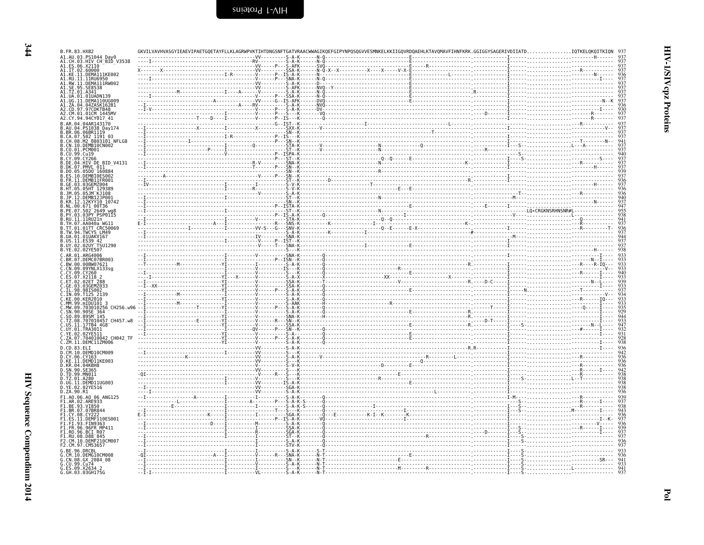| B.FR.83.HXB2<br>A1.AU.03.PS1044 Day0                                                                            |  | GKVILVAVHVASGYIEAEVIPAETGOETAYFLLKLAGRWPVKTIHTDNGSNFTGATVRAACWWAGIKOEFGIPYNPOSOGVVESMNKELKKIIGOVRDOAEHLKTAVOMAVFIHNFKRK.GGIGGYSAGERIVDIIATD.                                                                                                                                                                                                                                   |                                               |
|-----------------------------------------------------------------------------------------------------------------|--|--------------------------------------------------------------------------------------------------------------------------------------------------------------------------------------------------------------------------------------------------------------------------------------------------------------------------------------------------------------------------------|-----------------------------------------------|
| A1.CH.03.HIV CH BID V3538                                                                                       |  | $\begin{picture}(1,1) \put(0,0) {\put(0,0){\vector(1,0){15}} \put(0,0) {\put(0,0){\vector(1,0){15}} \put(0,0) {\put(0,0){\vector(1,0){15}} \put(0,0) {\put(0,0){\vector(1,0){15}} \put(0,0) {\put(0,0){\vector(1,0){15}} \put(0,0) {\put(0,0){\vector(1,0){15}} \put(0,0) {\put(0,0){\vector(1,0){15}} \put(0,0) {\put(0,0){\vector(1,0){15}} \put(0,0) {\put(0,0){\vector(1,$ |                                               |
| A1.ES.06.X2110<br>A1.IT.02.60000<br>A1.KE.11.DEMA111KE002<br>A1.RU.11.11RU6950                                  |  |                                                                                                                                                                                                                                                                                                                                                                                | $\frac{936}{937}$                             |
|                                                                                                                 |  |                                                                                                                                                                                                                                                                                                                                                                                | 937<br>937                                    |
| A1.RW.11.DEMA111RW002<br>A1.SE.95.SE8538<br>A1.TZ.01.A341                                                       |  |                                                                                                                                                                                                                                                                                                                                                                                |                                               |
| A1.UA.01.01UADN139<br>A1.UG.11.DEMA110UG009                                                                     |  |                                                                                                                                                                                                                                                                                                                                                                                |                                               |
| A1.ZA.04.04ZASK162B1<br>A2.CD.97.97CDKTB48<br>A2.CM.01.01CM 1445MV                                              |  |                                                                                                                                                                                                                                                                                                                                                                                | $\frac{930}{937}$                             |
| A2.CY.94.94CY017 41<br>B.AR.04.04AR143170                                                                       |  |                                                                                                                                                                                                                                                                                                                                                                                | 937                                           |
| B.AU.04.PS1038_Day174<br>B.BR.06.06BR1119                                                                       |  |                                                                                                                                                                                                                                                                                                                                                                                |                                               |
| B.CA.07.502 1191 03<br>B.CH.08.M2_0803101 NFLG8                                                                 |  |                                                                                                                                                                                                                                                                                                                                                                                |                                               |
| B.CN.10.DEMB10CN002<br>B.CO.01.PCM001                                                                           |  |                                                                                                                                                                                                                                                                                                                                                                                | 937<br>937<br>9341<br>937<br>937<br>940       |
| B.CU.99.Cu19<br>.CY.09.CY266                                                                                    |  |                                                                                                                                                                                                                                                                                                                                                                                |                                               |
| B.DE.04.HIV DE BID V4131<br>B.DK.07.PMVL 011                                                                    |  |                                                                                                                                                                                                                                                                                                                                                                                | 937<br>937<br>937                             |
| B.DO.05.05DO 160884<br>B.ES.10.DEMB10ES002                                                                      |  |                                                                                                                                                                                                                                                                                                                                                                                | $\frac{939}{937}$                             |
| B. FR. 11. DEMB11FR001<br>B.GE.03.03GEMZ004<br>B.HT.05.05HT 129389                                              |  |                                                                                                                                                                                                                                                                                                                                                                                | 936<br>937                                    |
| 051M K1108                                                                                                      |  |                                                                                                                                                                                                                                                                                                                                                                                | 936<br>936<br>936<br>940                      |
| B.JP.12.DEMB12JP001<br>B.KR.12.12KYY10_10742                                                                    |  |                                                                                                                                                                                                                                                                                                                                                                                |                                               |
| B.NL.00.671_00T36<br>B.PE.07.502 <sup>-</sup> 2649_wg8<br>B.PY.03.03PY_PSP0115<br>B.RU.11.11RU21n <sub></sub> . |  |                                                                                                                                                                                                                                                                                                                                                                                |                                               |
| .TH.07.AA040a WG11                                                                                              |  |                                                                                                                                                                                                                                                                                                                                                                                | 9384173653841733893933938                     |
| B.TT.01.01TT CRC50069<br>B.TW.94.TWCYS LM49                                                                     |  |                                                                                                                                                                                                                                                                                                                                                                                |                                               |
| B.UA.01.01UAKV167<br>B.US.11.ES39 42<br>B.UY.02.02UY TSU1290                                                    |  |                                                                                                                                                                                                                                                                                                                                                                                |                                               |
| B.YE.02.02YE507                                                                                                 |  |                                                                                                                                                                                                                                                                                                                                                                                |                                               |
| C.AR.01.ARG4006<br>C.BR.07.DEMC07BR003<br>.BW.00.00BW07621                                                      |  |                                                                                                                                                                                                                                                                                                                                                                                |                                               |
| .CN.09.09YNLX133sg<br>.CY.09.CY260                                                                              |  |                                                                                                                                                                                                                                                                                                                                                                                |                                               |
| C.ET.02.<br>.02ET 28                                                                                            |  |                                                                                                                                                                                                                                                                                                                                                                                | 933<br>933<br>940<br>933<br>933<br>933<br>933 |
| .GE.03<br>$.$ IL.98                                                                                             |  |                                                                                                                                                                                                                                                                                                                                                                                |                                               |
| IN.09.T125 2139<br>C.KE.00.KER2010                                                                              |  |                                                                                                                                                                                                                                                                                                                                                                                | 934<br>933<br>933<br>935<br>935<br>929        |
| C.MM.99.mIDU101 3<br>C.MW.09.703010256.CH256.w96<br>C.SN.90.90SE 364                                            |  |                                                                                                                                                                                                                                                                                                                                                                                |                                               |
| C.SO.89.89SMT145<br>C.TZ.08.707010457 CH457.w8                                                                  |  |                                                                                                                                                                                                                                                                                                                                                                                |                                               |
| C.US.11.17TB4 4G8<br>C.UY.01.TRA30I1                                                                            |  |                                                                                                                                                                                                                                                                                                                                                                                | $\frac{933}{947}$<br>$\frac{932}{931}$        |
| .02YE511<br>.ZA.07.704010042_CH042 TF                                                                           |  |                                                                                                                                                                                                                                                                                                                                                                                | $\frac{928}{938}$                             |
| C.ZM.11.DEMC11ZM006<br>D.CD.83.ELI                                                                              |  |                                                                                                                                                                                                                                                                                                                                                                                |                                               |
| D.CM.10.DEMD10CM009<br>D.CY.06.CY163                                                                            |  |                                                                                                                                                                                                                                                                                                                                                                                | 936<br>942<br>936                             |
| D.KE.11.DEMDĪ1KE003<br>D.KR.04.04KBH8                                                                           |  |                                                                                                                                                                                                                                                                                                                                                                                | 936<br>936<br>942<br>938                      |
| D.SN.90.SE365<br>D.TD.99.MN011                                                                                  |  |                                                                                                                                                                                                                                                                                                                                                                                |                                               |
| D.TZ.01.A280<br>D.UG.11.DEMD11UG003<br>D.YE.02.02YE516                                                          |  |                                                                                                                                                                                                                                                                                                                                                                                |                                               |
| D.ZA.90.R1                                                                                                      |  |                                                                                                                                                                                                                                                                                                                                                                                | 936                                           |
| F1.A0.06.A0 06 ANG125<br>F1.AR.02.ARE933<br>F1.BE.93.VI850                                                      |  |                                                                                                                                                                                                                                                                                                                                                                                | 939<br>937<br>938<br>943                      |
| F1.BR.07.07BR844<br>F1.CY.08.CY22                                                                               |  |                                                                                                                                                                                                                                                                                                                                                                                |                                               |
| F1.ES.11.DEMF110ES001<br>F1.FI.93.FIN9363                                                                       |  |                                                                                                                                                                                                                                                                                                                                                                                | 936<br>937                                    |
| F1.FR.96.96FR MP411<br>F1.RO.96.BCI R07                                                                         |  |                                                                                                                                                                                                                                                                                                                                                                                | 936<br>939<br>937<br>937                      |
| F1.RU.08.D88 <sup>-</sup> 845<br>F2.CM.10.DEMF210CM007                                                          |  |                                                                                                                                                                                                                                                                                                                                                                                | $\frac{936}{937}$                             |
| / F2.CM.97.CM5365<br>G.BE.96.DRCBL                                                                              |  |                                                                                                                                                                                                                                                                                                                                                                                |                                               |
|                                                                                                                 |  |                                                                                                                                                                                                                                                                                                                                                                                | $\frac{936}{941}$                             |
| G.CM.10.DEMG10CM008<br>G.CN.08.GX 2084_08<br>G.CU.99.Cu74<br>G.ES.09.X2634 2<br>G.GH.03.03GH175G                |  |                                                                                                                                                                                                                                                                                                                                                                                | $\frac{933}{941}$                             |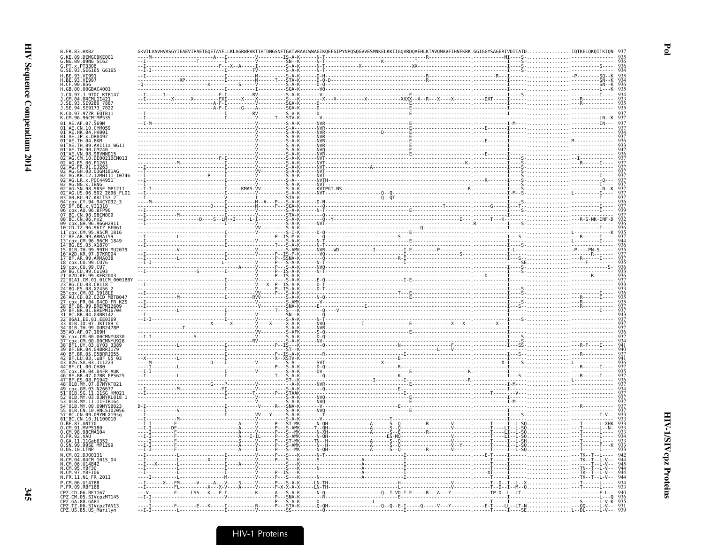| G.KE.09.DEMG09KE001<br>G.NG.09.09NG SC62<br>G.PT.x.PT3306                                |  |  |                                |
|------------------------------------------------------------------------------------------|--|--|--------------------------------|
| G.SE.93.SE6165_G6165                                                                     |  |  |                                |
| H.BE.93.VI991                                                                            |  |  |                                |
| H.CF.90.056<br>H.GB.00.00GBAC4001                                                        |  |  |                                |
| J.CD.97.J 97DC KTB147                                                                    |  |  |                                |
| 788<br>.94.SE9173 <sup>-</sup> 7022                                                      |  |  |                                |
| CD.97.97ZR EOTB11                                                                        |  |  |                                |
| .AF.07.569M                                                                              |  |  |                                |
| CN 10 CYM059<br>04.HK001                                                                 |  |  |                                |
| x.DR0492<br>AE.                                                                          |  |  |                                |
| 04.BKM<br>09.AA111a WG11                                                                 |  |  |                                |
| .TH.90.CM240<br>VN.98.98VNND15                                                           |  |  |                                |
| 10.DE00210CM01<br>06.P1261                                                               |  |  |                                |
| FR.91.DJ263<br>.03.03GH181AG<br>.12.12MHI11_10746                                        |  |  |                                |
| LR.x.POC44951-<br>NG.x.IBNG                                                              |  |  |                                |
|                                                                                          |  |  |                                |
| .98.98SE MP1211<br>.06.502 2696 FL01<br>.97.KAL153 2                                     |  |  |                                |
| x.VI1310                                                                                 |  |  |                                |
| .96.BFP96<br>CN.98.98CN009                                                               |  |  |                                |
| .06.nx2                                                                                  |  |  |                                |
| -ČD.TZ.96.96TZ BF061<br>-cpx.CM.95.95CM 1816                                             |  |  |                                |
| BF.AR.99.ARMA159<br>CM.96.96CM 1849                                                      |  |  |                                |
| 05.X1870                                                                                 |  |  |                                |
| 01B.TH.99.99TH MU2079<br>A2D.KR.97.97KR004                                               |  |  |                                |
| BF.AR.99.ARMA038<br>cpx.CU.99.CU76                                                       |  |  |                                |
| BG.CU.99.Cu103                                                                           |  |  |                                |
| .99.KER2003                                                                              |  |  |                                |
| 01A1.CM.01.01CM_0001BBY<br>BG.CU.03.CB118                                                |  |  |                                |
| CM.02.1918EI                                                                             |  |  |                                |
| ĀŪ.CD.02.02CD MBTB047<br>cpx.FR.04.04CD FR KZS<br>BF.BR.99.BREPM12609                    |  |  |                                |
|                                                                                          |  |  |                                |
| .BR.04.04BR142<br>06A1.EE.01.EE0369                                                      |  |  |                                |
| 01B.ID.07.JKT189<br>TH.99.0UR2478P                                                       |  |  |                                |
| CM 00 00CMNYU83                                                                          |  |  |                                |
| CM.00.00CMNYU926<br>BF1.UY.03.UY03 3389                                                  |  |  |                                |
| 04.04BRRJ179<br>05.05BRRJ055.                                                            |  |  |                                |
| <sup>-</sup> BF.LU.03.luBF 05_03<br><sup>-</sup> 02G.SA.03.J11223                        |  |  |                                |
| BF.CL.00.CH80<br>FR.04.04FR AUK                                                          |  |  |                                |
| BR.07.07BR FPS625<br>08.P1947                                                            |  |  |                                |
| MY.07.07MYKT021<br>GM.03.N2667                                                           |  |  |                                |
| SG.11.11SG<br>HM <sub>02</sub><br>MY.03.03MYKL018 1                                      |  |  |                                |
| 01B.MY.11.11FIR164<br>01B.MY.09.09MYSB023                                                |  |  |                                |
| CN.10.HNCS102056                                                                         |  |  |                                |
| BC.CN.09.09YNLX19sg                                                                      |  |  |                                |
| 61 <sup>-</sup> BC.CN.10.JL100010<br>O.BE.87.ANT70<br>O.CM.91.MVP5180                    |  |  |                                |
| 98.98CMA104<br>0.FR.92.VAU                                                               |  |  |                                |
| 11Gab6353<br>0.SN.99.99SE_MP1299                                                         |  |  |                                |
| 0.05.10. LTNP<br>CM.02.DJ00131                                                           |  |  |                                |
| 04.04CM 1015 04<br>CM.06.014842                                                          |  |  |                                |
| .CM.95.YBF30                                                                             |  |  |                                |
| N.FR.11.N1 FR 2011                                                                       |  |  |                                |
| P. CM. 06. 1114788<br>P.FR.09.RBF168                                                     |  |  |                                |
| PZ.CD.06.BF1167                                                                          |  |  |                                |
| CPZ.CM.05.SIVCpzMT145<br>CPZ.GA.88.GAB1<br>CPZ.TZ.06.SIVcpzTAN13<br>CPZ.US.85.US_Marilyn |  |  |                                |
|                                                                                          |  |  | . L - - DL - - - - - L - V - - |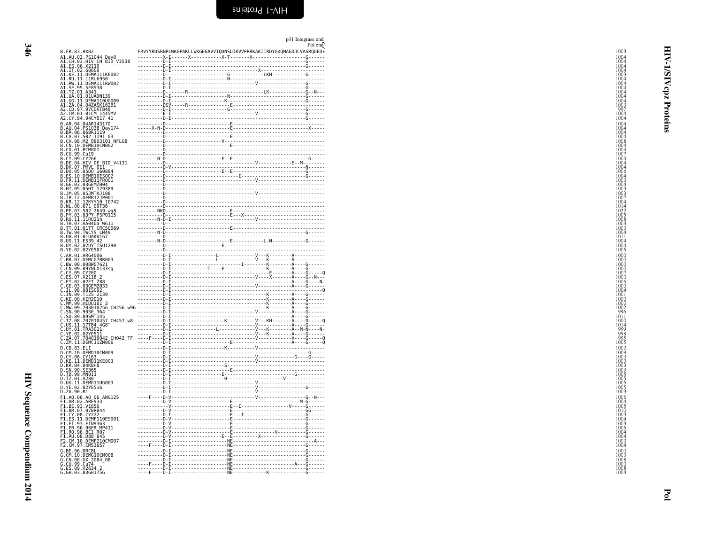|                                                                                                                                                                                                                                                        |                                                                                                                                                                                                                                                                                                                                                                                                                                                            | p31 Integrase end<br>Pol end |
|--------------------------------------------------------------------------------------------------------------------------------------------------------------------------------------------------------------------------------------------------------|------------------------------------------------------------------------------------------------------------------------------------------------------------------------------------------------------------------------------------------------------------------------------------------------------------------------------------------------------------------------------------------------------------------------------------------------------------|------------------------------|
| B.FR.83.HXB2                                                                                                                                                                                                                                           | FRVYYRDSRNPLWKGPAKLLWKGEGAVVIQDNSDIKVVPRRKAKIIRDYGKQMAGDDCVASRQDED*                                                                                                                                                                                                                                                                                                                                                                                        |                              |
| B. FR. 83. HXB2<br>A1. CH. 83. HYV CH-BID_V3538<br>A1. LE. 80. X2110<br>A1. LE. 80. X2110<br>A1. LE. 02. CO000<br>A1. LE. 02. CO000<br>A1. LE. 10. CO0000<br>A1. RU. 11. LEMATIRN092<br>A1. RU. 11. LEMATIRN092<br>A1. RU. 11. LEMATIRN092<br>A1.      |                                                                                                                                                                                                                                                                                                                                                                                                                                                            |                              |
|                                                                                                                                                                                                                                                        | $\begin{tabular}{ c c } \hline \multicolumn{3}{ c }{\hline \multicolumn{3}{ c }{\hline \multicolumn{3}{ c }{\hline \multicolumn{3}{ c }{\hline \multicolumn{3}{ c }{\hline \multicolumn{3}{ c }{\hline \multicolumn{3}{ c }{\hline \multicolumn{3}{ c }{\hline \multicolumn{3}{ c }{\hline \multicolumn{3}{ c }{\hline \multicolumn{3}{ c }{\hline \multicolumn{3}{ c }{\hline \multicolumn{3}{ c }{\hline \multicolumn{3}{ c }{\hline \multicolumn{3}{ c$ |                              |
|                                                                                                                                                                                                                                                        |                                                                                                                                                                                                                                                                                                                                                                                                                                                            |                              |
|                                                                                                                                                                                                                                                        |                                                                                                                                                                                                                                                                                                                                                                                                                                                            |                              |
|                                                                                                                                                                                                                                                        |                                                                                                                                                                                                                                                                                                                                                                                                                                                            |                              |
|                                                                                                                                                                                                                                                        |                                                                                                                                                                                                                                                                                                                                                                                                                                                            |                              |
|                                                                                                                                                                                                                                                        |                                                                                                                                                                                                                                                                                                                                                                                                                                                            |                              |
|                                                                                                                                                                                                                                                        |                                                                                                                                                                                                                                                                                                                                                                                                                                                            |                              |
|                                                                                                                                                                                                                                                        |                                                                                                                                                                                                                                                                                                                                                                                                                                                            |                              |
|                                                                                                                                                                                                                                                        |                                                                                                                                                                                                                                                                                                                                                                                                                                                            |                              |
|                                                                                                                                                                                                                                                        |                                                                                                                                                                                                                                                                                                                                                                                                                                                            |                              |
|                                                                                                                                                                                                                                                        |                                                                                                                                                                                                                                                                                                                                                                                                                                                            |                              |
|                                                                                                                                                                                                                                                        |                                                                                                                                                                                                                                                                                                                                                                                                                                                            |                              |
|                                                                                                                                                                                                                                                        |                                                                                                                                                                                                                                                                                                                                                                                                                                                            |                              |
|                                                                                                                                                                                                                                                        |                                                                                                                                                                                                                                                                                                                                                                                                                                                            |                              |
|                                                                                                                                                                                                                                                        |                                                                                                                                                                                                                                                                                                                                                                                                                                                            |                              |
|                                                                                                                                                                                                                                                        |                                                                                                                                                                                                                                                                                                                                                                                                                                                            |                              |
|                                                                                                                                                                                                                                                        |                                                                                                                                                                                                                                                                                                                                                                                                                                                            |                              |
|                                                                                                                                                                                                                                                        |                                                                                                                                                                                                                                                                                                                                                                                                                                                            |                              |
|                                                                                                                                                                                                                                                        |                                                                                                                                                                                                                                                                                                                                                                                                                                                            |                              |
|                                                                                                                                                                                                                                                        |                                                                                                                                                                                                                                                                                                                                                                                                                                                            |                              |
|                                                                                                                                                                                                                                                        |                                                                                                                                                                                                                                                                                                                                                                                                                                                            |                              |
| A2. CM, 01.01.012011<br>A2. CV, 94.94CY017 41<br>B.AR. 04.04.94CY017 41<br>B.AR. 04.04.951038<br>B.RU.04.951038<br>B.RU.04.951038<br>B.RU.04.951038<br>B.RU.04.951038<br>B.CM.06.9621119<br>B.CM.07.562<br>B.CM.07.99.CV266<br>B.CM.10.0EMB10CN001<br> |                                                                                                                                                                                                                                                                                                                                                                                                                                                            |                              |
|                                                                                                                                                                                                                                                        |                                                                                                                                                                                                                                                                                                                                                                                                                                                            |                              |
|                                                                                                                                                                                                                                                        |                                                                                                                                                                                                                                                                                                                                                                                                                                                            |                              |
|                                                                                                                                                                                                                                                        |                                                                                                                                                                                                                                                                                                                                                                                                                                                            |                              |
|                                                                                                                                                                                                                                                        |                                                                                                                                                                                                                                                                                                                                                                                                                                                            |                              |
|                                                                                                                                                                                                                                                        |                                                                                                                                                                                                                                                                                                                                                                                                                                                            |                              |
|                                                                                                                                                                                                                                                        |                                                                                                                                                                                                                                                                                                                                                                                                                                                            |                              |
|                                                                                                                                                                                                                                                        |                                                                                                                                                                                                                                                                                                                                                                                                                                                            |                              |
|                                                                                                                                                                                                                                                        |                                                                                                                                                                                                                                                                                                                                                                                                                                                            |                              |
|                                                                                                                                                                                                                                                        |                                                                                                                                                                                                                                                                                                                                                                                                                                                            |                              |
|                                                                                                                                                                                                                                                        |                                                                                                                                                                                                                                                                                                                                                                                                                                                            |                              |
|                                                                                                                                                                                                                                                        |                                                                                                                                                                                                                                                                                                                                                                                                                                                            |                              |
|                                                                                                                                                                                                                                                        |                                                                                                                                                                                                                                                                                                                                                                                                                                                            |                              |
|                                                                                                                                                                                                                                                        |                                                                                                                                                                                                                                                                                                                                                                                                                                                            |                              |
|                                                                                                                                                                                                                                                        |                                                                                                                                                                                                                                                                                                                                                                                                                                                            |                              |
|                                                                                                                                                                                                                                                        |                                                                                                                                                                                                                                                                                                                                                                                                                                                            |                              |
|                                                                                                                                                                                                                                                        |                                                                                                                                                                                                                                                                                                                                                                                                                                                            |                              |
|                                                                                                                                                                                                                                                        |                                                                                                                                                                                                                                                                                                                                                                                                                                                            |                              |
|                                                                                                                                                                                                                                                        |                                                                                                                                                                                                                                                                                                                                                                                                                                                            |                              |
|                                                                                                                                                                                                                                                        |                                                                                                                                                                                                                                                                                                                                                                                                                                                            |                              |
|                                                                                                                                                                                                                                                        |                                                                                                                                                                                                                                                                                                                                                                                                                                                            |                              |
|                                                                                                                                                                                                                                                        |                                                                                                                                                                                                                                                                                                                                                                                                                                                            |                              |
|                                                                                                                                                                                                                                                        |                                                                                                                                                                                                                                                                                                                                                                                                                                                            |                              |
|                                                                                                                                                                                                                                                        |                                                                                                                                                                                                                                                                                                                                                                                                                                                            |                              |
|                                                                                                                                                                                                                                                        |                                                                                                                                                                                                                                                                                                                                                                                                                                                            |                              |
| G.CM.10.DEMG10CM008<br>G.CN.08.GX 2084_08<br>G.CU.99.Cu74<br>G.ES.09.X2634_2<br>G.GH.03.03GH175G                                                                                                                                                       |                                                                                                                                                                                                                                                                                                                                                                                                                                                            |                              |
|                                                                                                                                                                                                                                                        |                                                                                                                                                                                                                                                                                                                                                                                                                                                            |                              |
|                                                                                                                                                                                                                                                        |                                                                                                                                                                                                                                                                                                                                                                                                                                                            |                              |

<span id="page-29-0"></span>HIV-1/SIV cpz Proteins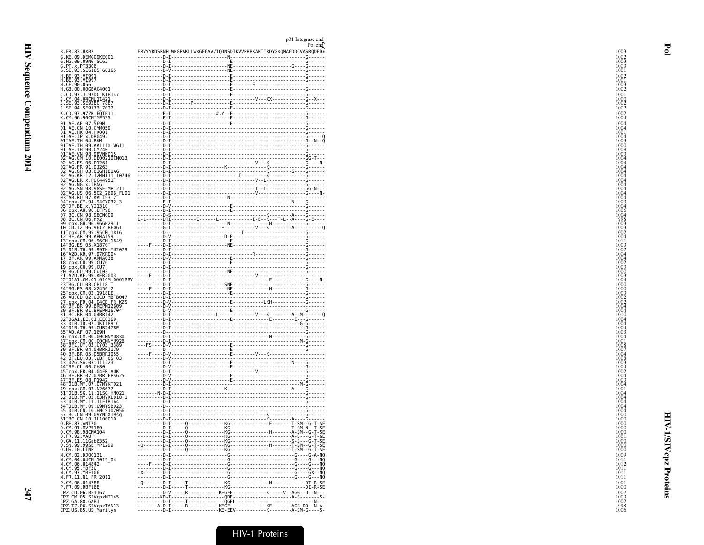| B.FR.83.HXB2                                                                                                                                                      |  | FRVYYRDSRNPLWKGPAKLLWKGEGAVVIQDNSDIKVVPRRKAKIIRDYGKQMAGDDCVASRQDED* |
|-------------------------------------------------------------------------------------------------------------------------------------------------------------------|--|---------------------------------------------------------------------|
| G.KE.09.DEMG09KE001                                                                                                                                               |  |                                                                     |
| G.NG.09.09NG SC62<br>G.PT.x.PT3306                                                                                                                                |  |                                                                     |
| G.SE.93.SE6165 G6165<br>H.BE.93.VI991                                                                                                                             |  |                                                                     |
| H.BE.93.VI997<br>H.BE.93.VI997<br>H.CF.90.056<br>H.GB.00.00GBAC4001                                                                                               |  |                                                                     |
|                                                                                                                                                                   |  |                                                                     |
| J.CD.97.J 97DC KTB147<br>J.CM.04.04CMU11421                                                                                                                       |  |                                                                     |
|                                                                                                                                                                   |  |                                                                     |
| J. ŠE. 93. ŠE9280 7887<br>J. SE. 94. SE9173 7022                                                                                                                  |  |                                                                     |
| K.CD.97.97ZR EQTB11<br>K.CM.96.96CM_MP535                                                                                                                         |  |                                                                     |
|                                                                                                                                                                   |  |                                                                     |
| 01 AE .AF .07 .569M<br>01 AE .CN .10 .CYM059<br>01 AE .HK .04 .HK001<br>01 AE .JP .x .DR0492<br>01 AE .JP .x .DR0492<br>01 -AE .TH .04 .BKM                       |  |                                                                     |
|                                                                                                                                                                   |  |                                                                     |
|                                                                                                                                                                   |  |                                                                     |
| 01-AE:TH:09.AA111a_WG11<br>01-AE:TH:09.AA111a_WG11<br>01-AE:TH:90.CM240<br>02-AG:CM:10.DE00210CM013                                                               |  |                                                                     |
|                                                                                                                                                                   |  |                                                                     |
|                                                                                                                                                                   |  |                                                                     |
|                                                                                                                                                                   |  |                                                                     |
|                                                                                                                                                                   |  |                                                                     |
|                                                                                                                                                                   |  |                                                                     |
|                                                                                                                                                                   |  |                                                                     |
|                                                                                                                                                                   |  |                                                                     |
|                                                                                                                                                                   |  |                                                                     |
|                                                                                                                                                                   |  |                                                                     |
|                                                                                                                                                                   |  |                                                                     |
|                                                                                                                                                                   |  |                                                                     |
|                                                                                                                                                                   |  |                                                                     |
|                                                                                                                                                                   |  |                                                                     |
|                                                                                                                                                                   |  |                                                                     |
|                                                                                                                                                                   |  |                                                                     |
| -018.-7.03.1970<br>-01B.TH.99.99TH MU2079<br>-A2D.KR.97.97KR004<br>-EPX.CU.99.CU76<br>-CPX.CU.99.CU76                                                             |  |                                                                     |
|                                                                                                                                                                   |  |                                                                     |
|                                                                                                                                                                   |  |                                                                     |
| – cpx.c0.99.c07<br>– BG.c0.99.c07<br>– BG.c0.99.c0103<br>– A2D.KE.99.KER2003<br>– 01A1.cM.01.01CM_0001BBY                                                         |  |                                                                     |
| BG.CU.03.CB118<br>BG.ES.08.X2456                                                                                                                                  |  |                                                                     |
|                                                                                                                                                                   |  |                                                                     |
| -00.15.100.42490<br>-AU.CD.02.02CD MBTB047<br>-AU.CD.02.02CD MBTB047<br>-BF.BR.99.BREPM12609<br>-BF.BR.99.BREPM16704<br>-BC.8R.04.04.BR1420<br>-BC.8R.04.04.BR420 |  |                                                                     |
|                                                                                                                                                                   |  |                                                                     |
|                                                                                                                                                                   |  |                                                                     |
|                                                                                                                                                                   |  |                                                                     |
|                                                                                                                                                                   |  |                                                                     |
|                                                                                                                                                                   |  |                                                                     |
|                                                                                                                                                                   |  |                                                                     |
|                                                                                                                                                                   |  |                                                                     |
|                                                                                                                                                                   |  |                                                                     |
|                                                                                                                                                                   |  |                                                                     |
|                                                                                                                                                                   |  |                                                                     |
|                                                                                                                                                                   |  |                                                                     |
|                                                                                                                                                                   |  |                                                                     |
|                                                                                                                                                                   |  |                                                                     |
|                                                                                                                                                                   |  |                                                                     |
|                                                                                                                                                                   |  |                                                                     |
|                                                                                                                                                                   |  |                                                                     |
| 01B.CN.10.HNCS102056<br>BC.CN.09.09YNLX19sg                                                                                                                       |  |                                                                     |
| BC.CN.10.JL100010                                                                                                                                                 |  |                                                                     |
| 0. BE.87. ANT70<br>0. CM.91. MVP5180<br>0. CM.98.98CMA104                                                                                                         |  |                                                                     |
|                                                                                                                                                                   |  |                                                                     |
| 0.FR.92.VAU<br>0.GA.11.11Gab6352<br>0.SN.99.99SE_MP1299                                                                                                           |  |                                                                     |
| $0.05.10.$ LTNP                                                                                                                                                   |  |                                                                     |
| N.CM.02.DJ00131<br>N.CM.04.04CM_1015_04                                                                                                                           |  |                                                                     |
|                                                                                                                                                                   |  |                                                                     |
| N.CM.06.U14842<br>N.CM.95.YBF30<br>N.CM.97.YBF106                                                                                                                 |  |                                                                     |
| N.FR.11.N1 FR 2011                                                                                                                                                |  |                                                                     |
| P.CM.06.U14788                                                                                                                                                    |  |                                                                     |
| P.FR.09.RBF168                                                                                                                                                    |  |                                                                     |
| CPZ.CD.06.BF1167<br>CPZ.CM.05.SIVCPZMT145                                                                                                                         |  | ---------D-V-----R----------KEGEE------------K-----V--AGG--D--N---  |
| CPZ.GA.88.GABI<br>CPZ.GA.88.GABI<br>CPZ.US.85.US_Marilyn                                                                                                          |  |                                                                     |
|                                                                                                                                                                   |  |                                                                     |
|                                                                                                                                                                   |  |                                                                     |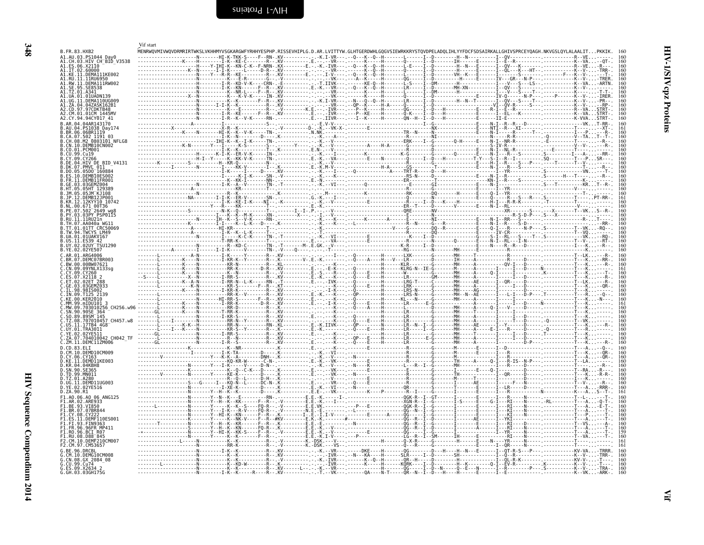<span id="page-31-0"></span>

| A1.CH.03.HIV CH BID V3538                                                                              |  |  |  |                                                                                                                                                                                                                                                                                                                                                                                                                                                         |  |
|--------------------------------------------------------------------------------------------------------|--|--|--|---------------------------------------------------------------------------------------------------------------------------------------------------------------------------------------------------------------------------------------------------------------------------------------------------------------------------------------------------------------------------------------------------------------------------------------------------------|--|
| A1.ES.06.X21I0<br>A1.IT.02.60000                                                                       |  |  |  |                                                                                                                                                                                                                                                                                                                                                                                                                                                         |  |
| A1.KE.11.DEMA111KE002<br>1.RU.11.11RU6950                                                              |  |  |  |                                                                                                                                                                                                                                                                                                                                                                                                                                                         |  |
| DEMA111RW002                                                                                           |  |  |  |                                                                                                                                                                                                                                                                                                                                                                                                                                                         |  |
|                                                                                                        |  |  |  |                                                                                                                                                                                                                                                                                                                                                                                                                                                         |  |
| UA.01.01UADN139                                                                                        |  |  |  |                                                                                                                                                                                                                                                                                                                                                                                                                                                         |  |
| <b>UG. 11. DEMA110UG009</b><br>04 047ASK162R1                                                          |  |  |  |                                                                                                                                                                                                                                                                                                                                                                                                                                                         |  |
| 97.97CDKTR48                                                                                           |  |  |  |                                                                                                                                                                                                                                                                                                                                                                                                                                                         |  |
| A2.CM.01.01CM 1445MV<br>A2.CY.94.94CY017 41                                                            |  |  |  |                                                                                                                                                                                                                                                                                                                                                                                                                                                         |  |
| B.AR.04.04AR143170                                                                                     |  |  |  |                                                                                                                                                                                                                                                                                                                                                                                                                                                         |  |
| .04.PS1038 Day174<br>06.06BR1119.                                                                      |  |  |  |                                                                                                                                                                                                                                                                                                                                                                                                                                                         |  |
| .502 1191 03<br>.M2_0803101_NFLG8<br>. 07                                                              |  |  |  |                                                                                                                                                                                                                                                                                                                                                                                                                                                         |  |
| . 08<br>.10.DEMB10CN002                                                                                |  |  |  |                                                                                                                                                                                                                                                                                                                                                                                                                                                         |  |
| .01.PCM001                                                                                             |  |  |  |                                                                                                                                                                                                                                                                                                                                                                                                                                                         |  |
| .99.Cu19                                                                                               |  |  |  |                                                                                                                                                                                                                                                                                                                                                                                                                                                         |  |
| DE.04.HIV DE BID V4131                                                                                 |  |  |  |                                                                                                                                                                                                                                                                                                                                                                                                                                                         |  |
| DK.07.PMVL 011<br>05D0 160884                                                                          |  |  |  |                                                                                                                                                                                                                                                                                                                                                                                                                                                         |  |
|                                                                                                        |  |  |  |                                                                                                                                                                                                                                                                                                                                                                                                                                                         |  |
|                                                                                                        |  |  |  |                                                                                                                                                                                                                                                                                                                                                                                                                                                         |  |
|                                                                                                        |  |  |  |                                                                                                                                                                                                                                                                                                                                                                                                                                                         |  |
| 12. DEMRT21P001                                                                                        |  |  |  |                                                                                                                                                                                                                                                                                                                                                                                                                                                         |  |
| .KR.12.12KYY10 10742                                                                                   |  |  |  |                                                                                                                                                                                                                                                                                                                                                                                                                                                         |  |
| NL.00.671 00T36<br>$07.502^-2649$ was                                                                  |  |  |  |                                                                                                                                                                                                                                                                                                                                                                                                                                                         |  |
| 03PY PSP0115                                                                                           |  |  |  |                                                                                                                                                                                                                                                                                                                                                                                                                                                         |  |
| 11.11RU71n<br>07 AA040a WG1                                                                            |  |  |  |                                                                                                                                                                                                                                                                                                                                                                                                                                                         |  |
| .01.01TT CRC50069                                                                                      |  |  |  |                                                                                                                                                                                                                                                                                                                                                                                                                                                         |  |
| TWCYS LM49<br>.01UAKV167                                                                               |  |  |  |                                                                                                                                                                                                                                                                                                                                                                                                                                                         |  |
| ES39 42                                                                                                |  |  |  |                                                                                                                                                                                                                                                                                                                                                                                                                                                         |  |
| $.02$ HY $-$ TSH1296<br>B.YE.02.02YE507                                                                |  |  |  |                                                                                                                                                                                                                                                                                                                                                                                                                                                         |  |
| ARG4006                                                                                                |  |  |  |                                                                                                                                                                                                                                                                                                                                                                                                                                                         |  |
| .DEMC07BR003                                                                                           |  |  |  |                                                                                                                                                                                                                                                                                                                                                                                                                                                         |  |
| 00BW07621<br>CN.09.09YNLX133sq                                                                         |  |  |  |                                                                                                                                                                                                                                                                                                                                                                                                                                                         |  |
|                                                                                                        |  |  |  |                                                                                                                                                                                                                                                                                                                                                                                                                                                         |  |
| .X2118                                                                                                 |  |  |  |                                                                                                                                                                                                                                                                                                                                                                                                                                                         |  |
|                                                                                                        |  |  |  |                                                                                                                                                                                                                                                                                                                                                                                                                                                         |  |
|                                                                                                        |  |  |  |                                                                                                                                                                                                                                                                                                                                                                                                                                                         |  |
|                                                                                                        |  |  |  |                                                                                                                                                                                                                                                                                                                                                                                                                                                         |  |
| CH256.w96                                                                                              |  |  |  |                                                                                                                                                                                                                                                                                                                                                                                                                                                         |  |
|                                                                                                        |  |  |  |                                                                                                                                                                                                                                                                                                                                                                                                                                                         |  |
| 89SM 145<br>TZ.08.707010457 CH457.w8                                                                   |  |  |  |                                                                                                                                                                                                                                                                                                                                                                                                                                                         |  |
| 17TR4 4G8                                                                                              |  |  |  |                                                                                                                                                                                                                                                                                                                                                                                                                                                         |  |
| 01 TRA3011                                                                                             |  |  |  |                                                                                                                                                                                                                                                                                                                                                                                                                                                         |  |
| $.704010042$ CH042 TF                                                                                  |  |  |  |                                                                                                                                                                                                                                                                                                                                                                                                                                                         |  |
| .ZM.11.DEMC11ZM006<br>83 FLT                                                                           |  |  |  |                                                                                                                                                                                                                                                                                                                                                                                                                                                         |  |
| 10.DEMD10CM009                                                                                         |  |  |  |                                                                                                                                                                                                                                                                                                                                                                                                                                                         |  |
| 06.CY163<br>.DEMD11KE003                                                                               |  |  |  |                                                                                                                                                                                                                                                                                                                                                                                                                                                         |  |
| .04KBH8                                                                                                |  |  |  |                                                                                                                                                                                                                                                                                                                                                                                                                                                         |  |
| .99.MN011                                                                                              |  |  |  |                                                                                                                                                                                                                                                                                                                                                                                                                                                         |  |
| 01.A280                                                                                                |  |  |  |                                                                                                                                                                                                                                                                                                                                                                                                                                                         |  |
| D.UG.11.DEMD11UG003<br>02.02YE516                                                                      |  |  |  |                                                                                                                                                                                                                                                                                                                                                                                                                                                         |  |
| D.ZA.90.R1                                                                                             |  |  |  |                                                                                                                                                                                                                                                                                                                                                                                                                                                         |  |
| .AO.06.AO 06 ANG125<br>02.ARE933                                                                       |  |  |  |                                                                                                                                                                                                                                                                                                                                                                                                                                                         |  |
| BE.93.VI850                                                                                            |  |  |  |                                                                                                                                                                                                                                                                                                                                                                                                                                                         |  |
| 07.07BR844                                                                                             |  |  |  |                                                                                                                                                                                                                                                                                                                                                                                                                                                         |  |
|                                                                                                        |  |  |  |                                                                                                                                                                                                                                                                                                                                                                                                                                                         |  |
|                                                                                                        |  |  |  |                                                                                                                                                                                                                                                                                                                                                                                                                                                         |  |
| .BCI R07                                                                                               |  |  |  |                                                                                                                                                                                                                                                                                                                                                                                                                                                         |  |
| $-1.$ RU.08.D88 $-845$<br>2.CM.10.DEMF210CM00                                                          |  |  |  |                                                                                                                                                                                                                                                                                                                                                                                                                                                         |  |
|                                                                                                        |  |  |  |                                                                                                                                                                                                                                                                                                                                                                                                                                                         |  |
|                                                                                                        |  |  |  |                                                                                                                                                                                                                                                                                                                                                                                                                                                         |  |
|                                                                                                        |  |  |  |                                                                                                                                                                                                                                                                                                                                                                                                                                                         |  |
|                                                                                                        |  |  |  |                                                                                                                                                                                                                                                                                                                                                                                                                                                         |  |
| F2.CM.97.CM53657<br>96 DRCRI<br>.10.DEMG10CM008<br>CN.08.GX_2084_08<br>G.CU.99.Cu74<br>G.ES.09.X2634 2 |  |  |  | $\begin{bmatrix} \textbf{1}_{\textbf{0}} & \textbf{2}_{\textbf{0}} & \textbf{3}_{\textbf{0}} & \textbf{4}_{\textbf{0}} & \textbf{5}_{\textbf{0}} & \textbf{6}_{\textbf{0}} & \textbf{7}_{\textbf{0}} & \textbf{8}_{\textbf{0}} & \textbf{9}_{\textbf{0}} & \textbf{9}_{\textbf{0}} & \textbf{10}_{\textbf{0}} & \textbf{10}_{\textbf{0}} & \textbf{10}_{\textbf{0}} & \textbf{10}_{\textbf{0}} & \textbf{10}_{\textbf{0}} & \textbf{10}_{\textbf{0}} &$ |  |

<span id="page-31-1"></span>Vif start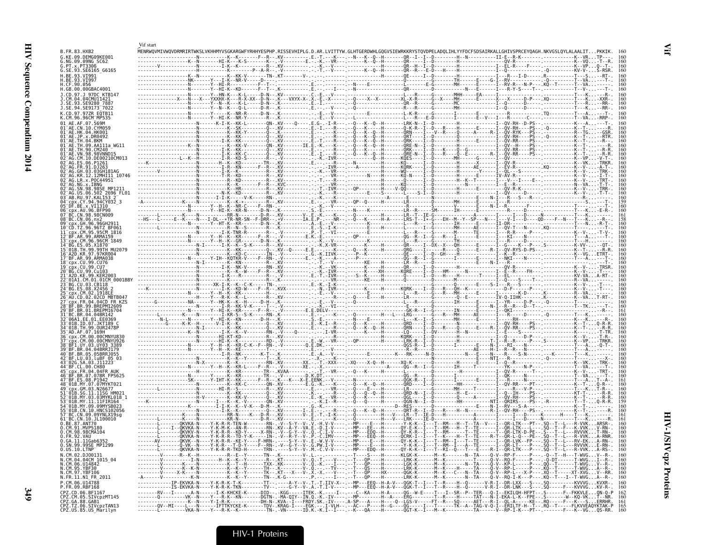|                                                                                                                  | Vif start |  |                                                                                                                                                                                                                                                                                                                     |  |          |
|------------------------------------------------------------------------------------------------------------------|-----------|--|---------------------------------------------------------------------------------------------------------------------------------------------------------------------------------------------------------------------------------------------------------------------------------------------------------------------|--|----------|
| B.FR.83.HXB2<br>G.KE.09.DEMG09KE001                                                                              |           |  |                                                                                                                                                                                                                                                                                                                     |  |          |
| G.NG.09.09NG SC62<br>G. PT. x. PT3306                                                                            |           |  |                                                                                                                                                                                                                                                                                                                     |  |          |
| G.SE.93.SE6165 G6165                                                                                             |           |  |                                                                                                                                                                                                                                                                                                                     |  |          |
| .93.VI99.<br>H.CE.90.056                                                                                         |           |  |                                                                                                                                                                                                                                                                                                                     |  |          |
| H.GB.00.00GBAC4001                                                                                               |           |  |                                                                                                                                                                                                                                                                                                                     |  |          |
| J.CD.97.J 97DC KTB147<br>.CM.04.04CMU11421                                                                       |           |  |                                                                                                                                                                                                                                                                                                                     |  |          |
| SE.93.SE9280 7887<br>J.SE.94.SE9173 <sup>-</sup> 7022                                                            |           |  |                                                                                                                                                                                                                                                                                                                     |  |          |
| K.CD.97.97ZR EOTB11<br>K.CM.96.96CM MP535                                                                        |           |  |                                                                                                                                                                                                                                                                                                                     |  |          |
|                                                                                                                  |           |  |                                                                                                                                                                                                                                                                                                                     |  |          |
|                                                                                                                  |           |  |                                                                                                                                                                                                                                                                                                                     |  |          |
|                                                                                                                  |           |  |                                                                                                                                                                                                                                                                                                                     |  |          |
|                                                                                                                  |           |  |                                                                                                                                                                                                                                                                                                                     |  |          |
|                                                                                                                  |           |  |                                                                                                                                                                                                                                                                                                                     |  |          |
|                                                                                                                  |           |  |                                                                                                                                                                                                                                                                                                                     |  |          |
| 12MHI11 10746                                                                                                    |           |  |                                                                                                                                                                                                                                                                                                                     |  |          |
|                                                                                                                  |           |  |                                                                                                                                                                                                                                                                                                                     |  |          |
| 06.502 2696 FL01                                                                                                 |           |  |                                                                                                                                                                                                                                                                                                                     |  |          |
|                                                                                                                  |           |  |                                                                                                                                                                                                                                                                                                                     |  |          |
| 05 DF.BE.x.VI1310                                                                                                |           |  |                                                                                                                                                                                                                                                                                                                     |  |          |
|                                                                                                                  |           |  |                                                                                                                                                                                                                                                                                                                     |  |          |
| GH 96 96GH                                                                                                       |           |  |                                                                                                                                                                                                                                                                                                                     |  |          |
| 95CM 1816                                                                                                        |           |  |                                                                                                                                                                                                                                                                                                                     |  |          |
| CM.96.96CM 1849                                                                                                  |           |  |                                                                                                                                                                                                                                                                                                                     |  |          |
|                                                                                                                  |           |  |                                                                                                                                                                                                                                                                                                                     |  |          |
| .KR.97.97KR004<br>99.ARMA038                                                                                     |           |  |                                                                                                                                                                                                                                                                                                                     |  |          |
|                                                                                                                  |           |  |                                                                                                                                                                                                                                                                                                                     |  |          |
| 99.Cu103                                                                                                         |           |  |                                                                                                                                                                                                                                                                                                                     |  |          |
|                                                                                                                  |           |  |                                                                                                                                                                                                                                                                                                                     |  |          |
|                                                                                                                  |           |  |                                                                                                                                                                                                                                                                                                                     |  |          |
| cpx.FR.04.04CD FR KZ9                                                                                            |           |  |                                                                                                                                                                                                                                                                                                                     |  |          |
|                                                                                                                  |           |  |                                                                                                                                                                                                                                                                                                                     |  |          |
|                                                                                                                  |           |  |                                                                                                                                                                                                                                                                                                                     |  |          |
| 01B TD 07 1KT189 C                                                                                               |           |  |                                                                                                                                                                                                                                                                                                                     |  |          |
| 99.OUR2478P                                                                                                      |           |  |                                                                                                                                                                                                                                                                                                                     |  |          |
|                                                                                                                  |           |  |                                                                                                                                                                                                                                                                                                                     |  |          |
|                                                                                                                  |           |  |                                                                                                                                                                                                                                                                                                                     |  |          |
| 05.05BRR1055<br>BF.LU.03.luBF 05 03                                                                              |           |  |                                                                                                                                                                                                                                                                                                                     |  |          |
|                                                                                                                  |           |  |                                                                                                                                                                                                                                                                                                                     |  |          |
| FR 04 04FR AIIH                                                                                                  |           |  |                                                                                                                                                                                                                                                                                                                     |  |          |
|                                                                                                                  |           |  |                                                                                                                                                                                                                                                                                                                     |  |          |
|                                                                                                                  |           |  |                                                                                                                                                                                                                                                                                                                     |  |          |
|                                                                                                                  |           |  |                                                                                                                                                                                                                                                                                                                     |  |          |
| N 10 HNCS10205                                                                                                   |           |  |                                                                                                                                                                                                                                                                                                                     |  |          |
| 10.JL100010                                                                                                      |           |  |                                                                                                                                                                                                                                                                                                                     |  |          |
| BE.87.ANT70<br>.CM.91.MVP5186                                                                                    |           |  |                                                                                                                                                                                                                                                                                                                     |  |          |
| ).CM.98.98CMA104<br>.FR.92.VAU                                                                                   |           |  | .QKVKA-N----Y-K-R-R--TD-Y-K-----IN-.-V--R-Y--V-.P.-C.IMV----. --MP---EEQ--H------QCRK-I--I---T--K----H--T--TE----R--T--QR-L-Q---PE--.SQ--T--L---R-VVKA-RNR                                                                                                                                                          |  |          |
| <u>U.GA.II.IIGab633</u>                                                                                          |           |  |                                                                                                                                                                                                                                                                                                                     |  |          |
| 0.SN.99.99SE_MP1299<br>0.05.10. LTNP                                                                             |           |  | -------L-------QKVKA-N----Y-K-R-R-TKD-H------TRN-.----S-Y--V-.M.-C.V-V----. --MP---EDQ--H------QY-K-K--I---RI--Q--T---E---R-I--QR-LTK---P--- SQ--T--L---R-VVKA-RS-. 16                                                                                                                                              |  | 16       |
| N.CM.02.D00131<br>N.CM.04.04CM 1015_04<br>N.CM.06.U14842<br>N.CM.05.YBF30<br>N.CM.95.YBF30<br>N.FR.11.N1_FR_2011 |           |  | $\frac{1}{1}$ $\frac{1}{1}$ $\frac{1}{1}$ $\frac{1}{1}$ $\frac{1}{1}$ $\frac{1}{1}$ $\frac{1}{1}$ $\frac{1}{1}$ $\frac{1}{1}$ $\frac{1}{1}$ $\frac{1}{1}$ $\frac{1}{1}$ $\frac{1}{1}$ $\frac{1}{1}$ $\frac{1}{1}$ $\frac{1}{1}$ $\frac{1}{1}$ $\frac{1}{1}$ $\frac{1}{1}$ $\frac{1}{1}$ $\frac{1}{1}$ $\frac{1}{1}$ |  |          |
|                                                                                                                  |           |  |                                                                                                                                                                                                                                                                                                                     |  |          |
|                                                                                                                  |           |  |                                                                                                                                                                                                                                                                                                                     |  | 16<br>16 |
| P.CM.06.U14788                                                                                                   |           |  | -------------IP-EKVKA-N----Y-K-R-K-T-K--------TT--.----A-Y--V-.T.-T.IIV-X--.--MP---EEQ--H-A-V---QGK-T--I---T--R----H--Q------V-R-I--DR-LXX---S---.SQ----------KVVVGKVXR-.                                                                                                                                           |  |          |
| P.FR.09.RBF168                                                                                                   |           |  | ------------IS-EKVKA-N----Y-K-R-K-TKN--------TV--.----G-Y--V-.A.-T.I-V----.--MP---EEQ--H-A-V---QGK-T--I---T--R----H--Q------V-R-I--DR-LNK---S---.SQ-----F---KVVVGKV-R-.                                                                                                                                             |  |          |
| CPZ.CD.06.BF1167<br>CPZ.CM.05.SIVcpzMT145<br>CPZ.GA.88.GAB1<br>CPZ.TZ.06.SIVcpzTAN13                             |           |  |                                                                                                                                                                                                                                                                                                                     |  |          |
| CPZ.US.85.US Marilyn                                                                                             |           |  |                                                                                                                                                                                                                                                                                                                     |  |          |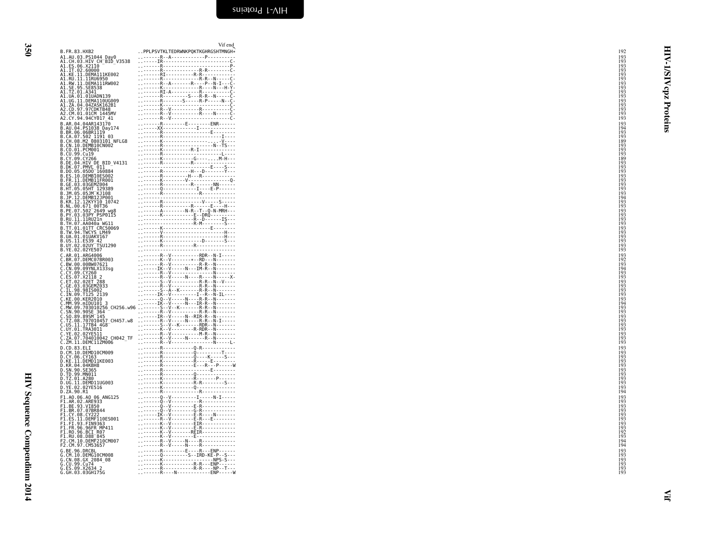HIV Sequence Compendium 2014 HIV Sequence Compendium 2014

<span id="page-33-0"></span>

|                                                                                           | Vif end                                                                                                                                                                                                                                                                                                                                                                                                                                              |                                        |             |
|-------------------------------------------------------------------------------------------|------------------------------------------------------------------------------------------------------------------------------------------------------------------------------------------------------------------------------------------------------------------------------------------------------------------------------------------------------------------------------------------------------------------------------------------------------|----------------------------------------|-------------|
| B.FR.83.HXB2                                                                              | PPLPSVTKLTEDRWNKPQKTKGHRGSHTMNGH*                                                                                                                                                                                                                                                                                                                                                                                                                    | 192<br>193                             |             |
| A1.AU.03.PS1044_Day0<br>A1.CH.03.HIV CH_BID_V3538<br>A1.ES.06.X2110<br>A1.IT.02.60000     |                                                                                                                                                                                                                                                                                                                                                                                                                                                      | 193                                    | ₹           |
|                                                                                           |                                                                                                                                                                                                                                                                                                                                                                                                                                                      | 193                                    |             |
| A1.KE.11.DEMA111KE002                                                                     |                                                                                                                                                                                                                                                                                                                                                                                                                                                      | 193<br>193<br>193<br>193               |             |
| A1.RU.11.11RU6950<br>A1.RW.11.DEMA111RW002<br>A1.SE.95.SE8538                             |                                                                                                                                                                                                                                                                                                                                                                                                                                                      |                                        | <b>AIST</b> |
| A1.TZ.01.A341                                                                             |                                                                                                                                                                                                                                                                                                                                                                                                                                                      | 193<br>193                             | zdo         |
| A1.UA.01.01UADN139                                                                        |                                                                                                                                                                                                                                                                                                                                                                                                                                                      |                                        |             |
| A1.UG.11.DEMA110UG009<br>A1.ZA.04.04ZASK162B1                                             |                                                                                                                                                                                                                                                                                                                                                                                                                                                      | 193<br>193<br>193<br>193               |             |
| A2.CD.97.97CDKTB48<br>A2.CM.01.01CM 1445MV                                                |                                                                                                                                                                                                                                                                                                                                                                                                                                                      | 193                                    |             |
| A2.CY.94.94CY017 41                                                                       |                                                                                                                                                                                                                                                                                                                                                                                                                                                      | 193                                    | Proteins    |
| B.AR.04.04AR143170<br>B.AU.04.PS1038 Day174                                               |                                                                                                                                                                                                                                                                                                                                                                                                                                                      | 193<br>194                             |             |
| B.BR.06.06BRI119<br>B.CA.07.502 1191 03                                                   |                                                                                                                                                                                                                                                                                                                                                                                                                                                      | $^{193}_{193}$                         |             |
| B.CH.08.M2 0803101 NFLG8                                                                  |                                                                                                                                                                                                                                                                                                                                                                                                                                                      | 189                                    |             |
| B.CN.10.DEMB10CN002<br>B.CO.01.PCM001                                                     |                                                                                                                                                                                                                                                                                                                                                                                                                                                      | 193                                    |             |
| B.CU.99.Cu19                                                                              |                                                                                                                                                                                                                                                                                                                                                                                                                                                      | 193<br>193<br>189<br>193               |             |
| B.CY.09.CY266<br>B.DE.04.HIV DE BID_V4131<br>B.DK.07.PMVL_011                             |                                                                                                                                                                                                                                                                                                                                                                                                                                                      |                                        |             |
| B.DO.05.05D0 160884                                                                       |                                                                                                                                                                                                                                                                                                                                                                                                                                                      | 193<br>193                             |             |
| B.ES.10.DEMB10ES002                                                                       |                                                                                                                                                                                                                                                                                                                                                                                                                                                      | 193                                    |             |
| B.FR.11.DEMB11FR001<br>B.GE.03.03GEMZ004                                                  |                                                                                                                                                                                                                                                                                                                                                                                                                                                      | 193<br>193<br>193<br>193               |             |
|                                                                                           |                                                                                                                                                                                                                                                                                                                                                                                                                                                      |                                        |             |
| B.HT.05.05HT 129389<br>B.JM.05.05JM KJ108<br>B.JP.12.DEMBI2JP001<br>B.KR.12.12KYY10_10742 |                                                                                                                                                                                                                                                                                                                                                                                                                                                      | i 94                                   |             |
|                                                                                           | $\begin{minipage}{0.99\textwidth} \begin{tabular}{ c c c } \hline \multicolumn{3}{ c }{\textbf{R}} & \multicolumn{3}{ c }{\textbf{R}} & \multicolumn{3}{ c }{\textbf{R}} & \multicolumn{3}{ c }{\textbf{R}} & \multicolumn{3}{ c }{\textbf{R}} & \multicolumn{3}{ c }{\textbf{R}} & \multicolumn{3}{ c }{\textbf{R}} & \multicolumn{3}{ c }{\textbf{R}} & \multicolumn{3}{ c }{\textbf{R}} & \multicolumn{3}{ c }{\textbf{R}} & \multicolumn{3}{ $   | 193                                    |             |
| B.NL.00.671 00T36<br>B.PE.07.502 2649 wg8<br>B.PY.03.03PY PSP0115                         | $\begin{minipage}{0.99\textwidth} \begin{tabular}{ c c c } \hline & \multicolumn{3}{ c }{0.99\textwidth} & \multicolumn{3}{ c }{0.99\textwidth} & \multicolumn{3}{ c }{0.99\textwidth} & \multicolumn{3}{ c }{0.99\textwidth} & \multicolumn{3}{ c }{0.99\textwidth} & \multicolumn{3}{ c }{0.99\textwidth} & \multicolumn{3}{ c }{0.99\textwidth} & \multicolumn{3}{ c }{0.99\textwidth} & \multicolumn{3}{ c }{0.99\textwidth} & \multicolumn{3}{$ | 193<br>193<br>193<br>193<br>193        |             |
| B.RU.11.11RU21n                                                                           |                                                                                                                                                                                                                                                                                                                                                                                                                                                      |                                        |             |
| B.TH.07.AA040a WG11<br>B.TT.01.01TT CRC50069                                              |                                                                                                                                                                                                                                                                                                                                                                                                                                                      | 193                                    |             |
| B.TW.94.TWCYS LM49<br>B.UA.01.01UAKV167                                                   |                                                                                                                                                                                                                                                                                                                                                                                                                                                      | 193<br>193<br>193<br>193               |             |
| B.US.11.ES39 42<br>B.UY.02.02UY TSU1290                                                   |                                                                                                                                                                                                                                                                                                                                                                                                                                                      |                                        |             |
| B.YE.02.02YE507                                                                           |                                                                                                                                                                                                                                                                                                                                                                                                                                                      | 193                                    |             |
| C.AR.01.ARG4006<br>C.BR.07.DEMC07BR003                                                    | R--V---------RDR--N-I-----                                                                                                                                                                                                                                                                                                                                                                                                                           |                                        |             |
| C.BW.00.00BW07621                                                                         |                                                                                                                                                                                                                                                                                                                                                                                                                                                      | 193<br>192<br>193<br>194<br>193<br>193 |             |
| C.CN.09.09YNLX133sg                                                                       |                                                                                                                                                                                                                                                                                                                                                                                                                                                      |                                        |             |
| C.CY.09.CY260<br>C.ES.07.X2118 2<br>C.ET.02.02ET 288<br>C.GE.03.03GEMZ033                 |                                                                                                                                                                                                                                                                                                                                                                                                                                                      |                                        |             |
|                                                                                           | R--V----------R-R--N-------                                                                                                                                                                                                                                                                                                                                                                                                                          | 193                                    |             |
|                                                                                           | C. EL. 98. 9815062<br>C. IL. 98. 9815062<br>C. IL. 99. 9815062<br>C. Ne. 99. IL. 199. 9815062<br>C. Ne. 99. IL. 199. 9815062<br>C. Ne. 99. 1001101 3<br>C. SN. 99. 99810256 CH256. w96<br>C. SN. 90. 9982. 364<br>C. SN. 90. 9982. 364<br>C. SN.                                                                                                                                                                                                     | 193<br>193<br>193<br>193               |             |
|                                                                                           |                                                                                                                                                                                                                                                                                                                                                                                                                                                      |                                        |             |
|                                                                                           |                                                                                                                                                                                                                                                                                                                                                                                                                                                      | $\frac{194}{193}$                      |             |
| $C.S0.\overline{89}.895M-145$                                                             | - - - - - IR - - V - - - - - N - - RIR - R - - N - - - - - - -                                                                                                                                                                                                                                                                                                                                                                                       | 193<br>193<br>193                      |             |
| C.TZ.08.707010457 CH457.w8                                                                |                                                                                                                                                                                                                                                                                                                                                                                                                                                      |                                        |             |
| C.US.11.17TB4 4G8<br>C.UY.01.TRA3011                                                      |                                                                                                                                                                                                                                                                                                                                                                                                                                                      | 193<br>193<br>193                      |             |
|                                                                                           |                                                                                                                                                                                                                                                                                                                                                                                                                                                      | 193                                    |             |
| C.YE.02.02YE511<br>C.ZA.07.704010042 CH042_TF<br>C.ZM.11.DEMC11ZM006                      |                                                                                                                                                                                                                                                                                                                                                                                                                                                      | 193                                    |             |
| D.CD.83.ELI<br>D.CM.10.DEMD10CM009                                                        | R Q-R                                                                                                                                                                                                                                                                                                                                                                                                                                                | 193                                    |             |
|                                                                                           |                                                                                                                                                                                                                                                                                                                                                                                                                                                      | 193<br>193<br>193                      |             |
| D.CY.06.CY163<br>D.KE.11.DEMD11KE003<br>D.KR.04.04KBH8                                    |                                                                                                                                                                                                                                                                                                                                                                                                                                                      | 193                                    |             |
| D.SN.90.SE365<br>D.TD.99.MN011                                                            |                                                                                                                                                                                                                                                                                                                                                                                                                                                      | 193<br>193<br>193<br>193<br>193        |             |
| D.TZ.01.A280                                                                              |                                                                                                                                                                                                                                                                                                                                                                                                                                                      |                                        |             |
| D.UG.11.DEMD11UG003<br>D.YE.02.02YE516<br>D.ZA.90.R1                                      |                                                                                                                                                                                                                                                                                                                                                                                                                                                      |                                        |             |
| F1.A0.06.A0 06 ANG125                                                                     | 0. V I N - I                                                                                                                                                                                                                                                                                                                                                                                                                                         | 194<br>193                             |             |
| F1.AR.02.ARE933                                                                           |                                                                                                                                                                                                                                                                                                                                                                                                                                                      |                                        |             |
| F1.BE.93.VI850<br>F1.BR.07.07BR844                                                        |                                                                                                                                                                                                                                                                                                                                                                                                                                                      | 193<br>193<br>193<br>193               |             |
| F1.CY.08.CY222<br>F1.ES.11.DEMF110ES001                                                   |                                                                                                                                                                                                                                                                                                                                                                                                                                                      | i 93                                   |             |
| F1.FI.93.FIN9363                                                                          | K - - V - - - - - - - - EIR - - - - - - - - - - -                                                                                                                                                                                                                                                                                                                                                                                                    | 193                                    |             |
| F1.FR.96.96FR MP411<br>F1.R0.96.BCI R07                                                   | K--V-------REIR------------                                                                                                                                                                                                                                                                                                                                                                                                                          | 193<br>192<br>193                      |             |
| F1.RU.08.D88-845<br>F1.RU.08.D88-845<br>F2.CM.10.DEMF210CM007<br>F2.CM.97.CM53657         |                                                                                                                                                                                                                                                                                                                                                                                                                                                      | 194                                    |             |
|                                                                                           |                                                                                                                                                                                                                                                                                                                                                                                                                                                      | <i>i</i> <sup>94</sup>                 |             |
| G.BE.96.DRCBL<br>G. CM. 10. DEMG10CM008                                                   | R E R  ENP                                                                                                                                                                                                                                                                                                                                                                                                                                           | 193                                    |             |
| G. CN. 08. GX 2084 08                                                                     |                                                                                                                                                                                                                                                                                                                                                                                                                                                      | 193<br>193<br>193<br>193               |             |
| G.CU.99.Cu74                                                                              |                                                                                                                                                                                                                                                                                                                                                                                                                                                      |                                        |             |
| G.ES.09.X2634 2<br>G.GH.03.03GH175G                                                       |                                                                                                                                                                                                                                                                                                                                                                                                                                                      | 193                                    |             |
|                                                                                           |                                                                                                                                                                                                                                                                                                                                                                                                                                                      |                                        |             |
|                                                                                           |                                                                                                                                                                                                                                                                                                                                                                                                                                                      |                                        |             |
|                                                                                           |                                                                                                                                                                                                                                                                                                                                                                                                                                                      |                                        |             |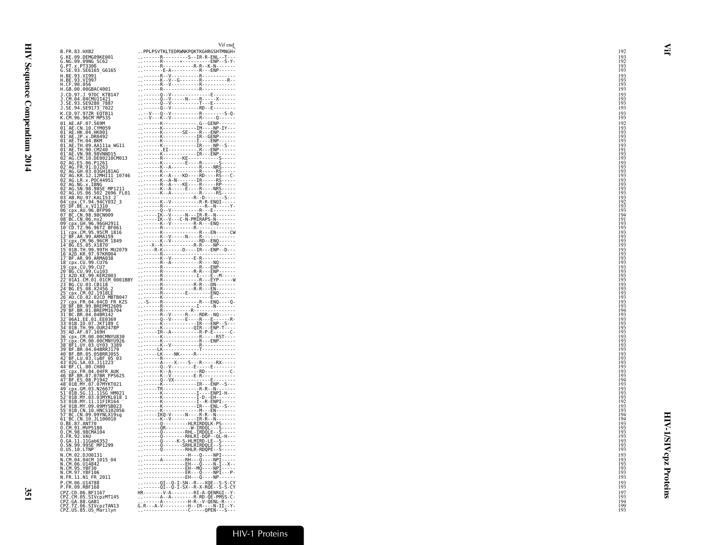| B.FR.83.HXB2<br>R-S-IR-R-ENL--T---<br>R-----*--------ENP--S-Y-<br>R---R---R--K-N---S-Y-<br>E-A----------R---ENP------<br>G.KE.09.DEMG09KE001<br>G.NG.09.09NG_SC62<br>G.PT.x.PT3306<br>G.SE.93.SE6165 G6165<br>H.BE.93.VI991<br>H.BE.93.VI997<br>H.CF.90.056<br>H.GB.00.00GBAC4001<br>J.CD.97.J 97DC KTB147<br>J.CM.04.04CMUII421<br>J.SE.94.SE9173 <sup>-</sup> 7022<br>K.CD.97.97ZR EQTB11<br>K.CM.96.96CM_MP535<br>01 AE AF 07 569M<br>01 AE.CN.10.CYM059<br>01 AE.HK.04.HK001<br>01 AE.JP.x.DR0492<br>$01^-$ AE.TH.04.BKM<br>01 AE.TH.09.AA111a_WG11<br>01 AE.TH.90.CM240<br>01 AE. VN. 98. 98VNND15<br>02 AG. CM. 10. DE00210CM013<br>02 AG.ES.06.P1261<br>02 AG. FR. 91. DJ263<br>02 AG. GH. 03. 03GH181AG<br>02 AG.KR.12.12MHI11 10746<br>02 AG.LR.x.P0C44951<br>02 AG. NG. X. IBNG<br>02 AG. SN. 98. 9865 MP1211<br>02 AG.US.06.502 2696 FL01<br>03 AB.RU.97.KAL153 2<br>04 Cpx.CY.94.94CY032_3<br>05 DF.BE.x.VI1310<br>06 cpx. AU. 96. BFP90<br>07 BC. CN. 98. 98CN009<br>08 BC. CN. 06. nx2<br>09 cpx.GH.96.96GH2911<br>10 CD.TZ.96.96TZ BF061<br>11 cpx.CM.95.95CM_1816<br>12-BF.AR.99.ARMA159<br>13-cpx.CM.96.96CM_1849<br>14-BG.ES.05.X1870<br>15 01B. TH. 99.99TH MU2079<br>16 A2D.KR. 97.97KR004<br>17 BF.AR.99.ARMA038<br>18 cpx. CU. 99. CU76<br>19 cpx.CU.99.CU7<br>20 BG.CU.99.Cu103<br>21 A2D.KE.99.KER2003<br>22 <sup>-</sup> 01A1.CM.01.01CM 0001BBY<br>23 BG.CU.03.CB118<br>24 BG.ES.08.X2456<br>25 <sup>-</sup> cpx.CM.02.1918EE<br>26 AU.CD.02.02CD MBTB047<br>27 cpx.FR.04.04CD FR.KZS<br>28 BF.BR.99.BREPM12609<br>29 BF.BR.01.BREPM16704<br>31 BC.BR.04.04BR142<br>32-06A1.EE.01.EE0369<br>33-01B.ID.07.JKT189_C<br>34 <sup>-</sup> 01B.TH.99.0UR2478P<br>35 <sup>-</sup> AD.AF.07.169H<br>36 cpx. CM. 00.00CMNYU830<br>37 cpx.CM.00.00CMNYU926<br>38 BF1.UY.03.UY03_3389<br>39 BF.BR.04.04BRRJ179<br>40 BF.BR.05.05BRRJ055<br>42 BF.LU.03.luBF.05.03<br>43-026.5A.03.311223-03<br>44-BF.CL.00.CH80<br>45-Cpx.FR.04.04FR AUK<br>46-BF.BR.07.07BR FPS625<br>47-BF.ES.08.P1942<br>48 01B.MY.07.07MYKT021<br>49 Cpx.GM.03.N26677<br>51 01B.SG.11.11SG_HM021<br>52 01B.MY.03.03MYKL018 1<br>53 <sup>-</sup> 01B.MY.11.11FIR164<br>54 01B.MY.09.09MYSB023<br>55 01B.CN.10.HNCS102056<br>57 BC.CN.09.09YNLX19sg<br>61 BC.CN.10.JL100010<br>0.BE.87.ANT70<br>0.CM.91.MVP5180<br>0.CM.98.98CMA104<br>0.FR.92.VAU<br>0.GA.11.11Gab6352<br>0. SN. 99. 99SE_MP1299<br>0.US.10.LTNP<br>Q - - - - - - - - RHLR - RDQPE - - S - - - - -<br>N.CM.02.DJ00131<br>N.CM.04.04CM_1015_04<br>H 0 - NPI -<br>N.CM.06.U14842<br>N.CM.95.YBF30<br>N.CM.97.YBF106<br>ER - - - 0 - - - NPI - - - P-<br>: : - - - - - - - - - - - - - - EH- - - 0 - - - - NP - - - - - -<br>N.FR.11.N1_FR_2011<br>. 01 - -0 - I - SN - -R - - - XQE - - S - S - CY<br>. - - - - - - -QI - -Q - I - SX - -R - X - RQE - - S - S - CY<br>P.CM.06.U14788<br>P.FR.09.RBF168<br>CPZ.CD.06.BF1167<br>CPZ.CM.05.SIVCpzMT145<br>CPZ.GA.88.GAB1<br>CPZ.TZ.06.SIVcpzTAN13<br>$G.R--A-V------H--IR---N-TI--Y-$<br>CPZ.US.85.US_Marilyn |  | Vif end                           |
|-------------------------------------------------------------------------------------------------------------------------------------------------------------------------------------------------------------------------------------------------------------------------------------------------------------------------------------------------------------------------------------------------------------------------------------------------------------------------------------------------------------------------------------------------------------------------------------------------------------------------------------------------------------------------------------------------------------------------------------------------------------------------------------------------------------------------------------------------------------------------------------------------------------------------------------------------------------------------------------------------------------------------------------------------------------------------------------------------------------------------------------------------------------------------------------------------------------------------------------------------------------------------------------------------------------------------------------------------------------------------------------------------------------------------------------------------------------------------------------------------------------------------------------------------------------------------------------------------------------------------------------------------------------------------------------------------------------------------------------------------------------------------------------------------------------------------------------------------------------------------------------------------------------------------------------------------------------------------------------------------------------------------------------------------------------------------------------------------------------------------------------------------------------------------------------------------------------------------------------------------------------------------------------------------------------------------------------------------------------------------------------------------------------------------------------------------------------------------------------------------------------------------------------------------------------------------------------------------------------------------------------------------------------------------------------------------------------------------------------------------------------------------------------------------------------------------------------------------------------------------------------------------------------------------------------------------------------------------------------------------------------|--|-----------------------------------|
|                                                                                                                                                                                                                                                                                                                                                                                                                                                                                                                                                                                                                                                                                                                                                                                                                                                                                                                                                                                                                                                                                                                                                                                                                                                                                                                                                                                                                                                                                                                                                                                                                                                                                                                                                                                                                                                                                                                                                                                                                                                                                                                                                                                                                                                                                                                                                                                                                                                                                                                                                                                                                                                                                                                                                                                                                                                                                                                                                                                                             |  | PPLPSVTKLTEDRWNKPQKTKGHRGSHTMNGH* |
|                                                                                                                                                                                                                                                                                                                                                                                                                                                                                                                                                                                                                                                                                                                                                                                                                                                                                                                                                                                                                                                                                                                                                                                                                                                                                                                                                                                                                                                                                                                                                                                                                                                                                                                                                                                                                                                                                                                                                                                                                                                                                                                                                                                                                                                                                                                                                                                                                                                                                                                                                                                                                                                                                                                                                                                                                                                                                                                                                                                                             |  |                                   |
|                                                                                                                                                                                                                                                                                                                                                                                                                                                                                                                                                                                                                                                                                                                                                                                                                                                                                                                                                                                                                                                                                                                                                                                                                                                                                                                                                                                                                                                                                                                                                                                                                                                                                                                                                                                                                                                                                                                                                                                                                                                                                                                                                                                                                                                                                                                                                                                                                                                                                                                                                                                                                                                                                                                                                                                                                                                                                                                                                                                                             |  |                                   |
|                                                                                                                                                                                                                                                                                                                                                                                                                                                                                                                                                                                                                                                                                                                                                                                                                                                                                                                                                                                                                                                                                                                                                                                                                                                                                                                                                                                                                                                                                                                                                                                                                                                                                                                                                                                                                                                                                                                                                                                                                                                                                                                                                                                                                                                                                                                                                                                                                                                                                                                                                                                                                                                                                                                                                                                                                                                                                                                                                                                                             |  |                                   |
|                                                                                                                                                                                                                                                                                                                                                                                                                                                                                                                                                                                                                                                                                                                                                                                                                                                                                                                                                                                                                                                                                                                                                                                                                                                                                                                                                                                                                                                                                                                                                                                                                                                                                                                                                                                                                                                                                                                                                                                                                                                                                                                                                                                                                                                                                                                                                                                                                                                                                                                                                                                                                                                                                                                                                                                                                                                                                                                                                                                                             |  |                                   |
|                                                                                                                                                                                                                                                                                                                                                                                                                                                                                                                                                                                                                                                                                                                                                                                                                                                                                                                                                                                                                                                                                                                                                                                                                                                                                                                                                                                                                                                                                                                                                                                                                                                                                                                                                                                                                                                                                                                                                                                                                                                                                                                                                                                                                                                                                                                                                                                                                                                                                                                                                                                                                                                                                                                                                                                                                                                                                                                                                                                                             |  |                                   |
|                                                                                                                                                                                                                                                                                                                                                                                                                                                                                                                                                                                                                                                                                                                                                                                                                                                                                                                                                                                                                                                                                                                                                                                                                                                                                                                                                                                                                                                                                                                                                                                                                                                                                                                                                                                                                                                                                                                                                                                                                                                                                                                                                                                                                                                                                                                                                                                                                                                                                                                                                                                                                                                                                                                                                                                                                                                                                                                                                                                                             |  |                                   |
|                                                                                                                                                                                                                                                                                                                                                                                                                                                                                                                                                                                                                                                                                                                                                                                                                                                                                                                                                                                                                                                                                                                                                                                                                                                                                                                                                                                                                                                                                                                                                                                                                                                                                                                                                                                                                                                                                                                                                                                                                                                                                                                                                                                                                                                                                                                                                                                                                                                                                                                                                                                                                                                                                                                                                                                                                                                                                                                                                                                                             |  |                                   |
|                                                                                                                                                                                                                                                                                                                                                                                                                                                                                                                                                                                                                                                                                                                                                                                                                                                                                                                                                                                                                                                                                                                                                                                                                                                                                                                                                                                                                                                                                                                                                                                                                                                                                                                                                                                                                                                                                                                                                                                                                                                                                                                                                                                                                                                                                                                                                                                                                                                                                                                                                                                                                                                                                                                                                                                                                                                                                                                                                                                                             |  |                                   |
|                                                                                                                                                                                                                                                                                                                                                                                                                                                                                                                                                                                                                                                                                                                                                                                                                                                                                                                                                                                                                                                                                                                                                                                                                                                                                                                                                                                                                                                                                                                                                                                                                                                                                                                                                                                                                                                                                                                                                                                                                                                                                                                                                                                                                                                                                                                                                                                                                                                                                                                                                                                                                                                                                                                                                                                                                                                                                                                                                                                                             |  |                                   |
|                                                                                                                                                                                                                                                                                                                                                                                                                                                                                                                                                                                                                                                                                                                                                                                                                                                                                                                                                                                                                                                                                                                                                                                                                                                                                                                                                                                                                                                                                                                                                                                                                                                                                                                                                                                                                                                                                                                                                                                                                                                                                                                                                                                                                                                                                                                                                                                                                                                                                                                                                                                                                                                                                                                                                                                                                                                                                                                                                                                                             |  |                                   |
|                                                                                                                                                                                                                                                                                                                                                                                                                                                                                                                                                                                                                                                                                                                                                                                                                                                                                                                                                                                                                                                                                                                                                                                                                                                                                                                                                                                                                                                                                                                                                                                                                                                                                                                                                                                                                                                                                                                                                                                                                                                                                                                                                                                                                                                                                                                                                                                                                                                                                                                                                                                                                                                                                                                                                                                                                                                                                                                                                                                                             |  |                                   |
|                                                                                                                                                                                                                                                                                                                                                                                                                                                                                                                                                                                                                                                                                                                                                                                                                                                                                                                                                                                                                                                                                                                                                                                                                                                                                                                                                                                                                                                                                                                                                                                                                                                                                                                                                                                                                                                                                                                                                                                                                                                                                                                                                                                                                                                                                                                                                                                                                                                                                                                                                                                                                                                                                                                                                                                                                                                                                                                                                                                                             |  |                                   |
|                                                                                                                                                                                                                                                                                                                                                                                                                                                                                                                                                                                                                                                                                                                                                                                                                                                                                                                                                                                                                                                                                                                                                                                                                                                                                                                                                                                                                                                                                                                                                                                                                                                                                                                                                                                                                                                                                                                                                                                                                                                                                                                                                                                                                                                                                                                                                                                                                                                                                                                                                                                                                                                                                                                                                                                                                                                                                                                                                                                                             |  |                                   |
|                                                                                                                                                                                                                                                                                                                                                                                                                                                                                                                                                                                                                                                                                                                                                                                                                                                                                                                                                                                                                                                                                                                                                                                                                                                                                                                                                                                                                                                                                                                                                                                                                                                                                                                                                                                                                                                                                                                                                                                                                                                                                                                                                                                                                                                                                                                                                                                                                                                                                                                                                                                                                                                                                                                                                                                                                                                                                                                                                                                                             |  |                                   |
|                                                                                                                                                                                                                                                                                                                                                                                                                                                                                                                                                                                                                                                                                                                                                                                                                                                                                                                                                                                                                                                                                                                                                                                                                                                                                                                                                                                                                                                                                                                                                                                                                                                                                                                                                                                                                                                                                                                                                                                                                                                                                                                                                                                                                                                                                                                                                                                                                                                                                                                                                                                                                                                                                                                                                                                                                                                                                                                                                                                                             |  |                                   |
|                                                                                                                                                                                                                                                                                                                                                                                                                                                                                                                                                                                                                                                                                                                                                                                                                                                                                                                                                                                                                                                                                                                                                                                                                                                                                                                                                                                                                                                                                                                                                                                                                                                                                                                                                                                                                                                                                                                                                                                                                                                                                                                                                                                                                                                                                                                                                                                                                                                                                                                                                                                                                                                                                                                                                                                                                                                                                                                                                                                                             |  |                                   |
|                                                                                                                                                                                                                                                                                                                                                                                                                                                                                                                                                                                                                                                                                                                                                                                                                                                                                                                                                                                                                                                                                                                                                                                                                                                                                                                                                                                                                                                                                                                                                                                                                                                                                                                                                                                                                                                                                                                                                                                                                                                                                                                                                                                                                                                                                                                                                                                                                                                                                                                                                                                                                                                                                                                                                                                                                                                                                                                                                                                                             |  |                                   |
|                                                                                                                                                                                                                                                                                                                                                                                                                                                                                                                                                                                                                                                                                                                                                                                                                                                                                                                                                                                                                                                                                                                                                                                                                                                                                                                                                                                                                                                                                                                                                                                                                                                                                                                                                                                                                                                                                                                                                                                                                                                                                                                                                                                                                                                                                                                                                                                                                                                                                                                                                                                                                                                                                                                                                                                                                                                                                                                                                                                                             |  |                                   |
|                                                                                                                                                                                                                                                                                                                                                                                                                                                                                                                                                                                                                                                                                                                                                                                                                                                                                                                                                                                                                                                                                                                                                                                                                                                                                                                                                                                                                                                                                                                                                                                                                                                                                                                                                                                                                                                                                                                                                                                                                                                                                                                                                                                                                                                                                                                                                                                                                                                                                                                                                                                                                                                                                                                                                                                                                                                                                                                                                                                                             |  |                                   |
|                                                                                                                                                                                                                                                                                                                                                                                                                                                                                                                                                                                                                                                                                                                                                                                                                                                                                                                                                                                                                                                                                                                                                                                                                                                                                                                                                                                                                                                                                                                                                                                                                                                                                                                                                                                                                                                                                                                                                                                                                                                                                                                                                                                                                                                                                                                                                                                                                                                                                                                                                                                                                                                                                                                                                                                                                                                                                                                                                                                                             |  |                                   |
|                                                                                                                                                                                                                                                                                                                                                                                                                                                                                                                                                                                                                                                                                                                                                                                                                                                                                                                                                                                                                                                                                                                                                                                                                                                                                                                                                                                                                                                                                                                                                                                                                                                                                                                                                                                                                                                                                                                                                                                                                                                                                                                                                                                                                                                                                                                                                                                                                                                                                                                                                                                                                                                                                                                                                                                                                                                                                                                                                                                                             |  |                                   |
|                                                                                                                                                                                                                                                                                                                                                                                                                                                                                                                                                                                                                                                                                                                                                                                                                                                                                                                                                                                                                                                                                                                                                                                                                                                                                                                                                                                                                                                                                                                                                                                                                                                                                                                                                                                                                                                                                                                                                                                                                                                                                                                                                                                                                                                                                                                                                                                                                                                                                                                                                                                                                                                                                                                                                                                                                                                                                                                                                                                                             |  |                                   |
|                                                                                                                                                                                                                                                                                                                                                                                                                                                                                                                                                                                                                                                                                                                                                                                                                                                                                                                                                                                                                                                                                                                                                                                                                                                                                                                                                                                                                                                                                                                                                                                                                                                                                                                                                                                                                                                                                                                                                                                                                                                                                                                                                                                                                                                                                                                                                                                                                                                                                                                                                                                                                                                                                                                                                                                                                                                                                                                                                                                                             |  |                                   |
|                                                                                                                                                                                                                                                                                                                                                                                                                                                                                                                                                                                                                                                                                                                                                                                                                                                                                                                                                                                                                                                                                                                                                                                                                                                                                                                                                                                                                                                                                                                                                                                                                                                                                                                                                                                                                                                                                                                                                                                                                                                                                                                                                                                                                                                                                                                                                                                                                                                                                                                                                                                                                                                                                                                                                                                                                                                                                                                                                                                                             |  |                                   |
|                                                                                                                                                                                                                                                                                                                                                                                                                                                                                                                                                                                                                                                                                                                                                                                                                                                                                                                                                                                                                                                                                                                                                                                                                                                                                                                                                                                                                                                                                                                                                                                                                                                                                                                                                                                                                                                                                                                                                                                                                                                                                                                                                                                                                                                                                                                                                                                                                                                                                                                                                                                                                                                                                                                                                                                                                                                                                                                                                                                                             |  |                                   |
|                                                                                                                                                                                                                                                                                                                                                                                                                                                                                                                                                                                                                                                                                                                                                                                                                                                                                                                                                                                                                                                                                                                                                                                                                                                                                                                                                                                                                                                                                                                                                                                                                                                                                                                                                                                                                                                                                                                                                                                                                                                                                                                                                                                                                                                                                                                                                                                                                                                                                                                                                                                                                                                                                                                                                                                                                                                                                                                                                                                                             |  |                                   |
|                                                                                                                                                                                                                                                                                                                                                                                                                                                                                                                                                                                                                                                                                                                                                                                                                                                                                                                                                                                                                                                                                                                                                                                                                                                                                                                                                                                                                                                                                                                                                                                                                                                                                                                                                                                                                                                                                                                                                                                                                                                                                                                                                                                                                                                                                                                                                                                                                                                                                                                                                                                                                                                                                                                                                                                                                                                                                                                                                                                                             |  |                                   |
|                                                                                                                                                                                                                                                                                                                                                                                                                                                                                                                                                                                                                                                                                                                                                                                                                                                                                                                                                                                                                                                                                                                                                                                                                                                                                                                                                                                                                                                                                                                                                                                                                                                                                                                                                                                                                                                                                                                                                                                                                                                                                                                                                                                                                                                                                                                                                                                                                                                                                                                                                                                                                                                                                                                                                                                                                                                                                                                                                                                                             |  |                                   |
|                                                                                                                                                                                                                                                                                                                                                                                                                                                                                                                                                                                                                                                                                                                                                                                                                                                                                                                                                                                                                                                                                                                                                                                                                                                                                                                                                                                                                                                                                                                                                                                                                                                                                                                                                                                                                                                                                                                                                                                                                                                                                                                                                                                                                                                                                                                                                                                                                                                                                                                                                                                                                                                                                                                                                                                                                                                                                                                                                                                                             |  |                                   |
|                                                                                                                                                                                                                                                                                                                                                                                                                                                                                                                                                                                                                                                                                                                                                                                                                                                                                                                                                                                                                                                                                                                                                                                                                                                                                                                                                                                                                                                                                                                                                                                                                                                                                                                                                                                                                                                                                                                                                                                                                                                                                                                                                                                                                                                                                                                                                                                                                                                                                                                                                                                                                                                                                                                                                                                                                                                                                                                                                                                                             |  |                                   |
|                                                                                                                                                                                                                                                                                                                                                                                                                                                                                                                                                                                                                                                                                                                                                                                                                                                                                                                                                                                                                                                                                                                                                                                                                                                                                                                                                                                                                                                                                                                                                                                                                                                                                                                                                                                                                                                                                                                                                                                                                                                                                                                                                                                                                                                                                                                                                                                                                                                                                                                                                                                                                                                                                                                                                                                                                                                                                                                                                                                                             |  |                                   |
|                                                                                                                                                                                                                                                                                                                                                                                                                                                                                                                                                                                                                                                                                                                                                                                                                                                                                                                                                                                                                                                                                                                                                                                                                                                                                                                                                                                                                                                                                                                                                                                                                                                                                                                                                                                                                                                                                                                                                                                                                                                                                                                                                                                                                                                                                                                                                                                                                                                                                                                                                                                                                                                                                                                                                                                                                                                                                                                                                                                                             |  |                                   |
|                                                                                                                                                                                                                                                                                                                                                                                                                                                                                                                                                                                                                                                                                                                                                                                                                                                                                                                                                                                                                                                                                                                                                                                                                                                                                                                                                                                                                                                                                                                                                                                                                                                                                                                                                                                                                                                                                                                                                                                                                                                                                                                                                                                                                                                                                                                                                                                                                                                                                                                                                                                                                                                                                                                                                                                                                                                                                                                                                                                                             |  |                                   |
|                                                                                                                                                                                                                                                                                                                                                                                                                                                                                                                                                                                                                                                                                                                                                                                                                                                                                                                                                                                                                                                                                                                                                                                                                                                                                                                                                                                                                                                                                                                                                                                                                                                                                                                                                                                                                                                                                                                                                                                                                                                                                                                                                                                                                                                                                                                                                                                                                                                                                                                                                                                                                                                                                                                                                                                                                                                                                                                                                                                                             |  |                                   |
|                                                                                                                                                                                                                                                                                                                                                                                                                                                                                                                                                                                                                                                                                                                                                                                                                                                                                                                                                                                                                                                                                                                                                                                                                                                                                                                                                                                                                                                                                                                                                                                                                                                                                                                                                                                                                                                                                                                                                                                                                                                                                                                                                                                                                                                                                                                                                                                                                                                                                                                                                                                                                                                                                                                                                                                                                                                                                                                                                                                                             |  |                                   |
|                                                                                                                                                                                                                                                                                                                                                                                                                                                                                                                                                                                                                                                                                                                                                                                                                                                                                                                                                                                                                                                                                                                                                                                                                                                                                                                                                                                                                                                                                                                                                                                                                                                                                                                                                                                                                                                                                                                                                                                                                                                                                                                                                                                                                                                                                                                                                                                                                                                                                                                                                                                                                                                                                                                                                                                                                                                                                                                                                                                                             |  |                                   |
|                                                                                                                                                                                                                                                                                                                                                                                                                                                                                                                                                                                                                                                                                                                                                                                                                                                                                                                                                                                                                                                                                                                                                                                                                                                                                                                                                                                                                                                                                                                                                                                                                                                                                                                                                                                                                                                                                                                                                                                                                                                                                                                                                                                                                                                                                                                                                                                                                                                                                                                                                                                                                                                                                                                                                                                                                                                                                                                                                                                                             |  |                                   |
|                                                                                                                                                                                                                                                                                                                                                                                                                                                                                                                                                                                                                                                                                                                                                                                                                                                                                                                                                                                                                                                                                                                                                                                                                                                                                                                                                                                                                                                                                                                                                                                                                                                                                                                                                                                                                                                                                                                                                                                                                                                                                                                                                                                                                                                                                                                                                                                                                                                                                                                                                                                                                                                                                                                                                                                                                                                                                                                                                                                                             |  |                                   |
|                                                                                                                                                                                                                                                                                                                                                                                                                                                                                                                                                                                                                                                                                                                                                                                                                                                                                                                                                                                                                                                                                                                                                                                                                                                                                                                                                                                                                                                                                                                                                                                                                                                                                                                                                                                                                                                                                                                                                                                                                                                                                                                                                                                                                                                                                                                                                                                                                                                                                                                                                                                                                                                                                                                                                                                                                                                                                                                                                                                                             |  |                                   |
|                                                                                                                                                                                                                                                                                                                                                                                                                                                                                                                                                                                                                                                                                                                                                                                                                                                                                                                                                                                                                                                                                                                                                                                                                                                                                                                                                                                                                                                                                                                                                                                                                                                                                                                                                                                                                                                                                                                                                                                                                                                                                                                                                                                                                                                                                                                                                                                                                                                                                                                                                                                                                                                                                                                                                                                                                                                                                                                                                                                                             |  |                                   |
|                                                                                                                                                                                                                                                                                                                                                                                                                                                                                                                                                                                                                                                                                                                                                                                                                                                                                                                                                                                                                                                                                                                                                                                                                                                                                                                                                                                                                                                                                                                                                                                                                                                                                                                                                                                                                                                                                                                                                                                                                                                                                                                                                                                                                                                                                                                                                                                                                                                                                                                                                                                                                                                                                                                                                                                                                                                                                                                                                                                                             |  |                                   |
|                                                                                                                                                                                                                                                                                                                                                                                                                                                                                                                                                                                                                                                                                                                                                                                                                                                                                                                                                                                                                                                                                                                                                                                                                                                                                                                                                                                                                                                                                                                                                                                                                                                                                                                                                                                                                                                                                                                                                                                                                                                                                                                                                                                                                                                                                                                                                                                                                                                                                                                                                                                                                                                                                                                                                                                                                                                                                                                                                                                                             |  |                                   |
|                                                                                                                                                                                                                                                                                                                                                                                                                                                                                                                                                                                                                                                                                                                                                                                                                                                                                                                                                                                                                                                                                                                                                                                                                                                                                                                                                                                                                                                                                                                                                                                                                                                                                                                                                                                                                                                                                                                                                                                                                                                                                                                                                                                                                                                                                                                                                                                                                                                                                                                                                                                                                                                                                                                                                                                                                                                                                                                                                                                                             |  |                                   |
|                                                                                                                                                                                                                                                                                                                                                                                                                                                                                                                                                                                                                                                                                                                                                                                                                                                                                                                                                                                                                                                                                                                                                                                                                                                                                                                                                                                                                                                                                                                                                                                                                                                                                                                                                                                                                                                                                                                                                                                                                                                                                                                                                                                                                                                                                                                                                                                                                                                                                                                                                                                                                                                                                                                                                                                                                                                                                                                                                                                                             |  |                                   |
|                                                                                                                                                                                                                                                                                                                                                                                                                                                                                                                                                                                                                                                                                                                                                                                                                                                                                                                                                                                                                                                                                                                                                                                                                                                                                                                                                                                                                                                                                                                                                                                                                                                                                                                                                                                                                                                                                                                                                                                                                                                                                                                                                                                                                                                                                                                                                                                                                                                                                                                                                                                                                                                                                                                                                                                                                                                                                                                                                                                                             |  |                                   |
|                                                                                                                                                                                                                                                                                                                                                                                                                                                                                                                                                                                                                                                                                                                                                                                                                                                                                                                                                                                                                                                                                                                                                                                                                                                                                                                                                                                                                                                                                                                                                                                                                                                                                                                                                                                                                                                                                                                                                                                                                                                                                                                                                                                                                                                                                                                                                                                                                                                                                                                                                                                                                                                                                                                                                                                                                                                                                                                                                                                                             |  |                                   |
|                                                                                                                                                                                                                                                                                                                                                                                                                                                                                                                                                                                                                                                                                                                                                                                                                                                                                                                                                                                                                                                                                                                                                                                                                                                                                                                                                                                                                                                                                                                                                                                                                                                                                                                                                                                                                                                                                                                                                                                                                                                                                                                                                                                                                                                                                                                                                                                                                                                                                                                                                                                                                                                                                                                                                                                                                                                                                                                                                                                                             |  |                                   |
|                                                                                                                                                                                                                                                                                                                                                                                                                                                                                                                                                                                                                                                                                                                                                                                                                                                                                                                                                                                                                                                                                                                                                                                                                                                                                                                                                                                                                                                                                                                                                                                                                                                                                                                                                                                                                                                                                                                                                                                                                                                                                                                                                                                                                                                                                                                                                                                                                                                                                                                                                                                                                                                                                                                                                                                                                                                                                                                                                                                                             |  |                                   |
|                                                                                                                                                                                                                                                                                                                                                                                                                                                                                                                                                                                                                                                                                                                                                                                                                                                                                                                                                                                                                                                                                                                                                                                                                                                                                                                                                                                                                                                                                                                                                                                                                                                                                                                                                                                                                                                                                                                                                                                                                                                                                                                                                                                                                                                                                                                                                                                                                                                                                                                                                                                                                                                                                                                                                                                                                                                                                                                                                                                                             |  |                                   |
|                                                                                                                                                                                                                                                                                                                                                                                                                                                                                                                                                                                                                                                                                                                                                                                                                                                                                                                                                                                                                                                                                                                                                                                                                                                                                                                                                                                                                                                                                                                                                                                                                                                                                                                                                                                                                                                                                                                                                                                                                                                                                                                                                                                                                                                                                                                                                                                                                                                                                                                                                                                                                                                                                                                                                                                                                                                                                                                                                                                                             |  |                                   |
|                                                                                                                                                                                                                                                                                                                                                                                                                                                                                                                                                                                                                                                                                                                                                                                                                                                                                                                                                                                                                                                                                                                                                                                                                                                                                                                                                                                                                                                                                                                                                                                                                                                                                                                                                                                                                                                                                                                                                                                                                                                                                                                                                                                                                                                                                                                                                                                                                                                                                                                                                                                                                                                                                                                                                                                                                                                                                                                                                                                                             |  |                                   |
|                                                                                                                                                                                                                                                                                                                                                                                                                                                                                                                                                                                                                                                                                                                                                                                                                                                                                                                                                                                                                                                                                                                                                                                                                                                                                                                                                                                                                                                                                                                                                                                                                                                                                                                                                                                                                                                                                                                                                                                                                                                                                                                                                                                                                                                                                                                                                                                                                                                                                                                                                                                                                                                                                                                                                                                                                                                                                                                                                                                                             |  |                                   |
|                                                                                                                                                                                                                                                                                                                                                                                                                                                                                                                                                                                                                                                                                                                                                                                                                                                                                                                                                                                                                                                                                                                                                                                                                                                                                                                                                                                                                                                                                                                                                                                                                                                                                                                                                                                                                                                                                                                                                                                                                                                                                                                                                                                                                                                                                                                                                                                                                                                                                                                                                                                                                                                                                                                                                                                                                                                                                                                                                                                                             |  |                                   |
|                                                                                                                                                                                                                                                                                                                                                                                                                                                                                                                                                                                                                                                                                                                                                                                                                                                                                                                                                                                                                                                                                                                                                                                                                                                                                                                                                                                                                                                                                                                                                                                                                                                                                                                                                                                                                                                                                                                                                                                                                                                                                                                                                                                                                                                                                                                                                                                                                                                                                                                                                                                                                                                                                                                                                                                                                                                                                                                                                                                                             |  |                                   |
|                                                                                                                                                                                                                                                                                                                                                                                                                                                                                                                                                                                                                                                                                                                                                                                                                                                                                                                                                                                                                                                                                                                                                                                                                                                                                                                                                                                                                                                                                                                                                                                                                                                                                                                                                                                                                                                                                                                                                                                                                                                                                                                                                                                                                                                                                                                                                                                                                                                                                                                                                                                                                                                                                                                                                                                                                                                                                                                                                                                                             |  |                                   |
|                                                                                                                                                                                                                                                                                                                                                                                                                                                                                                                                                                                                                                                                                                                                                                                                                                                                                                                                                                                                                                                                                                                                                                                                                                                                                                                                                                                                                                                                                                                                                                                                                                                                                                                                                                                                                                                                                                                                                                                                                                                                                                                                                                                                                                                                                                                                                                                                                                                                                                                                                                                                                                                                                                                                                                                                                                                                                                                                                                                                             |  |                                   |
|                                                                                                                                                                                                                                                                                                                                                                                                                                                                                                                                                                                                                                                                                                                                                                                                                                                                                                                                                                                                                                                                                                                                                                                                                                                                                                                                                                                                                                                                                                                                                                                                                                                                                                                                                                                                                                                                                                                                                                                                                                                                                                                                                                                                                                                                                                                                                                                                                                                                                                                                                                                                                                                                                                                                                                                                                                                                                                                                                                                                             |  |                                   |
|                                                                                                                                                                                                                                                                                                                                                                                                                                                                                                                                                                                                                                                                                                                                                                                                                                                                                                                                                                                                                                                                                                                                                                                                                                                                                                                                                                                                                                                                                                                                                                                                                                                                                                                                                                                                                                                                                                                                                                                                                                                                                                                                                                                                                                                                                                                                                                                                                                                                                                                                                                                                                                                                                                                                                                                                                                                                                                                                                                                                             |  |                                   |
|                                                                                                                                                                                                                                                                                                                                                                                                                                                                                                                                                                                                                                                                                                                                                                                                                                                                                                                                                                                                                                                                                                                                                                                                                                                                                                                                                                                                                                                                                                                                                                                                                                                                                                                                                                                                                                                                                                                                                                                                                                                                                                                                                                                                                                                                                                                                                                                                                                                                                                                                                                                                                                                                                                                                                                                                                                                                                                                                                                                                             |  |                                   |
|                                                                                                                                                                                                                                                                                                                                                                                                                                                                                                                                                                                                                                                                                                                                                                                                                                                                                                                                                                                                                                                                                                                                                                                                                                                                                                                                                                                                                                                                                                                                                                                                                                                                                                                                                                                                                                                                                                                                                                                                                                                                                                                                                                                                                                                                                                                                                                                                                                                                                                                                                                                                                                                                                                                                                                                                                                                                                                                                                                                                             |  |                                   |
|                                                                                                                                                                                                                                                                                                                                                                                                                                                                                                                                                                                                                                                                                                                                                                                                                                                                                                                                                                                                                                                                                                                                                                                                                                                                                                                                                                                                                                                                                                                                                                                                                                                                                                                                                                                                                                                                                                                                                                                                                                                                                                                                                                                                                                                                                                                                                                                                                                                                                                                                                                                                                                                                                                                                                                                                                                                                                                                                                                                                             |  |                                   |
|                                                                                                                                                                                                                                                                                                                                                                                                                                                                                                                                                                                                                                                                                                                                                                                                                                                                                                                                                                                                                                                                                                                                                                                                                                                                                                                                                                                                                                                                                                                                                                                                                                                                                                                                                                                                                                                                                                                                                                                                                                                                                                                                                                                                                                                                                                                                                                                                                                                                                                                                                                                                                                                                                                                                                                                                                                                                                                                                                                                                             |  |                                   |
|                                                                                                                                                                                                                                                                                                                                                                                                                                                                                                                                                                                                                                                                                                                                                                                                                                                                                                                                                                                                                                                                                                                                                                                                                                                                                                                                                                                                                                                                                                                                                                                                                                                                                                                                                                                                                                                                                                                                                                                                                                                                                                                                                                                                                                                                                                                                                                                                                                                                                                                                                                                                                                                                                                                                                                                                                                                                                                                                                                                                             |  |                                   |
|                                                                                                                                                                                                                                                                                                                                                                                                                                                                                                                                                                                                                                                                                                                                                                                                                                                                                                                                                                                                                                                                                                                                                                                                                                                                                                                                                                                                                                                                                                                                                                                                                                                                                                                                                                                                                                                                                                                                                                                                                                                                                                                                                                                                                                                                                                                                                                                                                                                                                                                                                                                                                                                                                                                                                                                                                                                                                                                                                                                                             |  |                                   |
|                                                                                                                                                                                                                                                                                                                                                                                                                                                                                                                                                                                                                                                                                                                                                                                                                                                                                                                                                                                                                                                                                                                                                                                                                                                                                                                                                                                                                                                                                                                                                                                                                                                                                                                                                                                                                                                                                                                                                                                                                                                                                                                                                                                                                                                                                                                                                                                                                                                                                                                                                                                                                                                                                                                                                                                                                                                                                                                                                                                                             |  |                                   |
|                                                                                                                                                                                                                                                                                                                                                                                                                                                                                                                                                                                                                                                                                                                                                                                                                                                                                                                                                                                                                                                                                                                                                                                                                                                                                                                                                                                                                                                                                                                                                                                                                                                                                                                                                                                                                                                                                                                                                                                                                                                                                                                                                                                                                                                                                                                                                                                                                                                                                                                                                                                                                                                                                                                                                                                                                                                                                                                                                                                                             |  |                                   |
|                                                                                                                                                                                                                                                                                                                                                                                                                                                                                                                                                                                                                                                                                                                                                                                                                                                                                                                                                                                                                                                                                                                                                                                                                                                                                                                                                                                                                                                                                                                                                                                                                                                                                                                                                                                                                                                                                                                                                                                                                                                                                                                                                                                                                                                                                                                                                                                                                                                                                                                                                                                                                                                                                                                                                                                                                                                                                                                                                                                                             |  | C-----QPEN---S---                 |

|                                               | Vif end                                                                                                                                                                                                                                                                                                                                                                                                                                                                        |
|-----------------------------------------------|--------------------------------------------------------------------------------------------------------------------------------------------------------------------------------------------------------------------------------------------------------------------------------------------------------------------------------------------------------------------------------------------------------------------------------------------------------------------------------|
| B2                                            | PPLPSVTKLTEDRWNKPQKTKGHRGSHTMNGH*                                                                                                                                                                                                                                                                                                                                                                                                                                              |
| MG09KE001<br>NG SC62                          | R - - - - - - - - S - - IR - R - ENL - - T - - -                                                                                                                                                                                                                                                                                                                                                                                                                               |
| 306                                           |                                                                                                                                                                                                                                                                                                                                                                                                                                                                                |
| 6165_G6165<br>991                             |                                                                                                                                                                                                                                                                                                                                                                                                                                                                                |
| 997                                           |                                                                                                                                                                                                                                                                                                                                                                                                                                                                                |
| 6<br>GBAC4001                                 |                                                                                                                                                                                                                                                                                                                                                                                                                                                                                |
| 97DC KTB147                                   |                                                                                                                                                                                                                                                                                                                                                                                                                                                                                |
| CMU11421                                      |                                                                                                                                                                                                                                                                                                                                                                                                                                                                                |
| 9280 7887<br>9173 7022                        |                                                                                                                                                                                                                                                                                                                                                                                                                                                                                |
| ZR EQTB11                                     |                                                                                                                                                                                                                                                                                                                                                                                                                                                                                |
| CM <sup>-</sup> MP535                         | $\cdots -V - 0 - V - \cdots - R - \cdots - S - Q - \cdots$                                                                                                                                                                                                                                                                                                                                                                                                                     |
| 7.569M                                        | K - - - - - - - - - - G - - GENP - - - - - -                                                                                                                                                                                                                                                                                                                                                                                                                                   |
| 0.CYM059<br>4.HK001                           |                                                                                                                                                                                                                                                                                                                                                                                                                                                                                |
| .DR0492                                       |                                                                                                                                                                                                                                                                                                                                                                                                                                                                                |
| 4.BKM<br>9.AA111a WG11                        |                                                                                                                                                                                                                                                                                                                                                                                                                                                                                |
| 0.CM240                                       |                                                                                                                                                                                                                                                                                                                                                                                                                                                                                |
| 8.98VNND15<br>0.DE00210CM013                  |                                                                                                                                                                                                                                                                                                                                                                                                                                                                                |
| 6.P1261                                       |                                                                                                                                                                                                                                                                                                                                                                                                                                                                                |
| 1.DJ263                                       |                                                                                                                                                                                                                                                                                                                                                                                                                                                                                |
| 3.03GH181AG<br>2.12MHI11_10746                | $\begin{tabular}{@{}c c c c} \hline & \multicolumn{3}{c}{\multicolumn{3}{c}{\multicolumn{3}{c}{\multicolumn{3}{c}{\multicolumn{3}{c}{\multicolumn{3}{c}{\multicolumn{3}{c}{\multicolumn{3}{c}{\multicolumn{3}{c}{\multicolumn{3}{c}{\multicolumn{3}{c}{\multicolumn{3}{c}{\multicolumn{3}{c}{\multicolumn{3}{c}{\multicolumn{3}{c}{\multicolumn{3}{c}{\multicolumn{3}{c}{\multicolumn{3}{c}{\multicolumn{3}{c}{\multicolumn{3}{c}{\multicolumn{3}{c}{\multicolumn{3}{c}{\mult$ |
| P0C44951                                      |                                                                                                                                                                                                                                                                                                                                                                                                                                                                                |
| .IBNG<br>8.98SE MP1211                        |                                                                                                                                                                                                                                                                                                                                                                                                                                                                                |
| 6.502 2696 FL01<br>7.KAL153 2                 |                                                                                                                                                                                                                                                                                                                                                                                                                                                                                |
|                                               |                                                                                                                                                                                                                                                                                                                                                                                                                                                                                |
| 94.94CY032 3<br>VI1310                        |                                                                                                                                                                                                                                                                                                                                                                                                                                                                                |
| 96.BFP90                                      |                                                                                                                                                                                                                                                                                                                                                                                                                                                                                |
| 8.98CN009<br>6.nx2                            |                                                                                                                                                                                                                                                                                                                                                                                                                                                                                |
| 96.96GH2911                                   |                                                                                                                                                                                                                                                                                                                                                                                                                                                                                |
| 6.96TZ BF061                                  |                                                                                                                                                                                                                                                                                                                                                                                                                                                                                |
| 95.95CM 1816<br>9.ARMA159                     |                                                                                                                                                                                                                                                                                                                                                                                                                                                                                |
| 96.96CM 1849                                  |                                                                                                                                                                                                                                                                                                                                                                                                                                                                                |
| 5.X1870<br>99.99TH MU2079                     |                                                                                                                                                                                                                                                                                                                                                                                                                                                                                |
| 97.97KR004                                    |                                                                                                                                                                                                                                                                                                                                                                                                                                                                                |
| 9.ARMA038                                     |                                                                                                                                                                                                                                                                                                                                                                                                                                                                                |
| 99.CU76<br>99.CU7                             |                                                                                                                                                                                                                                                                                                                                                                                                                                                                                |
| 9.Cu103                                       |                                                                                                                                                                                                                                                                                                                                                                                                                                                                                |
| 99.KER2003                                    |                                                                                                                                                                                                                                                                                                                                                                                                                                                                                |
| .01.01CM_0001BBY<br>3.CB118                   |                                                                                                                                                                                                                                                                                                                                                                                                                                                                                |
| 8.X2456 2                                     |                                                                                                                                                                                                                                                                                                                                                                                                                                                                                |
| 02.1918LE                                     |                                                                                                                                                                                                                                                                                                                                                                                                                                                                                |
| 2.02CD MBTB047<br>04.04CD FR KZS              |                                                                                                                                                                                                                                                                                                                                                                                                                                                                                |
| 9.BREPM12609                                  |                                                                                                                                                                                                                                                                                                                                                                                                                                                                                |
| 1.BREPM16704                                  |                                                                                                                                                                                                                                                                                                                                                                                                                                                                                |
| 4.04BR142                                     |                                                                                                                                                                                                                                                                                                                                                                                                                                                                                |
| .01.EE0369<br>07.JKT189 C                     |                                                                                                                                                                                                                                                                                                                                                                                                                                                                                |
| 99.0UR2478P<br>7. 169H                        |                                                                                                                                                                                                                                                                                                                                                                                                                                                                                |
| 00.00CMNYU830                                 |                                                                                                                                                                                                                                                                                                                                                                                                                                                                                |
| 00.00CMNYU926<br>03.UY03 3389                 |                                                                                                                                                                                                                                                                                                                                                                                                                                                                                |
| 4.04BRRJ179                                   |                                                                                                                                                                                                                                                                                                                                                                                                                                                                                |
| 5.05BRRJ055                                   |                                                                                                                                                                                                                                                                                                                                                                                                                                                                                |
| 3.luBF 05 03                                  |                                                                                                                                                                                                                                                                                                                                                                                                                                                                                |
| 03.J11223<br>0.CH80                           |                                                                                                                                                                                                                                                                                                                                                                                                                                                                                |
| 04.04FR AUK<br>7.07BR FPS625                  |                                                                                                                                                                                                                                                                                                                                                                                                                                                                                |
|                                               |                                                                                                                                                                                                                                                                                                                                                                                                                                                                                |
| 8.P1942<br>07.07MYKT021                       |                                                                                                                                                                                                                                                                                                                                                                                                                                                                                |
| 03.N26677<br>11.11SG HM021                    |                                                                                                                                                                                                                                                                                                                                                                                                                                                                                |
|                                               |                                                                                                                                                                                                                                                                                                                                                                                                                                                                                |
| 63.03MYKL018_1<br>11.11FIR164<br>09.09MYSB023 |                                                                                                                                                                                                                                                                                                                                                                                                                                                                                |
| 10.HNCS102056                                 |                                                                                                                                                                                                                                                                                                                                                                                                                                                                                |
| 9.09YNLX19sg                                  |                                                                                                                                                                                                                                                                                                                                                                                                                                                                                |
| 0.JL100010                                    |                                                                                                                                                                                                                                                                                                                                                                                                                                                                                |
| T70<br>P5180                                  |                                                                                                                                                                                                                                                                                                                                                                                                                                                                                |
| CMA104<br>н.                                  |                                                                                                                                                                                                                                                                                                                                                                                                                                                                                |
| Gab6352                                       |                                                                                                                                                                                                                                                                                                                                                                                                                                                                                |
| SE MP1299                                     | Q - - - - - - - SRHLRIRDQLE - - S - - - - -                                                                                                                                                                                                                                                                                                                                                                                                                                    |
| NP <sup>-</sup>                               | Q - - - - - - - - RHLR - RDQPE - - S - - - - -<br>H 0 NPI                                                                                                                                                                                                                                                                                                                                                                                                                      |
| 00131<br>CM 1015 04                           | A - - - - - - - RH - - - Q - - - - NPI - - - - -                                                                                                                                                                                                                                                                                                                                                                                                                               |
| 4842                                          | . EH - - - Q - - - - N - I - - X - -                                                                                                                                                                                                                                                                                                                                                                                                                                           |
| F30                                           | EH--MQ----NPI-----<br>ER---Q----NPI---P-                                                                                                                                                                                                                                                                                                                                                                                                                                       |
| F106<br>FR 2011                               | EH---Q----NP------                                                                                                                                                                                                                                                                                                                                                                                                                                                             |
| 4788                                          | ---------0I--0-I-SN--R---XQE--S-S-CY<br>--------QI--Q-I-SX--R-X-RQE--S-S-CY                                                                                                                                                                                                                                                                                                                                                                                                    |
| F168                                          |                                                                                                                                                                                                                                                                                                                                                                                                                                                                                |
| BF1167<br>SIVcpzMT145                         | HR-------V-A--------RI-A-QENRGI--Y-<br>A--A--------R-RD-QE-PMSS-C-                                                                                                                                                                                                                                                                                                                                                                                                             |
| GAB1                                          | : - - - - - - A - - - - - - - - - H - R - - V - QENL - R - - - -                                                                                                                                                                                                                                                                                                                                                                                                               |
| SIVCDZTAN13                                   | $G.R--A-V------H--IR---N-II--Y-$                                                                                                                                                                                                                                                                                                                                                                                                                                               |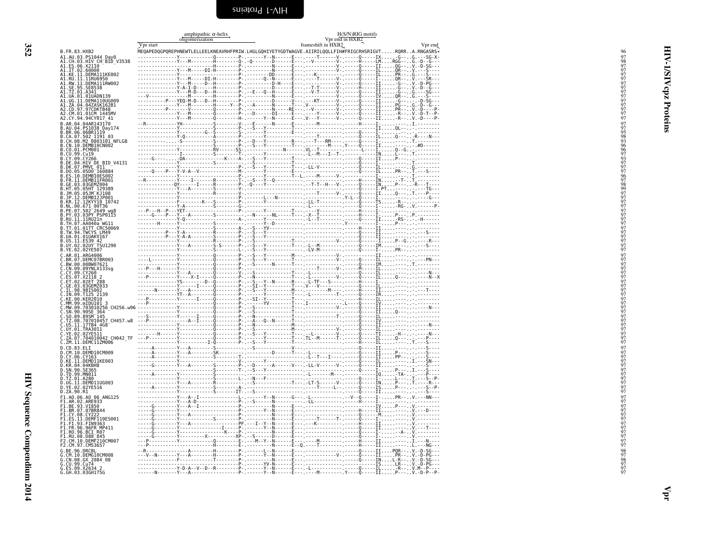<span id="page-35-0"></span>

|                                                                                                                                                                                                                                                              | amphipathic $\alpha$ -helix<br>oligomerization | H(S/N)RIG motifs<br>Vpr end in HXB2 |  |  |  |  |  |
|--------------------------------------------------------------------------------------------------------------------------------------------------------------------------------------------------------------------------------------------------------------|------------------------------------------------|-------------------------------------|--|--|--|--|--|
|                                                                                                                                                                                                                                                              |                                                |                                     |  |  |  |  |  |
| B. FR. 83. HXB2                                                                                                                                                                                                                                              |                                                |                                     |  |  |  |  |  |
| A1.AU.03.P51044_Day0<br>A1.CH.03.HIV CH_BID_V3538<br>A1.E5.06.X21I0                                                                                                                                                                                          |                                                |                                     |  |  |  |  |  |
| A1.IT.02.60000                                                                                                                                                                                                                                               |                                                |                                     |  |  |  |  |  |
| A1.KE.11.DEMA111KE002                                                                                                                                                                                                                                        |                                                |                                     |  |  |  |  |  |
| A1. KE. 11. DEMA11IKE602<br>A1. RU. 11. 11RU6956<br>A1. RU. 11. 11RU6956<br>A1. SE. 95. SE8513<br>A1. IZ. 01. A341<br>A1. UG. 11. DEMAN1189<br>A1. UG. 11. DEMAN16U6609<br>A1. JG. 11. DEMAN16U6609<br>A2. CD. 97. 97COKT648<br>A2. CD. 97. 97COKT648<br>A2. |                                                |                                     |  |  |  |  |  |
|                                                                                                                                                                                                                                                              |                                                |                                     |  |  |  |  |  |
|                                                                                                                                                                                                                                                              |                                                |                                     |  |  |  |  |  |
|                                                                                                                                                                                                                                                              |                                                |                                     |  |  |  |  |  |
| A2.CY.94.94CY017 41                                                                                                                                                                                                                                          |                                                |                                     |  |  |  |  |  |
| B.AR.04.04AR143170                                                                                                                                                                                                                                           |                                                |                                     |  |  |  |  |  |
| B.AR. 04. 043<br>AR. 06. 058R1119<br>B.BR. 06. 06BR1119<br>B.CA. 07. 502<br>B.CH. 08. M2<br>B.CN. 10. DEMB10CN002<br>B.CN. 10. DEMB10CN002<br>B.CO. 01. PCM001                                                                                               |                                                |                                     |  |  |  |  |  |
|                                                                                                                                                                                                                                                              |                                                |                                     |  |  |  |  |  |
|                                                                                                                                                                                                                                                              |                                                |                                     |  |  |  |  |  |
| B.CU.99.Cu19<br>B.CV.99.Cu19<br>B.CY.09.CY266                                                                                                                                                                                                                |                                                |                                     |  |  |  |  |  |
| B.DE.04.HIV DE BID_V4131<br>B.DE.04.HIV DE BID_V4131<br>B.DO.05.05D0_160884<br>B.ES.10.DEMBI0ES002                                                                                                                                                           |                                                |                                     |  |  |  |  |  |
|                                                                                                                                                                                                                                                              |                                                |                                     |  |  |  |  |  |
| .11.DEMB11FR001<br>B.GE.03.03GEMZ004                                                                                                                                                                                                                         |                                                |                                     |  |  |  |  |  |
|                                                                                                                                                                                                                                                              |                                                |                                     |  |  |  |  |  |
| B. ME. 09. 09161 129389<br>B. JM. 05. 0511 129389<br>B. JM. 05. 05JM KJ108<br>B. NR. 12. 12KYY10 10742<br>B. NL. 00. 671 00T36<br>B. NL. 00. 671 00T36<br>B. PF. 07. 502 2649<br>B. PY. 03. 03PY PSP0115<br>B. PY. 03. 03PY PSP0115                          |                                                |                                     |  |  |  |  |  |
|                                                                                                                                                                                                                                                              |                                                |                                     |  |  |  |  |  |
|                                                                                                                                                                                                                                                              |                                                |                                     |  |  |  |  |  |
| <b>B.PY. 03.03FY PSP0115</b><br><b>B.RU.11.11RU21n<br/> B.TH.07.AA040a WG11</b><br><b>B.TH.07.AA040a WG11</b><br><b>B.UA.01.01UAKVI67</b><br><b>B.UA.01.01UAKVI67</b><br><b>B.US.11.ES39 42</b><br><b>B.UY.02.02UY_TSU1290</b>                               |                                                |                                     |  |  |  |  |  |
|                                                                                                                                                                                                                                                              |                                                |                                     |  |  |  |  |  |
|                                                                                                                                                                                                                                                              |                                                |                                     |  |  |  |  |  |
| B.YE.02.02YE507                                                                                                                                                                                                                                              |                                                |                                     |  |  |  |  |  |
| C.AR.01.ARG4006                                                                                                                                                                                                                                              |                                                |                                     |  |  |  |  |  |
| BR.07.DEMC07BR003                                                                                                                                                                                                                                            |                                                |                                     |  |  |  |  |  |
| C.BR.07.DEMONDEN<br>C.BR.00.00BW07621<br>C.CN.09.097NLX133sg<br>C.CS.07.X2118 2<br>C.CS.07.X2118 2<br>C.ET.02.02ET 288<br>C.TL.98.9815002<br>C.KL.09.1125 2139<br>C.KE.00.KER2010<br>C.KE.00.CEN.0001125 2139<br>C.KE.00.CEN.0001125 2139                    |                                                |                                     |  |  |  |  |  |
|                                                                                                                                                                                                                                                              |                                                |                                     |  |  |  |  |  |
|                                                                                                                                                                                                                                                              |                                                |                                     |  |  |  |  |  |
|                                                                                                                                                                                                                                                              |                                                |                                     |  |  |  |  |  |
| MM.99.mIDU101                                                                                                                                                                                                                                                |                                                |                                     |  |  |  |  |  |
| MW.09.703010256_CH256.w96                                                                                                                                                                                                                                    |                                                |                                     |  |  |  |  |  |
| : SN.90.90SE_364<br>.SO.89.89SM_145<br>.TZ.08.707010457_CH457.w8                                                                                                                                                                                             |                                                |                                     |  |  |  |  |  |
| C.US.11.17TB4 468<br>C.UY.01.TRA3011<br>C.UY.01.TRA3011<br>C.ZA.07.704010042 CH042_TF<br>C.ZM.11.DEMC11ZM006                                                                                                                                                 |                                                |                                     |  |  |  |  |  |
|                                                                                                                                                                                                                                                              |                                                |                                     |  |  |  |  |  |
|                                                                                                                                                                                                                                                              |                                                |                                     |  |  |  |  |  |
| D.CD.83.ELI<br>D.CM.10.DEMD10CM009                                                                                                                                                                                                                           |                                                |                                     |  |  |  |  |  |
| D.CY.06.CY163<br>D.KE.11.DEMDI1KE003                                                                                                                                                                                                                         |                                                |                                     |  |  |  |  |  |
| D.KR.04.04KBH8                                                                                                                                                                                                                                               |                                                |                                     |  |  |  |  |  |
| D.SN.90.ŠE365<br>D.TD.99.MN011                                                                                                                                                                                                                               |                                                |                                     |  |  |  |  |  |
| D.TZ.01.A280<br>D.UG.11.DEMD11UG003                                                                                                                                                                                                                          |                                                |                                     |  |  |  |  |  |
| D.YE.02.02YE516<br>D.ZA.90.R1                                                                                                                                                                                                                                |                                                |                                     |  |  |  |  |  |
| F1.A0.06.A0_06_ANG125<br>L.AR.02.ARE933                                                                                                                                                                                                                      |                                                |                                     |  |  |  |  |  |
|                                                                                                                                                                                                                                                              |                                                |                                     |  |  |  |  |  |
| F1.BE.93.VI850<br>F1.BR.07.07BR844<br>F1.CY.08.CY222                                                                                                                                                                                                         |                                                |                                     |  |  |  |  |  |
| FI.ES.II.DEMF110ES001<br>F1.FI.93.FIN9363<br>F1.FR.96.96FR MP411<br>F1.R0.96.BCI R07<br>E1.RU.08.D88-845                                                                                                                                                     |                                                |                                     |  |  |  |  |  |
|                                                                                                                                                                                                                                                              |                                                |                                     |  |  |  |  |  |
| .CM.10.DEMF210CM007                                                                                                                                                                                                                                          |                                                |                                     |  |  |  |  |  |
| CM.97.CM53657<br>96.DRCBL                                                                                                                                                                                                                                    |                                                |                                     |  |  |  |  |  |
| G.CM.10.DEMG10CM008                                                                                                                                                                                                                                          |                                                |                                     |  |  |  |  |  |
| G.CN.08.GX 2084 08                                                                                                                                                                                                                                           |                                                |                                     |  |  |  |  |  |
| G.CU.99.Cu74<br>G.ES.09.X2634 2<br>G.GH.03.03GH175G                                                                                                                                                                                                          |                                                |                                     |  |  |  |  |  |

<span id="page-35-1"></span>HIV-1/SIV cpz Proteins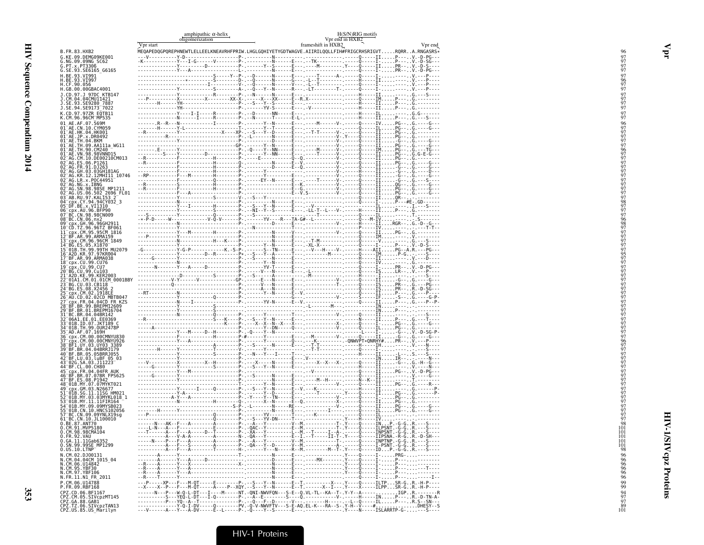| Vpr start<br>frameshift in HXB2<br>Vpr end<br>.<br>MEQAPEDQGPQREPHNEWTLELLEELKNEAVRHFPRIW.LHGLGQHIYETYGDTWAGVE.AIIRILQQLLFIH#FRIGCRHSRIGVTRQRRA.RNGASRS*<br>B.FR.83.HXB2<br>G.KE.09.DEMG09KE001<br>G.NG.09.09NG SC62<br>G.PT.x.PT3306<br>G.SE.93.SE6165_G6165<br>H.BE.93.VI991<br>H.BE.93.VI997<br>H.CF.90.056<br>H.GB.00.00GBAC4001<br>J.CD.97.J 97DC KTB147<br>J.CM.04.04CMU11421<br>J. SE. 93. SE9280 7887<br>J. SE. 94. SE9173 7022<br>K.CD.97.97ZR EQTB11<br>K.CM.96.96CM_MP535<br>01 AE.AF.07.569M<br>01 AE.CN.10.CYM059<br>01 AE.HK.04.HK001<br>$01^{\circ}$ AE.JP.x.DR0492<br>01-AE.TH.04.BKM<br>01-AE.TH.09.AA111a_WG11<br>01 AE : TH. 90. CM240<br>01 AE : VN. 98. 98VNND15<br>02 AG : CM. 10. DE00210CM013<br>02 AG ES 06 P1261<br>02 <sup>-</sup> AG.FR.91.DJ263<br>02-AG: GH. 03.03GH181AG<br>02-AG: KR. 12.12MH111_10746<br>02-AG: LR. x. POC44951-<br>02 <sup>-</sup> AG.NG.x.IBNG<br>02-AG.SN.98.98SE MP1211<br>02-AG.US.06.502 2696 FL01<br>03-AB.RU.97.KALI53-2<br>04 Cpx.CY.94.94CY032_3<br>05 DF.BE.x.VI1310<br>06 Cpx.AU.96.BFP90<br>07 BC.CN.98.98CN009<br>08 BC.CN.06.nx2<br>09 <sup>-</sup> cpx.GH.96.96GH2911<br>10 CD.TZ.96.96TZ BF061<br>11 cpx.CM.95.95CM 1816<br>12 BF.AR.99.ARMA159<br>13 Cpx. CM. 96.96CM<br>14 BG. ES. 05. X1870<br>15 01B. TH. 99.99TH_MU2079<br>16 A2D.KR.97.97KR004<br>17 BF.AR.99.ARMA038<br>17 - APP - ARN - 29 - ARN - 20<br>18 - Cpx - CU - 99 - CU 7<br>20 - BG - CU - 99 - CU 7<br>21 - A2D - KE - 99 - KER2003<br>21 - A2D - KE - 99 - KER2003<br>22 01A1.CM.01.01CM_0001BBY<br>23 BG.CU.03.CB118<br>24 BG.ES.08.X2456<br>25 Cpx.CM.02.1918LE<br>26 AU.CD.02.02CD_MBTB047<br>27 cpx.FR.04.04CD FR KZS<br>27 CBX: HR: 09-BREPM12609<br>28 BF .BR: 99 .BREPM12609<br>31 BC .BR: 09 .BREPM12609<br>31 BC .BR: 04.04BR142<br>32 06A1 .EE. 01.5E0369<br>36 018 .TH: 99 .0UR2478P<br>35 ~AD. AF: 07.169H<br>37 ~CDX .CM: 08 .00CMNYU838<br>36 ~CDX .CM: 08 .0<br>43-026.SA.03.J11223-<br>44-BF.CL.00.CH80<br>45 cpx.FR.04.04FR AUK<br>46 BF.BR.07.07BR FPS625<br>47 BF.ES.08.P1942<br>48 <sup>-</sup> 01B.MY.07.07MYKT021<br>49 cpx.GM.03.N26677<br>51 <sup>-</sup> 01B.SG.11.11SG HM021<br>52 01B.MY.03.03MYKL018 1<br>53 01B.MY.11.11FIR164<br>54 <sup>-</sup> 01B.MY.09.09MYSB023<br>55 <sup>-</sup> 01B.CN.10.HNCS102056<br>57 BC.CN.09.09YNLX1959<br>61 BC.CN.09.09YNLX1959<br>61 BC.CN.10.JL100010<br>0.BE.87.ANT70<br>0.CM.91.MVP5180<br>0.CM.98.98CMA104<br>0.GA.11.11Gab6352<br>0.SN.99.99SE MP1299<br>0.05.10.LTNP<br>N.CM.02.DJ00131<br>N.CM.04.04CM 1015 04<br>N.CM.06.U14842<br>N.CM.95.YBE30<br>N.CM.97.YBF106<br>N.FR.11.N1 FR 2011<br>---P-----XP---F---M-QT-----E--------P---S---Y--N------E--T----------------------Q------ILTPSR-GR.-H-P----<br>--X----X--P---F---M-QT-----A----P--XQY.--S---Y--N------E--T.------X--I---- Y----X-----ILPPSR-GR.-H-P----<br>P.CM.06.U14788<br>P.FR.09.RBF168<br>CPZ.CD.06.BF1167 |                       | amphipathic $\alpha$ -helix<br>oligomerization | H(S/N)RIG motifs<br>Vpr end in HXB2 |  |  |  |
|-----------------------------------------------------------------------------------------------------------------------------------------------------------------------------------------------------------------------------------------------------------------------------------------------------------------------------------------------------------------------------------------------------------------------------------------------------------------------------------------------------------------------------------------------------------------------------------------------------------------------------------------------------------------------------------------------------------------------------------------------------------------------------------------------------------------------------------------------------------------------------------------------------------------------------------------------------------------------------------------------------------------------------------------------------------------------------------------------------------------------------------------------------------------------------------------------------------------------------------------------------------------------------------------------------------------------------------------------------------------------------------------------------------------------------------------------------------------------------------------------------------------------------------------------------------------------------------------------------------------------------------------------------------------------------------------------------------------------------------------------------------------------------------------------------------------------------------------------------------------------------------------------------------------------------------------------------------------------------------------------------------------------------------------------------------------------------------------------------------------------------------------------------------------------------------------------------------------------------------------------------------------------------------------------------------------------------------------------------------------------------------------------------------------------------------------------------------------------------------------------------------------------------------------------------------------------------------------------------------------------------------------------------------------------------------------------------------------------------------------------------------------------------------------------------------------------------------------------------------------------------------------|-----------------------|------------------------------------------------|-------------------------------------|--|--|--|
|                                                                                                                                                                                                                                                                                                                                                                                                                                                                                                                                                                                                                                                                                                                                                                                                                                                                                                                                                                                                                                                                                                                                                                                                                                                                                                                                                                                                                                                                                                                                                                                                                                                                                                                                                                                                                                                                                                                                                                                                                                                                                                                                                                                                                                                                                                                                                                                                                                                                                                                                                                                                                                                                                                                                                                                                                                                                                         |                       |                                                |                                     |  |  |  |
|                                                                                                                                                                                                                                                                                                                                                                                                                                                                                                                                                                                                                                                                                                                                                                                                                                                                                                                                                                                                                                                                                                                                                                                                                                                                                                                                                                                                                                                                                                                                                                                                                                                                                                                                                                                                                                                                                                                                                                                                                                                                                                                                                                                                                                                                                                                                                                                                                                                                                                                                                                                                                                                                                                                                                                                                                                                                                         |                       |                                                |                                     |  |  |  |
|                                                                                                                                                                                                                                                                                                                                                                                                                                                                                                                                                                                                                                                                                                                                                                                                                                                                                                                                                                                                                                                                                                                                                                                                                                                                                                                                                                                                                                                                                                                                                                                                                                                                                                                                                                                                                                                                                                                                                                                                                                                                                                                                                                                                                                                                                                                                                                                                                                                                                                                                                                                                                                                                                                                                                                                                                                                                                         |                       |                                                |                                     |  |  |  |
|                                                                                                                                                                                                                                                                                                                                                                                                                                                                                                                                                                                                                                                                                                                                                                                                                                                                                                                                                                                                                                                                                                                                                                                                                                                                                                                                                                                                                                                                                                                                                                                                                                                                                                                                                                                                                                                                                                                                                                                                                                                                                                                                                                                                                                                                                                                                                                                                                                                                                                                                                                                                                                                                                                                                                                                                                                                                                         |                       |                                                |                                     |  |  |  |
|                                                                                                                                                                                                                                                                                                                                                                                                                                                                                                                                                                                                                                                                                                                                                                                                                                                                                                                                                                                                                                                                                                                                                                                                                                                                                                                                                                                                                                                                                                                                                                                                                                                                                                                                                                                                                                                                                                                                                                                                                                                                                                                                                                                                                                                                                                                                                                                                                                                                                                                                                                                                                                                                                                                                                                                                                                                                                         |                       |                                                |                                     |  |  |  |
|                                                                                                                                                                                                                                                                                                                                                                                                                                                                                                                                                                                                                                                                                                                                                                                                                                                                                                                                                                                                                                                                                                                                                                                                                                                                                                                                                                                                                                                                                                                                                                                                                                                                                                                                                                                                                                                                                                                                                                                                                                                                                                                                                                                                                                                                                                                                                                                                                                                                                                                                                                                                                                                                                                                                                                                                                                                                                         |                       |                                                |                                     |  |  |  |
|                                                                                                                                                                                                                                                                                                                                                                                                                                                                                                                                                                                                                                                                                                                                                                                                                                                                                                                                                                                                                                                                                                                                                                                                                                                                                                                                                                                                                                                                                                                                                                                                                                                                                                                                                                                                                                                                                                                                                                                                                                                                                                                                                                                                                                                                                                                                                                                                                                                                                                                                                                                                                                                                                                                                                                                                                                                                                         |                       |                                                |                                     |  |  |  |
|                                                                                                                                                                                                                                                                                                                                                                                                                                                                                                                                                                                                                                                                                                                                                                                                                                                                                                                                                                                                                                                                                                                                                                                                                                                                                                                                                                                                                                                                                                                                                                                                                                                                                                                                                                                                                                                                                                                                                                                                                                                                                                                                                                                                                                                                                                                                                                                                                                                                                                                                                                                                                                                                                                                                                                                                                                                                                         |                       |                                                |                                     |  |  |  |
|                                                                                                                                                                                                                                                                                                                                                                                                                                                                                                                                                                                                                                                                                                                                                                                                                                                                                                                                                                                                                                                                                                                                                                                                                                                                                                                                                                                                                                                                                                                                                                                                                                                                                                                                                                                                                                                                                                                                                                                                                                                                                                                                                                                                                                                                                                                                                                                                                                                                                                                                                                                                                                                                                                                                                                                                                                                                                         |                       |                                                |                                     |  |  |  |
|                                                                                                                                                                                                                                                                                                                                                                                                                                                                                                                                                                                                                                                                                                                                                                                                                                                                                                                                                                                                                                                                                                                                                                                                                                                                                                                                                                                                                                                                                                                                                                                                                                                                                                                                                                                                                                                                                                                                                                                                                                                                                                                                                                                                                                                                                                                                                                                                                                                                                                                                                                                                                                                                                                                                                                                                                                                                                         |                       |                                                |                                     |  |  |  |
|                                                                                                                                                                                                                                                                                                                                                                                                                                                                                                                                                                                                                                                                                                                                                                                                                                                                                                                                                                                                                                                                                                                                                                                                                                                                                                                                                                                                                                                                                                                                                                                                                                                                                                                                                                                                                                                                                                                                                                                                                                                                                                                                                                                                                                                                                                                                                                                                                                                                                                                                                                                                                                                                                                                                                                                                                                                                                         |                       |                                                |                                     |  |  |  |
|                                                                                                                                                                                                                                                                                                                                                                                                                                                                                                                                                                                                                                                                                                                                                                                                                                                                                                                                                                                                                                                                                                                                                                                                                                                                                                                                                                                                                                                                                                                                                                                                                                                                                                                                                                                                                                                                                                                                                                                                                                                                                                                                                                                                                                                                                                                                                                                                                                                                                                                                                                                                                                                                                                                                                                                                                                                                                         |                       |                                                |                                     |  |  |  |
|                                                                                                                                                                                                                                                                                                                                                                                                                                                                                                                                                                                                                                                                                                                                                                                                                                                                                                                                                                                                                                                                                                                                                                                                                                                                                                                                                                                                                                                                                                                                                                                                                                                                                                                                                                                                                                                                                                                                                                                                                                                                                                                                                                                                                                                                                                                                                                                                                                                                                                                                                                                                                                                                                                                                                                                                                                                                                         |                       |                                                |                                     |  |  |  |
|                                                                                                                                                                                                                                                                                                                                                                                                                                                                                                                                                                                                                                                                                                                                                                                                                                                                                                                                                                                                                                                                                                                                                                                                                                                                                                                                                                                                                                                                                                                                                                                                                                                                                                                                                                                                                                                                                                                                                                                                                                                                                                                                                                                                                                                                                                                                                                                                                                                                                                                                                                                                                                                                                                                                                                                                                                                                                         |                       |                                                |                                     |  |  |  |
|                                                                                                                                                                                                                                                                                                                                                                                                                                                                                                                                                                                                                                                                                                                                                                                                                                                                                                                                                                                                                                                                                                                                                                                                                                                                                                                                                                                                                                                                                                                                                                                                                                                                                                                                                                                                                                                                                                                                                                                                                                                                                                                                                                                                                                                                                                                                                                                                                                                                                                                                                                                                                                                                                                                                                                                                                                                                                         |                       |                                                |                                     |  |  |  |
|                                                                                                                                                                                                                                                                                                                                                                                                                                                                                                                                                                                                                                                                                                                                                                                                                                                                                                                                                                                                                                                                                                                                                                                                                                                                                                                                                                                                                                                                                                                                                                                                                                                                                                                                                                                                                                                                                                                                                                                                                                                                                                                                                                                                                                                                                                                                                                                                                                                                                                                                                                                                                                                                                                                                                                                                                                                                                         |                       |                                                |                                     |  |  |  |
|                                                                                                                                                                                                                                                                                                                                                                                                                                                                                                                                                                                                                                                                                                                                                                                                                                                                                                                                                                                                                                                                                                                                                                                                                                                                                                                                                                                                                                                                                                                                                                                                                                                                                                                                                                                                                                                                                                                                                                                                                                                                                                                                                                                                                                                                                                                                                                                                                                                                                                                                                                                                                                                                                                                                                                                                                                                                                         |                       |                                                |                                     |  |  |  |
|                                                                                                                                                                                                                                                                                                                                                                                                                                                                                                                                                                                                                                                                                                                                                                                                                                                                                                                                                                                                                                                                                                                                                                                                                                                                                                                                                                                                                                                                                                                                                                                                                                                                                                                                                                                                                                                                                                                                                                                                                                                                                                                                                                                                                                                                                                                                                                                                                                                                                                                                                                                                                                                                                                                                                                                                                                                                                         |                       |                                                |                                     |  |  |  |
|                                                                                                                                                                                                                                                                                                                                                                                                                                                                                                                                                                                                                                                                                                                                                                                                                                                                                                                                                                                                                                                                                                                                                                                                                                                                                                                                                                                                                                                                                                                                                                                                                                                                                                                                                                                                                                                                                                                                                                                                                                                                                                                                                                                                                                                                                                                                                                                                                                                                                                                                                                                                                                                                                                                                                                                                                                                                                         |                       |                                                |                                     |  |  |  |
|                                                                                                                                                                                                                                                                                                                                                                                                                                                                                                                                                                                                                                                                                                                                                                                                                                                                                                                                                                                                                                                                                                                                                                                                                                                                                                                                                                                                                                                                                                                                                                                                                                                                                                                                                                                                                                                                                                                                                                                                                                                                                                                                                                                                                                                                                                                                                                                                                                                                                                                                                                                                                                                                                                                                                                                                                                                                                         |                       |                                                |                                     |  |  |  |
|                                                                                                                                                                                                                                                                                                                                                                                                                                                                                                                                                                                                                                                                                                                                                                                                                                                                                                                                                                                                                                                                                                                                                                                                                                                                                                                                                                                                                                                                                                                                                                                                                                                                                                                                                                                                                                                                                                                                                                                                                                                                                                                                                                                                                                                                                                                                                                                                                                                                                                                                                                                                                                                                                                                                                                                                                                                                                         |                       |                                                |                                     |  |  |  |
|                                                                                                                                                                                                                                                                                                                                                                                                                                                                                                                                                                                                                                                                                                                                                                                                                                                                                                                                                                                                                                                                                                                                                                                                                                                                                                                                                                                                                                                                                                                                                                                                                                                                                                                                                                                                                                                                                                                                                                                                                                                                                                                                                                                                                                                                                                                                                                                                                                                                                                                                                                                                                                                                                                                                                                                                                                                                                         |                       |                                                |                                     |  |  |  |
|                                                                                                                                                                                                                                                                                                                                                                                                                                                                                                                                                                                                                                                                                                                                                                                                                                                                                                                                                                                                                                                                                                                                                                                                                                                                                                                                                                                                                                                                                                                                                                                                                                                                                                                                                                                                                                                                                                                                                                                                                                                                                                                                                                                                                                                                                                                                                                                                                                                                                                                                                                                                                                                                                                                                                                                                                                                                                         |                       |                                                |                                     |  |  |  |
|                                                                                                                                                                                                                                                                                                                                                                                                                                                                                                                                                                                                                                                                                                                                                                                                                                                                                                                                                                                                                                                                                                                                                                                                                                                                                                                                                                                                                                                                                                                                                                                                                                                                                                                                                                                                                                                                                                                                                                                                                                                                                                                                                                                                                                                                                                                                                                                                                                                                                                                                                                                                                                                                                                                                                                                                                                                                                         |                       |                                                |                                     |  |  |  |
|                                                                                                                                                                                                                                                                                                                                                                                                                                                                                                                                                                                                                                                                                                                                                                                                                                                                                                                                                                                                                                                                                                                                                                                                                                                                                                                                                                                                                                                                                                                                                                                                                                                                                                                                                                                                                                                                                                                                                                                                                                                                                                                                                                                                                                                                                                                                                                                                                                                                                                                                                                                                                                                                                                                                                                                                                                                                                         |                       |                                                |                                     |  |  |  |
|                                                                                                                                                                                                                                                                                                                                                                                                                                                                                                                                                                                                                                                                                                                                                                                                                                                                                                                                                                                                                                                                                                                                                                                                                                                                                                                                                                                                                                                                                                                                                                                                                                                                                                                                                                                                                                                                                                                                                                                                                                                                                                                                                                                                                                                                                                                                                                                                                                                                                                                                                                                                                                                                                                                                                                                                                                                                                         |                       |                                                |                                     |  |  |  |
|                                                                                                                                                                                                                                                                                                                                                                                                                                                                                                                                                                                                                                                                                                                                                                                                                                                                                                                                                                                                                                                                                                                                                                                                                                                                                                                                                                                                                                                                                                                                                                                                                                                                                                                                                                                                                                                                                                                                                                                                                                                                                                                                                                                                                                                                                                                                                                                                                                                                                                                                                                                                                                                                                                                                                                                                                                                                                         |                       |                                                |                                     |  |  |  |
|                                                                                                                                                                                                                                                                                                                                                                                                                                                                                                                                                                                                                                                                                                                                                                                                                                                                                                                                                                                                                                                                                                                                                                                                                                                                                                                                                                                                                                                                                                                                                                                                                                                                                                                                                                                                                                                                                                                                                                                                                                                                                                                                                                                                                                                                                                                                                                                                                                                                                                                                                                                                                                                                                                                                                                                                                                                                                         |                       |                                                |                                     |  |  |  |
|                                                                                                                                                                                                                                                                                                                                                                                                                                                                                                                                                                                                                                                                                                                                                                                                                                                                                                                                                                                                                                                                                                                                                                                                                                                                                                                                                                                                                                                                                                                                                                                                                                                                                                                                                                                                                                                                                                                                                                                                                                                                                                                                                                                                                                                                                                                                                                                                                                                                                                                                                                                                                                                                                                                                                                                                                                                                                         |                       |                                                |                                     |  |  |  |
|                                                                                                                                                                                                                                                                                                                                                                                                                                                                                                                                                                                                                                                                                                                                                                                                                                                                                                                                                                                                                                                                                                                                                                                                                                                                                                                                                                                                                                                                                                                                                                                                                                                                                                                                                                                                                                                                                                                                                                                                                                                                                                                                                                                                                                                                                                                                                                                                                                                                                                                                                                                                                                                                                                                                                                                                                                                                                         |                       |                                                |                                     |  |  |  |
|                                                                                                                                                                                                                                                                                                                                                                                                                                                                                                                                                                                                                                                                                                                                                                                                                                                                                                                                                                                                                                                                                                                                                                                                                                                                                                                                                                                                                                                                                                                                                                                                                                                                                                                                                                                                                                                                                                                                                                                                                                                                                                                                                                                                                                                                                                                                                                                                                                                                                                                                                                                                                                                                                                                                                                                                                                                                                         |                       |                                                |                                     |  |  |  |
|                                                                                                                                                                                                                                                                                                                                                                                                                                                                                                                                                                                                                                                                                                                                                                                                                                                                                                                                                                                                                                                                                                                                                                                                                                                                                                                                                                                                                                                                                                                                                                                                                                                                                                                                                                                                                                                                                                                                                                                                                                                                                                                                                                                                                                                                                                                                                                                                                                                                                                                                                                                                                                                                                                                                                                                                                                                                                         |                       |                                                |                                     |  |  |  |
|                                                                                                                                                                                                                                                                                                                                                                                                                                                                                                                                                                                                                                                                                                                                                                                                                                                                                                                                                                                                                                                                                                                                                                                                                                                                                                                                                                                                                                                                                                                                                                                                                                                                                                                                                                                                                                                                                                                                                                                                                                                                                                                                                                                                                                                                                                                                                                                                                                                                                                                                                                                                                                                                                                                                                                                                                                                                                         |                       |                                                |                                     |  |  |  |
|                                                                                                                                                                                                                                                                                                                                                                                                                                                                                                                                                                                                                                                                                                                                                                                                                                                                                                                                                                                                                                                                                                                                                                                                                                                                                                                                                                                                                                                                                                                                                                                                                                                                                                                                                                                                                                                                                                                                                                                                                                                                                                                                                                                                                                                                                                                                                                                                                                                                                                                                                                                                                                                                                                                                                                                                                                                                                         |                       |                                                |                                     |  |  |  |
|                                                                                                                                                                                                                                                                                                                                                                                                                                                                                                                                                                                                                                                                                                                                                                                                                                                                                                                                                                                                                                                                                                                                                                                                                                                                                                                                                                                                                                                                                                                                                                                                                                                                                                                                                                                                                                                                                                                                                                                                                                                                                                                                                                                                                                                                                                                                                                                                                                                                                                                                                                                                                                                                                                                                                                                                                                                                                         |                       |                                                |                                     |  |  |  |
|                                                                                                                                                                                                                                                                                                                                                                                                                                                                                                                                                                                                                                                                                                                                                                                                                                                                                                                                                                                                                                                                                                                                                                                                                                                                                                                                                                                                                                                                                                                                                                                                                                                                                                                                                                                                                                                                                                                                                                                                                                                                                                                                                                                                                                                                                                                                                                                                                                                                                                                                                                                                                                                                                                                                                                                                                                                                                         |                       |                                                |                                     |  |  |  |
|                                                                                                                                                                                                                                                                                                                                                                                                                                                                                                                                                                                                                                                                                                                                                                                                                                                                                                                                                                                                                                                                                                                                                                                                                                                                                                                                                                                                                                                                                                                                                                                                                                                                                                                                                                                                                                                                                                                                                                                                                                                                                                                                                                                                                                                                                                                                                                                                                                                                                                                                                                                                                                                                                                                                                                                                                                                                                         |                       |                                                |                                     |  |  |  |
|                                                                                                                                                                                                                                                                                                                                                                                                                                                                                                                                                                                                                                                                                                                                                                                                                                                                                                                                                                                                                                                                                                                                                                                                                                                                                                                                                                                                                                                                                                                                                                                                                                                                                                                                                                                                                                                                                                                                                                                                                                                                                                                                                                                                                                                                                                                                                                                                                                                                                                                                                                                                                                                                                                                                                                                                                                                                                         |                       |                                                |                                     |  |  |  |
|                                                                                                                                                                                                                                                                                                                                                                                                                                                                                                                                                                                                                                                                                                                                                                                                                                                                                                                                                                                                                                                                                                                                                                                                                                                                                                                                                                                                                                                                                                                                                                                                                                                                                                                                                                                                                                                                                                                                                                                                                                                                                                                                                                                                                                                                                                                                                                                                                                                                                                                                                                                                                                                                                                                                                                                                                                                                                         |                       |                                                |                                     |  |  |  |
|                                                                                                                                                                                                                                                                                                                                                                                                                                                                                                                                                                                                                                                                                                                                                                                                                                                                                                                                                                                                                                                                                                                                                                                                                                                                                                                                                                                                                                                                                                                                                                                                                                                                                                                                                                                                                                                                                                                                                                                                                                                                                                                                                                                                                                                                                                                                                                                                                                                                                                                                                                                                                                                                                                                                                                                                                                                                                         |                       |                                                |                                     |  |  |  |
|                                                                                                                                                                                                                                                                                                                                                                                                                                                                                                                                                                                                                                                                                                                                                                                                                                                                                                                                                                                                                                                                                                                                                                                                                                                                                                                                                                                                                                                                                                                                                                                                                                                                                                                                                                                                                                                                                                                                                                                                                                                                                                                                                                                                                                                                                                                                                                                                                                                                                                                                                                                                                                                                                                                                                                                                                                                                                         |                       |                                                |                                     |  |  |  |
|                                                                                                                                                                                                                                                                                                                                                                                                                                                                                                                                                                                                                                                                                                                                                                                                                                                                                                                                                                                                                                                                                                                                                                                                                                                                                                                                                                                                                                                                                                                                                                                                                                                                                                                                                                                                                                                                                                                                                                                                                                                                                                                                                                                                                                                                                                                                                                                                                                                                                                                                                                                                                                                                                                                                                                                                                                                                                         |                       |                                                |                                     |  |  |  |
|                                                                                                                                                                                                                                                                                                                                                                                                                                                                                                                                                                                                                                                                                                                                                                                                                                                                                                                                                                                                                                                                                                                                                                                                                                                                                                                                                                                                                                                                                                                                                                                                                                                                                                                                                                                                                                                                                                                                                                                                                                                                                                                                                                                                                                                                                                                                                                                                                                                                                                                                                                                                                                                                                                                                                                                                                                                                                         |                       |                                                |                                     |  |  |  |
|                                                                                                                                                                                                                                                                                                                                                                                                                                                                                                                                                                                                                                                                                                                                                                                                                                                                                                                                                                                                                                                                                                                                                                                                                                                                                                                                                                                                                                                                                                                                                                                                                                                                                                                                                                                                                                                                                                                                                                                                                                                                                                                                                                                                                                                                                                                                                                                                                                                                                                                                                                                                                                                                                                                                                                                                                                                                                         |                       |                                                |                                     |  |  |  |
|                                                                                                                                                                                                                                                                                                                                                                                                                                                                                                                                                                                                                                                                                                                                                                                                                                                                                                                                                                                                                                                                                                                                                                                                                                                                                                                                                                                                                                                                                                                                                                                                                                                                                                                                                                                                                                                                                                                                                                                                                                                                                                                                                                                                                                                                                                                                                                                                                                                                                                                                                                                                                                                                                                                                                                                                                                                                                         |                       |                                                |                                     |  |  |  |
|                                                                                                                                                                                                                                                                                                                                                                                                                                                                                                                                                                                                                                                                                                                                                                                                                                                                                                                                                                                                                                                                                                                                                                                                                                                                                                                                                                                                                                                                                                                                                                                                                                                                                                                                                                                                                                                                                                                                                                                                                                                                                                                                                                                                                                                                                                                                                                                                                                                                                                                                                                                                                                                                                                                                                                                                                                                                                         |                       |                                                |                                     |  |  |  |
|                                                                                                                                                                                                                                                                                                                                                                                                                                                                                                                                                                                                                                                                                                                                                                                                                                                                                                                                                                                                                                                                                                                                                                                                                                                                                                                                                                                                                                                                                                                                                                                                                                                                                                                                                                                                                                                                                                                                                                                                                                                                                                                                                                                                                                                                                                                                                                                                                                                                                                                                                                                                                                                                                                                                                                                                                                                                                         |                       |                                                |                                     |  |  |  |
|                                                                                                                                                                                                                                                                                                                                                                                                                                                                                                                                                                                                                                                                                                                                                                                                                                                                                                                                                                                                                                                                                                                                                                                                                                                                                                                                                                                                                                                                                                                                                                                                                                                                                                                                                                                                                                                                                                                                                                                                                                                                                                                                                                                                                                                                                                                                                                                                                                                                                                                                                                                                                                                                                                                                                                                                                                                                                         |                       |                                                |                                     |  |  |  |
|                                                                                                                                                                                                                                                                                                                                                                                                                                                                                                                                                                                                                                                                                                                                                                                                                                                                                                                                                                                                                                                                                                                                                                                                                                                                                                                                                                                                                                                                                                                                                                                                                                                                                                                                                                                                                                                                                                                                                                                                                                                                                                                                                                                                                                                                                                                                                                                                                                                                                                                                                                                                                                                                                                                                                                                                                                                                                         |                       |                                                |                                     |  |  |  |
|                                                                                                                                                                                                                                                                                                                                                                                                                                                                                                                                                                                                                                                                                                                                                                                                                                                                                                                                                                                                                                                                                                                                                                                                                                                                                                                                                                                                                                                                                                                                                                                                                                                                                                                                                                                                                                                                                                                                                                                                                                                                                                                                                                                                                                                                                                                                                                                                                                                                                                                                                                                                                                                                                                                                                                                                                                                                                         |                       |                                                |                                     |  |  |  |
|                                                                                                                                                                                                                                                                                                                                                                                                                                                                                                                                                                                                                                                                                                                                                                                                                                                                                                                                                                                                                                                                                                                                                                                                                                                                                                                                                                                                                                                                                                                                                                                                                                                                                                                                                                                                                                                                                                                                                                                                                                                                                                                                                                                                                                                                                                                                                                                                                                                                                                                                                                                                                                                                                                                                                                                                                                                                                         |                       |                                                |                                     |  |  |  |
|                                                                                                                                                                                                                                                                                                                                                                                                                                                                                                                                                                                                                                                                                                                                                                                                                                                                                                                                                                                                                                                                                                                                                                                                                                                                                                                                                                                                                                                                                                                                                                                                                                                                                                                                                                                                                                                                                                                                                                                                                                                                                                                                                                                                                                                                                                                                                                                                                                                                                                                                                                                                                                                                                                                                                                                                                                                                                         |                       |                                                |                                     |  |  |  |
|                                                                                                                                                                                                                                                                                                                                                                                                                                                                                                                                                                                                                                                                                                                                                                                                                                                                                                                                                                                                                                                                                                                                                                                                                                                                                                                                                                                                                                                                                                                                                                                                                                                                                                                                                                                                                                                                                                                                                                                                                                                                                                                                                                                                                                                                                                                                                                                                                                                                                                                                                                                                                                                                                                                                                                                                                                                                                         | CPZ.CM.05.SIVcpzMT145 |                                                |                                     |  |  |  |
| CPZ.GA.88.GAB1<br>CPZ.TZ.06.SIVCPZTAN13<br>CPZ.US.85.US Marilyn                                                                                                                                                                                                                                                                                                                                                                                                                                                                                                                                                                                                                                                                                                                                                                                                                                                                                                                                                                                                                                                                                                                                                                                                                                                                                                                                                                                                                                                                                                                                                                                                                                                                                                                                                                                                                                                                                                                                                                                                                                                                                                                                                                                                                                                                                                                                                                                                                                                                                                                                                                                                                                                                                                                                                                                                                         |                       |                                                |                                     |  |  |  |

**Apr**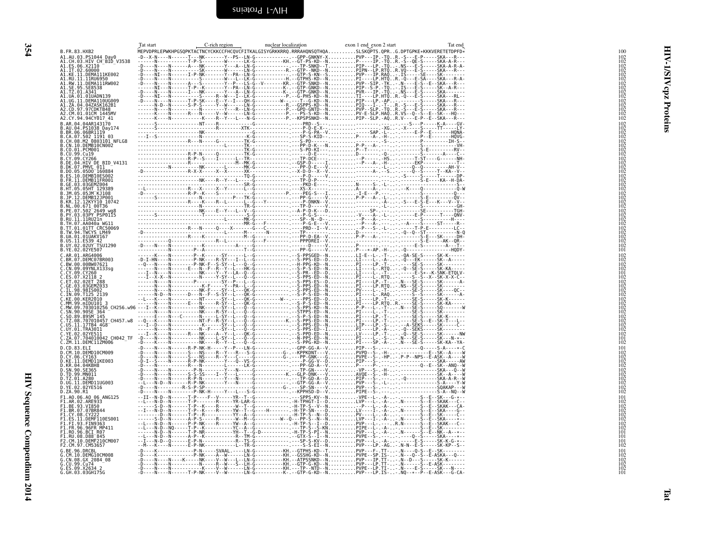<span id="page-37-1"></span><span id="page-37-0"></span>

| Tat start | C-rich region | nuclear localization | exon 1 end exon 2 start<br>Tat end                                                                        |                                                                                     |
|-----------|---------------|----------------------|-----------------------------------------------------------------------------------------------------------|-------------------------------------------------------------------------------------|
|           |               |                      | MEPVDPRLEPWKHPGSQPKTACTNCYCKKCCFHCQVCFITKALGISYGRKKRRQ.RRRAHQNSQTHQASLSKQPTS.QPRG.DPTGPKE*KKKVERETETDPFD* | 100                                                                                 |
|           |               |                      |                                                                                                           | $\begin{array}{c} 102 \\ 102 \\ 102 \\ 102 \end{array}$                             |
|           |               |                      |                                                                                                           |                                                                                     |
|           |               |                      |                                                                                                           | $\begin{array}{c} 102 \\ 102 \\ 102 \\ 102 \\ 102 \\ 102 \\ 102 \\ 102 \end{array}$ |
|           |               |                      |                                                                                                           |                                                                                     |
|           |               |                      |                                                                                                           |                                                                                     |
|           |               |                      |                                                                                                           |                                                                                     |
|           |               |                      |                                                                                                           | $\frac{102}{102}$<br>$\frac{102}{102}$<br>$\frac{102}{102}$                         |
|           |               |                      |                                                                                                           |                                                                                     |
|           |               |                      |                                                                                                           | $\begin{array}{c} 102 \\ 102 \\ 102 \\ 102 \\ 102 \\ 102 \\ 102 \\ 102 \end{array}$ |
|           |               |                      |                                                                                                           |                                                                                     |
|           |               |                      |                                                                                                           |                                                                                     |
|           |               |                      |                                                                                                           |                                                                                     |
|           |               |                      |                                                                                                           |                                                                                     |
|           |               |                      |                                                                                                           |                                                                                     |
|           |               |                      |                                                                                                           | $\frac{102}{102}$                                                                   |
|           |               |                      |                                                                                                           |                                                                                     |
|           |               |                      |                                                                                                           | $\frac{102}{102}$<br>$\frac{102}{102}$                                              |
|           |               |                      |                                                                                                           |                                                                                     |
|           |               |                      |                                                                                                           | $\begin{array}{r} 102 \\ 102 \\ 102 \\ 102 \\ 102 \\ 102 \end{array}$               |
|           |               |                      |                                                                                                           |                                                                                     |
|           |               |                      |                                                                                                           | $\frac{102}{102}$                                                                   |
|           |               |                      |                                                                                                           |                                                                                     |
|           |               |                      |                                                                                                           | $\frac{102}{102}$<br>101                                                            |
|           |               |                      |                                                                                                           | 102                                                                                 |
|           |               |                      |                                                                                                           | $\frac{102}{102}$                                                                   |
|           |               |                      |                                                                                                           | 101                                                                                 |
|           |               |                      |                                                                                                           | $\begin{array}{c} 102 \\ 102 \\ 102 \\ 102 \\ 102 \\ 102 \\ 102 \\ 102 \end{array}$ |
|           |               |                      |                                                                                                           |                                                                                     |
|           |               |                      |                                                                                                           |                                                                                     |
|           |               |                      |                                                                                                           | $\frac{102}{102}$                                                                   |
|           |               |                      |                                                                                                           | $\frac{102}{102}$                                                                   |
|           |               |                      |                                                                                                           |                                                                                     |
|           |               |                      |                                                                                                           | $\frac{102}{102}$                                                                   |
|           |               |                      |                                                                                                           | $10\overline{2}$<br>101                                                             |
|           |               |                      |                                                                                                           | 102<br>101                                                                          |
|           |               |                      |                                                                                                           | 102                                                                                 |
|           |               |                      |                                                                                                           |                                                                                     |
|           |               |                      |                                                                                                           | $\frac{102}{102}$<br>$\frac{102}{102}$<br>$\frac{102}{102}$                         |
|           |               |                      |                                                                                                           | 102                                                                                 |
|           |               |                      |                                                                                                           | $\frac{102}{102}$                                                                   |
|           |               |                      |                                                                                                           | 102<br>101                                                                          |
|           |               |                      |                                                                                                           | 102                                                                                 |
|           |               |                      |                                                                                                           | $\begin{array}{r} 102 \\ 102 \\ 102 \\ 102 \\ 102 \\ 102 \end{array}$               |
|           |               |                      |                                                                                                           |                                                                                     |
|           |               |                      |                                                                                                           | $10\overline{2}$                                                                    |
|           |               |                      |                                                                                                           | $\frac{101}{101}$                                                                   |
|           |               |                      |                                                                                                           | $\frac{101}{102}$                                                                   |
|           |               |                      |                                                                                                           | 101                                                                                 |
|           |               |                      |                                                                                                           | $\frac{102}{102}$                                                                   |
|           |               |                      |                                                                                                           | $\frac{102}{101}$                                                                   |
|           |               |                      |                                                                                                           |                                                                                     |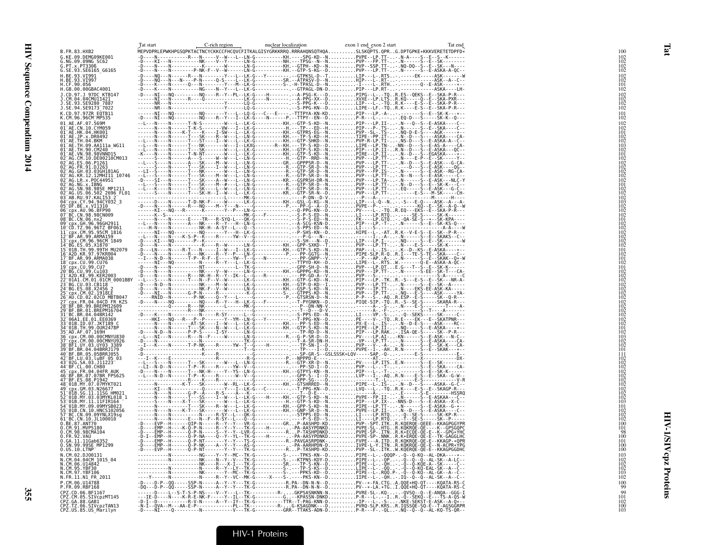|                                                                                                | Tat start | C-rich region | nuclear localization | exon 1 end exon 2 start                                                                                                                                                                                    | Tat end |  |
|------------------------------------------------------------------------------------------------|-----------|---------------|----------------------|------------------------------------------------------------------------------------------------------------------------------------------------------------------------------------------------------------|---------|--|
| B.FR.83.HXB2                                                                                   |           |               |                      | MEPVDPRLEPWKHPGSQPKTACTNCYCKKCCFHCQVCFITKALGISYGRKKRRQ.RRRAHQNSQTHQASLSKQPTS.QPRG.DPTGPKE*KKKVERETETDPFD*                                                                                                  |         |  |
| G.KE.09.DEMG09KE001<br>G.NG.09.09NG SC62                                                       |           |               |                      |                                                                                                                                                                                                            |         |  |
| G.PT.x.PT3306<br>G.SE.93.SE6165_G6165                                                          |           |               |                      |                                                                                                                                                                                                            |         |  |
|                                                                                                |           |               |                      |                                                                                                                                                                                                            |         |  |
| H.BE.93.VI991<br>H.BE.93.VI997<br>H.CF.90.056                                                  |           |               |                      |                                                                                                                                                                                                            |         |  |
|                                                                                                |           |               |                      |                                                                                                                                                                                                            |         |  |
| H.GB.00.00GBAC4001<br>J.CD.97.J 97DC KTB147                                                    |           |               |                      |                                                                                                                                                                                                            |         |  |
|                                                                                                |           |               |                      |                                                                                                                                                                                                            |         |  |
| J.CM.04.04CMU11421<br>J.SE.93.SE9280_7887                                                      |           |               |                      |                                                                                                                                                                                                            |         |  |
| J.SE.94.SE9173 7022<br>K.CD.97.97ZR EQTB11                                                     |           |               |                      |                                                                                                                                                                                                            |         |  |
| K.CM.96.96CM MP535                                                                             |           |               |                      |                                                                                                                                                                                                            |         |  |
| 01 AE.AF.07.569M                                                                               |           |               |                      |                                                                                                                                                                                                            |         |  |
| 01 AE.CN.10.CYM059<br>01 AE.HK.04.HK001                                                        |           |               |                      |                                                                                                                                                                                                            |         |  |
| $01^-\text{AE} \cdot \text{JP} \cdot \text{x} \cdot \text{DR0492}$                             |           |               |                      |                                                                                                                                                                                                            |         |  |
| 01 AE.TH.04.BKM<br>01 AE.TH.09.AA111a_WG11                                                     |           |               |                      |                                                                                                                                                                                                            |         |  |
| 01 AE. TH. 90. CM240                                                                           |           |               |                      |                                                                                                                                                                                                            |         |  |
|                                                                                                |           |               |                      |                                                                                                                                                                                                            |         |  |
| 01 AE: VN. 98.98VNND15<br>02 AG.CM.10.DE00210CM013<br>02 AG.ES.06.P1261<br>02 AG.ER.91.DJ263   |           |               |                      |                                                                                                                                                                                                            |         |  |
|                                                                                                |           |               |                      |                                                                                                                                                                                                            |         |  |
| 02 AG: GH: 03: 03GH181AG<br>02 AG: KR: 12: 12MHI11 10746<br>02 AG: LR: x. POC44951             |           |               |                      |                                                                                                                                                                                                            |         |  |
|                                                                                                |           |               |                      |                                                                                                                                                                                                            |         |  |
| $02^-AG$ . NG. $\times$ . IBNG                                                                 |           |               |                      |                                                                                                                                                                                                            |         |  |
| 02 AG: SN: 98.98SE MP1211<br>02 AG: US. 06.502 2696 FL01<br>03 AB: RU. 97. KAL153.2            |           |               |                      |                                                                                                                                                                                                            |         |  |
| 04 cpx.CY.94.94CY032 3                                                                         |           |               |                      |                                                                                                                                                                                                            |         |  |
| 05 DF.BE.x.VI1310                                                                              |           |               |                      |                                                                                                                                                                                                            |         |  |
| 06 Cpx.AU.96.BFP90<br>07 BC.CN.98.98CN009                                                      |           |               |                      |                                                                                                                                                                                                            |         |  |
| 08 BC.CN.06.nx2<br>09 cpx.GH.96.96GH2911                                                       |           |               |                      |                                                                                                                                                                                                            |         |  |
| 10 CD. TZ. 96.96TZ BF061<br>11 cpx. CM. 95.95CM 1816<br>12 BF. AR. 99. ARMA159                 |           |               |                      |                                                                                                                                                                                                            |         |  |
|                                                                                                |           |               |                      |                                                                                                                                                                                                            |         |  |
|                                                                                                |           |               |                      |                                                                                                                                                                                                            |         |  |
| 13 Cpx. CM. 96.96CM<br>14 BG. ES. 05. X1870<br>15 01B. TH. 99.99TH_MU2079                      |           |               |                      |                                                                                                                                                                                                            |         |  |
| 16 A2D.KR.97.97KR004                                                                           |           |               |                      |                                                                                                                                                                                                            |         |  |
| 17 BF.AR.99.ARMA038                                                                            |           |               |                      |                                                                                                                                                                                                            |         |  |
| 18 cpx.CU.99.CU76                                                                              |           |               |                      |                                                                                                                                                                                                            |         |  |
| 19 cpx.cu.99.cu7<br>20 BG.cu.99.cu103<br>21 A2D.KE.99.KER2003                                  |           |               |                      |                                                                                                                                                                                                            |         |  |
| 22 <sup>-</sup> 01A1.CM.01.01CM_0001BBY                                                        |           |               |                      |                                                                                                                                                                                                            |         |  |
| 23-BG.CU.03.CB118<br>24-BG.ES.08.X2456 2                                                       |           |               |                      |                                                                                                                                                                                                            |         |  |
|                                                                                                |           |               |                      |                                                                                                                                                                                                            |         |  |
| 25 Cpx.CM.02.1918LE<br>26 AU.CD.02.02CD MBTB047                                                |           |               |                      |                                                                                                                                                                                                            |         |  |
| 27 - CDX . FR. 04. 04CD FR KZS<br>28 - BF . BR. 99. BREPM12609<br>29 - BF . BR. 01. BREPM16704 |           |               |                      |                                                                                                                                                                                                            |         |  |
|                                                                                                |           |               |                      |                                                                                                                                                                                                            |         |  |
| 31 BC.BR.04.04BR142<br>32 06A1.EE.01.EE0369                                                    |           |               |                      |                                                                                                                                                                                                            |         |  |
| 33 <sup>-</sup> 01B.ID.07.JKT189 C                                                             |           |               |                      |                                                                                                                                                                                                            |         |  |
| 34-01B.TH.99.0UR2478P<br>35-AD.AF.07.169H                                                      |           |               |                      |                                                                                                                                                                                                            |         |  |
| 36 cpx.CM.00.00CMNYU830                                                                        |           |               |                      |                                                                                                                                                                                                            |         |  |
| 37 <sup>-</sup> cpx.CM.00.00CMNYU926                                                           |           |               |                      |                                                                                                                                                                                                            |         |  |
| 38 BF1.UY.03.UY03 3389                                                                         |           |               |                      |                                                                                                                                                                                                            |         |  |
| 40 BF.BR.05.05BRRJ055<br>42 <sup>-</sup> BF.LU.03.luBF 05 03                                   |           |               |                      |                                                                                                                                                                                                            |         |  |
| 43 026.5A.03.JI1223<br>44 BF.CL.00.CH80                                                        |           |               |                      |                                                                                                                                                                                                            |         |  |
| 45 cpx. FR. 04.04FR AUK                                                                        |           |               |                      |                                                                                                                                                                                                            |         |  |
| 46-BF.BR.07.07BR FPS625<br>47-BF.ES.08.P1942                                                   |           |               |                      |                                                                                                                                                                                                            |         |  |
| 48 01B.MY.07.07MYKT021                                                                         |           |               |                      |                                                                                                                                                                                                            |         |  |
| 49 cpx.GM.03.N26677                                                                            |           |               |                      |                                                                                                                                                                                                            |         |  |
| 51 <sup>-</sup> 01B.SG.11.11SG HM023                                                           |           |               |                      |                                                                                                                                                                                                            |         |  |
| 52 01B.MY.03.03MYKL018 1<br>53 01B.MY.11.11FIR164                                              |           |               |                      |                                                                                                                                                                                                            |         |  |
| 54 <sup>-</sup> 01B.MY.09.09MYSB023                                                            |           |               |                      |                                                                                                                                                                                                            |         |  |
| 55-01B.CN.10.HNCS102056<br>57-BC.CN.09.09YNLX19sg                                              |           |               |                      |                                                                                                                                                                                                            |         |  |
| 61 BC.CN.10.JL100010<br>0.BE.87.ANT70<br>0.CM.91.MVP5180                                       |           |               |                      |                                                                                                                                                                                                            |         |  |
|                                                                                                |           |               |                      |                                                                                                                                                                                                            |         |  |
| 0.CM.98.98CMA104<br>0.FR.92.VAU                                                                |           |               |                      |                                                                                                                                                                                                            |         |  |
| 0.GA.11.11Gab6352                                                                              |           |               |                      |                                                                                                                                                                                                            |         |  |
| 0.SN.99.99SE MP1299<br>0. US. 10. LTNP                                                         |           |               |                      | -D----EVP--H------Q-P-NT-------Y--Y---TK-G-----------RP-TASHPD-KDPVP--SL-.ITKW.KQERQE-QE-E--KKAGPGGDHC                                                                                                     |         |  |
| N.CM.02.DJ00131                                                                                |           |               |                      | -----------N---------NG----Y--Y--MC--TK-G---------S-.---TPKS-KN--DPIPE--L-.-QQQP-.-Q--Q-KQ--AL-DKA----*--                                                                                                  |         |  |
|                                                                                                |           |               |                      |                                                                                                                                                                                                            |         |  |
| N.CM.04.04CM 1015_04<br>N.CM.06.U14842<br>N.CM.95.YBF30                                        |           |               |                      |                                                                                                                                                                                                            |         |  |
| N.CM.97.YBF106                                                                                 |           |               |                      |                                                                                                                                                                                                            |         |  |
| N.FR.11.N1_FR_2011                                                                             |           |               |                      |                                                                                                                                                                                                            |         |  |
| P.CM.06.U14788<br>P.FR.09.RBF168                                                               |           |               |                      | -D----D-P--00-----SSP-N-----A--Y--Y---TK-G--------------R.PA--DN-N-N--DPV--*-FA.CTGA.00E*HQ-0T----KOATA-RS-C<br>-DQ---D-P--QQ-----SSP-N-----A--Y--Y---TK-G-----------R.PA--DN-N-N--DPV--*-LA.*TGI.QQE*HQ-Q |         |  |
| CPZ.CD.06.BF1167                                                                               |           |               |                      |                                                                                                                                                                                                            |         |  |
| CPZ.CM.05.SIVcpzMT145                                                                          |           |               |                      |                                                                                                                                                                                                            |         |  |
| CPZ.GA.88.GAB1<br>CPZ.GA.88.GAB1<br>CPZ.TZ.06.SIVcpzTAN13<br>CPZ.US.85.US_Marilyn              |           |               |                      |                                                                                                                                                                                                            |         |  |
|                                                                                                |           |               |                      |                                                                                                                                                                                                            |         |  |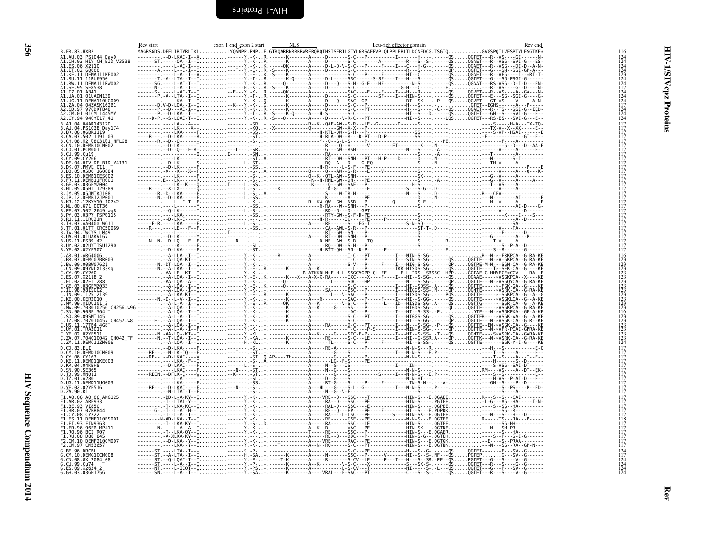<span id="page-39-0"></span>

| ۰. |
|----|
|    |

<span id="page-39-1"></span>

| B. FR. 83. HXB2                                                                                                                                                                           |  | <b>NLS</b> | Leu-rich effector domain |  |
|-------------------------------------------------------------------------------------------------------------------------------------------------------------------------------------------|--|------------|--------------------------|--|
| A1.AU.03.PS1044_Day0<br>A1.CH.03.HIV_CH_BID_V3538                                                                                                                                         |  |            |                          |  |
| A1.ES.06.X2110<br>.IT.02.60000                                                                                                                                                            |  |            |                          |  |
| A1.KE.11.DEMA111KE002<br>A1.RU.11.11RU6950<br>A1.RW.II.DĒMĂĬĬĬŘW002<br>.SE.95.SE8538                                                                                                      |  |            |                          |  |
| A1.52.95.35030<br>A1.06.01.0341<br>A1.06.01.010ADN139<br>A1.06.11.0EMAD1006009<br>A1.2A.04.042ASK162B1<br>A2.CD.97.97CDKTB48<br>A2.CD.97.97CDKTB48<br>A2.CD.97.97CDKTB48<br>A2.CM.81.01CM |  |            |                          |  |
|                                                                                                                                                                                           |  |            |                          |  |
| 42.CY.94.94CY017 41<br>AR.04.04AR143170                                                                                                                                                   |  |            |                          |  |
| BR.06.06BR1119                                                                                                                                                                            |  |            |                          |  |
| 10.DEMB10CN002                                                                                                                                                                            |  |            |                          |  |
| 99.Cu19                                                                                                                                                                                   |  |            |                          |  |
| DK.07.PMVL 011                                                                                                                                                                            |  |            |                          |  |
|                                                                                                                                                                                           |  |            |                          |  |
|                                                                                                                                                                                           |  |            |                          |  |
|                                                                                                                                                                                           |  |            |                          |  |
| 00.671 00T36<br>07.502 2649 wg8<br>03.03PY PSP0115                                                                                                                                        |  |            |                          |  |
| 11.11RU21n<br>TH.07.AA040a WG11                                                                                                                                                           |  |            |                          |  |
| 01.01TT_CRC50069<br>B.TW.94.TWCYS LM49<br>.01.01UAKV167                                                                                                                                   |  |            |                          |  |
| .US.11.ES39 42<br>.UY.02.02UY TSU1290<br>B.YE.02.02YE507                                                                                                                                  |  |            |                          |  |
| AR.01.ARG4006                                                                                                                                                                             |  |            |                          |  |
| :.BR.07.DEMC07BR003<br>:.BW.00.00BW07621<br>:.CN.09.09YNLX133sg                                                                                                                           |  |            |                          |  |
|                                                                                                                                                                                           |  |            |                          |  |
|                                                                                                                                                                                           |  |            |                          |  |
|                                                                                                                                                                                           |  |            |                          |  |
|                                                                                                                                                                                           |  |            |                          |  |
| US.11.17TB4 4G8                                                                                                                                                                           |  |            |                          |  |
| 07.704010042 CH042 TF<br>C.ZM.11.DEMC11ZM006                                                                                                                                              |  |            |                          |  |
| CD.83.ELI<br>10.DEMD10CM009                                                                                                                                                               |  |            |                          |  |
| .KE.ll.DEMDI1KE003<br>KR.04.04KBH8                                                                                                                                                        |  |            |                          |  |
| SN.90.SE365<br>TD.99.MN011<br>0.TZ.01.A280                                                                                                                                                |  |            |                          |  |
| .UG.11.DEMD11UG003<br>D.YE.02.02YE516<br>D.ZA.90.R1                                                                                                                                       |  |            |                          |  |
| F1.A0.06.A0 06 ANG125<br>F1.AR.02.ARE933                                                                                                                                                  |  |            |                          |  |
| 1.BE.93.VI850<br>F1.BR.07.07BR844<br>.CY.08.CY222                                                                                                                                         |  |            |                          |  |
| 1.FR.96.96FR MP411                                                                                                                                                                        |  |            |                          |  |
| <b>RO.96.BCT R07</b><br>1 RIL 08 D88 845                                                                                                                                                  |  |            |                          |  |
| 2.CM.97.CM53657                                                                                                                                                                           |  |            |                          |  |
| 10.DEMG10CM008<br>CN.08.GX 2084 08                                                                                                                                                        |  |            |                          |  |
| . CU.99. Cu74<br>G.ES.09.X2634 2<br>G.GH.03.03GH175G                                                                                                                                      |  |            |                          |  |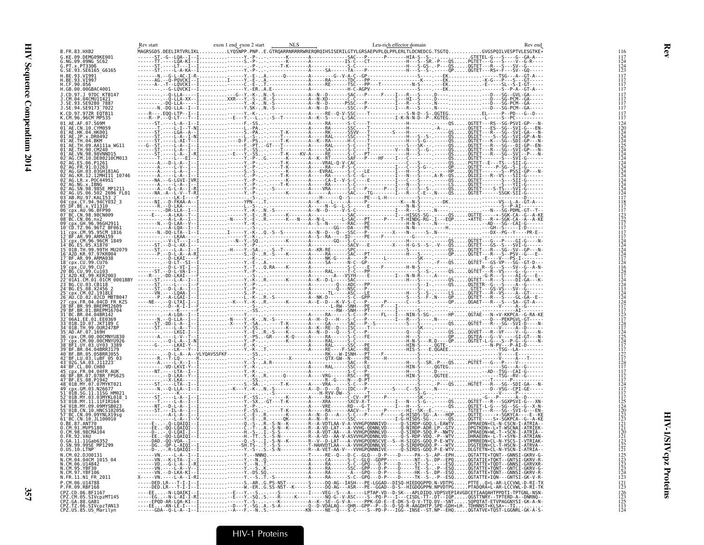|                                                                                                               | Rev start | exon 1 end exon 2 start | NLS | Leu-rich effector domain                                                                                                  | Rev end           |
|---------------------------------------------------------------------------------------------------------------|-----------|-------------------------|-----|---------------------------------------------------------------------------------------------------------------------------|-------------------|
| B.FR.83.HXB2<br>G.KE.09.DEMG09KE001                                                                           |           |                         |     | MAGRSGDS.DEELIRTVRLIKLLYQŠNPP.PNPE.GTRQARRNRRRRWRERQRQIHSISERILGTYLGRSAEPVPLQLPPLERLTLDCNEDCG.TSGTQGVGSPQILVESPTVLESGTKE* |                   |
| G.NG.09.09NG SC62                                                                                             |           |                         |     |                                                                                                                           |                   |
| G.PT.x.PT3306<br>G.SE.93.SE6165 G6165                                                                         |           |                         |     |                                                                                                                           |                   |
| H.BE.93.VI991                                                                                                 |           |                         |     |                                                                                                                           |                   |
| H.BE.93.VI997<br>H.CF.90.056                                                                                  |           |                         |     |                                                                                                                           |                   |
| H.GB.00.00GBAC4001                                                                                            |           |                         |     |                                                                                                                           |                   |
| J.CD.97.J 97DC KTB147<br>1.CM.04.04CMU11421                                                                   |           |                         |     |                                                                                                                           |                   |
| J.SE.93.SE9280 7887                                                                                           |           |                         |     |                                                                                                                           |                   |
| J.SE.94.SE9173 <sup>-</sup> 7022<br>K.CD.97.97ZR EQTB11                                                       |           |                         |     |                                                                                                                           |                   |
| K.CM.96.96CM MP535                                                                                            |           |                         |     |                                                                                                                           |                   |
| 01 AE.AF.07.569M<br>01 <sup>-</sup> AE.CN.10.CYM059                                                           |           |                         |     |                                                                                                                           |                   |
| 01 AE.HK.04.HK001<br>01 AE.JP.x.DR0492                                                                        |           |                         |     |                                                                                                                           |                   |
| $01^-$ AE.TH.04.BKM                                                                                           |           |                         |     |                                                                                                                           |                   |
| 01 <sup>-</sup> AE.TH.09.AA111a WG11<br>01 AE.TH.90.CM240                                                     |           |                         |     |                                                                                                                           |                   |
| 01 <sup>–</sup> AE.VN.98.98VNND15<br>02 <sup>–</sup> AG.CM.10.DE00210CM013                                    |           |                         |     |                                                                                                                           |                   |
| 02 <sup>-</sup> AG.ES.06.P1261                                                                                |           |                         |     |                                                                                                                           |                   |
| 02 <sup>-</sup> AG.FR.91.DJ263<br>02 AG.GH.03.03GH181AG                                                       |           |                         |     |                                                                                                                           |                   |
| 02 <sup>-</sup> AG.KR.12.12MHI11 10746                                                                        |           |                         |     |                                                                                                                           |                   |
| 02 AG.LR.x.POC44951<br>02 AG.NG.x.IBNG                                                                        |           |                         |     |                                                                                                                           |                   |
| 2 AG.SN.98.98SE MP1211<br>02 AG.US.06.502 2696 FL01<br>03 AB.RU.97.KAL153 2                                   |           |                         |     |                                                                                                                           |                   |
|                                                                                                               |           |                         |     |                                                                                                                           |                   |
| 04_cp0.94.94CY032_3<br>05_DF.BE.x.VI1310<br>05_DF.BE.x.VI1310<br>06_cpx.AU.96.BFP90                           |           |                         |     |                                                                                                                           |                   |
| 07 BC.CN.98.98CN009<br>08 BC.CN.06.nx2                                                                        |           |                         |     |                                                                                                                           |                   |
|                                                                                                               |           |                         |     |                                                                                                                           |                   |
|                                                                                                               |           |                         |     |                                                                                                                           |                   |
| ;<br>ГСР.ТZ.96.96ТZ ВF061<br>ГСР.ТZ.96.96ТZ ВF061<br>ГВF.AR.99.ARMA159<br>ГВF.AR.99.ARMA159                   |           |                         |     |                                                                                                                           |                   |
| cpx.CM.96.96CM_1849<br>"BG.ES.05.X1870"                                                                       |           |                         |     |                                                                                                                           |                   |
| 01B.TH.99.99TH MU2079"<br>6 A2D.KR.97.97KR004                                                                 |           |                         |     |                                                                                                                           |                   |
| 7 BF.AR.99.ARMA038                                                                                            |           |                         |     |                                                                                                                           |                   |
| .8 <sup>-</sup> cpx.CU.99.CU76                                                                                |           |                         |     |                                                                                                                           |                   |
| 19 cpx.CU.99.CU7<br>20 BG.CU.99.CU103<br>A2D.KE.99.KER2003                                                    |           |                         |     |                                                                                                                           |                   |
| 01A1.CM.01.01CM 0001BBY                                                                                       |           |                         |     |                                                                                                                           |                   |
| 3-BG.CU.03.CB118<br>4-BG.ES.08.X2456.2                                                                        |           |                         |     |                                                                                                                           |                   |
| cpx.CM.02.1918EE<br>AU.CD.02.02CD MBTB047                                                                     |           |                         |     |                                                                                                                           |                   |
| ⊤cpx.FR.04.04CD FR_KZS<br>⊡BF.BR.99.BREPM12609                                                                |           |                         |     |                                                                                                                           |                   |
| $9^-$ BF.BR.01.BREPM16704                                                                                     |           |                         |     |                                                                                                                           |                   |
| $1^-$ BC.BR.04.04BR142                                                                                        |           |                         |     |                                                                                                                           |                   |
| -06AI.EE.01.EE0369<br>-01B.ID.07.JKT189_C<br>$^-$ 01B.TH.99.OUR2478P                                          |           |                         |     |                                                                                                                           |                   |
| -AD.AF.07.169H<br>6 cpx.CM.00.00CMNYU830                                                                      |           |                         |     |                                                                                                                           |                   |
| cpx.CM.00.00CMNYU926"                                                                                         |           |                         |     |                                                                                                                           |                   |
| 8 BF1.UY.03.UY03 3389<br>89 <sup>-</sup> BF.BR.04.04BRRJ179                                                   |           |                         |     |                                                                                                                           |                   |
| 39-BF.BR.05.05BRRJ055<br>42 BF.LU.03.luBF 05 03<br>43 02G.SA.03.J11223                                        |           |                         |     |                                                                                                                           |                   |
|                                                                                                               |           |                         |     |                                                                                                                           |                   |
| 44 <sup>-</sup> BF.CL.00.CH80<br>45 cpx.FR.04.04FR AUK                                                        |           |                         |     |                                                                                                                           |                   |
| 46 BF.BR.07.07BR FPS625<br>47 BF.ES.08.P1942                                                                  |           |                         |     |                                                                                                                           |                   |
| 48 <sup>-</sup> 01B.MY.07.07MYKT021                                                                           |           |                         |     |                                                                                                                           |                   |
|                                                                                                               |           |                         |     |                                                                                                                           |                   |
| 01B.MY.03.03MYKL018    1<br>3-01B.MY.11.11FIR164<br>4-01B.MY.09.09MYSB023                                     |           |                         |     |                                                                                                                           |                   |
|                                                                                                               |           |                         |     |                                                                                                                           |                   |
| 55-01B.CN.10.HNCS102056<br>55-01B.CN.10.HNCS102056<br>57-BC.CN.09.09YNLX19sg<br>61_BC.CN.1 <u>0.</u> JL100010 |           |                         |     |                                                                                                                           |                   |
| Ŏ.BĔ.87.AÑŤ7Ŏ<br>O.CM.91.MVP5180                                                                              |           |                         |     |                                                                                                                           |                   |
| 0.CM.98.98CMA104<br>O.ER.92.VAU                                                                               |           |                         |     |                                                                                                                           |                   |
| 0.GA.11.11Gab6352                                                                                             |           |                         |     |                                                                                                                           |                   |
| 0.SN.99.99SE MP1299                                                                                           |           |                         |     |                                                                                                                           | $\frac{122}{121}$ |
| $0.0S.10.LTNP^2$                                                                                              |           |                         |     |                                                                                                                           | 125               |
| v.CM.02.DJ00131<br>N.CM.04.04CM 1015_04<br>N.CM.06.U14842                                                     |           |                         |     |                                                                                                                           | 123               |
| N.CM.95.YBF30<br>N.CM.97.YBF106                                                                               |           |                         |     |                                                                                                                           | i 23<br>123       |
| N.FR.11.N1_FR_2011                                                                                            |           |                         |     |                                                                                                                           | $\frac{124}{123}$ |
| P.CM.06.U14788                                                                                                |           |                         |     |                                                                                                                           | $^{121}_{123}$    |
| P.FR.09.RBF168                                                                                                |           |                         |     |                                                                                                                           |                   |
|                                                                                                               |           |                         |     |                                                                                                                           |                   |
|                                                                                                               |           |                         |     |                                                                                                                           | 123<br>125<br>113 |
|                                                                                                               |           |                         |     |                                                                                                                           |                   |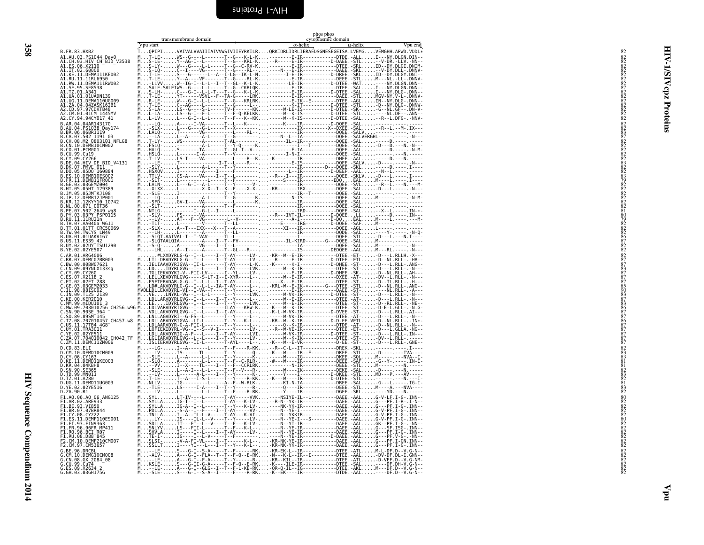<span id="page-41-0"></span>

| ×. |
|----|
|    |

<span id="page-41-1"></span>

|                                                               | transmembrane domain<br>Vpu start | cytoplasmic domain<br>$\alpha$ -helix<br>$\alpha$ -helix<br>Vpu end                                                                                                                                                                                                                                                                                                                            |  |
|---------------------------------------------------------------|-----------------------------------|------------------------------------------------------------------------------------------------------------------------------------------------------------------------------------------------------------------------------------------------------------------------------------------------------------------------------------------------------------------------------------------------|--|
| B.FR.83.HXB2<br>A1.AU.03.PS1044 Day0                          |                                   | TQPIPIVAIVALVVAIIIAIVVWSIVIIEYRKILRQRKIDRLIDRLIERAEDSGNESEGEISA.LVEMGVEMGHH.APWD.VDDL*<br>MT-LE-WS--G----L-------T--G---K-L-K--------E-IR-----------DTDE.-ALLI---NY.DLGN.DIN--                                                                                                                                                                                                                 |  |
|                                                               |                                   |                                                                                                                                                                                                                                                                                                                                                                                                |  |
|                                                               |                                   |                                                                                                                                                                                                                                                                                                                                                                                                |  |
|                                                               |                                   |                                                                                                                                                                                                                                                                                                                                                                                                |  |
|                                                               |                                   |                                                                                                                                                                                                                                                                                                                                                                                                |  |
|                                                               |                                   |                                                                                                                                                                                                                                                                                                                                                                                                |  |
|                                                               |                                   |                                                                                                                                                                                                                                                                                                                                                                                                |  |
|                                                               |                                   |                                                                                                                                                                                                                                                                                                                                                                                                |  |
|                                                               |                                   |                                                                                                                                                                                                                                                                                                                                                                                                |  |
|                                                               |                                   |                                                                                                                                                                                                                                                                                                                                                                                                |  |
|                                                               |                                   |                                                                                                                                                                                                                                                                                                                                                                                                |  |
|                                                               |                                   |                                                                                                                                                                                                                                                                                                                                                                                                |  |
|                                                               |                                   |                                                                                                                                                                                                                                                                                                                                                                                                |  |
|                                                               |                                   |                                                                                                                                                                                                                                                                                                                                                                                                |  |
|                                                               |                                   |                                                                                                                                                                                                                                                                                                                                                                                                |  |
|                                                               |                                   |                                                                                                                                                                                                                                                                                                                                                                                                |  |
|                                                               |                                   |                                                                                                                                                                                                                                                                                                                                                                                                |  |
|                                                               |                                   |                                                                                                                                                                                                                                                                                                                                                                                                |  |
|                                                               |                                   |                                                                                                                                                                                                                                                                                                                                                                                                |  |
|                                                               |                                   |                                                                                                                                                                                                                                                                                                                                                                                                |  |
|                                                               |                                   |                                                                                                                                                                                                                                                                                                                                                                                                |  |
|                                                               |                                   |                                                                                                                                                                                                                                                                                                                                                                                                |  |
|                                                               |                                   |                                                                                                                                                                                                                                                                                                                                                                                                |  |
|                                                               |                                   |                                                                                                                                                                                                                                                                                                                                                                                                |  |
|                                                               |                                   |                                                                                                                                                                                                                                                                                                                                                                                                |  |
|                                                               |                                   |                                                                                                                                                                                                                                                                                                                                                                                                |  |
|                                                               |                                   |                                                                                                                                                                                                                                                                                                                                                                                                |  |
|                                                               |                                   |                                                                                                                                                                                                                                                                                                                                                                                                |  |
| D.CM.10.DEMD10CM009<br>D.CY.06.CY163                          |                                   |                                                                                                                                                                                                                                                                                                                                                                                                |  |
| D.KE.11.DEMD11KE003<br>D.KR.04.04KBH8<br>D.SN.90.SE365        |                                   |                                                                                                                                                                                                                                                                                                                                                                                                |  |
| D.TD.99.MN011<br>D.TZ.01.A280                                 |                                   |                                                                                                                                                                                                                                                                                                                                                                                                |  |
| D.UG.11.DEMD11UG003<br>D.YE.02.02YE516                        |                                   | $M_{111} = L\left[ \begin{array}{c} \text{R1} & \text{R1} & \text{R1} & \text{R1} & \text{R1} & \text{R1} & \text{R1} & \text{R1} & \text{R1} & \text{R1} & \text{R1} & \text{R1} & \text{R1} & \text{R1} & \text{R1} & \text{R1} & \text{R1} & \text{R1} & \text{R1} & \text{R1} & \text{R1} & \text{R1} & \text{R1} & \text{R1} & \text{R1} & \text{R1} & \text{R1} & \text{R1} & \text{R1}$ |  |
| F1.A0.06.A0 06 ANG125<br>F1.AR.02.ARE933<br>F1.BE.93.VI850    |                                   | MSYLLT-IV----L-------T-AY-----VVK----NSIYE-IL--L--------DAEE.-AALG-V-LF.I-G-.INN--                                                                                                                                                                                                                                                                                                             |  |
| F1.BR.07.07BR844                                              |                                   | TNLLAI--A--ĪL-L-V------T-AY---K-VI-----N--YKKĪR-----------DAEE.-AALG-V-PF.Ī-G-.ĪNN--                                                                                                                                                                                                                                                                                                           |  |
| F1.CY.08.CY222<br>F1.ES.11.DEMF110ES001<br>F1.FI.93.FIN9363   |                                   | LY-I <u>S----I</u> L-L--V----T--Y-----LV-----N--YE-I---S---------DAEE.-AALG-V-PF.I-G-.INN--                                                                                                                                                                                                                                                                                                    |  |
| F1.FR.96.96FR_MP411<br>F1.RO.96.BCI_R07                       |                                   |                                                                                                                                                                                                                                                                                                                                                                                                |  |
| FI.RU.08.D88-845<br>F2.CM.10.DEMF210CM007<br>F2.CM.97.CM53657 |                                   | MSSLLTI----YI---L---I--T--Y---K-L---KR-NK-YK-IR------------DAEE.-AALG---PF.I-G-.INN--                                                                                                                                                                                                                                                                                                          |  |
| G.BE.96.DRCBL<br>G.CM.10.DEMG10CM008                          |                                   | M--LE-S---G-I--S-A-----T--F------RK-KR-EK-L--IR------------DTEE.-ATLM-L-DF.D--V.G-N--                                                                                                                                                                                                                                                                                                          |  |
| G.CN.08.GX 2084_08                                            |                                   |                                                                                                                                                                                                                                                                                                                                                                                                |  |
| G.ES.09.X2634 2<br>G.GH.03.03GH175G                           |                                   |                                                                                                                                                                                                                                                                                                                                                                                                |  |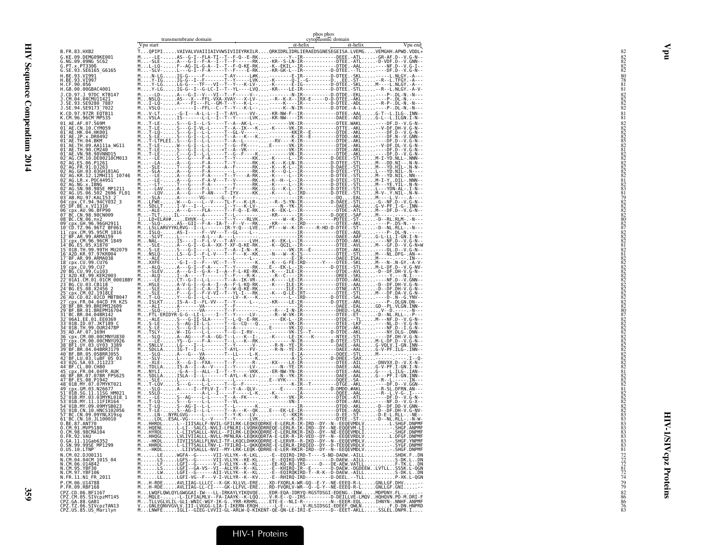|                                                                                                                                                 | Vpu start | transmembrane domain                                                                                                                                                                                      | $\alpha$ -helix | phos phos<br>cytoplasmic domain | $\alpha$ -helix | Vpu end |
|-------------------------------------------------------------------------------------------------------------------------------------------------|-----------|-----------------------------------------------------------------------------------------------------------------------------------------------------------------------------------------------------------|-----------------|---------------------------------|-----------------|---------|
| B.FR.83.HXB2                                                                                                                                    |           | TQPIPIVAIVALVVAIIIAIVVWSIVIIEYRKILRQRKIDRLIDRLIERAEDSGNESEGEISA.LVEMGVEMGHH.APWD.VDDL*                                                                                                                    |                 |                                 |                 |         |
| G.KE.09.DEMG09KE001<br>G.NG.09.09NG SC62<br>G.PT.x.PT3306                                                                                       |           | M-LE-AS-G-I--FLA-TI--T--F-Q--E-RK---------Y--IR-----------------DEEE.-ATL-GR-AF.D--V.G-N--<br>M-SLE-A--G-I--F-A--I--T--F-Q--KE-RK-KR--S-LN-IR------------DTEE.-ATL-O-VDF.D--V.G-N--<br>ML-LQ              |                 |                                 |                 |         |
| G.SE.93.SE6165_G6165<br>H.BE.93.VI991                                                                                                           |           |                                                                                                                                                                                                           |                 |                                 |                 |         |
| H.BE.93.VI997<br>H.CF.90.056<br>H.GB.00.00GBAC4001                                                                                              |           |                                                                                                                                                                                                           |                 |                                 |                 |         |
| J.CD.97.J 97DC KTB147<br>J.CM.04.04CMU11421<br>J.SE.93.SE9280 7887                                                                              |           |                                                                                                                                                                                                           |                 |                                 |                 |         |
| J.SE.94.SE9173 <sup>-</sup> 7022                                                                                                                |           |                                                                                                                                                                                                           |                 |                                 |                 |         |
| K.CD.97.97ZR EQTB11<br>K.CM.96.96CM MP535                                                                                                       |           | M. V-LT. G-I---A-L-L--I--T-AYL----VV-. KR-NW-F--IR-----------DTEE.-AAL. G-T--L.ILG-. INN--<br>M. VSLA. IS-------L-L--I--T--Y-----LVK. KR-NW----IR------------DAEE.-ADI.                                   |                 |                                 |                 |         |
| 01 AE.AF.07.569M<br>01 <sup>-</sup> AE.CN.10.CYM059<br>$01^-$ AE.HK.04.HK001                                                                    |           |                                                                                                                                                                                                           |                 |                                 |                 |         |
| 01 AE. JP. x. DR0492<br>01 AE. TH. 04. BKM                                                                                                      |           |                                                                                                                                                                                                           |                 |                                 |                 |         |
| 01 AE.TH.09.AA111a WG11                                                                                                                         |           |                                                                                                                                                                                                           |                 |                                 |                 |         |
| 01 AE . TH . 90 . CM240 -<br>01 AE . VN . 98 . 98VNND15<br>02 AG . CM . 10 . DE00210CM013<br>02 AG . ES . 06 . P1261<br>02 AG . ER . 91 . DJ263 |           |                                                                                                                                                                                                           |                 |                                 |                 |         |
| 02 AG.GH.03.03GH181AG<br>02 AG.KR.12.12MHI11 10746                                                                                              |           |                                                                                                                                                                                                           |                 |                                 |                 |         |
| 02 AG. LR. x. P0C44951                                                                                                                          |           |                                                                                                                                                                                                           |                 |                                 |                 |         |
| 02-AG.NG.X.IBNG<br>02-AG.SN.98.98SE MP1211<br>02-AG.US.06.502_2696_FL01<br>03-AB.RU.97.KAL153_2                                                 |           |                                                                                                                                                                                                           |                 |                                 |                 |         |
| 04 - CDX. CY. 94. 94CY032_3<br>05 - DF. BE. x. VI1310<br>06 - CDX. AU. 96. BEP90                                                                |           |                                                                                                                                                                                                           |                 |                                 |                 |         |
| 07 BC.CN.98.98CN009<br>08 BC.CN.06.nx2                                                                                                          |           |                                                                                                                                                                                                           |                 |                                 |                 |         |
| 09 Cpx.GH.96.96GH2911<br>10 CD.TZ.96.96TZ_BF061                                                                                                 |           |                                                                                                                                                                                                           |                 |                                 |                 |         |
| 11 Cpx.CM.95.95CM 1816<br>12 BF.AR.99.ARMA159<br>13 cpx.CM.96.96CM_1849<br>14 BG.ES.05.X1870                                                    |           |                                                                                                                                                                                                           |                 |                                 |                 |         |
| 15 01B. TH. 99.99TH MU2079<br>16 A2D.KR.97.97KR004                                                                                              |           |                                                                                                                                                                                                           |                 |                                 |                 |         |
| 17 BF.AR.99.ARMA038<br>18 cpx.CU.99.CU76                                                                                                        |           |                                                                                                                                                                                                           |                 |                                 |                 |         |
| 19 cpx.CU.99.CU7<br>20 BG.CU.99.Cu103                                                                                                           |           |                                                                                                                                                                                                           |                 |                                 |                 |         |
| 21-A2D.KE.99.KER2003<br>22-01A1.CM.01.01CM_0001BBY<br>23-BG.CU.03.CB118                                                                         |           |                                                                                                                                                                                                           |                 |                                 |                 |         |
| 24 BG.ES.08.X2456 2<br>25 cpx.CM.02.1918LE                                                                                                      |           |                                                                                                                                                                                                           |                 |                                 |                 |         |
| 26-AU.CD.02.02CD MBTB047<br>27-cpx.FR.04.04CD FR KZS<br>28-BF.BR.99.BREPMI2609                                                                  |           |                                                                                                                                                                                                           |                 |                                 |                 |         |
| 29 BF.BR.01.BREPM16704<br>31 BC.BR.04.04BR142<br>32 06A1.EE.01.EE0369                                                                           |           |                                                                                                                                                                                                           |                 |                                 |                 |         |
| 33-01B.1D.07.JKT189 C<br>34-01B.TH.99.0UR2478P                                                                                                  |           |                                                                                                                                                                                                           |                 |                                 |                 |         |
| 35 AD. AF. 07. 169H<br>36 cpx.CM.00.00CMNYU830<br>37 cpx.CM.00.00CMNYU926<br>38 BF1.UY.03.UY03 3389                                             |           |                                                                                                                                                                                                           |                 |                                 |                 |         |
| 39 BF.BR.04.04BRRJ179<br>40 BF.BR.05.05BRRJ055                                                                                                  |           |                                                                                                                                                                                                           |                 |                                 |                 |         |
| 42 BF.LU.03.LUBF 05 03<br>43 026.SA.03.J11223                                                                                                   |           |                                                                                                                                                                                                           |                 |                                 |                 |         |
| 44 BF.CL.00.CH80<br>45 cpx. FR. 04.04FR AUK<br>46 BF.BR.07.07BR FPS625                                                                          |           |                                                                                                                                                                                                           |                 |                                 |                 |         |
| 47 BF.ES.08.P1942<br>48 01B.MY.07.07MYKT021                                                                                                     |           |                                                                                                                                                                                                           |                 |                                 |                 |         |
| 49 cpx.GM.03.N26677<br>51-01B.SG.11.11SG HM021<br>52-01B.MY.03.03MYKL018_1                                                                      |           |                                                                                                                                                                                                           |                 |                                 |                 |         |
| 53 01B.MY.11.11 FIR164<br>54 01B.MY.09.09MYSB023                                                                                                |           |                                                                                                                                                                                                           |                 |                                 |                 |         |
| 55 01B.CN.10.HNCS102056<br>57 BC.CN.09.09YNLX19sg<br>61 BC.CN.10.1L100010                                                                       |           |                                                                                                                                                                                                           |                 |                                 |                 |         |
| 0.BE.87.ANT70<br>0.CM.91.MVP5180<br>0.CM.98.98CMA104                                                                                            |           |                                                                                                                                                                                                           |                 |                                 |                 |         |
| 0.FR.92.VAU<br>0.GA.11.11Gab6352<br>0.SN.99.99SE_MP1299                                                                                         |           | MiHHQGLLVLIVIAALLL-NVLL-MF1LRA-LEQKRQDRRA-E-LERLR\RR-VED--DY--N--EEQEVRDLVLOBGE.DNPMF<br>MHKDLIVVIISSALLE-NVLL-MFNLRA-LEQKRQDRRA-E-LERLR-R-VED--DY--N--EEQEVRDLVCOBGE.VNPMF<br>MHHRDLL-                   |                 |                                 |                 |         |
| $0.05.10.L$ TNP                                                                                                                                 |           | M-HKDLLIIVSALLL-NVI--MY-LRK-LEQK-QDRRE-E-LER-RKIR-IRD--DY--N--EEQEVMDLVSHGF.DNPMF                                                                                                                         |                 |                                 |                 |         |
| N.CM.02.DJ00131<br>N.CM.04.04CM 1015_04<br>N.CM.06.U14842                                                                                       |           | MLEVGFA--G------VII-VILYK--K--KL-E--EQIRQ-IRD-T--------D-DADW.-AILL<br>MLECGF3--G------VII-VILYK--K--KL-E--EQIRQ-IRD-T----S-ND-DADW.-AILL<br>                                                             |                 |                                 |                 |         |
| N.CM.95.YBF30<br>N.CM.97.YBF106<br>N.FR.11.N1_FR_2011                                                                                           |           |                                                                                                                                                                                                           |                 |                                 |                 |         |
| P.CM.06.U14788<br>P.FR.09.RBF168                                                                                                                |           | MH-RDEAVLIIAG-LLLCC--X-GK-XLLVL-EREXD-FXQRLA-WR-GQ--E-Y--NE-EEEQ-R-LGNLLGF.DHV-<br>MH-RDEAVLIIAG-LL-CI----GK-LLFVL-ERERD-FVQRLV-WR--Q--G-Y--NE-EEEQ-R-LGNLLGF.GNI-                                        |                 |                                 |                 |         |
|                                                                                                                                                 |           |                                                                                                                                                                                                           |                 |                                 |                 |         |
| CPZ.CD.06.BF1167<br>CPZ.CM.05.SIVcpzMT145<br>CPZ.GA.88.GAB1<br>CPZ.TZ.06.SIVCpzTAN13<br>CPZ.US.85.US_Marilyn                                    |           | MLWOFLOWLOYLOWGOAI-IW---LL-IRKAYLYIKOVOEEDR-EQA-IDRYQ-RGSTDSGI-EDENG.-IWMMOPDOV.FL<br>HMOLELLFIALMLY.-FA-IAPLE TRACK -- VARIALIST -- LLFIAL-INCORPORATION -- LATER LUIS -- LATER AND A MORT<br>MTLLVGLVLI |                 |                                 |                 |         |

Vpu

#### HIV-1 Proteins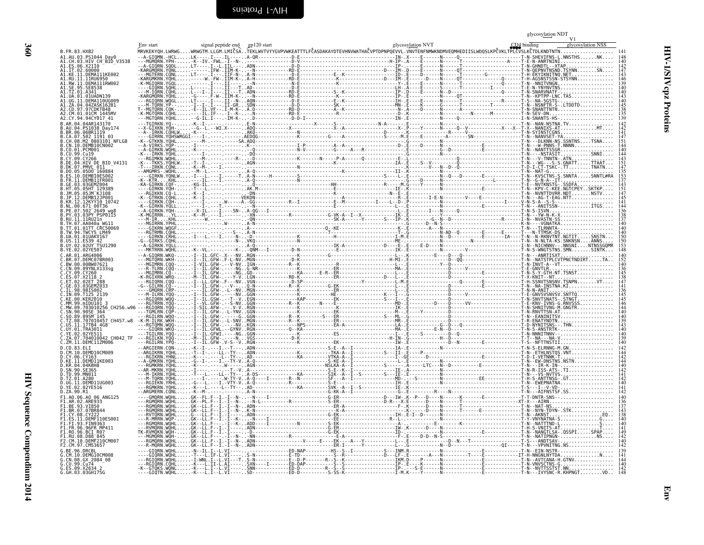| × | ۰, |  |
|---|----|--|
|   |    |  |

<span id="page-43-1"></span>

|                                                                                                        |                                |                   | glycosylation NDT<br>V <sub>1</sub> |
|--------------------------------------------------------------------------------------------------------|--------------------------------|-------------------|-------------------------------------|
| B.FR.83.HXB2                                                                                           | signal peptide end gp120 start | glycosylation NVT | CD4 binding<br>glycosylation NSS    |
| A1.AU.03.PS1044 Dav0                                                                                   |                                |                   |                                     |
| A1.CH.03.HIV_CH_BID_V3538<br>A1.ES.06.X21I0<br>.IT.02.60000                                            |                                |                   |                                     |
| KE.11.DEMA111KE002<br>A1.RU.11.11RU6950<br>A1.RW.11.DEMA111RW002                                       |                                |                   |                                     |
|                                                                                                        |                                |                   |                                     |
| <b>IIA 01 01IIADN139</b>                                                                               |                                |                   |                                     |
| . UG. 11. DEMA110UG009<br>. UG. 11. DEMA110UG009<br>. ZA. 04. 04ZASK162B1<br>CD.97.97CDKTB48           |                                |                   |                                     |
| A2.CM.01.01CM 1445MV<br>42.CY.94.94CY017_41                                                            |                                |                   |                                     |
| B.AR.04.04AR143170<br>04.PS1038 Day174                                                                 |                                |                   |                                     |
| 06.06BR1119                                                                                            |                                |                   |                                     |
| B.CA.07.50<br>B.CA.07.502 1191 03<br>B.CH.08.M2 0803101 NFLG8<br>B.CN.10.DEMB10CN002<br>B.CO.01.PCM001 |                                |                   |                                     |
|                                                                                                        |                                |                   |                                     |
| 04.HIV DE BID V4131<br>DK.07.PMVL 011                                                                  |                                |                   |                                     |
|                                                                                                        |                                |                   |                                     |
|                                                                                                        |                                |                   |                                     |
| .05JM KJ108                                                                                            |                                |                   |                                     |
| KR 12 12KYY10 10742                                                                                    |                                |                   |                                     |
| $.07.502^-2649$ wa8<br>PY.03.03PY PSP0115                                                              |                                |                   |                                     |
|                                                                                                        |                                |                   |                                     |
| 94. TWCYS LM49                                                                                         |                                |                   |                                     |
| 01.01UAKV167<br>11.ES39 42                                                                             |                                |                   |                                     |
| .02UY TSU1290<br>B.YE.02.02YE507                                                                       |                                |                   |                                     |
| AR 01 ARG4006                                                                                          |                                |                   |                                     |
|                                                                                                        |                                |                   |                                     |
|                                                                                                        |                                |                   |                                     |
| 02ET 288<br>03.03GEMZ033                                                                               |                                |                   |                                     |
|                                                                                                        |                                |                   |                                     |
| 99.mIDU101 3                                                                                           |                                |                   |                                     |
|                                                                                                        |                                |                   |                                     |
| TZ.08.707010457 CH457.w8<br>US.11.17TB4 4G8                                                            |                                |                   |                                     |
|                                                                                                        |                                |                   |                                     |
| C.ZA.07.704010042 CH042_TF<br>C.ZM.11.DEMC11ZM006                                                      |                                |                   |                                     |
| <br>D.CD.83.ELI<br>D.CM.10.DEMD10CM009<br>D.CY.06.CY163                                                |                                |                   |                                     |
| D.KE.11.DEMD11KE003<br>04.04KBH8                                                                       |                                |                   |                                     |
|                                                                                                        |                                |                   |                                     |
| D.UG.11.DEMD11UG003                                                                                    |                                |                   |                                     |
| D.YE.02.02YE516<br>D.ZA.90.R1                                                                          |                                |                   |                                     |
| F1.A0.06.A0 06 ANG125<br>.AR.02.ARE933                                                                 |                                |                   |                                     |
| F1.BE.93.VI850<br>BR.07.07BR844                                                                        |                                |                   |                                     |
| DEMF110ES001                                                                                           |                                |                   |                                     |
| FIN9363<br>96.96FR MP411                                                                               |                                |                   |                                     |
| F1.RO.96.BCI R07<br>F1.RU.08.D88 <sup>-</sup> 845                                                      |                                |                   |                                     |
| .10.DEMF210CM007                                                                                       |                                |                   |                                     |
| 96 DRCRI<br>DEMG10CM008                                                                                |                                |                   |                                     |
| G.CN.08.GX 2084 08                                                                                     |                                |                   |                                     |
| G.CU.99.Cu74<br>G.ES.09.X2634 2<br>G.GH.03.03GH175G                                                    |                                |                   |                                     |

<span id="page-43-0"></span>HIV Sequence Compendium 2014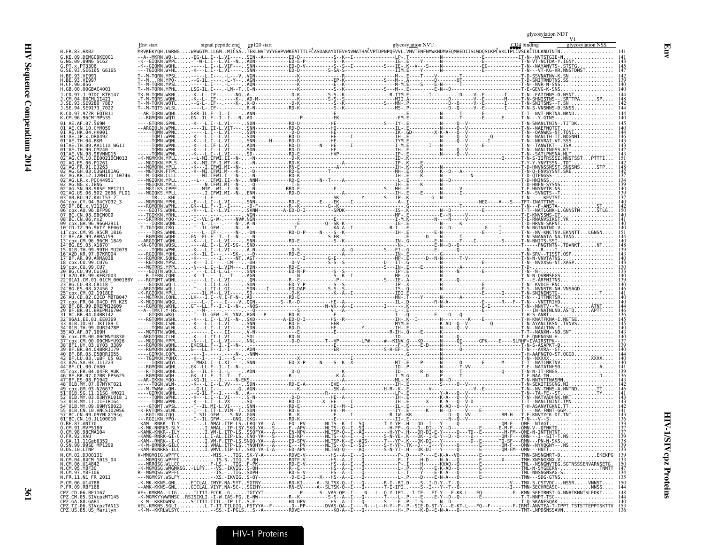| G.KE.09.DEMG09KE001                                                                                                              |  |  |  |     |
|----------------------------------------------------------------------------------------------------------------------------------|--|--|--|-----|
| NG.09.09NG SC62<br>G.PT.x.PT3306                                                                                                 |  |  |  |     |
| G.SE.93.SE6165_G6165                                                                                                             |  |  |  |     |
|                                                                                                                                  |  |  |  |     |
| .BE.93.VI997<br>.CF.90.056                                                                                                       |  |  |  |     |
|                                                                                                                                  |  |  |  |     |
|                                                                                                                                  |  |  |  |     |
|                                                                                                                                  |  |  |  |     |
| CD 97 977R FOTR11<br>CM.96.96CM MP535.                                                                                           |  |  |  |     |
|                                                                                                                                  |  |  |  |     |
|                                                                                                                                  |  |  |  |     |
|                                                                                                                                  |  |  |  |     |
| AE.TH.90.CM240                                                                                                                   |  |  |  |     |
| DE00210CM013                                                                                                                     |  |  |  |     |
|                                                                                                                                  |  |  |  |     |
|                                                                                                                                  |  |  |  |     |
| AG.LR.x.POC44951                                                                                                                 |  |  |  |     |
|                                                                                                                                  |  |  |  |     |
| 06.502 2696 FL0<br>AB.RU.97.KAL153                                                                                               |  |  |  |     |
| cpx.CY.94.94CY032 3                                                                                                              |  |  |  |     |
|                                                                                                                                  |  |  |  |     |
| BC.CN.06.nx2                                                                                                                     |  |  |  |     |
|                                                                                                                                  |  |  |  |     |
| cpx.CM.95.95CM 1816                                                                                                              |  |  |  |     |
|                                                                                                                                  |  |  |  |     |
| 01B. TH. 99.99TH MU2079                                                                                                          |  |  |  |     |
|                                                                                                                                  |  |  |  |     |
|                                                                                                                                  |  |  |  |     |
|                                                                                                                                  |  |  |  |     |
|                                                                                                                                  |  |  |  |     |
|                                                                                                                                  |  |  |  |     |
|                                                                                                                                  |  |  |  |     |
|                                                                                                                                  |  |  |  |     |
|                                                                                                                                  |  |  |  |     |
| .04.04BR142                                                                                                                      |  |  |  |     |
|                                                                                                                                  |  |  |  |     |
|                                                                                                                                  |  |  |  |     |
|                                                                                                                                  |  |  |  |     |
|                                                                                                                                  |  |  |  |     |
|                                                                                                                                  |  |  |  |     |
|                                                                                                                                  |  |  |  |     |
|                                                                                                                                  |  |  |  |     |
|                                                                                                                                  |  |  |  |     |
|                                                                                                                                  |  |  |  |     |
|                                                                                                                                  |  |  |  |     |
|                                                                                                                                  |  |  |  |     |
| BC.CN.09.09YNLX19sq                                                                                                              |  |  |  |     |
| _BC.CN.10.JL100010<br>BE.87.ANT70                                                                                                |  |  |  |     |
| CM.91.MVP5180                                                                                                                    |  |  |  |     |
| CM.98.98CMA104<br>FR.92.VAU                                                                                                      |  |  |  |     |
| .GA.11.11Gab6352<br>0.SN.99.99SE MP1299                                                                                          |  |  |  |     |
| $0.0S.10.LTNP^-$                                                                                                                 |  |  |  |     |
| 0.001.02.000131<br>N.CM.02.000131<br>N.CM.06.014842<br>N.CM.95.YBF30<br>N.CM.95.YBF30<br>N.CM.97.YBF106<br>N.CM.97.YBF106        |  |  |  |     |
|                                                                                                                                  |  |  |  |     |
| N.FR.11.N1 FR 2011                                                                                                               |  |  |  |     |
| P.CM.06.U14788                                                                                                                   |  |  |  |     |
| P.FR.09.RBF168                                                                                                                   |  |  |  | 148 |
| . CPZ. CD. 06. ВF1167<br>CPZ. CD. 06. ВF1167<br>CPZ. CM. 05. SIVcpzMT145<br>CPZ. TZ. 06. SIVcpzTAN13<br>CPZ. TZ. 06. SIVcpzTAN13 |  |  |  | 144 |
|                                                                                                                                  |  |  |  | 153 |
| ČPŽ.US.85.US_Marilyn                                                                                                             |  |  |  |     |

glycosy<u>latio</u>n NDT<br>V1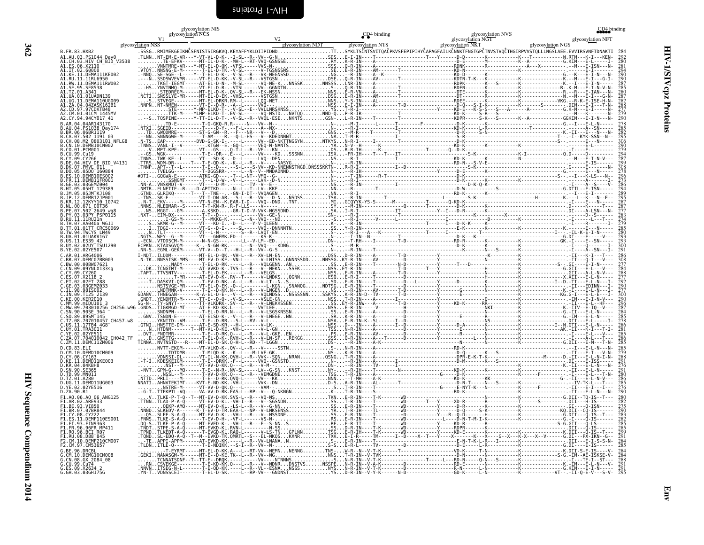<span id="page-45-0"></span>

| glycosylation NGS<br>glycosylation NSS<br>glycosylation NTS<br>glycosylation NKT<br>.SSSGRMIMEKGEIKNČSFNISTSIRGKVQ.KEYAFFYKLDIIPIDNDTTSYKLTSČNTSVITQAČPKVSFEPIPIHYČAPAGFAILKČNNKTFNGTGPČTNVSTVQČTHGIRPVVSTQLLLNGSLAEE.EVVIRSVNFTDNAKTI 284<br>G.BE.96.DRCBL<br>G.CM.10.DEMG10CM008<br>G.CN.08.GX 2084 08<br>G.CU.99.Cu74<br>G.ES.09.X2634_2 | glycosylation NIS<br>glycosylation NCS<br>V <sub>1</sub> |                   | CD <sub>4</sub> binding | glycosylation NVS<br>glycosylation NGT | CD4 binding<br>glycosylation NFT |
|---------------------------------------------------------------------------------------------------------------------------------------------------------------------------------------------------------------------------------------------------------------------------------------------------------------------------------------------|----------------------------------------------------------|-------------------|-------------------------|----------------------------------------|----------------------------------|
|                                                                                                                                                                                                                                                                                                                                             |                                                          | glycosylation NDT |                         |                                        |                                  |
|                                                                                                                                                                                                                                                                                                                                             |                                                          |                   |                         |                                        | 292                              |
|                                                                                                                                                                                                                                                                                                                                             |                                                          |                   |                         |                                        | 290                              |
|                                                                                                                                                                                                                                                                                                                                             |                                                          |                   |                         |                                        |                                  |
|                                                                                                                                                                                                                                                                                                                                             |                                                          |                   |                         |                                        |                                  |
|                                                                                                                                                                                                                                                                                                                                             |                                                          |                   |                         |                                        |                                  |
|                                                                                                                                                                                                                                                                                                                                             |                                                          |                   |                         |                                        | $\tilde{2}90$                    |
|                                                                                                                                                                                                                                                                                                                                             |                                                          |                   |                         |                                        |                                  |
|                                                                                                                                                                                                                                                                                                                                             |                                                          |                   |                         |                                        | $\frac{282}{295}$<br>306         |
|                                                                                                                                                                                                                                                                                                                                             |                                                          |                   |                         |                                        | 290<br>$\frac{279}{294}$         |
|                                                                                                                                                                                                                                                                                                                                             |                                                          |                   |                         |                                        |                                  |
|                                                                                                                                                                                                                                                                                                                                             |                                                          |                   |                         |                                        | 308                              |
|                                                                                                                                                                                                                                                                                                                                             |                                                          |                   |                         |                                        |                                  |
|                                                                                                                                                                                                                                                                                                                                             |                                                          |                   |                         |                                        |                                  |
|                                                                                                                                                                                                                                                                                                                                             |                                                          |                   |                         |                                        | 295<br>287                       |
|                                                                                                                                                                                                                                                                                                                                             |                                                          |                   |                         |                                        |                                  |
|                                                                                                                                                                                                                                                                                                                                             |                                                          |                   |                         |                                        |                                  |
|                                                                                                                                                                                                                                                                                                                                             |                                                          |                   |                         |                                        | $\frac{280}{293}$                |
|                                                                                                                                                                                                                                                                                                                                             |                                                          |                   |                         |                                        | 293<br>300                       |
|                                                                                                                                                                                                                                                                                                                                             |                                                          |                   |                         |                                        |                                  |
|                                                                                                                                                                                                                                                                                                                                             |                                                          |                   |                         |                                        |                                  |
|                                                                                                                                                                                                                                                                                                                                             |                                                          |                   |                         |                                        |                                  |
|                                                                                                                                                                                                                                                                                                                                             |                                                          |                   |                         |                                        | $\frac{290}{277}$                |
|                                                                                                                                                                                                                                                                                                                                             |                                                          |                   |                         |                                        | 290<br>$\frac{20}{6}$            |
|                                                                                                                                                                                                                                                                                                                                             |                                                          |                   |                         |                                        |                                  |
|                                                                                                                                                                                                                                                                                                                                             |                                                          |                   |                         |                                        | $\frac{285}{278}$                |
|                                                                                                                                                                                                                                                                                                                                             |                                                          |                   |                         |                                        |                                  |
|                                                                                                                                                                                                                                                                                                                                             |                                                          |                   |                         |                                        |                                  |
|                                                                                                                                                                                                                                                                                                                                             |                                                          |                   |                         |                                        |                                  |
|                                                                                                                                                                                                                                                                                                                                             |                                                          |                   |                         |                                        | $\frac{276}{291}$                |
|                                                                                                                                                                                                                                                                                                                                             |                                                          |                   |                         |                                        | $\bar{2}80$                      |
|                                                                                                                                                                                                                                                                                                                                             |                                                          |                   |                         |                                        | $\tilde{2}90$                    |
|                                                                                                                                                                                                                                                                                                                                             |                                                          |                   |                         |                                        |                                  |
|                                                                                                                                                                                                                                                                                                                                             |                                                          |                   |                         |                                        | $\frac{275}{290}$                |
|                                                                                                                                                                                                                                                                                                                                             |                                                          |                   |                         |                                        |                                  |
|                                                                                                                                                                                                                                                                                                                                             |                                                          |                   |                         |                                        | $\frac{285}{299}$<br>299         |
|                                                                                                                                                                                                                                                                                                                                             |                                                          |                   |                         |                                        | 285                              |
|                                                                                                                                                                                                                                                                                                                                             |                                                          |                   |                         |                                        |                                  |
| G.GH.03.03GH175G                                                                                                                                                                                                                                                                                                                            |                                                          |                   |                         |                                        |                                  |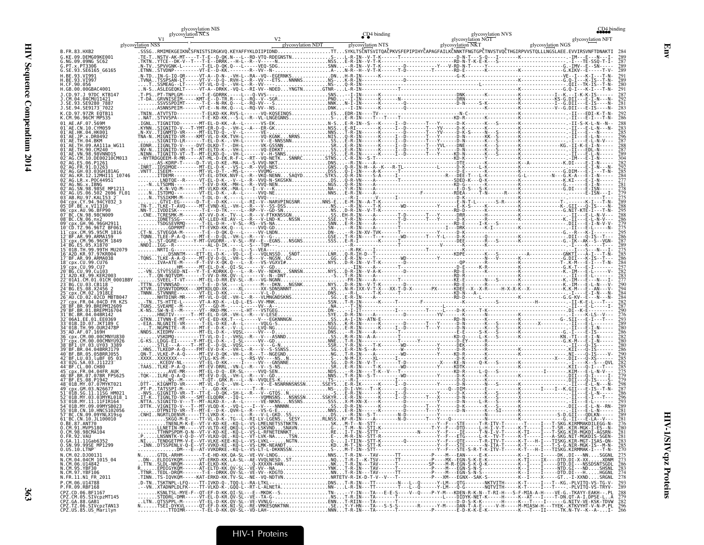|                                                                                          | glycosylation NIS<br>glycosylation NCS |                   | CD <sub>4</sub> binding | glycosylation NVS                                                                                                                                 | CD4 binding                            |
|------------------------------------------------------------------------------------------|----------------------------------------|-------------------|-------------------------|---------------------------------------------------------------------------------------------------------------------------------------------------|----------------------------------------|
|                                                                                          | V1<br>glycosylation NSS                | glycosylation NDT | glycosylation NTS       | glycosylation NGT<br>glycosylation NKT                                                                                                            | glycosylation NFT<br>glycosylation NGS |
| B.FR.83.HXB2<br>G.KE.09.DEMG09KE001                                                      |                                        |                   |                         | SSSGRMIMEKGEIKNČSFNISTSIRGKVO.KEYAFFYKLDIIPIDNDTTSYKLTSČNTSVITOAČPKVSFEPIPIHYČAPAGFAILKČNNKTFNGTGPČTNVSTVOČTHGIRPVVSTOLLLNGSLAEE.EVVIRSVNFTDNAKTI |                                        |
| G.NG.09.09NG SC62<br>G.PT.x.PT3306                                                       |                                        |                   |                         |                                                                                                                                                   |                                        |
| G.SE.93.SE6165 G6165<br><b>LRF 93 VT991</b>                                              |                                        |                   |                         |                                                                                                                                                   |                                        |
| H.BE.93.VI997<br>.CF.90.056                                                              |                                        |                   |                         |                                                                                                                                                   |                                        |
| H.GB.00.00GBAC4001                                                                       |                                        |                   |                         |                                                                                                                                                   |                                        |
| SE.93.SE9280 7887                                                                        |                                        |                   |                         |                                                                                                                                                   |                                        |
| J.SE.94.SE9173 <sup>-</sup> 7022                                                         |                                        |                   |                         |                                                                                                                                                   |                                        |
| .CM.96.96CM MP535                                                                        |                                        |                   |                         |                                                                                                                                                   |                                        |
|                                                                                          |                                        |                   |                         |                                                                                                                                                   |                                        |
|                                                                                          |                                        |                   |                         |                                                                                                                                                   |                                        |
|                                                                                          |                                        |                   |                         |                                                                                                                                                   |                                        |
| DE00210CM013                                                                             |                                        |                   |                         |                                                                                                                                                   |                                        |
|                                                                                          |                                        |                   |                         |                                                                                                                                                   |                                        |
| AG.KR.12.12MHI11 10746                                                                   |                                        |                   |                         |                                                                                                                                                   |                                        |
|                                                                                          |                                        |                   |                         |                                                                                                                                                   |                                        |
| AB.RU.97.KAL153 2                                                                        |                                        |                   |                         |                                                                                                                                                   |                                        |
| 96 <sup>-</sup> cpx.AU.96.BFP90                                                          |                                        |                   |                         |                                                                                                                                                   |                                        |
|                                                                                          |                                        |                   |                         |                                                                                                                                                   |                                        |
|                                                                                          |                                        |                   |                         |                                                                                                                                                   |                                        |
|                                                                                          |                                        |                   |                         |                                                                                                                                                   |                                        |
| -01R TH 99 99TH MU2079                                                                   |                                        |                   |                         |                                                                                                                                                   |                                        |
|                                                                                          |                                        |                   |                         |                                                                                                                                                   |                                        |
|                                                                                          |                                        |                   |                         |                                                                                                                                                   |                                        |
|                                                                                          |                                        |                   |                         |                                                                                                                                                   |                                        |
|                                                                                          |                                        |                   |                         |                                                                                                                                                   |                                        |
| 04CD FR KZ                                                                               |                                        |                   |                         |                                                                                                                                                   |                                        |
|                                                                                          |                                        |                   |                         |                                                                                                                                                   |                                        |
|                                                                                          |                                        |                   |                         |                                                                                                                                                   |                                        |
|                                                                                          |                                        |                   |                         |                                                                                                                                                   |                                        |
|                                                                                          |                                        |                   |                         |                                                                                                                                                   |                                        |
|                                                                                          |                                        |                   |                         |                                                                                                                                                   |                                        |
|                                                                                          |                                        |                   |                         |                                                                                                                                                   |                                        |
|                                                                                          |                                        |                   |                         |                                                                                                                                                   |                                        |
|                                                                                          |                                        |                   |                         |                                                                                                                                                   |                                        |
|                                                                                          |                                        |                   |                         |                                                                                                                                                   |                                        |
|                                                                                          |                                        |                   |                         |                                                                                                                                                   |                                        |
|                                                                                          |                                        |                   |                         |                                                                                                                                                   |                                        |
| 57 BC.CN.09.09YNLX19sg<br>61 BC.CN.10.JL100010                                           |                                        |                   |                         |                                                                                                                                                   |                                        |
| 0.BE.87.ANT70<br>0.CM.91.MVP5180                                                         |                                        |                   |                         |                                                                                                                                                   |                                        |
| 0.CM.98.98CMA104<br>0.FR.92.VAU<br>0.GA.11.11Gab6352<br>0.SN.99.99SE_MP1299              |                                        |                   |                         |                                                                                                                                                   |                                        |
|                                                                                          |                                        |                   |                         |                                                                                                                                                   |                                        |
| 0.US.10.LTNP<br>N.CM.02.DJ0013                                                           |                                        |                   |                         |                                                                                                                                                   | $\frac{275}{273}$<br>286               |
| N.CM.04.04CM 1015_04<br>N.CM.06.U14842                                                   |                                        |                   |                         |                                                                                                                                                   |                                        |
| N.CM.95.YBF30<br>N.CM.97.YBF106<br>N.FR.11.N1 FR 2011                                    |                                        |                   |                         |                                                                                                                                                   | $\frac{283}{274}$<br>278               |
| P.CM.06.U14788<br>P.FR.09.RBF168                                                         |                                        |                   |                         |                                                                                                                                                   | 289                                    |
| CPZ.CD.06.BF1167                                                                         |                                        |                   |                         |                                                                                                                                                   |                                        |
| CPZ.CM.05.SIVCpzMT145<br>CPZ.GA.88.GAB1<br>CPZ.TZ.06.SIVCpzTAN13<br>CPZ.US.85.US_Marilyn |                                        |                   |                         |                                                                                                                                                   |                                        |
|                                                                                          |                                        |                   |                         |                                                                                                                                                   |                                        |

Env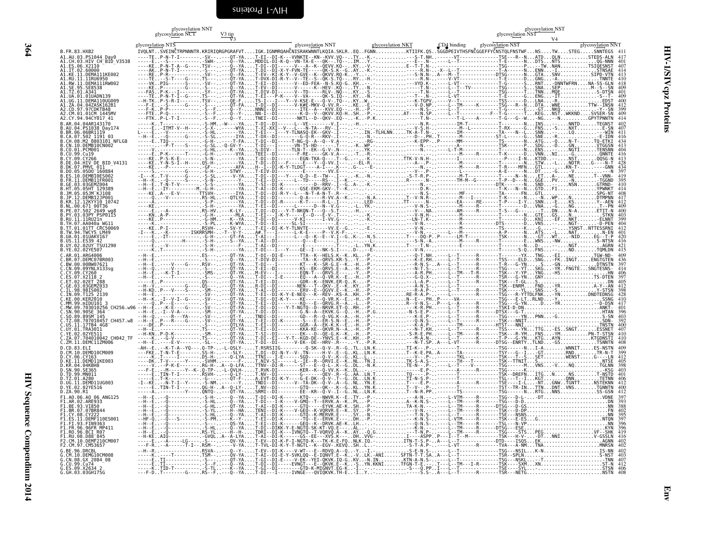# <span id="page-47-0"></span>Env <sup>g</sup>lycosylation NTS \* \* glycosylation NNT <sup>g</sup>lycosylation NKT CD4 binding \* \* glycosylation NST <sup>g</sup>lycosylation NNT V3 V4 glycosylation NCT $\frac{V3 \text{ tip}}{V3}$ glycosylation NNTglycosylation NST<br>alugar historylation NST B.FR.83.HXB2B. R. 83. HW AND THE P-N-T-I-WANDER ARTIGARY IN THE CONTROGENT IN THE CONTROGENT IN THE CONTROGENT ON A SUBMITED THE CONTROGENT ON A SUBMITED THE CONTROGENT AND CONTROGENT AND CONTROGENT AND CONTROGENT AND CONTROGENT AND A1.AU.03.PS1044\_Day0<br>A1.AU.03.HIV\_CH\_BID\_V3538<br>A1.ES.06.X21I0 A1.IT.02.60000<br>A1.KE.11.DEMA111KE002 A1.RU.11.11RU6950<br>A1.RW.11.DEMA111RW002 A1.SE.95.SE8538<br>A1.TZ.01.A341 A1.UA.01.01UADN139<br>A1.UG.11.DEMA110UG009 A1.ZA.04.04ZASK162B1A2.CD.97.97CDKTB48<br>A2.CM.01.01CM 1445MV A2.CM.01.01CM\_1445MV ---FTE..P-Q-----------.-S--F..---Q--Y-....NN-I--DI--------K-D--V--QKVV.KQ-H..SH..-P.-..........AT----N.SP..----L--T-----------F--T-G------T...KEG...NST..WKKND....SVSER-SN <sup>409</sup> A2.CY.94.94CY017\_41 ---FTK..P-L-T-I-------.-S--F..---Q--Y.....TNEI--DI-------NKTL--D--QKV-.EQ--..-K..-P.K...........-----T.N-..-------T-L----A-------T-G---G--W...-NG...--N..........GPYTPNNTN <sup>414</sup> B.AR.04.04AR143170 -----K..T-------------.-S-HM..-W----YA....T-DI--DI------L--VE--------V.I---..-H..-..-...........-----N.R-..-------IM-T-----------T--------N...INS...--....NNTD......TEGNST <sup>402</sup> B.AU.04.PS1038\_Day174 -----E..-ITMT-V--H----.-S-X-..-----WYA....T-XI-XXI--V---L---N-TA---RV-.I---..--..--.-...........---V-S.H-..--------M--L----------T-RX-----G...FNS...-S....NXT.........E-SN <sup>407</sup> B.BR.06.06BR1119 L----E..--V-----------.-S-HL..------YA....T-EI---I---Y-TLNASQ-EK--GKV-.I---..--..IN.-TLHLNN.....TK-A-T.N-..-------IM-------------TA----N--L...SNN...--....LQ........---WIN <sup>411</sup> B.CA.07.502\_1191\_03 --H--E..--Q------G----.-S-SL..-----IYA....T-DX--DI--------G-Q-R---RKV-.I---..--..-N.-...........---D--.PH..T-------M------------ST-L------G...SNE...-R..............-E-IDN <sup>416</sup> B.CH.08.M2\_0803101\_NFLG8 -----E..TIQ-----------.-G-H-..----T-FA....T-DI--DI-----T-NG-Q--A--Q--V.A---..--..-RG-...........---K-EPP-..P------MM-------------TS-------N...ATG...-Q....N-T-.....TQ-ETKI <sup>434</sup> B.CN.10.DEMB10CN002 ------..--P-T----S----.-G-SL..-Q-GV-Y-....T-DI---I------VN-TS-HD------.T---..-K..WP.-...........-----N.--..-------A--------------TSK------P...SDG...-D....GN........VTGGSN <sup>413</sup> B.CO.01.PCM001 -----V..--------------.-G-HL..---K--YA....S-DIV--I-----TLN-T--EK--G-V-.N---..--..YK.-...........-----N.--..----L-T-M-------------T--------N...ENS...--....NGTI......TENSNN <sup>404</sup> B.CU.99.Cu19 -----E..P-K------T----.-G-H-..-----VYA....TEEI--DI-------F-RE-----GK-V.A---..-T..-R.-...........------.--..--------M-----R-------T-K------D...VNN...NI....-G.........QNNTE <sup>416</sup> B.CY.09.CY266 ----KE..P-S-K-E-------.-S-N-..------YA....T-DI--DI--------EGN-TKA-Q---.T--G..--..-K.-..........TTK-V-N.H-..-------I----------------P----I-N...KTDD..--....NST.......QQSG-N <sup>413</sup> B.DE.04.HIV\_DE\_BID\_V4131 ----KE..Y-N-S-I--H----.QS-H-..------YA....T-DI--DI---F-----E---Y--Q-VV.I---..--EL-R.-...........---A--.P-..--------M-------------T--------N...STW...-L....NDTR....G----N-T <sup>428</sup> B.DK.07.PMVL\_011 ----KE..--P-----------.-GF--..-----AFA....H--I--DI-K-Y-TLDGT----A-I---.K---..G-..--E-...........-----N.--..--------M-----R-------T-R----MFN...GTL........KN-T-.....----GNN <sup>434</sup> B.DO.05.05DO\_160884 -----S..---------G----.-G-H-..---STWY-....T-EIV-DI---------E--------VV.E---..--..-..-...........---V--.P-..--------L-------------A-E------N...DT....-G....-V..........---N <sup>397</sup> B.ES.10.DEMB10ES002 -I---K..T-V------G----.-S-SL..----V-YA....T-DI--DI---Y----Q-D--E--TW--.I---..-K..-N.-...........-S-T-R.P-..--------M-T-----------T-----N--N....ET...A-....NE.......T--VNN- <sup>419</sup> B.FR.11.DEMB11FR001 --H--K..--Q------S----.-S-N-..------Y-....T-EI--DI------L--TD-----RS--.I--K..--..-..-...........R-----.N-..-------TM-M--G--------T-P--D---N...GGE...PV....-N........-TGGND <sup>395</sup> B.GE.03.03GEMZ004 --H--E..T-N-T-V-------.-S-S-..------YA....T-SI--DI-K-----------D--RRV-.I--G..A-..-K.-...........-----N.--..---------------------DTK-------N...SND...--....NSN.......GTRND- <sup>410</sup> B.HT.05.05HT\_129389 --H--E..-IY----------M.-G-H-..------YA....T-AI--DI-K------GSE-EKM-GKV-.T--K..--..-..-...........-----D.R-..----------------------T-K---N--N...GTD...FI..............YPWNKT <sup>414</sup> B.JM.05.05JM\_KJ108 ----KE..A---E-V-------TTSVH-..-----IYA....T-DI--DI-R-Y--L---N-T-A-N-T-.R---..--..-..-...........-----N.S-..--------MF------------TA------FN...GTL...................SPG-NT <sup>408</sup> B.JP.12.DEMB12JP001 -----Q..--V-----------.RS-HL..---QTLYA....T-DI--DI--------Q-A-----R-VV.A--K..--..-N.A...........T--V-N.R-..--------M---I---------T-K------N...--N...WP....N.........DTMPNN <sup>417</sup> B.KR.12.12KYY10\_10742 -----A..--------------.-S-P-..------YA....T-DI--DI-R------K-T-----R-L-.I---..--..LED-..........TT-----.N-..-------EA-----RE------T-P----I-Y...SNN...-E....KS........Y--AEN <sup>412</sup> B.NL.00.671\_00T36 ----KE..--------------.-S-H-..------YA....T-EI--DI------L------D--N--V.G---..-L..YK.-...........---V-N.S-..--------M-----R-------T--------D...VNA...-G....NG.........T--PN <sup>409</sup> B.PE.07.502\_2649\_wg8 -----E..--A-----------.RS-HV..---K-LY-....T.DI--DI---Y-T-NKQN-T---Q--S.T---..-H..--.-...........---V--.NA..-------AM-----R-------T-S---G---...--T...DN....N-A.......ETIT-N <sup>400</sup> B.PY.03.03PY\_PSP0115 ----KN..A-P-----------.-G-H-..-----MLA....T-EI---I-K-Y-----E--D---E-V-.T---..--..-K.-...........---V-N.H-..--------M-------------T--------N...GTE...GS....N...........STKN <sup>403</sup> B.RU.11.11RU21n ----KE..P-------------.-G-HM..---K--YA....T-DI--DI------V-KI------I-VV.G---..--..-K.-...........--LN-T.K-..--------M-------------T--------D...KNI...-EF...NKT.......-ELNNT <sup>399</sup> B.TH.07.AA040a\_WG11 -----K..--------------.-S-PL..---K-WYA....T-DI--EI-----SL-SI----------.E---..--..--.-...........---V-N.--..--------R------------DTS-------D...VNS...--....NGT-......-D-PEN <sup>404</sup> B.TT.01.01TT\_CRC50069 ----KE..P-I-----------.RSVH-..---SV-Y.....T-EI--DI-K-Y-TLNVTE-------VV.E--G..--..-E.-...........---V-N.--..--------M-------------TS-------K...-G....--....YSNST..NTTESSRNI <sup>412</sup> B.TW.94.TWCYS\_LM49 -I---K..--K--------ISKRRSMH-..-T--V-Y-....A#.T---I------L-K-E-----P--V.K-F-..--..--.-...........---V-N.--..----L---M-------------A-P------N...ATS...-L....NAT.........N-EN <sup>401</sup> B.UA.01.01UAKV167 -----E..-IT-----------.-G-H-..---GT-FA....T-AI---I------L---Q--K--E--V.I--G..K-..-N.S...........T----DQ-P..P------LM-T-----------TSK------N...-GT...WT....-NID.....EG--T-P <sup>420</sup> B.US.11.ES39\_42 -----Q..--------H-----.-S-H-..---S--YA....T-AI--DI---------Q---E------.I---..--..--L-...........---S-N.-A..--------M-----R-------T--------E...WNS...-NW.............S-NTSN <sup>416</sup> B.UY.02.02UY\_TSU1290 -----E..--V-----------.-S-H-..------F-....T-AI--DI---------E----------.T---..-L..YN.K...........T----T.N-..--------E-------------T--------N...D-....--....NGT.........AGRN <sup>421</sup> B.YE.02.02YE507 -----K..T-------------.-S-H-..------YA....T-DI---I---Y----GE--I---NK-S.I---..D-..--E-...........---V-N.--..----------------------T------S-Q...FNS...--....ND........TQMLDN <sup>415</sup> C.AR.01.ARG4006 --H--E..--------------.ES---..---QT-YA....T-DI--DI-E------TTA--K--HELS.K--K..KL..-P.-...........---Q-T.NH..----L--T------R-------T-------YX...TNG...-EI............TGW-ND- <sup>409</sup> C.BR.07.DEMC07BR003 --H--E..--------------.-S---..---Q--YA....T-DIV-DI---------TA--K--QRVS.KR-S..-Y..-P.-...........---K-E.RH..----L--T------R-------TSS----ELD...SNG...-FK..INGT.....ENGTGTEN <sup>436</sup> C.BW.00.00BW07621 --H--E..----V----G----.RSV--..---QT-YA....T-DI---I--------KT---K--SR-G.E--K..-H..-P.-...........---R-N.S-..A---L--T------R-------T-R---G-YN.....S...-GN.............DTNSTN <sup>397</sup> C.CN.09.09YNLX133sg --H--Q..----V---------.-S---..---QT-YA....T-EI--DI--------KS--EK--QRVS.E--A..-H..-P.-...........---N-T.S-..----L--T------R-------TSG-----YT...SKG...-YR..FNGTE...SNGTESNS- <sup>414</sup> C.CY.09.CY260 --H--E..--K-T-I-------.-SMS-..---QT-YK....M-EV---I--------EQN-T---QRVS.E---..-Y..-P.-...........---A-R.PH..----L--TM---T-R-------TSK---Y-YP...YNG...-HS.................HN <sup>406</sup> C.ES.07.X2118\_2 --H--E..----T---------.-S---..---Q--YA....T-DI---I-E------EQ---A--Q-VR.K--E..-H..-P.-...........---G-Q.X-..----L--T------R-------TSR---G-YN...GNY..................TS-DTEN <sup>397</sup> C.ET.02.02ET\_288 -----E..P-------------.QS---..---QT-YA....T-EI--DI--------GDR--K--ENVK.ER-Q..K-..-P.-...........---L-A.P-..----L--T------R-------TSK---T-GL...S.........................DN <sup>405</sup> C.GE.03.03GEMZ033 --H--V..---------G----.QS---..---QT-YA....R-DI--DI-------NEN---T--QKV-.E--K..KY..-P.-...........---A-N.S-..----L--T--------------TSK--ENRM....FND...-YR............A-Y--AN <sup>412</sup> C.IL.98.98IS002 --H-KD..P---V----S----.-SM--..---QT-YA....T-AI--DI--------ERV--E--QGVV.E--K..-H..-P.-...........---R-A.P-..----L--T------R-------TSK-----YL...SNS...-S..............Y-STSN <sup>398</sup> C.IN.09.T125\_2139 --H--E..--------------.-SV--..---QT-YA....T-EI--DI-K-Y-E-NEQ---K--REV-.KS-A..KH..-P.-...........RE-R-A.P-..----L---------R-------TSG---R-YTTDLFNK...-YN..........DNDTEDNSG <sup>428</sup> C.KE.00.KER2010 --H--K..-I--V-I--G----.-SV--..---QT-YA....T-DI--DI-K-Y----KE------Q-VR.K--E..-H..-P.-...........N--E--.PH..P-----VA--------------TSG---E-LT..RLND...-Y................SSNG <sup>410</sup> C.MM.99.mIDU101\_3 -----Q..P---E---------.-S---..---QT-YA....T-EI--DI--------KQ---E--QRVG.R--A..-L..-P.-...........R--V-N.S-..P---L--A------R-------TSG---G-YN.....D...-YR............--D-DSN <sup>417</sup> C.MW.09.703010256\_CH256.w96 --H--E..--K-E----G----.-SV--..---QT-FA....T-DI--DI---Y-T-NGTQ--D--NRVR.ET-Q..RH..-P.-...........---K-R.PH..----L--T------R-------TSKI-D-DN...........................ANKT- <sup>401</sup> C.SN.90.90SE\_364 --H--E..-I--V-A-------.-SM--..---QT-YA....T-DI--DI--------G.N--A--EKVK.G--Q..-H..-P.G...........-N-S-E.P-..----L--T------R------DTSX---G-T............................HTAN <sup>396</sup> C.SO.89.89SM\_145 --H--Q..----R---YA----.-SV--..---QT-Y.....TNDI--DI--------GD---R--Q-VG.K--A..-H..-P.-...........---K-E.P-..----L--T------R-------TSG-----YN...PNN...-G................S-SN <sup>403</sup> C.TZ.08.707010457\_CH457.w8 --H--E..P---R----G----.-SV--..---QT-YA....T-EI--DI-K-------S---E--ER-S.N--E..-H..-P.-...........---Q-N.S-..----L--T------R-------TSK---NNIT...........................SDN- <sup>392</sup> C.US.11.17TB4\_4G8 ----DE..P-------------.-S---..---QTLYA....T-EI--DI--------GGR--A--EK-K.K--E..-H..-P.-...........---K-A.P-..-------TM------------HTST---NNI...........................TNSTN <sup>400</sup> C.UY.01.TRA3011 --H--E..--------------.TS---..---QT-YA....T-EI--DI--------KKA-KE--QKVR.N--A..-H..-P.-...........---N-T.KH..----L--T------R-------TSS-----YN...TTG...-ES..SNGT.......ESSNET <sup>407</sup> C.YE.02.02YE511 --H-KN..P-D-K---------.-SM--..---QT-YA....T-SI--DI--------EK---D--QE-G.K--K..-H..-P.-...........-S-R-E.PH..----L--TM-----R-------TSK---R-YM...FNS...-YM..........PN-T-STSN <sup>410</sup> C.ZA.07.704010042\_CH042\_TF -----K..--G-V---------.TS---..---QT-YA....T-DI--EI---Y-T--KGD-DE--YNVS.E--K..KH..-P.-...........---M-A.N-..----L--T------K-------T-P---G-YN...KTG...AYN...........KTGDNSTI <sup>410</sup> C.ZM.11.DEMC11ZM006 --H--E..----E-V-------.-SL--..---QT-YA....T-DI--DI------V-EK--DE--HRV-.R---..-Y..-P.R...........---N-T.SP..A---L-VT------R------DTSG--ENRTY..TLND...-GS.............TSNNTN <sup>408</sup> D.CD.83.ELI -AH--E..--K-T-A--YQ---.Q-TP-..-L-QSLY-....T.RSRSIIG---------Q-SK--Q-V-.R--G..TL..LN.K...........TI-K--.P-..-------T--------------TSG------N...I-A........WNNIT.....ES-NSTN <sup>409</sup> D.CM.10.DEMD10CM009 ---FKE..T-N-T-E-------.SS-H-..----SLY-....T.DI--DI-N-Y--V-.TN-----H-V-.E--G..KL..LN.K...........T--K-E.PA..A------TA-------------TSY---G--I...-GT........RND........TR-N-T <sup>399</sup> D.CY.06.CY163 -----K..T-----I-------.DS-H-..---Q-LYA....TTNI---I-E------SGD-----Q-V-.K--G..KL..L..-...........---V--.P-..-------TKL------------TSK---T--S...SET........WENST.....G----LN <sup>412</sup> D.KE.11.DEMD11KE003<br>D.KR.04.04KBH8 ----DK..T-V------Y----.-SVHM..------F-....T.NIV-SI------L--IE--R--DRVI.E--K..NL..TN.I...........TK-S-A.S-..-------TH---T---------TSK--TTNIT...S.......................NTSE <sup>405</sup> -----V..--P-K-E-------.RG-H-..A--Q-LFA....TTNV--DI-R------ST---E--Q-L-.K--G..DL..-N.K...........TE-N--.P-..----L--T----V---------TSG------M...VNS...-V....NQ.........TGLNN <sup>398</sup> ---F-E..--M------Y--K-.Q-TP-..-L-QVLH-....T.RVK-DI--------KER--K--Q-VV.K--K..DL..-..-...........-----E.P-..-------A------R-------TSG------K...........................-KSG <sup>403</sup> -----E..TIN-T-I-------.RSVH-..---Q-LY-....T.NV--DI--------G-------QEV-.R--G..AA..LN.T...........TQ----.P-..-------T--------------TSK--DREFN...ITG...N.....NS........T-NSTD <sup>401</sup> -----E..T-K-----------.-G---..---QT-F-....A.EVT-DI-K-Y----G-E-DK--Q-V-.T--G..DL..LN.K...........TI-N-S.P-..-------T--------------TSL---T--I...KGT........QNN.........TETNN <sup>406</sup> -I--KE..--N-T-I--Y----.-S-NM..------Y.....TNDI--DI------V--TA-DK--Q-V-.A--G..NL..YN.E...........T----E.P-..-------A------R-------TSE----I-L...-NT...GNW..TGNTT.....NSTEKNN <sup>412</sup> -----E..TIN-T-I-------.QG-H-..A--Q-LY-....T.NV--DI--------GTQ-----QK--.K--G..KL..YN.K...........T--V--.P-..-------T--------------TST--TR-IN...TTN...DNT..VNS........TGNNTN <sup>400</sup> D.SN.90.SE365<br>D.TD.99.MN011 D.TZ.01.A280<br>D.UG.11.DEMD11UG003 D.YE.02.02YE516D.ZA.90.R1 -----A..---------Y----.QNTQ-..---QT-YA....SRMI--DI--------EE--KR--Q-V-.I--G..NL..LN.K...........T--N-R.PP..-------TS-------------TSG------N...RTG...NNS.............SS-GSN <sup>412</sup> --H--E..--Q-----------.-S-H-..---Q--YA....T-DI--DI-K------KTQ-----NWVR.K--E..TY..-P.-...........---A-N.--..----L-VTM-----R-------TSG---D-L-...-DT.....................VDNE <sup>397</sup> F1.AR.02.ARE933 --H--E..--Q-----------.-S-HL..---Q--YA....T-DI---I-K----V-GMQ--T--ERVK.A--K..PL..-P.-...........A--K-N.S-..----L--TM-----R-------TSG---D-D..............................DN <sup>393</sup> --H--E..--Q-----------.-G-HL..---QT-YA....T-AI--DI-K------GTQ-----EYVK.AE-K..SH..-P--...........TA-K-N.--..----L--TM-----R------DTSG---D-GS.............................NN <sup>388</sup> --H--E..--Q-----------.-S-YL..---H--HA....TENI--DI-K----V-GEQ--K-VQRVR.E--K..SY..-P.-...........---V-N.--..----L--TM-----R-------TSK---D-DP.............................FN <sup>402</sup> --H--E..--Q-----------.-S-HL..---Q--YA....T-AI--DI-K------GTQ--K-MERVR.E---..SY..-N.-...........---T-N.S-..----L--T------R-------TSE---NSNS.............................NN <sup>395</sup> --HF-Q..--Q---S-------.-S-PM..---K--Y-....T-EI--DI-K-------TQ--E--ERVK.E---..DH..-P.-...........---K-N.S-..----L-VTM-----R-------TSK---E-ES...G.......................NTQN <sup>397</sup> --H--E..--Q-----------.-S---..---QS-YA....T-EI--DI-K------GEQ--K--DRVK.AE-K..LH..-..-...........---Q-N.S-..----L--TM-----R-------TSL---N-VP.............................NN <sup>396</sup> --H--E..--Q-----------.-S-HL..---Q--YA....T-DI--DIKK-Y-E-NGTQ-SK-KT-VQ.E---..AL..-..-...........---K-N.--..----L--TM-----R------DTSG---ESE.............................KYN <sup>396</sup> F1.RO.96.BCI\_R07 --H--E..--Q-----------.RS-YL..---H--H-....TDRI--DI-K---IVNGTQ--T-VQRVQ.A--K..AY..-Q.G...........---T-N.P-..----L--TM-----R-------TSG----STS...PEG..................VF--SHK <sup>419</sup> F1.RU.08.D88\_845 --H-KE..AIQ-----------.-GVQL..A--A-LYA....T-AI--DI-K------GS--EE---XVS.K---..DH..VVG-...........I----ASPP..P---I--T--M-----------TSK---H-V-...-DT...NNI............V-GSSLN <sup>416</sup> F2.CM.10.DEMF210CM007 -----E..--A-----LG----.-S---..---QV-YA....T-EV--DI-K-F-I-NGTQ-K---TK-K.E-FQ..NLK.IQ.-..........ITN-T-S.P-..A---L--T-------------DTD----ISQS...EK......................AGNN <sup>402</sup> ---F-R..--A------T-I--.RSM--..----V-YA....T-TVL-DI-K-Y-T-NGTL--K--EGV-.KEVQ..SH..L..-...........-S-T-A.P-..----L-VT------R-------TVA---A-NM...TNA....................MNRSN <sup>402</sup> --H--R..--------------.RSVA-..---Q--Y-....T-EV--DI-K----V-WT---E--RDVQ.A--Q..-Y..-I.-...........-S-E-N.S-..----L--T--------------TSG---NSIL...K-N....................IS-NN <sup>402</sup> -----K..----T---------.TSM--..---QV-YA....T-AI--DI-E-Y-SVKLQQ--E-IQNVT.E--K..-V..LK.-ANI......SFTN-T-T.SA..A---L--T--------------TSR--SPLN...........................S-NST <sup>403</sup> -----E..TI------------.-S---..---QT-YA....T-GI--DI-E----V-EK--YEI-QKVK.IQ-G..KV..-N.IN.........KTN-A-N.S-..----L--T--------------TSG---NSKL...--T.....................-TNN <sup>407</sup> G.CU.99.Cu74 -----E..TI------------.-S--F..---Q--YA....T-DI--DI-----EVNGT---E--QKVK.E--K..-S..YN.KKNI......TFGN-T-E.--..T---L--TM---I-R-------TSK----SXM...XN......................ST-N <sup>412</sup> -----K..TID-T---------.-S-TL..---K--YA....T-GI--DI--------GTD-K-MIGNVT.EG-K..-I..--.-...........-S---Q.PP..I---L--T--------------TSE----SYL...-.......................STSN <sup>406</sup> G.GH.03.03GH175G ---F-D..T--------G----.RS--F..---Q--YA....T-DI---I-----IVNGE---QVIQKVK.TH-E..-I..Y..-...........-----S.S-..A---L--T------R-------TSR---NETG...........................NSTN <sup>408</sup> F1.AO.06.AO\_06\_ANG125F1.AR.02.ARE933<br>F1.BE.93.VI850 F1.BR.07.07BR844<br>F1.CY.08.CY222 F1.ES.11.DEMF110ES001<br>F1.FI.93.FIN9363 ..FR.96.96FR\_MP411<br>1.RO.96.BCI\_R07 F2.CM.97.CM53657

**HIV Sequence Compendium** HIV Sequence Compendium 2014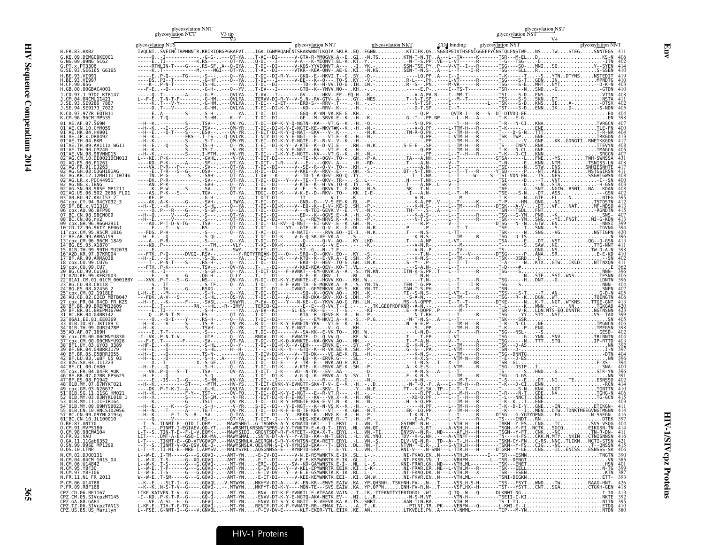| î           |  |
|-------------|--|
| ì           |  |
| J<br>ľ<br>ï |  |
| ミーヘー        |  |

| glycosylation NST<br>glycosylation NTS<br>glycosylation NNT<br>glycosylation NKT<br>$CD4$ binding<br>glycosylation NNT<br>IVQLNTSVEINČTRPNNNTR.KRIRIQRGPGRAFVTIGK.IGNMRQAHČNISRAKWNNTLKQIA.SKLREQFGNNKTIIFK.QSSGGDPEIVTHSFNČGGEFFYČNSTQLFNSTWFNSTWSTEGSNNTEGS 41<br>-OT-YAT-AI--DI------V-GTA-R-MMOGVK.A--EGI-N.TSKTN-T-N.TPA---L--TA-----K-------TSR---M-ELDKS-N<br>G.NG.09.09NG SC62<br>G.SE.93.SE6165 G6165<br>RF 93 VT991<br>.CF.90.056<br>.GB.00.00GBAC4001<br>.SE.94.SE9173 <sup>-</sup> 7022<br>L2MHI11 10746<br>06.502 2696 FL01<br>.94CY032 3<br>99.CU76<br>IC.CN.09.09YNLX19sa<br>BC.CN.10.JL100010<br>BE.87.ANT70<br>U.UM.YI.MVPJ18t<br>0.FR.92.VAU<br>0.GA.11.11Gab6352<br>0.SN.99.99SE_MP1299<br>N.CM.02.DJ00131<br>N.CM.04.04CM 1015_04<br>N.CM.06.U14842<br>N.CM.95.YBF30<br>N.CM.97.YBF106<br>N.FR.11.N1_FR_2011<br>P.FR.09.RBF168 |                                        | glycosylation NNT<br>glycosylation NCT<br>V3 tip |  | glycosylation NST<br>glycosylation NST |
|----------------------------------------------------------------------------------------------------------------------------------------------------------------------------------------------------------------------------------------------------------------------------------------------------------------------------------------------------------------------------------------------------------------------------------------------------------------------------------------------------------------------------------------------------------------------------------------------------------------------------------------------------------------------------------------------------------------------------------------------------------------------------------------------------------------------------------------------------|----------------------------------------|--------------------------------------------------|--|----------------------------------------|
|                                                                                                                                                                                                                                                                                                                                                                                                                                                                                                                                                                                                                                                                                                                                                                                                                                                    |                                        |                                                  |  |                                        |
|                                                                                                                                                                                                                                                                                                                                                                                                                                                                                                                                                                                                                                                                                                                                                                                                                                                    | B. FR. 83. HXB2<br>G.KE.09.DEMG09KE001 |                                                  |  |                                        |
|                                                                                                                                                                                                                                                                                                                                                                                                                                                                                                                                                                                                                                                                                                                                                                                                                                                    | $5.$ PT $. x.$ PT3306                  |                                                  |  |                                        |
|                                                                                                                                                                                                                                                                                                                                                                                                                                                                                                                                                                                                                                                                                                                                                                                                                                                    |                                        |                                                  |  |                                        |
|                                                                                                                                                                                                                                                                                                                                                                                                                                                                                                                                                                                                                                                                                                                                                                                                                                                    |                                        |                                                  |  |                                        |
|                                                                                                                                                                                                                                                                                                                                                                                                                                                                                                                                                                                                                                                                                                                                                                                                                                                    |                                        |                                                  |  |                                        |
|                                                                                                                                                                                                                                                                                                                                                                                                                                                                                                                                                                                                                                                                                                                                                                                                                                                    |                                        |                                                  |  |                                        |
|                                                                                                                                                                                                                                                                                                                                                                                                                                                                                                                                                                                                                                                                                                                                                                                                                                                    |                                        |                                                  |  |                                        |
|                                                                                                                                                                                                                                                                                                                                                                                                                                                                                                                                                                                                                                                                                                                                                                                                                                                    |                                        |                                                  |  |                                        |
|                                                                                                                                                                                                                                                                                                                                                                                                                                                                                                                                                                                                                                                                                                                                                                                                                                                    |                                        |                                                  |  |                                        |
| $L = -W + 0.11111 = 0.0000$ $L = -W + 0.1111 = 0.0000$ $L = -W + 0.1111 = 0.0000$ $L = -W + 0.1111 = 0.0000$ $L = -W + 0.1111 = 0.0000$ $L = -W + 0.1111 = 0.0000$ $L = -W + 0.1111 = 0.0000$ $L = -W + 0.1111 = 0.0000$ $L = -W + 0.1111 = 0.00$                                                                                                                                                                                                                                                                                                                                                                                                                                                                                                                                                                                                  |                                        |                                                  |  |                                        |
|                                                                                                                                                                                                                                                                                                                                                                                                                                                                                                                                                                                                                                                                                                                                                                                                                                                    |                                        |                                                  |  |                                        |
|                                                                                                                                                                                                                                                                                                                                                                                                                                                                                                                                                                                                                                                                                                                                                                                                                                                    |                                        |                                                  |  |                                        |
|                                                                                                                                                                                                                                                                                                                                                                                                                                                                                                                                                                                                                                                                                                                                                                                                                                                    |                                        |                                                  |  |                                        |
|                                                                                                                                                                                                                                                                                                                                                                                                                                                                                                                                                                                                                                                                                                                                                                                                                                                    |                                        |                                                  |  |                                        |
|                                                                                                                                                                                                                                                                                                                                                                                                                                                                                                                                                                                                                                                                                                                                                                                                                                                    |                                        |                                                  |  |                                        |
|                                                                                                                                                                                                                                                                                                                                                                                                                                                                                                                                                                                                                                                                                                                                                                                                                                                    |                                        |                                                  |  |                                        |
|                                                                                                                                                                                                                                                                                                                                                                                                                                                                                                                                                                                                                                                                                                                                                                                                                                                    |                                        |                                                  |  |                                        |
|                                                                                                                                                                                                                                                                                                                                                                                                                                                                                                                                                                                                                                                                                                                                                                                                                                                    |                                        |                                                  |  |                                        |
|                                                                                                                                                                                                                                                                                                                                                                                                                                                                                                                                                                                                                                                                                                                                                                                                                                                    |                                        |                                                  |  |                                        |
|                                                                                                                                                                                                                                                                                                                                                                                                                                                                                                                                                                                                                                                                                                                                                                                                                                                    |                                        |                                                  |  |                                        |
|                                                                                                                                                                                                                                                                                                                                                                                                                                                                                                                                                                                                                                                                                                                                                                                                                                                    |                                        |                                                  |  |                                        |
|                                                                                                                                                                                                                                                                                                                                                                                                                                                                                                                                                                                                                                                                                                                                                                                                                                                    |                                        |                                                  |  |                                        |
|                                                                                                                                                                                                                                                                                                                                                                                                                                                                                                                                                                                                                                                                                                                                                                                                                                                    |                                        |                                                  |  |                                        |
|                                                                                                                                                                                                                                                                                                                                                                                                                                                                                                                                                                                                                                                                                                                                                                                                                                                    |                                        |                                                  |  |                                        |
|                                                                                                                                                                                                                                                                                                                                                                                                                                                                                                                                                                                                                                                                                                                                                                                                                                                    |                                        |                                                  |  |                                        |
|                                                                                                                                                                                                                                                                                                                                                                                                                                                                                                                                                                                                                                                                                                                                                                                                                                                    |                                        |                                                  |  |                                        |
|                                                                                                                                                                                                                                                                                                                                                                                                                                                                                                                                                                                                                                                                                                                                                                                                                                                    |                                        |                                                  |  |                                        |
|                                                                                                                                                                                                                                                                                                                                                                                                                                                                                                                                                                                                                                                                                                                                                                                                                                                    |                                        |                                                  |  |                                        |
|                                                                                                                                                                                                                                                                                                                                                                                                                                                                                                                                                                                                                                                                                                                                                                                                                                                    |                                        |                                                  |  |                                        |
|                                                                                                                                                                                                                                                                                                                                                                                                                                                                                                                                                                                                                                                                                                                                                                                                                                                    |                                        |                                                  |  |                                        |
|                                                                                                                                                                                                                                                                                                                                                                                                                                                                                                                                                                                                                                                                                                                                                                                                                                                    |                                        |                                                  |  |                                        |
|                                                                                                                                                                                                                                                                                                                                                                                                                                                                                                                                                                                                                                                                                                                                                                                                                                                    |                                        |                                                  |  |                                        |
|                                                                                                                                                                                                                                                                                                                                                                                                                                                                                                                                                                                                                                                                                                                                                                                                                                                    |                                        |                                                  |  |                                        |
|                                                                                                                                                                                                                                                                                                                                                                                                                                                                                                                                                                                                                                                                                                                                                                                                                                                    |                                        |                                                  |  |                                        |
|                                                                                                                                                                                                                                                                                                                                                                                                                                                                                                                                                                                                                                                                                                                                                                                                                                                    |                                        |                                                  |  |                                        |
|                                                                                                                                                                                                                                                                                                                                                                                                                                                                                                                                                                                                                                                                                                                                                                                                                                                    |                                        |                                                  |  |                                        |
|                                                                                                                                                                                                                                                                                                                                                                                                                                                                                                                                                                                                                                                                                                                                                                                                                                                    |                                        |                                                  |  |                                        |
|                                                                                                                                                                                                                                                                                                                                                                                                                                                                                                                                                                                                                                                                                                                                                                                                                                                    | 0.CM.98.98CMA104                       |                                                  |  |                                        |
|                                                                                                                                                                                                                                                                                                                                                                                                                                                                                                                                                                                                                                                                                                                                                                                                                                                    |                                        |                                                  |  |                                        |
|                                                                                                                                                                                                                                                                                                                                                                                                                                                                                                                                                                                                                                                                                                                                                                                                                                                    | $0.05.10.$ LTNP $^{-}$                 |                                                  |  |                                        |
|                                                                                                                                                                                                                                                                                                                                                                                                                                                                                                                                                                                                                                                                                                                                                                                                                                                    |                                        |                                                  |  |                                        |
|                                                                                                                                                                                                                                                                                                                                                                                                                                                                                                                                                                                                                                                                                                                                                                                                                                                    |                                        |                                                  |  |                                        |
|                                                                                                                                                                                                                                                                                                                                                                                                                                                                                                                                                                                                                                                                                                                                                                                                                                                    | P.CM.06.U14788                         |                                                  |  |                                        |
|                                                                                                                                                                                                                                                                                                                                                                                                                                                                                                                                                                                                                                                                                                                                                                                                                                                    |                                        |                                                  |  |                                        |
| -410<br>-380                                                                                                                                                                                                                                                                                                                                                                                                                                                                                                                                                                                                                                                                                                                                                                                                                                       |                                        |                                                  |  |                                        |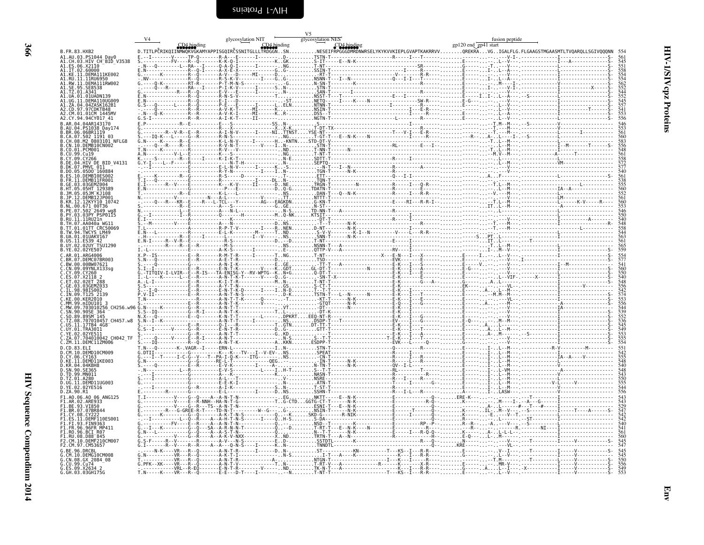<span id="page-49-0"></span>

|                                                           |                    |                                                                                                                                                                       |             | glycosylation NIT |             | V <sub>5</sub><br>glycosylation NES |                                                                                   |                                                                                                                                                                                                                                                 | fusion peptide       |                                                                                 |
|-----------------------------------------------------------|--------------------|-----------------------------------------------------------------------------------------------------------------------------------------------------------------------|-------------|-------------------|-------------|-------------------------------------|-----------------------------------------------------------------------------------|-------------------------------------------------------------------------------------------------------------------------------------------------------------------------------------------------------------------------------------------------|----------------------|---------------------------------------------------------------------------------|
| B.FR.83.HXB2                                              |                    | D.TITLPČRIKQIINMWQKVGKAMYAPPISGQIRČSSNITGLLLTRDGGNSN.                                                                                                                 | CD4 binding |                   | CD4 binding |                                     | CD4 binding                                                                       |                                                                                                                                                                                                                                                 | gp120 end gp41 start |                                                                                 |
| .AU.03.PS1044 Dav0<br>.CH.03.HIV CH BID V3538             |                    |                                                                                                                                                                       |             |                   |             |                                     | -------V-----TP-0-------R-A---E------I-------D-TSTN-T-----------------------R---- |                                                                                                                                                                                                                                                 |                      |                                                                                 |
| ES.06.X2110                                               |                    |                                                                                                                                                                       |             |                   |             |                                     |                                                                                   |                                                                                                                                                                                                                                                 |                      | 545<br>5518<br>558<br>55462<br>55442<br>5545<br>545<br>545<br>545<br>545<br>556 |
| .IT.02.60000<br>.KE.11.DEMA111KE002                       |                    |                                                                                                                                                                       |             |                   |             |                                     |                                                                                   |                                                                                                                                                                                                                                                 |                      |                                                                                 |
| .RU.11.11RU6950<br>.RU.11.11RU6950<br>.RW.11.DEMA111RW002 |                    |                                                                                                                                                                       |             |                   |             |                                     |                                                                                   |                                                                                                                                                                                                                                                 |                      |                                                                                 |
|                                                           |                    |                                                                                                                                                                       |             |                   |             |                                     |                                                                                   |                                                                                                                                                                                                                                                 |                      |                                                                                 |
|                                                           |                    |                                                                                                                                                                       |             |                   |             |                                     |                                                                                   |                                                                                                                                                                                                                                                 |                      |                                                                                 |
| .97CDKTB48<br>01CM 1445M                                  |                    | -0------L----R--0<br>-0-----------R--R<br>-0-K---------R--R                                                                                                           |             |                   |             |                                     |                                                                                   |                                                                                                                                                                                                                                                 |                      |                                                                                 |
| .CY.94.94CY017 41<br>AR.04.04AR143170                     |                    | . R F                                                                                                                                                                 |             |                   |             |                                     |                                                                                   |                                                                                                                                                                                                                                                 |                      |                                                                                 |
| PS1038 Day174<br>06.06BR1119                              |                    |                                                                                                                                                                       |             |                   |             |                                     |                                                                                   |                                                                                                                                                                                                                                                 |                      |                                                                                 |
| .502 1191 03                                              | 0803101 NFLG8      |                                                                                                                                                                       |             |                   |             |                                     |                                                                                   |                                                                                                                                                                                                                                                 |                      |                                                                                 |
| 10.DEMB10CN002<br>.PCM001                                 |                    |                                                                                                                                                                       |             |                   |             |                                     |                                                                                   |                                                                                                                                                                                                                                                 |                      |                                                                                 |
| CU.99.Cu19<br>CY 09 CY266                                 |                    |                                                                                                                                                                       |             |                   |             |                                     |                                                                                   |                                                                                                                                                                                                                                                 |                      |                                                                                 |
| .04.HIV DE BID_V4131<br>.07.PMVL 011                      |                    |                                                                                                                                                                       |             |                   |             |                                     |                                                                                   |                                                                                                                                                                                                                                                 |                      |                                                                                 |
| 05D0 160884                                               |                    |                                                                                                                                                                       |             |                   |             |                                     |                                                                                   |                                                                                                                                                                                                                                                 |                      |                                                                                 |
| DEMB11ER001                                               |                    | --------R--Ğ--------<br>-----------E---------<br>--R--V----F---------                                                                                                 |             |                   |             |                                     |                                                                                   |                                                                                                                                                                                                                                                 |                      |                                                                                 |
|                                                           |                    |                                                                                                                                                                       |             |                   |             |                                     |                                                                                   |                                                                                                                                                                                                                                                 | , 1999-1999-1999     |                                                                                 |
|                                                           |                    |                                                                                                                                                                       |             |                   |             |                                     |                                                                                   |                                                                                                                                                                                                                                                 |                      |                                                                                 |
| 502 <sup>-</sup> 2649 wq8                                 |                    |                                                                                                                                                                       |             |                   |             |                                     |                                                                                   |                                                                                                                                                                                                                                                 |                      |                                                                                 |
| 03PY PSP0115<br>RU.11.11RU21n                             |                    |                                                                                                                                                                       |             |                   |             |                                     |                                                                                   |                                                                                                                                                                                                                                                 |                      |                                                                                 |
| TH.07.AA040a WG11<br>TT.01.01TT CRC50069                  |                    |                                                                                                                                                                       |             |                   |             |                                     |                                                                                   |                                                                                                                                                                                                                                                 |                      |                                                                                 |
| TWCYS LM49                                                |                    |                                                                                                                                                                       |             |                   |             |                                     |                                                                                   |                                                                                                                                                                                                                                                 |                      |                                                                                 |
| UA.01.01UAKVI67<br>US.11.ES39 42<br>02UY TSU1290          |                    |                                                                                                                                                                       |             |                   |             |                                     |                                                                                   |                                                                                                                                                                                                                                                 |                      |                                                                                 |
| 02YE507<br>.ARG4006                                       |                    |                                                                                                                                                                       |             |                   |             |                                     |                                                                                   |                                                                                                                                                                                                                                                 |                      | 565<br>559                                                                      |
| BR.07.DEMC07BR003<br>BW.00.00BW07621                      |                    |                                                                                                                                                                       |             |                   |             |                                     |                                                                                   | 2.                                                                                                                                                                                                                                              |                      | 554<br>577<br>541<br>560<br>550<br>550                                          |
| CN.09.09YNLX133sg<br>Y.09.CY260                           |                    |                                                                                                                                                                       |             |                   |             |                                     |                                                                                   | .                                                                                                                                                                                                                                               |                      |                                                                                 |
|                                                           |                    |                                                                                                                                                                       |             |                   |             |                                     |                                                                                   | .                                                                                                                                                                                                                                               |                      |                                                                                 |
| 02ET 288<br>03GEMZ033                                     |                    |                                                                                                                                                                       |             |                   |             |                                     |                                                                                   |                                                                                                                                                                                                                                                 |                      |                                                                                 |
|                                                           |                    |                                                                                                                                                                       |             |                   |             |                                     |                                                                                   |                                                                                                                                                                                                                                                 |                      |                                                                                 |
|                                                           | CH256. w96         |                                                                                                                                                                       |             |                   |             |                                     |                                                                                   |                                                                                                                                                                                                                                                 |                      |                                                                                 |
| .90.90SE 364<br>89SM <sup>-</sup> 145                     |                    |                                                                                                                                                                       |             |                   |             |                                     |                                                                                   | .                                                                                                                                                                                                                                               |                      |                                                                                 |
| 17TB4 4G8                                                 | 707010457 CH457.w8 |                                                                                                                                                                       |             |                   |             |                                     |                                                                                   | . <del>.</del> .<br>. E                                                                                                                                                                                                                         |                      |                                                                                 |
| UY 01 TRA3011                                             |                    |                                                                                                                                                                       |             |                   |             |                                     |                                                                                   |                                                                                                                                                                                                                                                 |                      |                                                                                 |
| .704010042 CH042 TF<br>ZM.11.DEMC11ZM006                  |                    |                                                                                                                                                                       |             |                   |             |                                     |                                                                                   |                                                                                                                                                                                                                                                 | .                    |                                                                                 |
|                                                           |                    |                                                                                                                                                                       |             |                   |             |                                     |                                                                                   |                                                                                                                                                                                                                                                 |                      |                                                                                 |
| CY.06.CY163<br>.DEMD11KE003                               |                    |                                                                                                                                                                       |             |                   |             |                                     |                                                                                   | 9: 2011<br>- The Treatment Communication (1992)<br>- The Treatment Communication (1992)<br>- The Treatment Communication (1992)<br>- The Treatment Communication (1993)<br>- ASN - The Communication (1993)<br>- ASN - The Communication (2003) |                      | 551<br>542<br>555<br>548<br>548<br>543<br>543<br>550                            |
| KR.04.04KBH8<br>SN.90.SE365                               |                    |                                                                                                                                                                       |             |                   |             |                                     |                                                                                   |                                                                                                                                                                                                                                                 |                      |                                                                                 |
| TD.99.MN011<br>TZ.01.A280                                 |                    |                                                                                                                                                                       |             |                   |             |                                     |                                                                                   |                                                                                                                                                                                                                                                 |                      |                                                                                 |
| .UG.11.DEMD11UG003<br>YE.02.02YE516                       |                    |                                                                                                                                                                       |             |                   |             |                                     |                                                                                   |                                                                                                                                                                                                                                                 |                      |                                                                                 |
| .ZA.90.R1                                                 |                    |                                                                                                                                                                       |             |                   |             |                                     |                                                                                   |                                                                                                                                                                                                                                                 |                      | 556                                                                             |
| .AO.06.AO 06 ANG125<br>.AR.02.ARE933<br>BE.93.VI850       |                    | - - - - - - - - - - - - - E - - R - NNH - - HA - N<br>- - - - - - - - - V - - - - G - - R - - - TS - - A - N<br>- - - - - - R - - - G - GREE - R - T - - - - TD - N - |             |                   |             |                                     |                                                                                   |                                                                                                                                                                                                                                                 |                      | T. AGT                                                                          |
| .BR.07.07BR844<br>.CY.08.CY222                            |                    |                                                                                                                                                                       |             |                   |             |                                     |                                                                                   |                                                                                                                                                                                                                                                 |                      |                                                                                 |
| .11.DEMF110ES001<br><b>FIN9363</b>                        |                    |                                                                                                                                                                       |             |                   |             |                                     |                                                                                   | $-$ R $-$ .                                                                                                                                                                                                                                     |                      |                                                                                 |
| 96.96FR MP411<br>96.BCI R07                               |                    |                                                                                                                                                                       |             |                   |             |                                     |                                                                                   |                                                                                                                                                                                                                                                 |                      |                                                                                 |
| .RU.30.D88-845<br>.RU.08.D88-845<br>.CM.10.DEMF210CM00.   |                    |                                                                                                                                                                       |             |                   |             |                                     |                                                                                   |                                                                                                                                                                                                                                                 |                      |                                                                                 |
| 2.CM.97.CM53657                                           |                    |                                                                                                                                                                       |             |                   |             |                                     |                                                                                   |                                                                                                                                                                                                                                                 |                      | $\tau$ $\tau$ $\mu$ $\sigma$                                                    |
| M.10.DEMG10CM008                                          |                    | $N-K - -NR - -R - 0$                                                                                                                                                  |             |                   |             |                                     |                                                                                   |                                                                                                                                                                                                                                                 |                      | 545<br>545<br>550<br>556<br>556<br>549<br>553                                   |
| CN.08.GX 2084 08<br>CU.99.Cu74                            |                    | $-XK - - - VR - - - R - - C$                                                                                                                                          |             |                   |             |                                     |                                                                                   |                                                                                                                                                                                                                                                 |                      |                                                                                 |
| G.ES.09.X2634 2<br>G.GH.03.03GH175G                       |                    | - - - - VRL - - R<br>$T.N - - -K - - -VR - - R$                                                                                                                       |             |                   |             |                                     |                                                                                   |                                                                                                                                                                                                                                                 |                      |                                                                                 |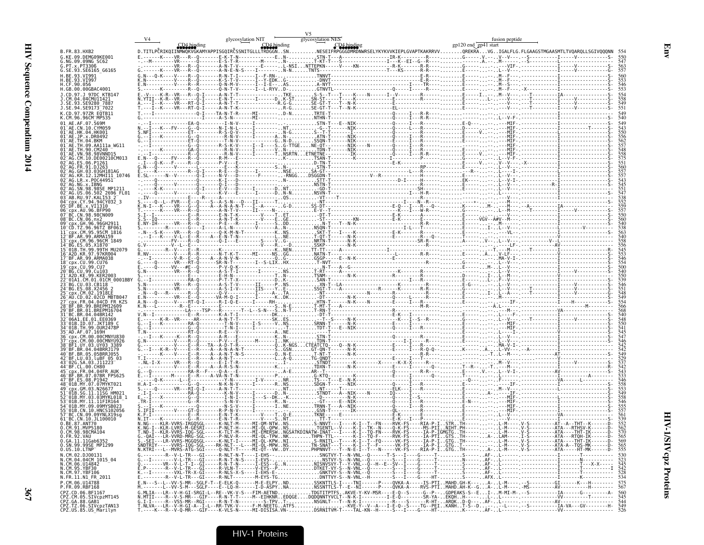|                                                                                                            | glycosylation NIT                                                                                                                                                                                                                 | glycosylation NES | fusion peptide       |  |
|------------------------------------------------------------------------------------------------------------|-----------------------------------------------------------------------------------------------------------------------------------------------------------------------------------------------------------------------------------|-------------------|----------------------|--|
| B. FR. 83. HXB2<br>G.KE.09.DEMG09KE001                                                                     | CD4 binding<br>COM ENGINEERT (UMADING) COMPARE SURFAINING SURFAINING SURFAINING SURFAINING SURFAINING SURFAINING SURFAINING S<br>D.TITLPČRIKQIINMWQKVGKAMYAPPISGQIRČSSNITGLLLTRDGGISNNESEIFRPGGGDMRDWWRSELYKYKVVKIEPLGVAPTKAKRRVV |                   | gp120 end gp41 start |  |
| G.NG.09.09NG SC62<br>G.PT.x.PT3306<br>G.SE.93.SE6165_G6165                                                 |                                                                                                                                                                                                                                   |                   |                      |  |
| H.RF.93.VT991                                                                                              |                                                                                                                                                                                                                                   |                   |                      |  |
| H.CF.90.056<br>H.GB.00.00GBAC4001<br>1.CD.97.1.97DC KTR147                                                 |                                                                                                                                                                                                                                   |                   |                      |  |
|                                                                                                            |                                                                                                                                                                                                                                   |                   |                      |  |
| J.SE.94.SE9173 <sup>-</sup> 7022<br>K.CD.97.97ZR EQTB11<br>K.CM.96.96CM <sup>-</sup> MP535                 |                                                                                                                                                                                                                                   |                   |                      |  |
| 01 AE.AF.07.569M<br>01 AF CN 10 CYM059                                                                     |                                                                                                                                                                                                                                   |                   |                      |  |
| HK.04.HK001<br>01 <sup>-</sup> AE.TH.04.BKM                                                                |                                                                                                                                                                                                                                   |                   |                      |  |
| 90.CM240                                                                                                   |                                                                                                                                                                                                                                   |                   |                      |  |
|                                                                                                            |                                                                                                                                                                                                                                   |                   |                      |  |
| AG.KR.12.12MHI11 10746<br>LR.x.P0C44951                                                                    |                                                                                                                                                                                                                                   |                   |                      |  |
| US.06.502 2696 FL01                                                                                        |                                                                                                                                                                                                                                   |                   |                      |  |
| AB. RU. 97. KAL153 2<br>CY.94.94CY032 3<br>$RE \times V$ T1310                                             |                                                                                                                                                                                                                                   |                   |                      |  |
| <b>AIL 96 REP90</b><br>N 98 98CN009<br>CN.06.nx2                                                           |                                                                                                                                                                                                                                   |                   |                      |  |
|                                                                                                            |                                                                                                                                                                                                                                   |                   |                      |  |
| .CM.95.95CM 1816                                                                                           |                                                                                                                                                                                                                                   |                   |                      |  |
| . ES. 05. X1870<br>01B.TH.99.99TH MU2079<br>L6 <sup>-</sup> A2D.KR.97.97KR004                              |                                                                                                                                                                                                                                   |                   |                      |  |
| 18 <sup>-</sup> cnx.CU.99.CU76<br>px.CU.99.CU7                                                             |                                                                                                                                                                                                                                   |                   |                      |  |
| 01A1.CM.01.01CM 0001BBY                                                                                    |                                                                                                                                                                                                                                   |                   |                      |  |
|                                                                                                            |                                                                                                                                                                                                                                   |                   |                      |  |
| CD.02.02CD MBTB04                                                                                          |                                                                                                                                                                                                                                   |                   |                      |  |
|                                                                                                            |                                                                                                                                                                                                                                   |                   |                      |  |
|                                                                                                            |                                                                                                                                                                                                                                   |                   |                      |  |
|                                                                                                            |                                                                                                                                                                                                                                   |                   |                      |  |
| LUY 03 UY03 3389<br>BF.BR.04.04BRR1179<br>BR.05.05BRR1055                                                  |                                                                                                                                                                                                                                   |                   |                      |  |
| BF.LU.03.luBF 05 03<br>CL.00.CH80                                                                          |                                                                                                                                                                                                                                   |                   |                      |  |
|                                                                                                            |                                                                                                                                                                                                                                   |                   |                      |  |
|                                                                                                            |                                                                                                                                                                                                                                   |                   |                      |  |
| MY.03.03MYKL018 1                                                                                          |                                                                                                                                                                                                                                   |                   |                      |  |
| CN.10.HNCS102056<br>C.CN.09.09YNLX19sg                                                                     |                                                                                                                                                                                                                                   |                   |                      |  |
| 61 BC.CN.10.JL100010<br>0.BE.87.ANT70<br>CM.91.MVP5180                                                     |                                                                                                                                                                                                                                   |                   |                      |  |
| 0.CM.98.98CMA104<br>0.FR.92.VAU<br>0.GA.11.11Gab6352                                                       |                                                                                                                                                                                                                                   |                   |                      |  |
| 0.SN.99.99SE MP1299<br>$0.05.10.$ LTNP<br>N.CM.02.DJ00131                                                  |                                                                                                                                                                                                                                   |                   |                      |  |
| N.CM.04.04CM 1015 04<br>N.CM.06.U14842<br>N.CM.95.YBF30<br>N.CM.97.YBF106                                  |                                                                                                                                                                                                                                   |                   |                      |  |
| N.FR.11.N1 FR 2011                                                                                         |                                                                                                                                                                                                                                   |                   |                      |  |
| P.CM.06.U14788<br>P.FR.09.RBF168<br>CPZ.CD.06.BE1167                                                       | E.N---S--L--VV-S-MR--SGLF-T--E-ELK-0------M-E-ELPYNDSSKNTTLS-I----TNI------P---QVKA-A-----IS-PTIMAHD.GH-K---A-L-M---- -S---------GI-------K---H--------- 575<br>M.------L--VV-S-M---SGLF----E--LQ-H------I-D-ASP                  |                   |                      |  |
| CPZ.CM.05.SIVcpzMT145<br>CPZ.GA.88.GAB1<br>CPZ.GA.88.GAB1<br>CPZ.TZ.06.SIVcpzTAN13<br>CPZ.US.85.US_Marilyn |                                                                                                                                                                                                                                   |                   |                      |  |
|                                                                                                            |                                                                                                                                                                                                                                   |                   |                      |  |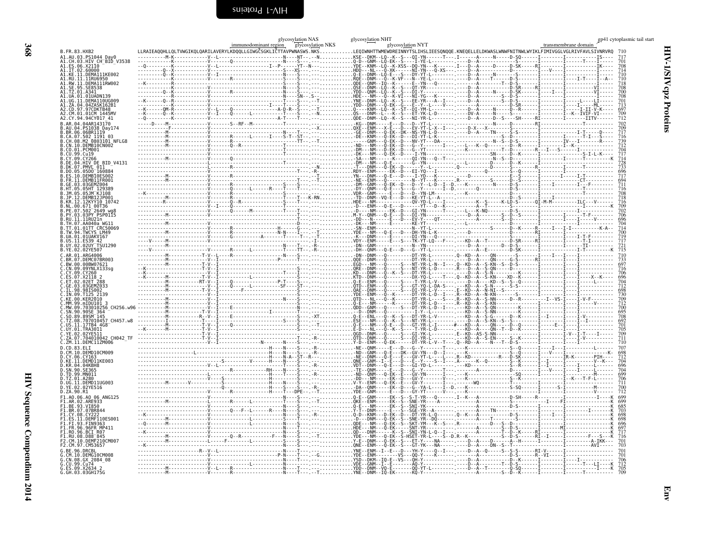|                                                                         | glycosylation NAS<br>immunodominant region glycosylation NKS | glycosylation NHT<br>glycosylation NYT | gp41 cytoplasmic tail start<br>transmembrane domain |
|-------------------------------------------------------------------------|--------------------------------------------------------------|----------------------------------------|-----------------------------------------------------|
|                                                                         |                                                              |                                        |                                                     |
|                                                                         |                                                              |                                        |                                                     |
|                                                                         |                                                              |                                        |                                                     |
|                                                                         |                                                              |                                        |                                                     |
|                                                                         |                                                              |                                        | 708                                                 |
|                                                                         |                                                              |                                        | 708<br>701                                          |
|                                                                         |                                                              |                                        |                                                     |
|                                                                         |                                                              |                                        |                                                     |
|                                                                         |                                                              |                                        |                                                     |
|                                                                         |                                                              |                                        |                                                     |
|                                                                         |                                                              |                                        |                                                     |
|                                                                         |                                                              |                                        |                                                     |
|                                                                         |                                                              |                                        |                                                     |
|                                                                         |                                                              |                                        |                                                     |
|                                                                         |                                                              |                                        |                                                     |
|                                                                         |                                                              |                                        |                                                     |
|                                                                         |                                                              |                                        |                                                     |
|                                                                         |                                                              |                                        |                                                     |
|                                                                         |                                                              |                                        |                                                     |
|                                                                         |                                                              |                                        |                                                     |
|                                                                         |                                                              |                                        |                                                     |
|                                                                         |                                                              |                                        |                                                     |
|                                                                         |                                                              |                                        |                                                     |
|                                                                         |                                                              |                                        |                                                     |
|                                                                         |                                                              |                                        |                                                     |
|                                                                         |                                                              |                                        |                                                     |
|                                                                         |                                                              |                                        |                                                     |
|                                                                         |                                                              |                                        |                                                     |
|                                                                         |                                                              |                                        |                                                     |
|                                                                         |                                                              |                                        |                                                     |
|                                                                         |                                                              |                                        |                                                     |
| D.CD.83.ELI<br>D.CM.10.DEMD10CM009                                      |                                                              |                                        |                                                     |
| D.CY.06.CY163<br>D.KE.11.DEMD11KE003<br>D.KR.04.04KBH8<br>D.SN.90.SE365 |                                                              |                                        | 698<br>712<br>704                                   |
|                                                                         |                                                              |                                        | 696                                                 |
| D.TD.99.MN011<br>D.TZ.01.A280<br>D.UG.11.DEMD11UG003                    |                                                              |                                        |                                                     |
| D.YE.02.02YE516<br>D.ZA.90.R1                                           |                                                              |                                        |                                                     |
| F1.A0.06.A0 06 ANG125<br>F1.AR.02.ARE933                                |                                                              |                                        |                                                     |
| F1.BE.93.VI850<br>F1.BR.07.07BR844                                      |                                                              |                                        |                                                     |
| F1.CY.08.CY222<br>.ES.11.DEMF110ES001                                   |                                                              |                                        |                                                     |
| F1.FI.93.FIN9363<br>FR.96.96FR MP411                                    |                                                              |                                        |                                                     |
| F1.R0.96.BCI_R07<br>F1.RU.08.D88-845<br>F2.CM.10.DEMF210CM007           |                                                              |                                        | $717$<br>716                                        |
| F2.CM.97.CM53657                                                        |                                                              |                                        |                                                     |
| G. RE. 96. DRCRL<br>G.CM.10.DEMG10CM008<br>G.CN.08.GX_2084_08           |                                                              |                                        |                                                     |
| G.CU.99.Cu74<br>G.CU.99.Cu74<br>G.ES.09.X2634 2<br>G.GH.03.03GH175G     |                                                              |                                        |                                                     |
|                                                                         |                                                              |                                        |                                                     |

<span id="page-51-0"></span>HIV-1/SIV cpz Proteins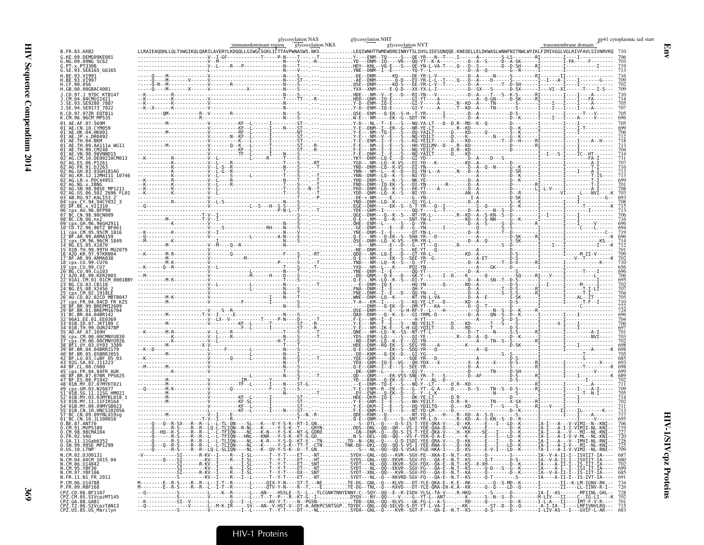|                                                                                                       |  | glycosylation NAS<br>immunodominant region glycosylation NKS | glycosylation NHT | glycosylation NYT |  | gp41 cytoplasmic tail start<br>transmembrane domain                                                                                                                                                                      |
|-------------------------------------------------------------------------------------------------------|--|--------------------------------------------------------------|-------------------|-------------------|--|--------------------------------------------------------------------------------------------------------------------------------------------------------------------------------------------------------------------------|
| B.FR.83.HXB2<br>.KE.09.DEMG09KE001<br>NG.09.09NG SC62                                                 |  |                                                              |                   |                   |  | LLRAIEAQQHLLQLTVWGIKQLQARILAVERYLKDQQLLGIWGČSGKLIČTTAVPWNASWS.NKSLEQIWNHTTWMEWDREINNYTSLIHSLIEESQNQQE.KNEQELLELDKWASLWNWFNITNWLWYIKLFIMIVGGLVGLRIVFAVLSIVNRVRQ 710                                                       |
| .PT.x.PT3306<br>.SE.93.SE6165_G6165                                                                   |  |                                                              |                   |                   |  |                                                                                                                                                                                                                          |
| .BE.93.VI991<br>.BE.93.VI997<br>CF.90.056                                                             |  |                                                              |                   |                   |  |                                                                                                                                                                                                                          |
| .GB.00.00GBAC4001<br>CD.97.J 97DC KTB147.<br>CM.04.04CMU11421                                         |  |                                                              |                   |                   |  |                                                                                                                                                                                                                          |
| .SE.93.SE9280 7887<br>.SE.94.SE9173 <sup>-</sup> 7022<br>CD.97.97ZR EOTB11                            |  |                                                              |                   |                   |  |                                                                                                                                                                                                                          |
| CM.96.96CM MP535                                                                                      |  |                                                              |                   |                   |  |                                                                                                                                                                                                                          |
| 1 <sup>-</sup> AE.HK.04.HK001<br>$^-$ AE.JP.x.DR0492                                                  |  |                                                              |                   |                   |  |                                                                                                                                                                                                                          |
| -AE.TH.04.BKM<br>$^-$ AE.TH.09.AA111a WG11<br>$\mathsf{\Gamma}\mathsf{A}\mathsf{E}$ . TH . 90 . CM240 |  |                                                              |                   |                   |  |                                                                                                                                                                                                                          |
| "AE. VN. 98. 98VNND15<br>AG.CM.10.DE00210CM013                                                        |  |                                                              |                   |                   |  |                                                                                                                                                                                                                          |
| $\mathsf{\scriptstyle{~\top}}$ AG.GH.03.03GH181AG<br>-AG.KR.12.12MHI11 10746                          |  |                                                              |                   |                   |  |                                                                                                                                                                                                                          |
| $\sqrt{-}$ AG.LR.x.POC44951<br>-<br>AG.NG.x.IBNG<br>-AG.SN.98.98SE_MP1211                             |  |                                                              |                   |                   |  |                                                                                                                                                                                                                          |
| AG.US.06.502 2696 FL01<br>-AB.RU.97.KAL153 2                                                          |  |                                                              |                   |                   |  |                                                                                                                                                                                                                          |
| 5 <sup>-</sup> срх.AU.96.BFP90<br><sup>−</sup> BC.CN.98.98CN009                                       |  |                                                              |                   |                   |  |                                                                                                                                                                                                                          |
| FBC.CN.06.nx2<br><sup>Э⊤</sup> срх.GH.96.96GH29<br>CD.TZ.96.96TZ BF061                                |  |                                                              |                   |                   |  |                                                                                                                                                                                                                          |
| cpx.CM.95.95CM 1816"<br>BF.AR.99.ARMA159<br>cpx.CM.96.96CM 1849                                       |  |                                                              |                   |                   |  |                                                                                                                                                                                                                          |
| BG.ES.05.X1870<br>01B.TH.99.99TH MU2079<br>A2D.KR.97.97KR004                                          |  |                                                              |                   |                   |  |                                                                                                                                                                                                                          |
| 7 BF.AR.99.ARMA038<br>8 cpx.CU.99.CU76<br>cpx.CU.99.CU7                                               |  |                                                              |                   |                   |  |                                                                                                                                                                                                                          |
| BG. CU. 99. Cu103<br>A2D.KE.99.KER2003-<br>CM.01.01CM 0001BBY                                         |  |                                                              |                   |                   |  |                                                                                                                                                                                                                          |
| BG.CU.03.CB118<br>BG.ES.08.X2456 2<br>cpx.CM.02.1918EE                                                |  |                                                              |                   |                   |  |                                                                                                                                                                                                                          |
| AU.CD.02.02CD MBTB047<br>CDX.FR.04.04CD FR KZS<br>BF. BR. 99. BREPM12609                              |  |                                                              |                   |                   |  |                                                                                                                                                                                                                          |
| ΓBF.BR.01.BREPM16704<br>BC.BR.04.04BR142<br>06A1.EE.01.EE0369"                                        |  |                                                              |                   |                   |  |                                                                                                                                                                                                                          |
| 01B.ID.07.JKT189 C<br>$^-$ 01B.TH.99.OUR2478P<br>AD.AF.07.169H <sup>-</sup>                           |  |                                                              |                   |                   |  |                                                                                                                                                                                                                          |
| cnx.CM.00.00CMNYU830<br>cpx.CM.00.00CMNYU926                                                          |  |                                                              |                   |                   |  |                                                                                                                                                                                                                          |
| BF1.UY.03.UY03 3389"<br>BF.BR.04.04BRRJ179<br>10 BF.BR.05.05BRRJ055                                   |  |                                                              |                   |                   |  |                                                                                                                                                                                                                          |
| 2 <sup>-</sup> BF.LU.03.luBF 05 03                                                                    |  |                                                              |                   |                   |  |                                                                                                                                                                                                                          |
| BF.BR.07.07BR FPS625<br>47 BF.ES.08.P1942                                                             |  |                                                              |                   |                   |  |                                                                                                                                                                                                                          |
| cpx.GM.03.N26677<br>01B.SG.11.11SG HM021                                                              |  |                                                              |                   |                   |  |                                                                                                                                                                                                                          |
| 01B.MY.03.03MYKL018    1<br>01B.MY.11.11FIR164<br>01B.MY.09.09MYSB023"                                |  |                                                              |                   |                   |  |                                                                                                                                                                                                                          |
| $-01B$ .CN.10.HNCS102056<br>BC.CN.09.09YNLX19sq"<br>BC.CN.10.JL100010-                                |  |                                                              |                   |                   |  |                                                                                                                                                                                                                          |
| .BE.87.ANT70<br>.CM.91.MVP5180<br><b>90 CMAI04</b>                                                    |  |                                                              |                   |                   |  |                                                                                                                                                                                                                          |
| 0.FR.92.VAU<br>0.GA.11.11Gab6352<br>0.SN.99.99SE_MP1299                                               |  |                                                              |                   |                   |  | 720<br>728<br>725                                                                                                                                                                                                        |
| $0.05.10$ .LTNP $\bar{\ }$<br>N.CM.02.DJ00131<br>N.CM.04.04CM 1015_04<br>N.CM.06.U14842               |  |                                                              |                   |                   |  | ----Q-----R-S----R--R--LQ-L-SLIQN----NL---K--QV-Y-S-K--D--T.GNS---NL--QQ--QQ-S-VSAI-FGE-HKA-I---Q--KS-----E-V-I---LD--K-----TA-I--A-I-V-VIMI--NL-RNI-- 709                                                               |
| I.CM.95.YBF30                                                                                         |  |                                                              |                   |                   |  |                                                                                                                                                                                                                          |
| N.CM.97.YBF106<br>N.CM.97.YBF106<br>N.FR.11.N1_FR_2011<br>P.CM.06.U14788                              |  |                                                              |                   |                   |  | M-------E-R-S----R--R--L-I-T--R-----L----OIX-Y-N----ST-T.--NETE-DG--GNL--O---KLVD---DT-YLE-QKA-E--K.E--RK----------------------------II---K-LM-IGNV-RK--- 734<br>M-------E--R-S----R--R--L-I-T--R-----L----QTV-Y-N----R- |
| P.FR.09.RBF168<br>CPZ.CD.06.BF1167<br>CPZ.CM.05.SIVcpzMT145<br>CPZ.GA.88.GAB1                         |  |                                                              |                   |                   |  |                                                                                                                                                                                                                          |
| CPZ.TZ.06.SIVcpzTAN13<br>CPZ.US.85.US_Marilyn                                                         |  |                                                              |                   |                   |  |                                                                                                                                                                                                                          |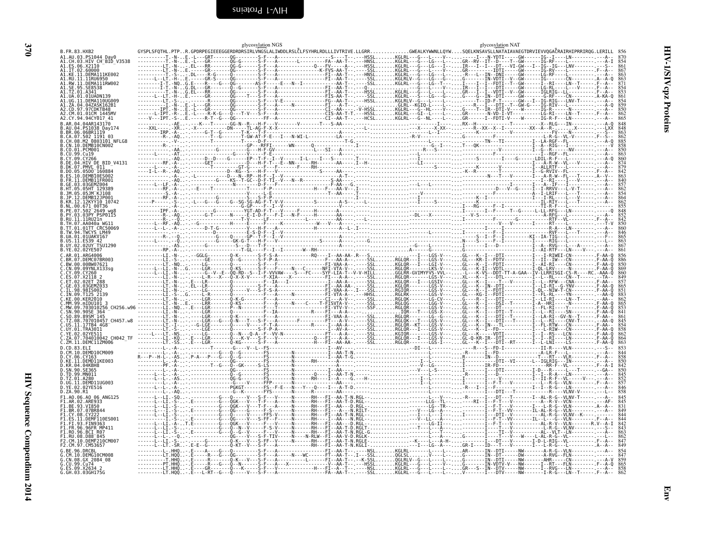<span id="page-53-0"></span>

|                                                     | glycosylation NGS                                              | glycosylation NAT                                                       |
|-----------------------------------------------------|----------------------------------------------------------------|-------------------------------------------------------------------------|
| B.FR.83.HXB2                                        | .R.GPDRPEGIEEEGGERDRDRSIRLVNGSLALIWDDLRSLĈLFSYHRLRDLLLIVTRIVE. | .GWEALKYWWNLLQYWSQELKNSAVSLLNATAIAVAEGTDRVIEVVQGAĈ̃RAIRHIPRRIRQG.LERILL |
| A1.AU.03.PS1044 Dav0<br>A1.CH.03.HIV CH BID V3538   |                                                                |                                                                         |
| 41.ES.06.X21I0                                      |                                                                |                                                                         |
| 41.IT.02.60000<br>AI.KE.11.DEMA111KE002             |                                                                |                                                                         |
| A1.RU.11.11RU6950                                   |                                                                |                                                                         |
| 1.SE.95.SE8538                                      |                                                                |                                                                         |
|                                                     |                                                                |                                                                         |
| DEMA110UG009                                        |                                                                |                                                                         |
| 04 0474SK162R1                                      |                                                                |                                                                         |
| A2.CM.01.01CM 1445MV                                |                                                                |                                                                         |
| A2.CY.94.94CY017 41                                 |                                                                |                                                                         |
| 3 AR 04 04AR143170<br>PS1038 Day174                 |                                                                |                                                                         |
| 06BR1119                                            |                                                                |                                                                         |
| .502 1191 03<br>.08.M2 0803101 NFLG8                |                                                                |                                                                         |
| CN.10.DEMB10CN002                                   |                                                                |                                                                         |
| 01.PCM001                                           |                                                                |                                                                         |
|                                                     |                                                                |                                                                         |
|                                                     |                                                                |                                                                         |
| 05D0 <sup>-16088</sup>                              |                                                                |                                                                         |
|                                                     |                                                                |                                                                         |
|                                                     |                                                                |                                                                         |
|                                                     |                                                                |                                                                         |
|                                                     |                                                                |                                                                         |
|                                                     |                                                                |                                                                         |
| 502 <sup>-2649</sup> wa8                            |                                                                |                                                                         |
| 11RU21n                                             |                                                                |                                                                         |
| 01.01TT CRC50069                                    |                                                                |                                                                         |
| TW.94.TWCYS LM49                                    |                                                                |                                                                         |
| UA.01.01UAKV167                                     |                                                                |                                                                         |
| B.UY.02.02UY TSU1290                                |                                                                |                                                                         |
| <b>AR A1</b><br>.ARG4006                            |                                                                |                                                                         |
| DEMC07BR003                                         |                                                                |                                                                         |
| BW.00.00BW07621<br>CN.09.09YNLX133sq                |                                                                |                                                                         |
|                                                     |                                                                |                                                                         |
|                                                     |                                                                |                                                                         |
| <b>ARGEMZAR3</b>                                    |                                                                |                                                                         |
| .IN.09.T125 2139                                    |                                                                |                                                                         |
|                                                     |                                                                |                                                                         |
| MM 99 mTDU101 3                                     |                                                                |                                                                         |
| -364                                                |                                                                |                                                                         |
| .TZ.08.707010457 CH457.w8                           |                                                                |                                                                         |
| 17TB4 4G8                                           |                                                                |                                                                         |
| UY.01.TRA3011                                       |                                                                |                                                                         |
| 07.704010042 CH042 TF<br>.ZM.11.DEMC11ZM006         |                                                                |                                                                         |
| 0. CD. 83. FLT                                      |                                                                |                                                                         |
| CM.10.DEMD10CM009                                   |                                                                |                                                                         |
| CY163<br>D.KE.11.DEMDĪ1KE003                        |                                                                |                                                                         |
| 04KBH8<br>SN QA<br>SE365                            |                                                                |                                                                         |
| TD.99.MN011                                         |                                                                |                                                                         |
| 0.TZ.01.A280<br>.UG.11.DEMD11UG003                  |                                                                |                                                                         |
| D.YE.02.02YE516                                     |                                                                |                                                                         |
| D.ZA.90.R1<br>F1.A0.06.A0 06 ANG125                 |                                                                |                                                                         |
| F1.AR.02.ARE933<br>F1.BE.93.VI850                   |                                                                |                                                                         |
| F1.BR.07.07BR844                                    |                                                                |                                                                         |
| .08.CY22                                            |                                                                |                                                                         |
| .DEMF110ES001<br>93.FIN9363                         |                                                                |                                                                         |
| 96.96FR MP411                                       |                                                                |                                                                         |
| 96.BCI R07<br>$.08.088 - 845$                       |                                                                |                                                                         |
| 10.DEMF210CM007                                     |                                                                |                                                                         |
| .CM.97.CM5365.                                      |                                                                |                                                                         |
| CM.10.DEMG10CM008                                   |                                                                |                                                                         |
| .CN.08.GX 2084 08                                   |                                                                |                                                                         |
| G.CU.99.Cu74<br>G.ES.09.X2634 2<br>G.GH.03.03GH175G |                                                                |                                                                         |
|                                                     |                                                                |                                                                         |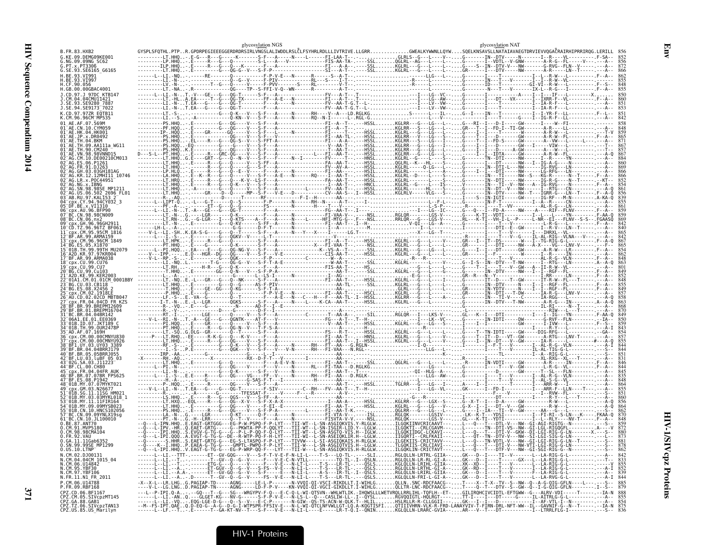|                                                           |                                                                                                                                                                                                                         | glycosylation NGS                    |                                                      | glycosylation NAT |  |
|-----------------------------------------------------------|-------------------------------------------------------------------------------------------------------------------------------------------------------------------------------------------------------------------------|--------------------------------------|------------------------------------------------------|-------------------|--|
|                                                           | GYSPLSFQTHL.PTPR.GPDRPEGIEEEGGERDRDRSIRLVNGSLALIWDDLRSLČLFSYHRLRDLLLIVTRIVE.LLGRRGWEALKYWWNLLQYWSQELKNSAVSLLNATAIAVAEGTDRVIEVVQGAČRAIRHIPRRIRQG                                                                         |                                      | . . - GLRLS - - G- - - L- - - - - V - - G- - - - - - |                   |  |
| NG.09.09NG SC62                                           |                                                                                                                                                                                                                         |                                      |                                                      |                   |  |
| PT.x.PT3306<br>.SE.93.SE6165 G6165                        |                                                                                                                                                                                                                         |                                      |                                                      |                   |  |
|                                                           |                                                                                                                                                                                                                         |                                      |                                                      |                   |  |
| CF.90.056                                                 |                                                                                                                                                                                                                         |                                      |                                                      |                   |  |
| .GB.00.00GBAC4001<br>CD.97.J 97DC KTB147                  |                                                                                                                                                                                                                         |                                      |                                                      |                   |  |
|                                                           |                                                                                                                                                                                                                         |                                      |                                                      |                   |  |
| SE.94.SE9173 <sup>-</sup> 7022                            |                                                                                                                                                                                                                         |                                      |                                                      |                   |  |
|                                                           |                                                                                                                                                                                                                         |                                      |                                                      |                   |  |
|                                                           |                                                                                                                                                                                                                         |                                      |                                                      |                   |  |
|                                                           |                                                                                                                                                                                                                         |                                      |                                                      |                   |  |
|                                                           |                                                                                                                                                                                                                         |                                      |                                                      |                   |  |
|                                                           |                                                                                                                                                                                                                         |                                      |                                                      |                   |  |
|                                                           |                                                                                                                                                                                                                         |                                      |                                                      |                   |  |
|                                                           |                                                                                                                                                                                                                         |                                      |                                                      |                   |  |
|                                                           |                                                                                                                                                                                                                         |                                      |                                                      |                   |  |
|                                                           |                                                                                                                                                                                                                         |                                      |                                                      |                   |  |
|                                                           |                                                                                                                                                                                                                         |                                      |                                                      |                   |  |
|                                                           |                                                                                                                                                                                                                         |                                      |                                                      |                   |  |
|                                                           |                                                                                                                                                                                                                         |                                      |                                                      |                   |  |
|                                                           |                                                                                                                                                                                                                         |                                      |                                                      |                   |  |
|                                                           |                                                                                                                                                                                                                         |                                      |                                                      |                   |  |
|                                                           |                                                                                                                                                                                                                         |                                      |                                                      |                   |  |
|                                                           |                                                                                                                                                                                                                         |                                      |                                                      |                   |  |
|                                                           |                                                                                                                                                                                                                         |                                      |                                                      |                   |  |
|                                                           |                                                                                                                                                                                                                         |                                      |                                                      |                   |  |
|                                                           |                                                                                                                                                                                                                         |                                      |                                                      |                   |  |
|                                                           |                                                                                                                                                                                                                         |                                      |                                                      |                   |  |
|                                                           |                                                                                                                                                                                                                         |                                      |                                                      |                   |  |
|                                                           |                                                                                                                                                                                                                         |                                      |                                                      |                   |  |
|                                                           |                                                                                                                                                                                                                         |                                      |                                                      |                   |  |
|                                                           |                                                                                                                                                                                                                         |                                      |                                                      |                   |  |
|                                                           |                                                                                                                                                                                                                         |                                      |                                                      |                   |  |
|                                                           |                                                                                                                                                                                                                         |                                      |                                                      |                   |  |
|                                                           |                                                                                                                                                                                                                         |                                      |                                                      |                   |  |
|                                                           |                                                                                                                                                                                                                         |                                      |                                                      |                   |  |
|                                                           |                                                                                                                                                                                                                         |                                      |                                                      |                   |  |
|                                                           |                                                                                                                                                                                                                         |                                      |                                                      |                   |  |
|                                                           |                                                                                                                                                                                                                         |                                      |                                                      |                   |  |
|                                                           |                                                                                                                                                                                                                         |                                      |                                                      |                   |  |
|                                                           |                                                                                                                                                                                                                         |                                      |                                                      |                   |  |
|                                                           |                                                                                                                                                                                                                         |                                      |                                                      |                   |  |
|                                                           |                                                                                                                                                                                                                         |                                      |                                                      |                   |  |
|                                                           |                                                                                                                                                                                                                         |                                      |                                                      |                   |  |
|                                                           |                                                                                                                                                                                                                         |                                      |                                                      |                   |  |
| CN.10.HNCS102056<br>09.09YNLX19sa                         |                                                                                                                                                                                                                         |                                      |                                                      |                   |  |
| 10.JL100010                                               |                                                                                                                                                                                                                         |                                      | ILGÒKIINVCRICAAVT---L---0                            |                   |  |
| CM.98.98CMA104                                            |                                                                                                                                                                                                                         |                                      | TI--CRLCGAVM---L-                                    |                   |  |
|                                                           | .A.EVGT-G-TG-G--DE--R-WTP-PQ                                                                                                                                                                                            | -F-Ĥ-L̃YT---TII-WI--L-SN-ASEIQKLIR.Н |                                                      |                   |  |
| 0.SN.99.99SE_MP1299                                       |                                                                                                                                                                                                                         |                                      |                                                      |                   |  |
| $0.0S.10.LTNP^2$                                          | --Q---L-IPI.HHQV.EAGT-G-TG-G---EG-P-WRP-QQ-F---LYT---TII-W---L-SN-ASGIQKVIS.H-RLGLWILGQKLIN-CRICTAVT---L---Q--T---DTF-V--NW--GI-SGI-RIG-G--N--------.---S-- 862                                                         |                                      |                                                      |                   |  |
| N.CM.02.DJ00131<br>N.CM.04.04CM_1015_04<br>N.CM.06.U14842 |                                                                                                                                                                                                                         |                                      |                                                      |                   |  |
| N.CM.95.YBF30<br>N.CM.97.YBF106                           |                                                                                                                                                                                                                         |                                      |                                                      |                   |  |
| N.FR.11.N1_FR_2011                                        |                                                                                                                                                                                                                         |                                      |                                                      |                   |  |
| P.CM.06.U14788<br>P.FR.09.RBF168                          | -X--X-L--LR.LHGG.PAGIAP-TD-----AGNG-----LE-L-P-------N-VVOI-OI-VSCI-RIKDLLT.I-WIHLGOLLN.SNC-RDCFAACG------T---X--T-X--TV--S--NW--O--A-G-OIG-GFLN----L----------------------------<br>----V-L--LG.LNGD.PAGIAP-TN-----AGN |                                      |                                                      |                   |  |
|                                                           |                                                                                                                                                                                                                         |                                      |                                                      |                   |  |
|                                                           |                                                                                                                                                                                                                         |                                      |                                                      |                   |  |
|                                                           |                                                                                                                                                                                                                         |                                      |                                                      |                   |  |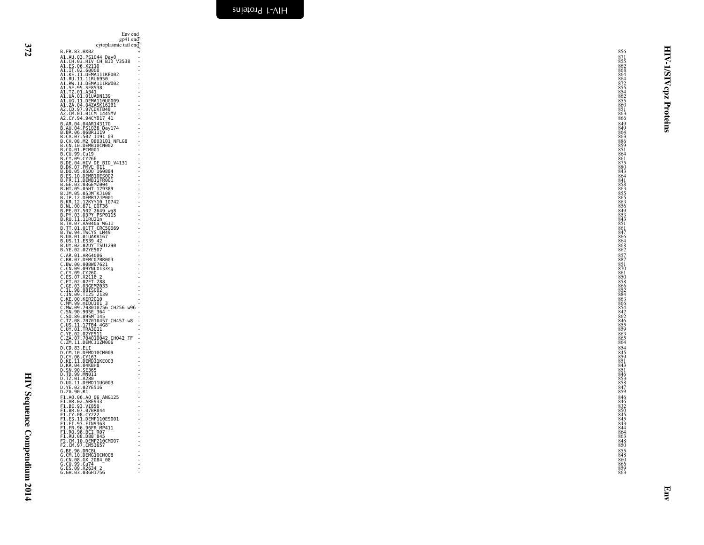| . .<br>۰.    |  |
|--------------|--|
|              |  |
| ÷<br>×<br>., |  |

HIV Sequence Compendium 2014 HIV Sequence Compendium 2014

<span id="page-55-0"></span>

| Env end<br>gp41 end                                                                                 |                          |                                        |
|-----------------------------------------------------------------------------------------------------|--------------------------|----------------------------------------|
| cytoplasmic tail end<br>B.FR.83.HXB2                                                                |                          | 目<br>856                               |
| A1.AU.03.PS1044_Day0                                                                                |                          | 871<br>≺                               |
| A1.CH.03.HIV CH BID V3538<br>A1.ES.06.X2110<br>A1.IT.02.60000                                       |                          | $\frac{855}{862}$<br>л.                |
| A1.KE.11.DEMA111KE002<br>A1.RU.11.11RU6950                                                          |                          | <b>AIS/I</b><br>868<br>864             |
| A1.RW.11.DEMA111RW002<br>A1.SE.95.SE8538                                                            |                          | 864<br>872<br>855<br>854               |
| A1.TZ.01.A341                                                                                       |                          | cpz                                    |
| A1.UA.01.01UADN139<br>A1.UG.11.DEMA110UG009<br>A1.ZA.04.04ZASK162B1<br>A2.CD.97.97CDKTB48           |                          | $\frac{862}{855}$<br>855<br>860        |
| A2.CM.01.01CM 1445MV                                                                                |                          | Proteins<br>851<br>863                 |
| A2.CY.94.94CY017_41<br>B.AR.04.04AR143170                                                           |                          | 866<br>849                             |
| B.AU.04.PS1038_Day174<br>B.BR.06.06BR1119                                                           |                          | 849<br>864                             |
| B.CA.07.502 1191 03<br>B.CH.08.M2 0803101 NFLG8                                                     |                          | 863<br>886                             |
| B.CN.10.DEMB10CN002<br>B.CO.01.PCM001                                                               |                          | 859<br>851                             |
| B.CU.99.Cu19<br>B.CY.09.CY266                                                                       |                          | 864<br>861<br>875<br>880               |
| B.DE.04.HIV DE BID_V4131<br>B.DK.07.PMVL 011                                                        |                          |                                        |
| B.DO.05.05DO 160884<br>B.ES.10.DEMB10ES002<br>B.FR.11.DEMB11FR001                                   |                          | $843$<br>$864$                         |
| B.GE.03.03GEMZ004                                                                                   |                          | $\frac{841}{858}$<br>$\frac{858}{863}$ |
| B.JM.05.05JM KJ108<br>B.JP.12.DEMB12JP001                                                           |                          | 855<br>865                             |
| B.KR.12.12KYY10 10742                                                                               |                          | $\frac{863}{856}$<br>856<br>849        |
| B.NL.00.671 00T36<br>B.PE.07.502 2649 wg8<br>B.PY.03.03PY PSP0115                                   |                          | 853                                    |
| B.RU.11.11RU21n<br>B.TH.07.AA040a WG11                                                              |                          | 843<br>$\frac{851}{861}$               |
| B.TT.01.01TT CRC50069<br>B.TW.94.TWCYS LM49                                                         |                          | 847                                    |
| B.UA.01.01UAKV167<br>B.US.11.ES39 42<br>B.UY.02.02UY TSU1290                                        |                          | $866$<br>864                           |
| B. YE. 02.02YE507                                                                                   |                          | $868$<br>862                           |
| C.AR.01.ARG4006<br>C.BR.07.DEMC07BR003<br>C.BW.00.00BW07621                                         |                          | $857$<br>$887$<br>$851$                |
|                                                                                                     |                          | 870                                    |
| C.CN.09.09YNLX133sg<br>C.CY.09.CY260<br>C.ES.07.X2118.2                                             |                          | 861<br>850<br>858                      |
| C.ET.02.02ET 288<br>C.GE.03.03GEMZ033<br>C.IL.98.98IS002<br>C.IN.09.T125 2139<br>C.KE.00.KER2010    |                          |                                        |
|                                                                                                     |                          | 866<br>852<br>884<br>863               |
| C.MM.99.mIDU101 3                                                                                   |                          | 866                                    |
| C.MW.09.703010256_CH256.w96 -<br>C.SN.90.905E_364<br>C.SN.90.995E_364<br>C.TZ.08.707010457_CH457.w8 |                          | $854$<br>$842$<br>$862$                |
| C.US.11.17TB4 4G8                                                                                   |                          | 846<br>$855$<br>859                    |
| C.UY.01.TRA3011<br>C.YE.02.02YE511                                                                  |                          | 863                                    |
| C.ZA.07.704010042_CH042_TF<br>C.ZM.11.DEMC11ZM006                                                   |                          | $865$<br>864                           |
| D.CD.83.ELI<br>D.CM.10.DEMD10CM009                                                                  |                          | 854<br>845                             |
| D.CY.06.CY163<br>D.KE.11.DEMD11KE003                                                                |                          | $\frac{859}{851}$                      |
| D.KR.04.04KBH8<br>D.SN.90.SE365                                                                     |                          | 851                                    |
| D.TD.99.MN011<br>D.TZ.01.A280                                                                       |                          |                                        |
| D.UG.11.DEMD11UG003<br>D.YE.02.02YE516<br>D.ZA.90.R1                                                |                          | 846<br>853<br>858<br>858<br>847        |
| F1.A0.06.A0_06_ANG125<br>F1.AR.02.ARE933                                                            |                          | 846<br>846<br>832                      |
| F1.BE.93.VI850<br>F1.BR.07.07BR844                                                                  |                          |                                        |
| F1.CY.08.CY222                                                                                      |                          | 850<br>845<br>845<br>843               |
| F1.ES.11.DEMF110ES001<br>F1.FI.93.FIN9363<br>F1.FR.96.96FR_MP411<br>F1.RO.96.BCI_R07                |                          | 844                                    |
| F1.RU.08.D88 <sup>-845</sup>                                                                        |                          |                                        |
| F2.CM.10.DEMF210CM007<br>F2.CM.97.CM53657                                                           |                          | 863<br>848<br>850                      |
| G.BE.96.DRCBL<br>G.CM.10.DEMG10CM008                                                                |                          |                                        |
| G.CN.08.GX 2084_08                                                                                  | $\overline{\phantom{a}}$ | 855<br>848<br>860<br>866<br>859<br>863 |
| G.ES.09.X2634 2<br>G.GH.03.03GH175G                                                                 |                          |                                        |
|                                                                                                     |                          |                                        |
|                                                                                                     |                          | Emv                                    |
|                                                                                                     |                          |                                        |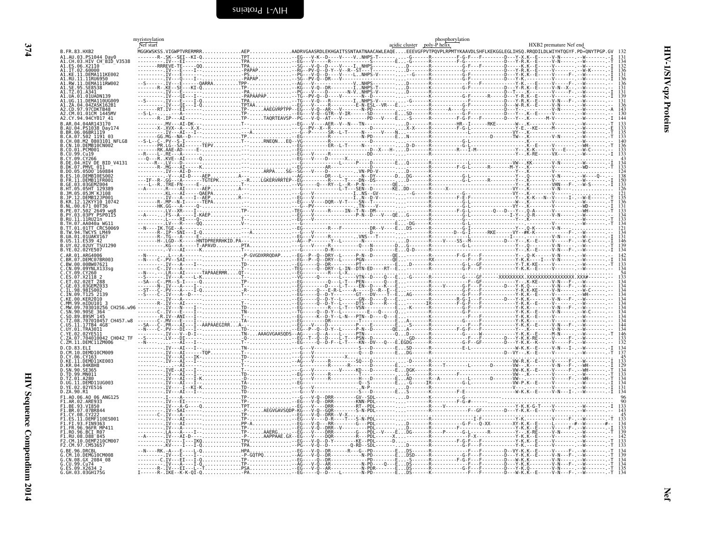<span id="page-57-1"></span><span id="page-57-0"></span>

|                                               | myristoylation<br>Nef start |  |  |                                                              | acidic cluster poly-P helix | phosphorylation                                                                                                                                                                                       | HXB2 premature Nef end |                                        |
|-----------------------------------------------|-----------------------------|--|--|--------------------------------------------------------------|-----------------------------|-------------------------------------------------------------------------------------------------------------------------------------------------------------------------------------------------------|------------------------|----------------------------------------|
| B. FR. 83. HXB2                               |                             |  |  |                                                              |                             | MGGKWSKSS.VIGWPTVRERMRRAEPAADRVGAASRDLEKHGAITSSNTAATNAACAWLEAQEEEEVGFPVTPQVPLRPMTYKAAVDLSHFLKEKGGLEGLIHSQ.RRQDILDLWIYHTQGYF.PD*QNYTPGP.GV 132                                                         |                        |                                        |
| A1.AU.03.PS1044 Day0<br>HIV CH BID V3538      |                             |  |  |                                                              |                             |                                                                                                                                                                                                       |                        |                                        |
| A1.ES.06.X21I0                                |                             |  |  |                                                              |                             |                                                                                                                                                                                                       |                        |                                        |
| A1.IT.02.60000<br>A1.KE.11.DEMA111KE002       |                             |  |  |                                                              |                             |                                                                                                                                                                                                       |                        |                                        |
| 41. RII. 11. 11RII6950<br>.RW.11.DEMA111RW002 |                             |  |  |                                                              |                             |                                                                                                                                                                                                       |                        |                                        |
|                                               |                             |  |  |                                                              |                             |                                                                                                                                                                                                       |                        |                                        |
| TZ.01.A341<br>$01.01$ UADNI                   |                             |  |  |                                                              |                             |                                                                                                                                                                                                       |                        |                                        |
|                                               |                             |  |  |                                                              |                             |                                                                                                                                                                                                       |                        |                                        |
| ZA.04.04ZASK162B1<br>97.97CDKTB48             |                             |  |  |                                                              |                             |                                                                                                                                                                                                       |                        |                                        |
| 2 CM 01 01CM 1445MV                           |                             |  |  |                                                              |                             |                                                                                                                                                                                                       |                        |                                        |
| .CY.94.94CY017 41<br>LAR A4 A4AR14317A        |                             |  |  |                                                              |                             |                                                                                                                                                                                                       |                        |                                        |
| .AU.04.PS1038 Dav17                           |                             |  |  |                                                              |                             |                                                                                                                                                                                                       |                        |                                        |
| 3.BR.06.06BR1119<br>CA.07.502 1191 03         |                             |  |  |                                                              |                             |                                                                                                                                                                                                       |                        |                                        |
| CH.08.M2 0803101 NFLG8                        |                             |  |  |                                                              |                             |                                                                                                                                                                                                       |                        |                                        |
|                                               |                             |  |  |                                                              |                             |                                                                                                                                                                                                       |                        |                                        |
|                                               |                             |  |  |                                                              |                             |                                                                                                                                                                                                       |                        |                                        |
| HIV DE BID V4131                              |                             |  |  |                                                              |                             |                                                                                                                                                                                                       |                        |                                        |
| 07.PMVL 011<br>05.05D0 160884                 |                             |  |  |                                                              |                             |                                                                                                                                                                                                       |                        |                                        |
| 10.DEMB10ES002                                |                             |  |  |                                                              |                             |                                                                                                                                                                                                       |                        |                                        |
| DEMR11ER001                                   |                             |  |  |                                                              |                             |                                                                                                                                                                                                       |                        |                                        |
|                                               |                             |  |  |                                                              |                             |                                                                                                                                                                                                       |                        |                                        |
|                                               |                             |  |  |                                                              |                             |                                                                                                                                                                                                       |                        |                                        |
| R.12.12KYY10 10742:                           |                             |  |  |                                                              |                             |                                                                                                                                                                                                       |                        |                                        |
|                                               |                             |  |  |                                                              |                             |                                                                                                                                                                                                       |                        |                                        |
|                                               |                             |  |  |                                                              |                             |                                                                                                                                                                                                       |                        |                                        |
|                                               |                             |  |  |                                                              |                             |                                                                                                                                                                                                       |                        |                                        |
| .01TT CRC50069<br>TW.94.TWCYS LM49            |                             |  |  |                                                              |                             |                                                                                                                                                                                                       |                        |                                        |
| 01 01 JAKV167                                 |                             |  |  |                                                              |                             |                                                                                                                                                                                                       |                        |                                        |
| .11.ES39 42                                   |                             |  |  |                                                              |                             |                                                                                                                                                                                                       |                        |                                        |
| B.YE.02.02YE507                               |                             |  |  |                                                              |                             |                                                                                                                                                                                                       |                        |                                        |
| AR 01 ARG4006<br>BR.07.DEMC07BR003            |                             |  |  |                                                              |                             |                                                                                                                                                                                                       |                        |                                        |
| BW.00.00BW07621                               |                             |  |  |                                                              |                             |                                                                                                                                                                                                       |                        |                                        |
|                                               |                             |  |  |                                                              |                             |                                                                                                                                                                                                       |                        |                                        |
|                                               |                             |  |  |                                                              |                             |                                                                                                                                                                                                       |                        |                                        |
| 03 03GEMZ033                                  |                             |  |  |                                                              |                             |                                                                                                                                                                                                       |                        |                                        |
| 98.98T5002                                    |                             |  |  |                                                              |                             |                                                                                                                                                                                                       |                        |                                        |
|                                               |                             |  |  |                                                              |                             |                                                                                                                                                                                                       |                        |                                        |
|                                               |                             |  |  |                                                              |                             |                                                                                                                                                                                                       |                        |                                        |
|                                               |                             |  |  |                                                              |                             |                                                                                                                                                                                                       |                        |                                        |
|                                               |                             |  |  |                                                              |                             |                                                                                                                                                                                                       |                        |                                        |
| IS 11, 17TB4 4G8<br>ur.01.TRA3011             |                             |  |  |                                                              |                             |                                                                                                                                                                                                       |                        |                                        |
| YE.02.02YE511                                 |                             |  |  |                                                              |                             |                                                                                                                                                                                                       |                        |                                        |
| 704010042 CH042 TF                            |                             |  |  |                                                              |                             |                                                                                                                                                                                                       |                        |                                        |
| CD 83 FLT                                     |                             |  |  |                                                              |                             |                                                                                                                                                                                                       |                        |                                        |
| .10.DEMD10CM009<br>D.CY.06.CY163              |                             |  |  |                                                              |                             |                                                                                                                                                                                                       |                        |                                        |
| D.KE.11.DEMD11KE003                           |                             |  |  |                                                              |                             |                                                                                                                                                                                                       |                        |                                        |
| D.KR 04.04KRH8<br>SN 90.SE365                 |                             |  |  |                                                              |                             |                                                                                                                                                                                                       |                        |                                        |
| .TD.99.MN011<br>N.TZ 01.A280                  |                             |  |  |                                                              |                             |                                                                                                                                                                                                       |                        |                                        |
| LUG 11 DEMD11UG003                            |                             |  |  |                                                              |                             |                                                                                                                                                                                                       |                        |                                        |
| D.ZA.90.R1                                    |                             |  |  |                                                              |                             |                                                                                                                                                                                                       |                        |                                        |
| 1.AO.06.AO 06 ANG125"                         |                             |  |  |                                                              |                             |                                                                                                                                                                                                       |                        |                                        |
| 1.AR.02.ARE933-<br>RE 93 VT850                |                             |  |  |                                                              |                             |                                                                                                                                                                                                       |                        |                                        |
| 1.BR.07.07BR844                               |                             |  |  |                                                              |                             |                                                                                                                                                                                                       |                        |                                        |
| CY 08 CY22<br>11 DEME110ES001                 |                             |  |  |                                                              |                             |                                                                                                                                                                                                       |                        |                                        |
| 93 FTN9363                                    |                             |  |  |                                                              |                             |                                                                                                                                                                                                       |                        |                                        |
| 96.96FR MP411<br>1.RO.96.BCI R07-             |                             |  |  |                                                              |                             | $\begin{minip{\0.1pt} \n & \n & \n & \n & \n & \n & \n & \n & \n & \n & \n & \n & \n & \n & \n & \n & \n & \n & \n & \n & \n & \n & \n & \n & \n & \n & \n & \n & \n & \n & \n & \n & \n & \n & \n &$ |                        |                                        |
| F1.RU.08.D88 <sup>-</sup> 845                 |                             |  |  |                                                              |                             |                                                                                                                                                                                                       |                        |                                        |
| CM.10.DEMF210CM001<br>.CM.97.CM53657          |                             |  |  |                                                              |                             |                                                                                                                                                                                                       |                        |                                        |
|                                               |                             |  |  |                                                              |                             |                                                                                                                                                                                                       |                        |                                        |
| M.10.DEMG10CM008<br>CN.08.GX 2084 08          |                             |  |  |                                                              |                             |                                                                                                                                                                                                       |                        |                                        |
| .CU.99.Cu74                                   |                             |  |  |                                                              |                             |                                                                                                                                                                                                       |                        | 134<br>139<br>134<br>134<br>135<br>134 |
| G.ES.09.X2634 2<br>G. GH. 03.03GH175G         | $I$ ------R-. IKE--K-K-0I-0 |  |  | . N - - D - - - - L - - - - - - - N - PD - - - - - - - - - E |                             | .DS------K-------------F---F-------D---W-K.K--E-----V-N---F- --W----                                                                                                                                  |                        |                                        |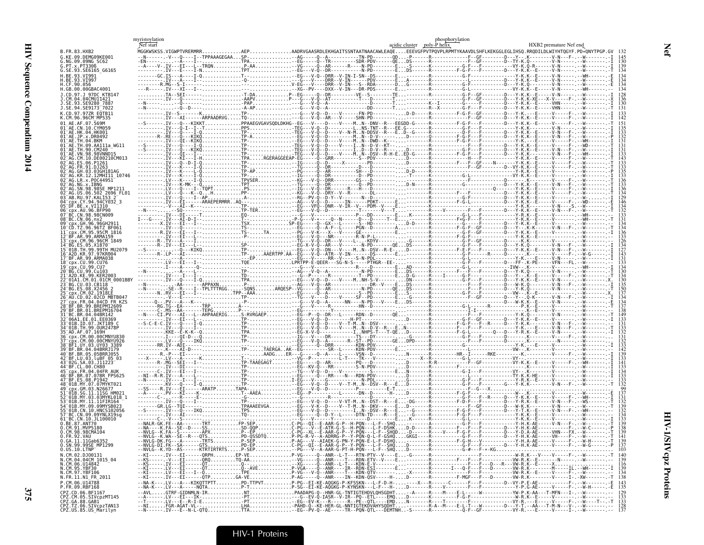|                                                                                          | myristoylation<br>Nef start |  |                                                                                                                                                                                                                                                                                                                                             | acidic cluster poly-P helix | phosphorylation | HXB2 premature Nef end |
|------------------------------------------------------------------------------------------|-----------------------------|--|---------------------------------------------------------------------------------------------------------------------------------------------------------------------------------------------------------------------------------------------------------------------------------------------------------------------------------------------|-----------------------------|-----------------|------------------------|
| B.FR.83.HXB2<br>G.KE.09.DEMG09KE001                                                      |                             |  | MGGKWSKSS.VIGWPTVRERMRRAEPAADRVGAASRDLEKHGAITSSNTAATNAACAWLEAQEEEEVGFPVTPQVPLRPMTYKAAVDLSHFLKEKGGLEGLIHSQ.RRQDILDLWIYHTQGYF.PD*QNYTPGP.GV                                                                                                                                                                                                   |                             |                 |                        |
| G.NG.09.09NG SC62<br>G.PT.x.PT3306                                                       |                             |  | $MGEWXSSS: VTOWENRRAHORRARI, VTOWERRIAHORRARI, VTOWERRIAHORRARI, VTOWERRIAHORRARI, VTOWERRIAHORRARI, VTOWERRIAHORRARI, VTOWERRIAHORRARI, VTOWERRIAHORRARI, VTOWERRIAHORRARI, VTOWERRIAHORRARI, VTOWERRIAHORRARI, VTOWERRIAHORRARI, VTOWERRIAHORRARI, VTOWERRIAHORRARI, VTOWERRIAHORRARI, VTOWERRIAHORRARI, VTOWERRIAHORRARI, VTOWERRIAHORR$ |                             |                 |                        |
| G.SE.93.SE6165 G6165<br>H. RF. 93. VT991                                                 |                             |  |                                                                                                                                                                                                                                                                                                                                             |                             |                 |                        |
| .CF.90.056<br>H.GB.00.00GBAC4001                                                         |                             |  |                                                                                                                                                                                                                                                                                                                                             |                             |                 |                        |
| 1.CD.97.1.97DC KTR147                                                                    |                             |  |                                                                                                                                                                                                                                                                                                                                             |                             |                 |                        |
| E.93.SE9280 7887<br>SE.94.SE9173 7022.                                                   |                             |  |                                                                                                                                                                                                                                                                                                                                             |                             |                 |                        |
| CD.97.97ZR EOTB11                                                                        |                             |  |                                                                                                                                                                                                                                                                                                                                             |                             |                 |                        |
|                                                                                          |                             |  |                                                                                                                                                                                                                                                                                                                                             |                             |                 |                        |
|                                                                                          |                             |  |                                                                                                                                                                                                                                                                                                                                             |                             |                 |                        |
|                                                                                          |                             |  |                                                                                                                                                                                                                                                                                                                                             |                             |                 |                        |
|                                                                                          |                             |  |                                                                                                                                                                                                                                                                                                                                             |                             |                 |                        |
|                                                                                          |                             |  |                                                                                                                                                                                                                                                                                                                                             |                             |                 |                        |
|                                                                                          |                             |  |                                                                                                                                                                                                                                                                                                                                             |                             |                 |                        |
|                                                                                          |                             |  |                                                                                                                                                                                                                                                                                                                                             |                             |                 |                        |
|                                                                                          |                             |  |                                                                                                                                                                                                                                                                                                                                             |                             |                 |                        |
| .98.98CN009                                                                              |                             |  |                                                                                                                                                                                                                                                                                                                                             |                             |                 |                        |
|                                                                                          |                             |  |                                                                                                                                                                                                                                                                                                                                             |                             |                 |                        |
|                                                                                          |                             |  |                                                                                                                                                                                                                                                                                                                                             |                             |                 |                        |
|                                                                                          |                             |  |                                                                                                                                                                                                                                                                                                                                             |                             |                 |                        |
|                                                                                          |                             |  |                                                                                                                                                                                                                                                                                                                                             |                             |                 |                        |
|                                                                                          |                             |  |                                                                                                                                                                                                                                                                                                                                             |                             |                 |                        |
|                                                                                          |                             |  |                                                                                                                                                                                                                                                                                                                                             |                             |                 |                        |
|                                                                                          |                             |  |                                                                                                                                                                                                                                                                                                                                             |                             |                 |                        |
|                                                                                          |                             |  |                                                                                                                                                                                                                                                                                                                                             |                             |                 |                        |
|                                                                                          |                             |  |                                                                                                                                                                                                                                                                                                                                             |                             |                 |                        |
|                                                                                          |                             |  |                                                                                                                                                                                                                                                                                                                                             |                             |                 |                        |
|                                                                                          |                             |  |                                                                                                                                                                                                                                                                                                                                             |                             |                 |                        |
|                                                                                          |                             |  |                                                                                                                                                                                                                                                                                                                                             |                             |                 |                        |
| RR 04 04RRR1179                                                                          |                             |  |                                                                                                                                                                                                                                                                                                                                             |                             |                 |                        |
|                                                                                          |                             |  |                                                                                                                                                                                                                                                                                                                                             |                             |                 |                        |
|                                                                                          |                             |  |                                                                                                                                                                                                                                                                                                                                             |                             |                 |                        |
|                                                                                          |                             |  |                                                                                                                                                                                                                                                                                                                                             |                             |                 |                        |
|                                                                                          |                             |  |                                                                                                                                                                                                                                                                                                                                             |                             |                 |                        |
|                                                                                          |                             |  |                                                                                                                                                                                                                                                                                                                                             |                             |                 |                        |
| ⊤BC.CN.10.JL100010                                                                       |                             |  |                                                                                                                                                                                                                                                                                                                                             |                             |                 |                        |
| .87.ANT70<br>.CM.91.MVP5180                                                              |                             |  |                                                                                                                                                                                                                                                                                                                                             |                             |                 |                        |
| 0.CM.98.98CMA104<br>0.FR.92.VAU                                                          |                             |  |                                                                                                                                                                                                                                                                                                                                             |                             |                 |                        |
| 0.GA.11.11Gab6352<br>0.SN.99.99SE MP1299<br>$0.05.10.$ LTNP                              |                             |  |                                                                                                                                                                                                                                                                                                                                             |                             |                 |                        |
| N.CM.02.DJ00131<br>N.CM.04.04CM 1015 04                                                  |                             |  |                                                                                                                                                                                                                                                                                                                                             |                             |                 |                        |
| N.CM.06.014842<br>N.CM.95.YBF30                                                          |                             |  |                                                                                                                                                                                                                                                                                                                                             |                             |                 |                        |
| N.CM.97.YBF106<br>N.FR.11.N1 FR 2011<br>P.CM.06.U14788                                   |                             |  |                                                                                                                                                                                                                                                                                                                                             |                             |                 |                        |
| P.FR.09.RBF168<br>CPZ.CD.06.BF1167                                                       |                             |  |                                                                                                                                                                                                                                                                                                                                             |                             |                 |                        |
|                                                                                          |                             |  |                                                                                                                                                                                                                                                                                                                                             |                             |                 |                        |
| CPZ.CM.05.SIVCP2MT145<br>CPZ.GA.88.GAB1<br>CPZ.TZ.06.SIVCP2TAN13<br>CPZ.US.85.US_Marilyn |                             |  |                                                                                                                                                                                                                                                                                                                                             |                             |                 |                        |

Net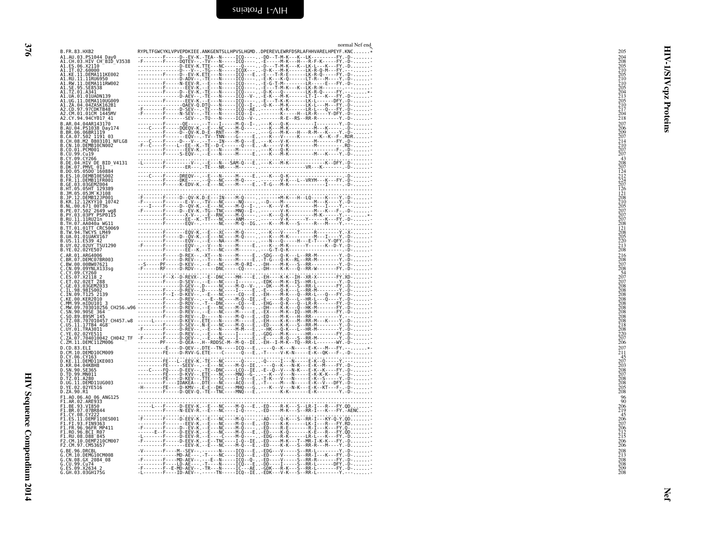<span id="page-59-0"></span>

| B.FR.83.HXB2                                                                                                                            | normal Nef end<br>RYPLTFGWCYKLVPVEPDKIEE.ANKGENTSLLHPVSLHGMDDPEREVLEWRFDSRLAFHHVARELHPEYF.KNC*                                                                                                                                                                                                                                                                                                                                                                                                       | 205                                                                              |          |
|-----------------------------------------------------------------------------------------------------------------------------------------|------------------------------------------------------------------------------------------------------------------------------------------------------------------------------------------------------------------------------------------------------------------------------------------------------------------------------------------------------------------------------------------------------------------------------------------------------------------------------------------------------|----------------------------------------------------------------------------------|----------|
| A1.AU.03.PS1044_Day0<br>A1.CH.03.HIV_CH_BID_V3538                                                                                       |                                                                                                                                                                                                                                                                                                                                                                                                                                                                                                      | $^{204}_{208}$                                                                   |          |
| A1.ES.06.X2110<br>A1.IT.02.60000                                                                                                        |                                                                                                                                                                                                                                                                                                                                                                                                                                                                                                      | 205<br>205<br>210<br>205<br>210<br>205                                           |          |
| A1.KE.11.DEMA111KE002<br>A1.RU.11.1IRU6950<br>A1.RU.11.1IRU6950<br>A1.SE.95.SE8538<br>A1.SE.95.SE8538                                   |                                                                                                                                                                                                                                                                                                                                                                                                                                                                                                      |                                                                                  | XIS      |
| A1.TZ.01.A341                                                                                                                           |                                                                                                                                                                                                                                                                                                                                                                                                                                                                                                      |                                                                                  | cpz      |
| A1.UA.01.01UADN139<br>A1.UG.11.DEMA110UG009                                                                                             |                                                                                                                                                                                                                                                                                                                                                                                                                                                                                                      | 204<br>213<br>205<br>210<br>217<br>204<br>218                                    |          |
|                                                                                                                                         |                                                                                                                                                                                                                                                                                                                                                                                                                                                                                                      |                                                                                  |          |
| A2.CY.94.94CY017 41<br>B.AR.04.04AR143170                                                                                               |                                                                                                                                                                                                                                                                                                                                                                                                                                                                                                      |                                                                                  | Proteins |
| B.AU.04.PS1038_Day174<br>B.BR.06.06BRIII9<br>B.CA.07.502 1191 03                                                                        |                                                                                                                                                                                                                                                                                                                                                                                                                                                                                                      | 207<br>206<br>2097<br>207<br>214<br>210<br>207<br>208<br>207                     |          |
| B.CH.08.M2 0803101 NFLG8<br>.CN.10.DEMB10CN002                                                                                          |                                                                                                                                                                                                                                                                                                                                                                                                                                                                                                      |                                                                                  |          |
| .CO.01.PCM001<br>.CU.99.Cu19                                                                                                            |                                                                                                                                                                                                                                                                                                                                                                                                                                                                                                      |                                                                                  |          |
| B.ČÝ.09.ČÝ266<br>B.DE.04.HIV DE BID_V4131<br>B.DK.07.PMVL_011                                                                           |                                                                                                                                                                                                                                                                                                                                                                                                                                                                                                      |                                                                                  |          |
| B.DO.05.05DO <sup>-</sup> 160884<br>B.ES.10.DEMB10ES002                                                                                 |                                                                                                                                                                                                                                                                                                                                                                                                                                                                                                      |                                                                                  |          |
| B.FR.11.DEMB11FR001                                                                                                                     |                                                                                                                                                                                                                                                                                                                                                                                                                                                                                                      |                                                                                  |          |
| B.CF.13.03GEMIZ004<br>B.GF.03.03GEMZ004<br>B.HT.05.05HT 129389<br>B.JP.12.DEMBI2JP001<br>B.KR.12.12KYY10_10742<br>B.KR.12.12KYY10_10742 |                                                                                                                                                                                                                                                                                                                                                                                                                                                                                                      |                                                                                  |          |
|                                                                                                                                         | $\begin{minipage}{0.99\textwidth} \begin{minipage}{0.99\textwidth} \begin{minipage}{0.99\textwidth} \begin{minipage}{0.99\textwidth} \begin{minipage}{0.99\textwidth} \begin{minipage}{0.99\textwidth} \begin{minipage}{0.99\textwidth} \begin{minipage}{0.99\textwidth} \begin{minipage}{0.99\textwidth} \begin{minipage}{0.99\textwidth} \begin{minipage}{0.99\textwidth} \begin{minipage}{0.99\textwidth} \begin{minipage}{0.99\textwidth} \begin{minipage}{0.99\textwidth} \begin{minipage}{0.9$ | 124<br>212<br>224<br>207<br>208<br>210<br>2005<br>207<br>207<br>207<br>208<br>21 |          |
| .NL.12.1271-00T36<br>.NL.00.671-00T36<br>.PE.07.502 <sup>-</sup> 2649-wg8<br>.PY.03.03PY-PSP0115                                        |                                                                                                                                                                                                                                                                                                                                                                                                                                                                                                      |                                                                                  |          |
| B.RU.11.11RU21n<br>B.TH.07.AA040a WG11<br>B.TT.01. <u>01TT</u> _CRC50069                                                                |                                                                                                                                                                                                                                                                                                                                                                                                                                                                                                      |                                                                                  |          |
| .TW.94.TWCYS LM49                                                                                                                       | $\begin{minipage}{0.99\textwidth} \begin{tabular}{ c c c c c } \hline & \multicolumn{3}{ c }{0.99\textwidth} \begin{tabular}{ c c c c } \hline & \multicolumn{3}{ c }{0.99\textwidth} \begin{tabular}{ c c c } \hline & \multicolumn{3}{ c }{0.99\textwidth} \begin{tabular}{ c c c } \hline & \multicolumn{3}{ c }{0.99\textwidth} \begin{tabular}{ c c c } \hline & \multicolumn{3}{ c }{0.99\textwidth} \begin{tabular}{ c c c }$                                                                 | 208<br>205<br>205<br>220<br>213<br>208                                           |          |
| B.UA.01.01UAKV167<br>B.US.11.ES39_42<br>B.UY.02.02UY_TSU1290<br>B.YE.02.02YE507                                                         |                                                                                                                                                                                                                                                                                                                                                                                                                                                                                                      |                                                                                  |          |
| C.AR.01.ARG4006<br>.BR.07.DEMC07BR003                                                                                                   |                                                                                                                                                                                                                                                                                                                                                                                                                                                                                                      |                                                                                  |          |
| .BW.00.00BW07621<br>.CN.09.09YNLX133sg                                                                                                  |                                                                                                                                                                                                                                                                                                                                                                                                                                                                                                      |                                                                                  |          |
|                                                                                                                                         | C. C. (99. 09.70301033<br>C. C. (99. 09. 20118 2<br>C. E. (99. 09. 2012) 2<br>C. E. (99. 09. 2012) 2<br>C. E. (99. 09. 2012) 2<br>C. E. (99. 09. 2012) 2<br>C. E. (99. 09. 2012) 2<br>C. E. (99. 09. 2012) 2<br>C. E. (99. 09. 2012) 2<br>C. (1                                                                                                                                                                                                                                                      |                                                                                  |          |
|                                                                                                                                         |                                                                                                                                                                                                                                                                                                                                                                                                                                                                                                      |                                                                                  |          |
|                                                                                                                                         |                                                                                                                                                                                                                                                                                                                                                                                                                                                                                                      |                                                                                  |          |
|                                                                                                                                         |                                                                                                                                                                                                                                                                                                                                                                                                                                                                                                      |                                                                                  |          |
|                                                                                                                                         |                                                                                                                                                                                                                                                                                                                                                                                                                                                                                                      |                                                                                  |          |
|                                                                                                                                         |                                                                                                                                                                                                                                                                                                                                                                                                                                                                                                      | 218<br>208<br>208<br>220<br>207<br>206                                           |          |
|                                                                                                                                         |                                                                                                                                                                                                                                                                                                                                                                                                                                                                                                      |                                                                                  |          |
|                                                                                                                                         |                                                                                                                                                                                                                                                                                                                                                                                                                                                                                                      | $^{207}_{211}$                                                                   |          |
| D.CY.06.CY163<br>D.KE.11.DEMD11KE003<br>D.KR.04.04KBH8                                                                                  |                                                                                                                                                                                                                                                                                                                                                                                                                                                                                                      | $45$<br>$207$<br>$203$<br>$208$<br>$207$<br>$208$<br>$205$<br>$205$              |          |
| D.SN.90.SE365<br>D.TD.99.MN011<br>D.TZ.01.A280                                                                                          |                                                                                                                                                                                                                                                                                                                                                                                                                                                                                                      |                                                                                  |          |
| D.UG.11.DEMD11UG003<br>D.YE.02.02YE516                                                                                                  |                                                                                                                                                                                                                                                                                                                                                                                                                                                                                                      |                                                                                  |          |
| D.ZA.90.R1<br>F1.A0.06.A0 06 ANG125                                                                                                     |                                                                                                                                                                                                                                                                                                                                                                                                                                                                                                      | $\frac{96}{90}$                                                                  |          |
| F1.AR.02.ARE933<br>F1.BE.93.VI850<br>F1.BR.07.07BR844                                                                                   |                                                                                                                                                                                                                                                                                                                                                                                                                                                                                                      |                                                                                  |          |
| F1.CY.08.CY222<br>F1.ES.11.DEMF110ES001                                                                                                 |                                                                                                                                                                                                                                                                                                                                                                                                                                                                                                      | 206<br>219<br>45<br>206<br>207<br>206<br>212<br>215<br>206<br>206                |          |
| FI.FI.93.FIN9363<br>F1.FR.96.96FR MP411<br>F1.RO.96.BCI R07                                                                             |                                                                                                                                                                                                                                                                                                                                                                                                                                                                                                      |                                                                                  |          |
| F1.RU.08.D88 <sup>-</sup> 845<br>F1.RU.08.D88 <sup>-</sup> 845<br>F2.CM.97.CM53657<br>F2.CM.97.CM53657                                  |                                                                                                                                                                                                                                                                                                                                                                                                                                                                                                      |                                                                                  |          |
| G.BE.96.DRCBL                                                                                                                           |                                                                                                                                                                                                                                                                                                                                                                                                                                                                                                      |                                                                                  |          |
| G.CM.10.DEMG10CM008<br>CN.08.GX 2084 08                                                                                                 |                                                                                                                                                                                                                                                                                                                                                                                                                                                                                                      | $\frac{208}{213}$<br>$\frac{208}{208}$                                           |          |
| Ğ.CU.99.Cu74<br>G.ES.09.X2634_2<br>G.GH.03.03GH175G                                                                                     |                                                                                                                                                                                                                                                                                                                                                                                                                                                                                                      | $\frac{209}{208}$                                                                |          |
|                                                                                                                                         |                                                                                                                                                                                                                                                                                                                                                                                                                                                                                                      |                                                                                  |          |
|                                                                                                                                         |                                                                                                                                                                                                                                                                                                                                                                                                                                                                                                      |                                                                                  | Ke       |
|                                                                                                                                         |                                                                                                                                                                                                                                                                                                                                                                                                                                                                                                      |                                                                                  |          |